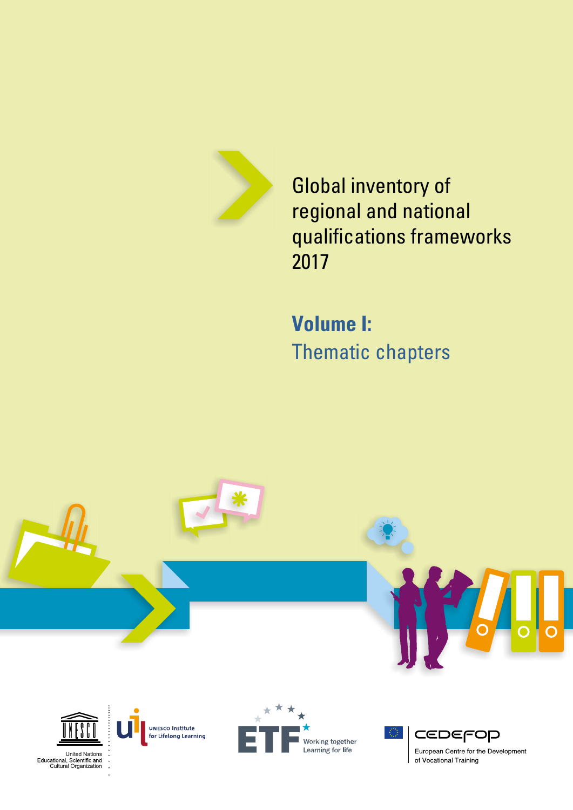

Global inventory of regional and national qualifications frameworks 2017

**Volume I:** Thematic chapters



United Nations Educational, Scientific and<br>Cultural Organization

Working together Learning for life

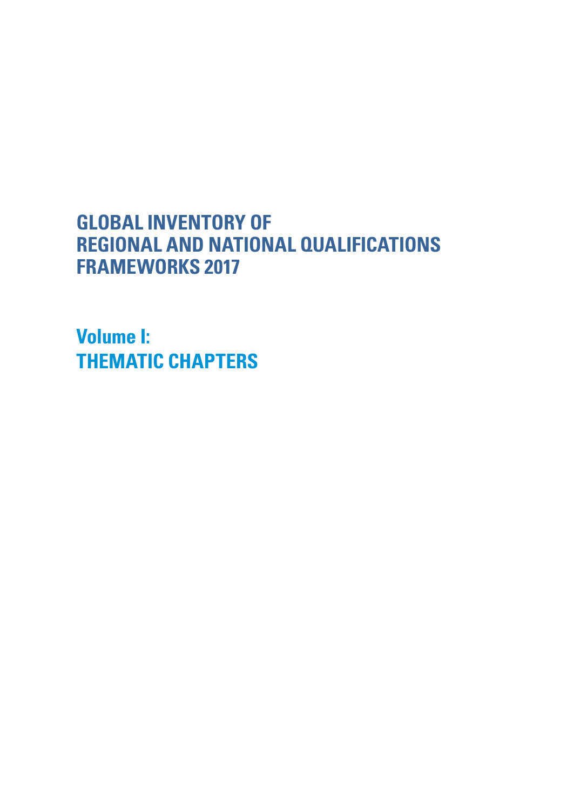# **GLOBAL INVENTORY OF REGIONAL AND NATIONAL QUALIFICATIONS FRAMEWORKS 2017**

**Volume I: THEMATIC CHAPTERS**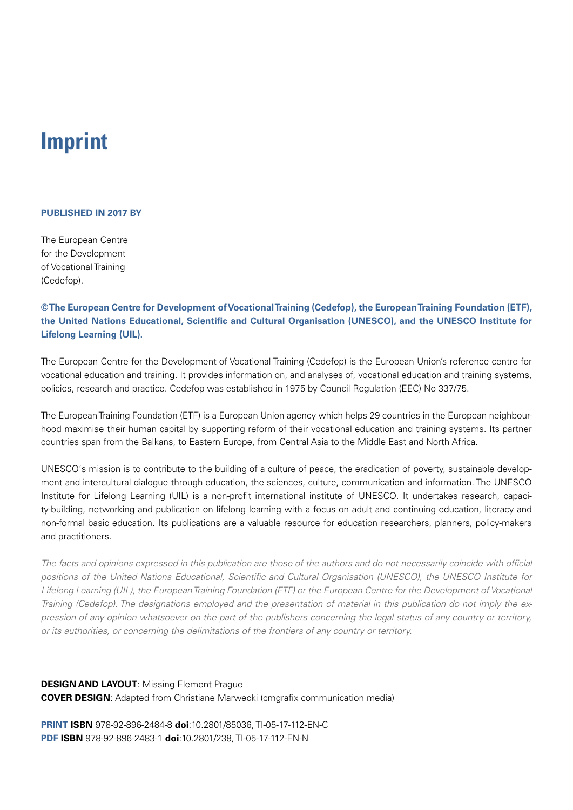# **Imprint**

### **PUBLISHED IN 2017 BY**

The European Centre for the Development of Vocational Training (Cedefop).

**© The European Centre for Development of Vocational Training (Cedefop), the European Training Foundation (ETF), the United Nations Educational, Scientific and Cultural Organisation (UNESCO), and the UNESCO Institute for Lifelong Learning (UIL).**

The European Centre for the Development of Vocational Training (Cedefop) is the European Union's reference centre for vocational education and training. It provides information on, and analyses of, vocational education and training systems, policies, research and practice. Cedefop was established in 1975 by Council Regulation (EEC) No 337/75.

The European Training Foundation (ETF) is a European Union agency which helps 29 countries in the European neighbourhood maximise their human capital by supporting reform of their vocational education and training systems. Its partner countries span from the Balkans, to Eastern Europe, from Central Asia to the Middle East and North Africa.

UNESCO's mission is to contribute to the building of a culture of peace, the eradication of poverty, sustainable development and intercultural dialogue through education, the sciences, culture, communication and information. The UNESCO Institute for Lifelong Learning (UIL) is a non-profit international institute of UNESCO. It undertakes research, capacity-building, networking and publication on lifelong learning with a focus on adult and continuing education, literacy and non-formal basic education. Its publications are a valuable resource for education researchers, planners, policy-makers and practitioners.

*The facts and opinions expressed in this publication are those of the authors and do not necessarily coincide with official positions of the United Nations Educational, Scientific and Cultural Organisation (UNESCO), the UNESCO Institute for Lifelong Learning (UIL), the European Training Foundation (ETF) or the European Centre for the Development of Vocational Training (Cedefop). The designations employed and the presentation of material in this publication do not imply the expression of any opinion whatsoever on the part of the publishers concerning the legal status of any country or territory, or its authorities, or concerning the delimitations of the frontiers of any country or territory.*

# **DESIGN AND LAYOUT**: Missing Element Prague **COVER DESIGN**: Adapted from Christiane Marwecki (cmgrafix communication media)

**PRINT ISBN** 978-92-896-2484-8 **doi**:10.2801/85036, TI-05-17-112-EN-C **PDF ISBN** 978-92-896-2483-1 **doi**:10.2801/238, TI-05-17-112-EN-N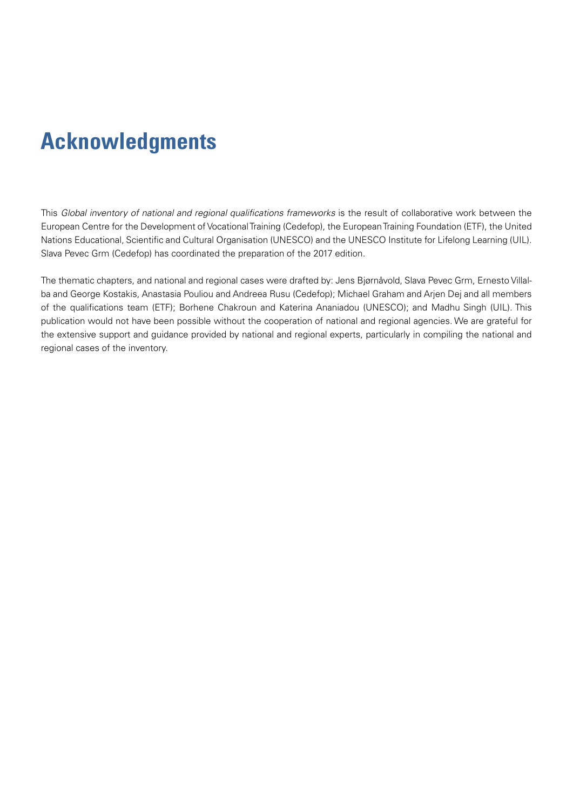# <span id="page-4-0"></span>**Acknowledgments**

This *Global inventory of national and regional qualifications frameworks* is the result of collaborative work between the European Centre for the Development of Vocational Training (Cedefop), the European Training Foundation (ETF), the United Nations Educational, Scientific and Cultural Organisation (UNESCO) and the UNESCO Institute for Lifelong Learning (UIL). Slava Pevec Grm (Cedefop) has coordinated the preparation of the 2017 edition.

The thematic chapters, and national and regional cases were drafted by: Jens Bjørnåvold, Slava Pevec Grm, Ernesto Villalba and George Kostakis, Anastasia Pouliou and Andreea Rusu (Cedefop); Michael Graham and Arjen Dej and all members of the qualifications team (ETF); Borhene Chakroun and Katerina Ananiadou (UNESCO); and Madhu Singh (UIL). This publication would not have been possible without the cooperation of national and regional agencies. We are grateful for the extensive support and guidance provided by national and regional experts, particularly in compiling the national and regional cases of the inventory.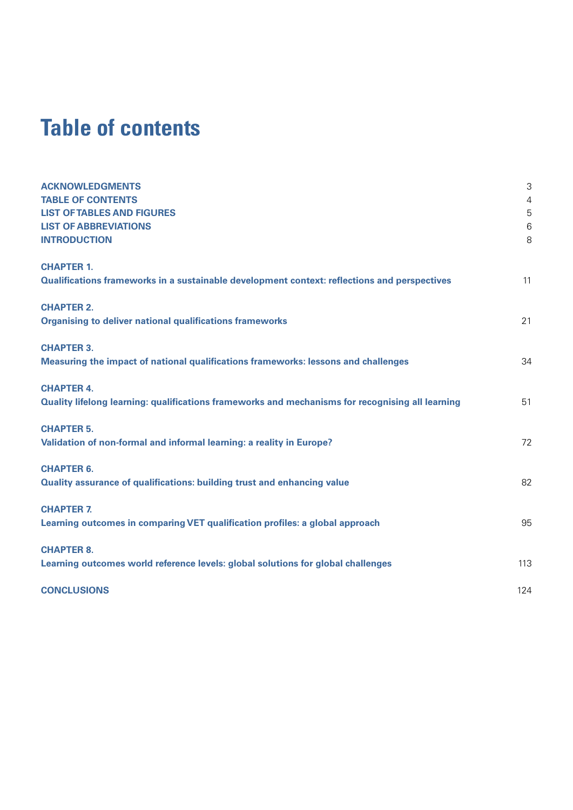# **Table of contents**

| <b>ACKNOWLEDGMENTS</b>                                                                           | 3          |
|--------------------------------------------------------------------------------------------------|------------|
| <b>TABLE OF CONTENTS</b>                                                                         | $\sqrt{4}$ |
| <b>LIST OF TABLES AND FIGURES</b>                                                                | 5          |
| <b>LIST OF ABBREVIATIONS</b>                                                                     | 6          |
| <b>INTRODUCTION</b>                                                                              | 8          |
| <b>CHAPTER 1.</b>                                                                                |            |
| Qualifications frameworks in a sustainable development context: reflections and perspectives     | 11         |
| <b>CHAPTER 2.</b>                                                                                |            |
| <b>Organising to deliver national qualifications frameworks</b>                                  | 21         |
| <b>CHAPTER 3.</b>                                                                                |            |
| Measuring the impact of national qualifications frameworks: lessons and challenges               | 34         |
| <b>CHAPTER 4.</b>                                                                                |            |
| Quality lifelong learning: qualifications frameworks and mechanisms for recognising all learning | 51         |
| <b>CHAPTER 5.</b>                                                                                |            |
| Validation of non-formal and informal learning: a reality in Europe?                             | 72         |
| <b>CHAPTER 6.</b>                                                                                |            |
| Quality assurance of qualifications: building trust and enhancing value                          | 82         |
| <b>CHAPTER 7.</b>                                                                                |            |
| Learning outcomes in comparing VET qualification profiles: a global approach                     | 95         |
| <b>CHAPTER 8.</b>                                                                                |            |
| Learning outcomes world reference levels: global solutions for global challenges                 | 113        |
| <b>CONCLUSIONS</b>                                                                               | 124        |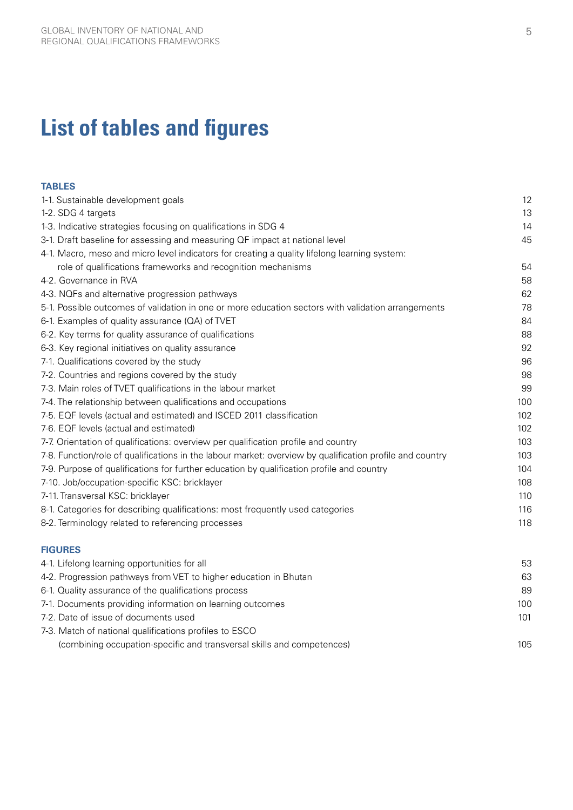# <span id="page-6-0"></span>**List of tables and figures**

| <b>TABLES</b>                                                                                            |     |
|----------------------------------------------------------------------------------------------------------|-----|
| 1-1. Sustainable development goals                                                                       | 12  |
| 1-2. SDG 4 targets                                                                                       | 13  |
| 1-3. Indicative strategies focusing on qualifications in SDG 4                                           | 14  |
| 3-1. Draft baseline for assessing and measuring QF impact at national level                              | 45  |
| 4-1. Macro, meso and micro level indicators for creating a quality lifelong learning system:             |     |
| role of qualifications frameworks and recognition mechanisms                                             | 54  |
| 4-2. Governance in RVA                                                                                   | 58  |
| 4-3. NQFs and alternative progression pathways                                                           | 62  |
| 5-1. Possible outcomes of validation in one or more education sectors with validation arrangements       | 78  |
| 6-1. Examples of quality assurance (QA) of TVET                                                          | 84  |
| 6-2. Key terms for quality assurance of qualifications                                                   | 88  |
| 6-3. Key regional initiatives on quality assurance                                                       | 92  |
| 7-1. Qualifications covered by the study                                                                 | 96  |
| 7-2. Countries and regions covered by the study                                                          | 98  |
| 7-3. Main roles of TVET qualifications in the labour market                                              | 99  |
| 7-4. The relationship between qualifications and occupations                                             | 100 |
| 7-5. EQF levels (actual and estimated) and ISCED 2011 classification                                     | 102 |
| 7-6. EQF levels (actual and estimated)                                                                   | 102 |
| 7-7. Orientation of qualifications: overview per qualification profile and country                       | 103 |
| 7-8. Function/role of qualifications in the labour market: overview by qualification profile and country | 103 |
| 7-9. Purpose of qualifications for further education by qualification profile and country                | 104 |
| 7-10. Job/occupation-specific KSC: bricklayer                                                            | 108 |
| 7-11. Transversal KSC: bricklayer                                                                        | 110 |
| 8-1. Categories for describing qualifications: most frequently used categories                           | 116 |
| 8-2. Terminology related to referencing processes                                                        | 118 |
| <b>FIGURES</b>                                                                                           |     |
| 4-1. Lifelong learning opportunities for all                                                             | 53  |
| 4-2. Progression pathways from VET to higher education in Bhutan                                         | 63  |
| 6-1. Quality assurance of the qualifications process                                                     | 89  |
| 7-1. Documents providing information on learning outcomes                                                | 100 |
| 7-2. Date of issue of documents used                                                                     | 101 |
| 7-3. Match of national qualifications profiles to ESCO                                                   |     |
| (combining occupation-specific and transversal skills and competences)                                   | 105 |
|                                                                                                          |     |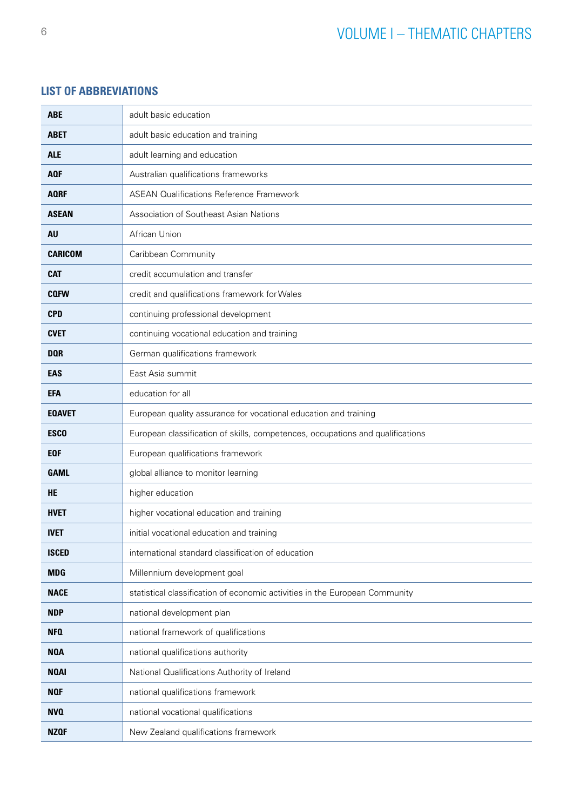# <span id="page-7-0"></span>**LIST OF ABBREVIATIONS**

| <b>ABE</b>     | adult basic education                                                          |
|----------------|--------------------------------------------------------------------------------|
|                |                                                                                |
| <b>ABET</b>    | adult basic education and training                                             |
| <b>ALE</b>     | adult learning and education                                                   |
| <b>AQF</b>     | Australian qualifications frameworks                                           |
| <b>AQRF</b>    | <b>ASEAN Qualifications Reference Framework</b>                                |
| <b>ASEAN</b>   | Association of Southeast Asian Nations                                         |
| AU             | African Union                                                                  |
| <b>CARICOM</b> | Caribbean Community                                                            |
| <b>CAT</b>     | credit accumulation and transfer                                               |
| <b>CQFW</b>    | credit and qualifications framework for Wales                                  |
| <b>CPD</b>     | continuing professional development                                            |
| <b>CVET</b>    | continuing vocational education and training                                   |
| <b>DQR</b>     | German qualifications framework                                                |
| <b>EAS</b>     | East Asia summit                                                               |
| <b>EFA</b>     | education for all                                                              |
| <b>EQAVET</b>  | European quality assurance for vocational education and training               |
| <b>ESCO</b>    | European classification of skills, competences, occupations and qualifications |
| <b>EQF</b>     | European qualifications framework                                              |
| <b>GAML</b>    | global alliance to monitor learning                                            |
| <b>HE</b>      | higher education                                                               |
| <b>HVET</b>    | higher vocational education and training                                       |
| <b>IVET</b>    | initial vocational education and training                                      |
| <b>ISCED</b>   | international standard classification of education                             |
| <b>MDG</b>     | Millennium development goal                                                    |
| <b>NACE</b>    | statistical classification of economic activities in the European Community    |
| <b>NDP</b>     | national development plan                                                      |
| NFQ            | national framework of qualifications                                           |
| <b>NOA</b>     | national qualifications authority                                              |
| <b>NQAI</b>    | National Qualifications Authority of Ireland                                   |
| <b>NOF</b>     | national qualifications framework                                              |
| <b>NVQ</b>     | national vocational qualifications                                             |
| <b>NZQF</b>    | New Zealand qualifications framework                                           |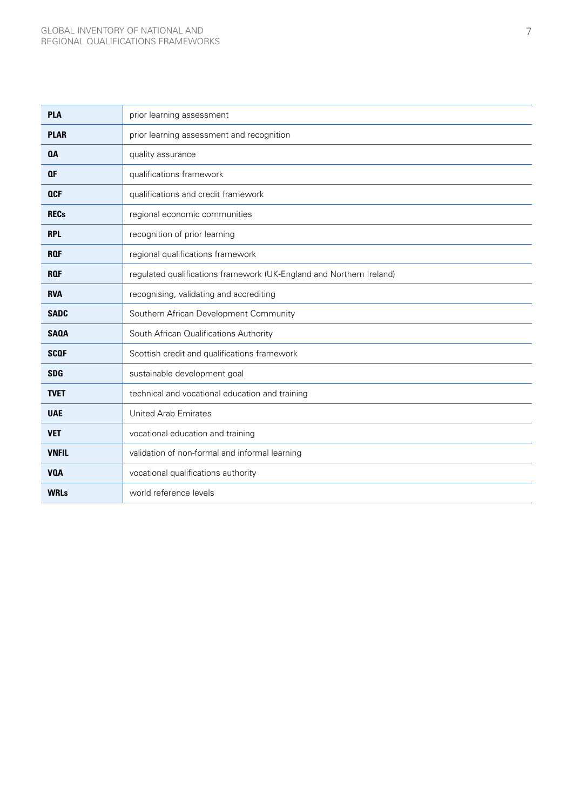| <b>PLA</b>   | prior learning assessment                                            |
|--------------|----------------------------------------------------------------------|
| <b>PLAR</b>  | prior learning assessment and recognition                            |
| <b>QA</b>    | quality assurance                                                    |
| <b>QF</b>    | qualifications framework                                             |
| <b>QCF</b>   | qualifications and credit framework                                  |
| <b>RECs</b>  | regional economic communities                                        |
| <b>RPL</b>   | recognition of prior learning                                        |
| <b>RQF</b>   | regional qualifications framework                                    |
| <b>RQF</b>   | regulated qualifications framework (UK-England and Northern Ireland) |
| <b>RVA</b>   | recognising, validating and accrediting                              |
| <b>SADC</b>  | Southern African Development Community                               |
| <b>SAQA</b>  | South African Qualifications Authority                               |
| <b>SCOF</b>  | Scottish credit and qualifications framework                         |
| <b>SDG</b>   | sustainable development goal                                         |
| <b>TVET</b>  | technical and vocational education and training                      |
| <b>UAE</b>   | <b>United Arab Emirates</b>                                          |
| <b>VET</b>   | vocational education and training                                    |
| <b>VNFIL</b> | validation of non-formal and informal learning                       |
| <b>VOA</b>   | vocational qualifications authority                                  |
| <b>WRLs</b>  | world reference levels                                               |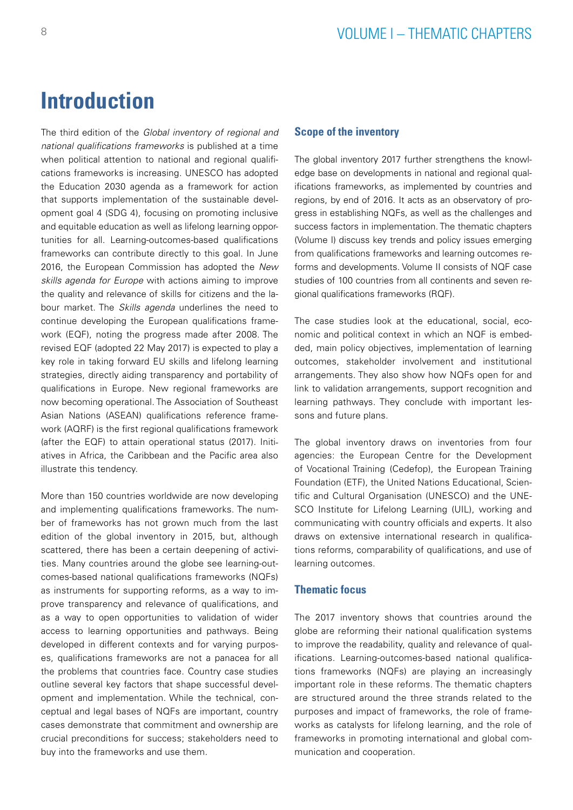# <span id="page-9-0"></span>**Introduction**

The third edition of the *Global inventory of regional and national qualifications frameworks* is published at a time when political attention to national and regional qualifications frameworks is increasing. UNESCO has adopted the Education 2030 agenda as a framework for action that supports implementation of the sustainable development goal 4 (SDG 4), focusing on promoting inclusive and equitable education as well as lifelong learning opportunities for all. Learning-outcomes-based qualifications frameworks can contribute directly to this goal. In June 2016, the European Commission has adopted the *New skills agenda for Europe* with actions aiming to improve the quality and relevance of skills for citizens and the labour market. The *Skills agenda* underlines the need to continue developing the European qualifications framework (EQF), noting the progress made after 2008. The revised EQF (adopted 22 May 2017) is expected to play a key role in taking forward EU skills and lifelong learning strategies, directly aiding transparency and portability of qualifications in Europe. New regional frameworks are now becoming operational. The Association of Southeast Asian Nations (ASEAN) qualifications reference framework (AQRF) is the first regional qualifications framework (after the EQF) to attain operational status (2017). Initiatives in Africa, the Caribbean and the Pacific area also illustrate this tendency.

More than 150 countries worldwide are now developing and implementing qualifications frameworks. The number of frameworks has not grown much from the last edition of the global inventory in 2015, but, although scattered, there has been a certain deepening of activities. Many countries around the globe see learning-outcomes-based national qualifications frameworks (NQFs) as instruments for supporting reforms, as a way to improve transparency and relevance of qualifications, and as a way to open opportunities to validation of wider access to learning opportunities and pathways. Being developed in different contexts and for varying purposes, qualifications frameworks are not a panacea for all the problems that countries face. Country case studies outline several key factors that shape successful development and implementation. While the technical, conceptual and legal bases of NQFs are important, country cases demonstrate that commitment and ownership are crucial preconditions for success; stakeholders need to buy into the frameworks and use them.

## **Scope of the inventory**

The global inventory 2017 further strengthens the knowledge base on developments in national and regional qualifications frameworks, as implemented by countries and regions, by end of 2016. It acts as an observatory of progress in establishing NQFs, as well as the challenges and success factors in implementation. The thematic chapters (Volume I) discuss key trends and policy issues emerging from qualifications frameworks and learning outcomes reforms and developments. Volume II consists of NQF case studies of 100 countries from all continents and seven regional qualifications frameworks (RQF).

The case studies look at the educational, social, economic and political context in which an NQF is embedded, main policy objectives, implementation of learning outcomes, stakeholder involvement and institutional arrangements. They also show how NQFs open for and link to validation arrangements, support recognition and learning pathways. They conclude with important lessons and future plans.

The global inventory draws on inventories from four agencies: the European Centre for the Development of Vocational Training (Cedefop), the European Training Foundation (ETF), the United Nations Educational, Scientific and Cultural Organisation (UNESCO) and the UNE-SCO Institute for Lifelong Learning (UIL), working and communicating with country officials and experts. It also draws on extensive international research in qualifications reforms, comparability of qualifications, and use of learning outcomes.

## **Thematic focus**

The 2017 inventory shows that countries around the globe are reforming their national qualification systems to improve the readability, quality and relevance of qualifications. Learning-outcomes-based national qualifications frameworks (NQFs) are playing an increasingly important role in these reforms. The thematic chapters are structured around the three strands related to the purposes and impact of frameworks, the role of frameworks as catalysts for lifelong learning, and the role of frameworks in promoting international and global communication and cooperation.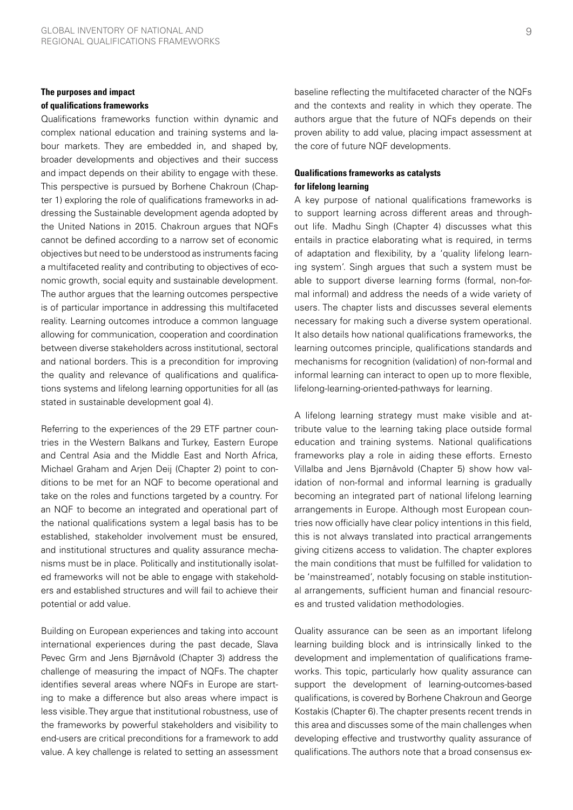# **The purposes and impact**

#### **of qualifications frameworks**

Qualifications frameworks function within dynamic and complex national education and training systems and labour markets. They are embedded in, and shaped by, broader developments and objectives and their success and impact depends on their ability to engage with these. This perspective is pursued by Borhene Chakroun (Chapter 1) exploring the role of qualifications frameworks in addressing the Sustainable development agenda adopted by the United Nations in 2015. Chakroun argues that NQFs cannot be defined according to a narrow set of economic objectives but need to be understood as instruments facing a multifaceted reality and contributing to objectives of economic growth, social equity and sustainable development. The author argues that the learning outcomes perspective is of particular importance in addressing this multifaceted reality. Learning outcomes introduce a common language allowing for communication, cooperation and coordination between diverse stakeholders across institutional, sectoral and national borders. This is a precondition for improving the quality and relevance of qualifications and qualifications systems and lifelong learning opportunities for all (as stated in sustainable development goal 4).

Referring to the experiences of the 29 ETF partner countries in the Western Balkans and Turkey, Eastern Europe and Central Asia and the Middle East and North Africa, Michael Graham and Arjen Deij (Chapter 2) point to conditions to be met for an NQF to become operational and take on the roles and functions targeted by a country. For an NQF to become an integrated and operational part of the national qualifications system a legal basis has to be established, stakeholder involvement must be ensured, and institutional structures and quality assurance mechanisms must be in place. Politically and institutionally isolated frameworks will not be able to engage with stakeholders and established structures and will fail to achieve their potential or add value.

Building on European experiences and taking into account international experiences during the past decade, Slava Pevec Grm and Jens Bjørnåvold (Chapter 3) address the challenge of measuring the impact of NQFs. The chapter identifies several areas where NQFs in Europe are starting to make a difference but also areas where impact is less visible. They argue that institutional robustness, use of the frameworks by powerful stakeholders and visibility to end-users are critical preconditions for a framework to add value. A key challenge is related to setting an assessment baseline reflecting the multifaceted character of the NQFs and the contexts and reality in which they operate. The authors argue that the future of NQFs depends on their proven ability to add value, placing impact assessment at the core of future NQF developments.

## **Qualifications frameworks as catalysts for lifelong learning**

A key purpose of national qualifications frameworks is to support learning across different areas and throughout life. Madhu Singh (Chapter 4) discusses what this entails in practice elaborating what is required, in terms of adaptation and flexibility, by a 'quality lifelong learning system'. Singh argues that such a system must be able to support diverse learning forms (formal, non-formal informal) and address the needs of a wide variety of users. The chapter lists and discusses several elements necessary for making such a diverse system operational. It also details how national qualifications frameworks, the learning outcomes principle, qualifications standards and mechanisms for recognition (validation) of non-formal and informal learning can interact to open up to more flexible, lifelong-learning-oriented-pathways for learning.

A lifelong learning strategy must make visible and attribute value to the learning taking place outside formal education and training systems. National qualifications frameworks play a role in aiding these efforts. Ernesto Villalba and Jens Bjørnåvold (Chapter 5) show how validation of non-formal and informal learning is gradually becoming an integrated part of national lifelong learning arrangements in Europe. Although most European countries now officially have clear policy intentions in this field, this is not always translated into practical arrangements giving citizens access to validation. The chapter explores the main conditions that must be fulfilled for validation to be 'mainstreamed', notably focusing on stable institutional arrangements, sufficient human and financial resources and trusted validation methodologies.

Quality assurance can be seen as an important lifelong learning building block and is intrinsically linked to the development and implementation of qualifications frameworks. This topic, particularly how quality assurance can support the development of learning-outcomes-based qualifications, is covered by Borhene Chakroun and George Kostakis (Chapter 6). The chapter presents recent trends in this area and discusses some of the main challenges when developing effective and trustworthy quality assurance of qualifications. The authors note that a broad consensus ex-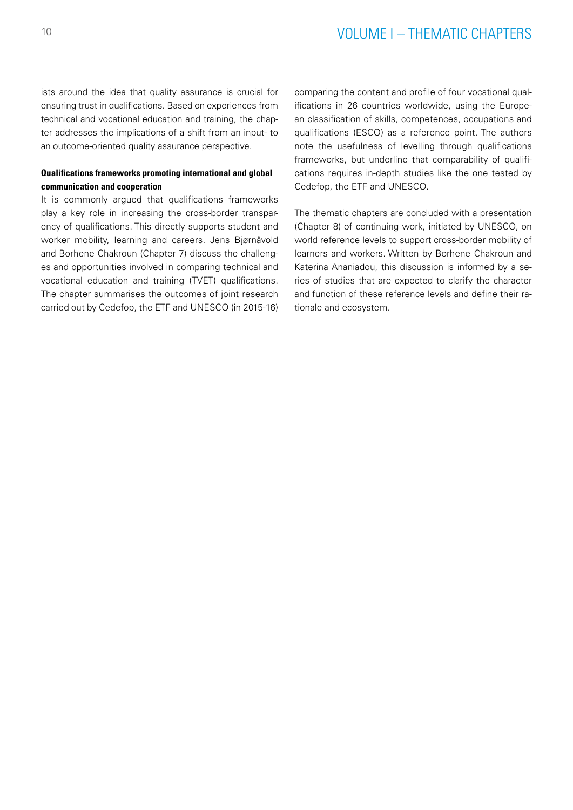# 10 VOLUME I – THEMATIC CHAPTERS

ists around the idea that quality assurance is crucial for ensuring trust in qualifications. Based on experiences from technical and vocational education and training, the chapter addresses the implications of a shift from an input- to an outcome-oriented quality assurance perspective.

## **Qualifications frameworks promoting international and global communication and cooperation**

It is commonly argued that qualifications frameworks play a key role in increasing the cross-border transparency of qualifications. This directly supports student and worker mobility, learning and careers. Jens Bjørnåvold and Borhene Chakroun (Chapter 7) discuss the challenges and opportunities involved in comparing technical and vocational education and training (TVET) qualifications. The chapter summarises the outcomes of joint research carried out by Cedefop, the ETF and UNESCO (in 2015-16) comparing the content and profile of four vocational qualifications in 26 countries worldwide, using the European classification of skills, competences, occupations and qualifications (ESCO) as a reference point. The authors note the usefulness of levelling through qualifications frameworks, but underline that comparability of qualifications requires in-depth studies like the one tested by Cedefop, the ETF and UNESCO.

The thematic chapters are concluded with a presentation (Chapter 8) of continuing work, initiated by UNESCO, on world reference levels to support cross-border mobility of learners and workers. Written by Borhene Chakroun and Katerina Ananiadou, this discussion is informed by a series of studies that are expected to clarify the character and function of these reference levels and define their rationale and ecosystem.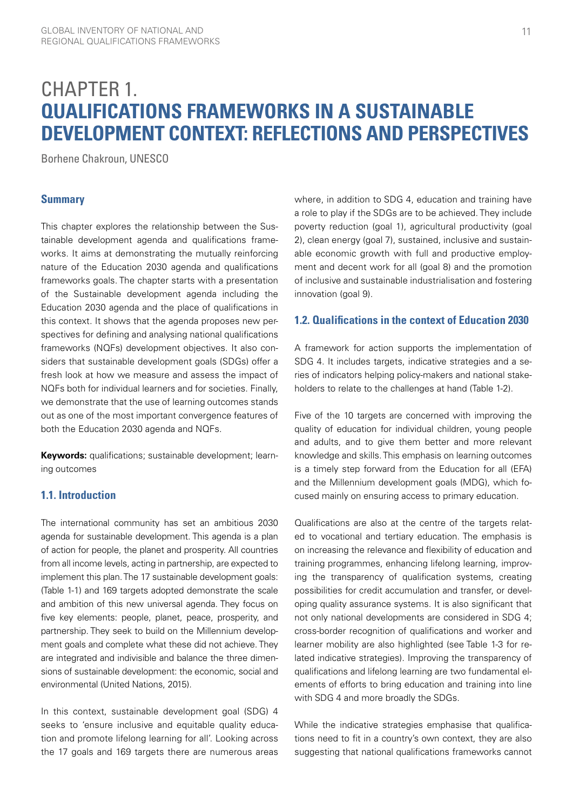# <span id="page-12-0"></span>CHAPTER 1. **QUALIFICATIONS FRAMEWORKS IN A SUSTAINABLE DEVELOPMENT CONTEXT: REFLECTIONS AND PERSPECTIVES**

Borhene Chakroun, UNESCO

### **Summary**

This chapter explores the relationship between the Sustainable development agenda and qualifications frameworks. It aims at demonstrating the mutually reinforcing nature of the Education 2030 agenda and qualifications frameworks goals. The chapter starts with a presentation of the Sustainable development agenda including the Education 2030 agenda and the place of qualifications in this context. It shows that the agenda proposes new perspectives for defining and analysing national qualifications frameworks (NQFs) development objectives. It also considers that sustainable development goals (SDGs) offer a fresh look at how we measure and assess the impact of NQFs both for individual learners and for societies. Finally, we demonstrate that the use of learning outcomes stands out as one of the most important convergence features of both the Education 2030 agenda and NQFs.

**Keywords:** qualifications; sustainable development; learning outcomes

# **1.1. Introduction**

The international community has set an ambitious 2030 agenda for sustainable development. This agenda is a plan of action for people, the planet and prosperity. All countries from all income levels, acting in partnership, are expected to implement this plan. The 17 sustainable development goals: (Table 1-1) and 169 targets adopted demonstrate the scale and ambition of this new universal agenda. They focus on five key elements: people, planet, peace, prosperity, and partnership. They seek to build on the Millennium development goals and complete what these did not achieve. They are integrated and indivisible and balance the three dimensions of sustainable development: the economic, social and environmental (United Nations, 2015).

In this context, sustainable development goal (SDG) 4 seeks to 'ensure inclusive and equitable quality education and promote lifelong learning for all'. Looking across the 17 goals and 169 targets there are numerous areas

where, in addition to SDG 4, education and training have a role to play if the SDGs are to be achieved. They include poverty reduction (goal 1), agricultural productivity (goal 2), clean energy (goal 7), sustained, inclusive and sustainable economic growth with full and productive employment and decent work for all (goal 8) and the promotion of inclusive and sustainable industrialisation and fostering innovation (goal 9).

# **1.2. Qualifications in the context of Education 2030**

A framework for action supports the implementation of SDG 4. It includes targets, indicative strategies and a series of indicators helping policy-makers and national stakeholders to relate to the challenges at hand (Table 1-2).

Five of the 10 targets are concerned with improving the quality of education for individual children, young people and adults, and to give them better and more relevant knowledge and skills. This emphasis on learning outcomes is a timely step forward from the Education for all (EFA) and the Millennium development goals (MDG), which focused mainly on ensuring access to primary education.

Qualifications are also at the centre of the targets related to vocational and tertiary education. The emphasis is on increasing the relevance and flexibility of education and training programmes, enhancing lifelong learning, improving the transparency of qualification systems, creating possibilities for credit accumulation and transfer, or developing quality assurance systems. It is also significant that not only national developments are considered in SDG 4; cross-border recognition of qualifications and worker and learner mobility are also highlighted (see Table 1-3 for related indicative strategies). Improving the transparency of qualifications and lifelong learning are two fundamental elements of efforts to bring education and training into line with SDG 4 and more broadly the SDGs.

While the indicative strategies emphasise that qualifications need to fit in a country's own context, they are also suggesting that national qualifications frameworks cannot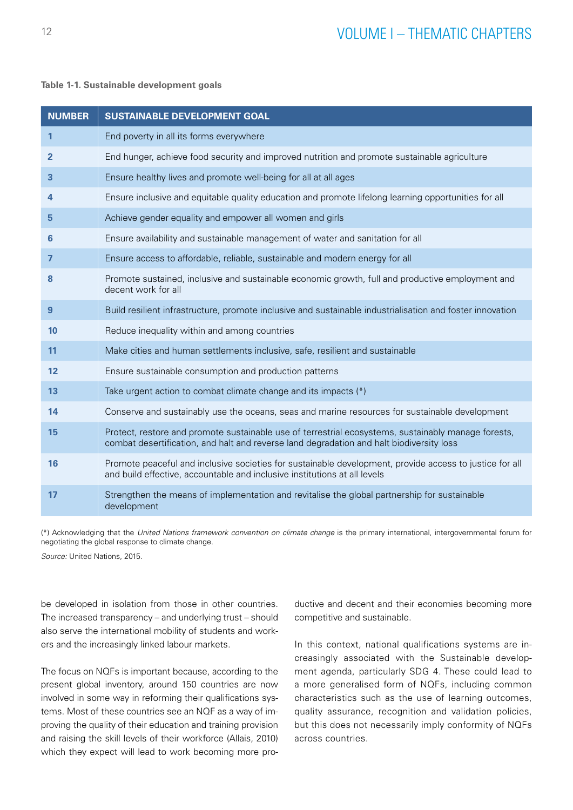#### <span id="page-13-0"></span>**Table 1-1. Sustainable development goals**

| <b>NUMBER</b>  | <b>SUSTAINABLE DEVELOPMENT GOAL</b>                                                                                                                                                             |
|----------------|-------------------------------------------------------------------------------------------------------------------------------------------------------------------------------------------------|
| 1              | End poverty in all its forms everywhere                                                                                                                                                         |
| $\mathbf{2}$   | End hunger, achieve food security and improved nutrition and promote sustainable agriculture                                                                                                    |
| 3              | Ensure healthy lives and promote well-being for all at all ages                                                                                                                                 |
| 4              | Ensure inclusive and equitable quality education and promote lifelong learning opportunities for all                                                                                            |
| 5              | Achieve gender equality and empower all women and girls                                                                                                                                         |
| 6              | Ensure availability and sustainable management of water and sanitation for all                                                                                                                  |
| $\overline{7}$ | Ensure access to affordable, reliable, sustainable and modern energy for all                                                                                                                    |
| 8              | Promote sustained, inclusive and sustainable economic growth, full and productive employment and<br>decent work for all                                                                         |
| $\overline{9}$ | Build resilient infrastructure, promote inclusive and sustainable industrialisation and foster innovation                                                                                       |
| 10             | Reduce inequality within and among countries                                                                                                                                                    |
| 11             | Make cities and human settlements inclusive, safe, resilient and sustainable                                                                                                                    |
| 12             | Ensure sustainable consumption and production patterns                                                                                                                                          |
| 13             | Take urgent action to combat climate change and its impacts (*)                                                                                                                                 |
| 14             | Conserve and sustainably use the oceans, seas and marine resources for sustainable development                                                                                                  |
| 15             | Protect, restore and promote sustainable use of terrestrial ecosystems, sustainably manage forests,<br>combat desertification, and halt and reverse land degradation and halt biodiversity loss |
| 16             | Promote peaceful and inclusive societies for sustainable development, provide access to justice for all<br>and build effective, accountable and inclusive institutions at all levels            |
| 17             | Strengthen the means of implementation and revitalise the global partnership for sustainable<br>development                                                                                     |

(\*) Acknowledging that the *United Nations framework convention on climate change* is the primary international, intergovernmental forum for negotiating the global response to climate change.

*Source:* United Nations, 2015.

be developed in isolation from those in other countries. The increased transparency – and underlying trust – should also serve the international mobility of students and workers and the increasingly linked labour markets.

The focus on NQFs is important because, according to the present global inventory, around 150 countries are now involved in some way in reforming their qualifications systems. Most of these countries see an NQF as a way of improving the quality of their education and training provision and raising the skill levels of their workforce (Allais, 2010) which they expect will lead to work becoming more productive and decent and their economies becoming more competitive and sustainable.

In this context, national qualifications systems are increasingly associated with the Sustainable development agenda, particularly SDG 4. These could lead to a more generalised form of NQFs, including common characteristics such as the use of learning outcomes, quality assurance, recognition and validation policies, but this does not necessarily imply conformity of NQFs across countries.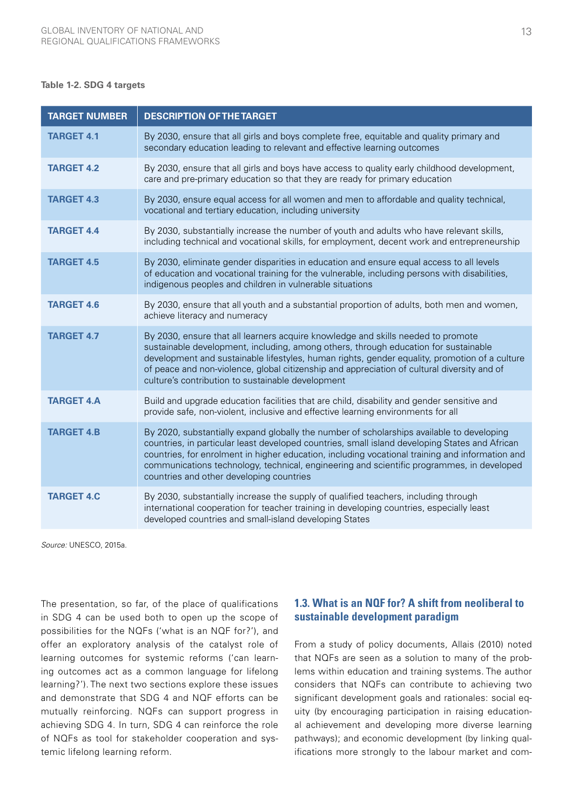#### <span id="page-14-0"></span>**Table 1-2. SDG 4 targets**

| <b>TARGET NUMBER</b> | <b>DESCRIPTION OF THE TARGET</b>                                                                                                                                                                                                                                                                                                                                                                                                        |
|----------------------|-----------------------------------------------------------------------------------------------------------------------------------------------------------------------------------------------------------------------------------------------------------------------------------------------------------------------------------------------------------------------------------------------------------------------------------------|
| <b>TARGET 4.1</b>    | By 2030, ensure that all girls and boys complete free, equitable and quality primary and<br>secondary education leading to relevant and effective learning outcomes                                                                                                                                                                                                                                                                     |
| <b>TARGET 4.2</b>    | By 2030, ensure that all girls and boys have access to quality early childhood development,<br>care and pre-primary education so that they are ready for primary education                                                                                                                                                                                                                                                              |
| <b>TARGET 4.3</b>    | By 2030, ensure equal access for all women and men to affordable and quality technical,<br>vocational and tertiary education, including university                                                                                                                                                                                                                                                                                      |
| <b>TARGET 4.4</b>    | By 2030, substantially increase the number of youth and adults who have relevant skills,<br>including technical and vocational skills, for employment, decent work and entrepreneurship                                                                                                                                                                                                                                                 |
| <b>TARGET 4.5</b>    | By 2030, eliminate gender disparities in education and ensure equal access to all levels<br>of education and vocational training for the vulnerable, including persons with disabilities,<br>indigenous peoples and children in vulnerable situations                                                                                                                                                                                   |
| <b>TARGET 4.6</b>    | By 2030, ensure that all youth and a substantial proportion of adults, both men and women,<br>achieve literacy and numeracy                                                                                                                                                                                                                                                                                                             |
| <b>TARGET 4.7</b>    | By 2030, ensure that all learners acquire knowledge and skills needed to promote<br>sustainable development, including, among others, through education for sustainable<br>development and sustainable lifestyles, human rights, gender equality, promotion of a culture<br>of peace and non-violence, global citizenship and appreciation of cultural diversity and of<br>culture's contribution to sustainable development            |
| <b>TARGET 4.A</b>    | Build and upgrade education facilities that are child, disability and gender sensitive and<br>provide safe, non-violent, inclusive and effective learning environments for all                                                                                                                                                                                                                                                          |
| <b>TARGET 4.B</b>    | By 2020, substantially expand globally the number of scholarships available to developing<br>countries, in particular least developed countries, small island developing States and African<br>countries, for enrolment in higher education, including vocational training and information and<br>communications technology, technical, engineering and scientific programmes, in developed<br>countries and other developing countries |
| <b>TARGET 4.C</b>    | By 2030, substantially increase the supply of qualified teachers, including through<br>international cooperation for teacher training in developing countries, especially least<br>developed countries and small-island developing States                                                                                                                                                                                               |

*Source:* UNESCO, 2015a.

The presentation, so far, of the place of qualifications in SDG 4 can be used both to open up the scope of possibilities for the NQFs ('what is an NQF for?'), and offer an exploratory analysis of the catalyst role of learning outcomes for systemic reforms ('can learning outcomes act as a common language for lifelong learning?'). The next two sections explore these issues and demonstrate that SDG 4 and NQF efforts can be mutually reinforcing. NQFs can support progress in achieving SDG 4. In turn, SDG 4 can reinforce the role of NQFs as tool for stakeholder cooperation and systemic lifelong learning reform.

# **1.3. What is an NQF for? A shift from neoliberal to sustainable development paradigm**

From a study of policy documents, Allais (2010) noted that NQFs are seen as a solution to many of the problems within education and training systems. The author considers that NQFs can contribute to achieving two significant development goals and rationales: social equity (by encouraging participation in raising educational achievement and developing more diverse learning pathways); and economic development (by linking qualifications more strongly to the labour market and com-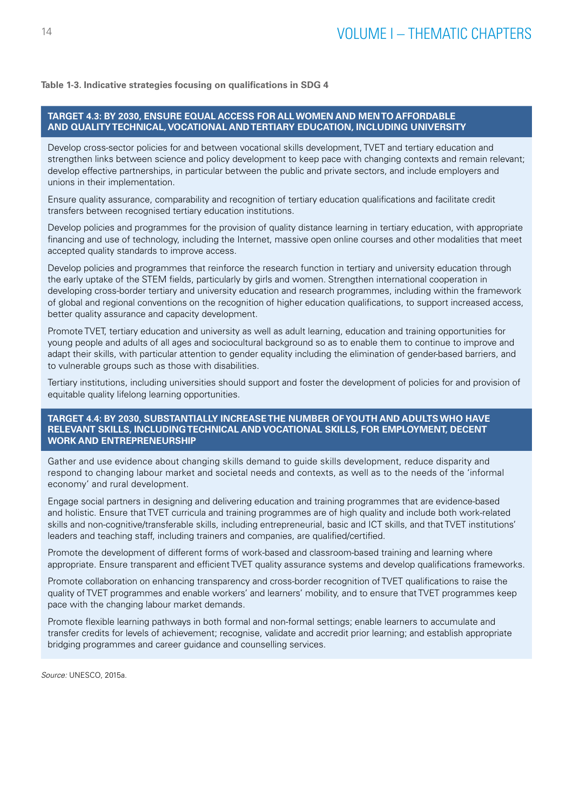#### <span id="page-15-0"></span>**Table 1-3. Indicative strategies focusing on qualifications in SDG 4**

#### **TARGET 4.3: BY 2030, ENSURE EQUAL ACCESS FOR ALL WOMEN AND MEN TO AFFORDABLE AND QUALITY TECHNICAL, VOCATIONAL AND TERTIARY EDUCATION, INCLUDING UNIVERSITY**

Develop cross-sector policies for and between vocational skills development, TVET and tertiary education and strengthen links between science and policy development to keep pace with changing contexts and remain relevant; develop effective partnerships, in particular between the public and private sectors, and include employers and unions in their implementation.

Ensure quality assurance, comparability and recognition of tertiary education qualifications and facilitate credit transfers between recognised tertiary education institutions.

Develop policies and programmes for the provision of quality distance learning in tertiary education, with appropriate financing and use of technology, including the Internet, massive open online courses and other modalities that meet accepted quality standards to improve access.

Develop policies and programmes that reinforce the research function in tertiary and university education through the early uptake of the STEM fields, particularly by girls and women. Strengthen international cooperation in developing cross-border tertiary and university education and research programmes, including within the framework of global and regional conventions on the recognition of higher education qualifications, to support increased access, better quality assurance and capacity development.

Promote TVET, tertiary education and university as well as adult learning, education and training opportunities for young people and adults of all ages and sociocultural background so as to enable them to continue to improve and adapt their skills, with particular attention to gender equality including the elimination of gender-based barriers, and to vulnerable groups such as those with disabilities.

Tertiary institutions, including universities should support and foster the development of policies for and provision of equitable quality lifelong learning opportunities.

#### **TARGET 4.4: BY 2030, SUBSTANTIALLY INCREASE THE NUMBER OF YOUTH AND ADULTS WHO HAVE RELEVANT SKILLS, INCLUDING TECHNICAL AND VOCATIONAL SKILLS, FOR EMPLOYMENT, DECENT WORK AND ENTREPRENEURSHIP**

Gather and use evidence about changing skills demand to guide skills development, reduce disparity and respond to changing labour market and societal needs and contexts, as well as to the needs of the 'informal economy' and rural development.

Engage social partners in designing and delivering education and training programmes that are evidence-based and holistic. Ensure that TVET curricula and training programmes are of high quality and include both work-related skills and non-cognitive/transferable skills, including entrepreneurial, basic and ICT skills, and that TVET institutions' leaders and teaching staff, including trainers and companies, are qualified/certified.

Promote the development of different forms of work-based and classroom-based training and learning where appropriate. Ensure transparent and efficient TVET quality assurance systems and develop qualifications frameworks.

Promote collaboration on enhancing transparency and cross-border recognition of TVET qualifications to raise the quality of TVET programmes and enable workers' and learners' mobility, and to ensure that TVET programmes keep pace with the changing labour market demands.

Promote flexible learning pathways in both formal and non-formal settings; enable learners to accumulate and transfer credits for levels of achievement; recognise, validate and accredit prior learning; and establish appropriate bridging programmes and career guidance and counselling services.

*Source:* UNESCO, 2015a.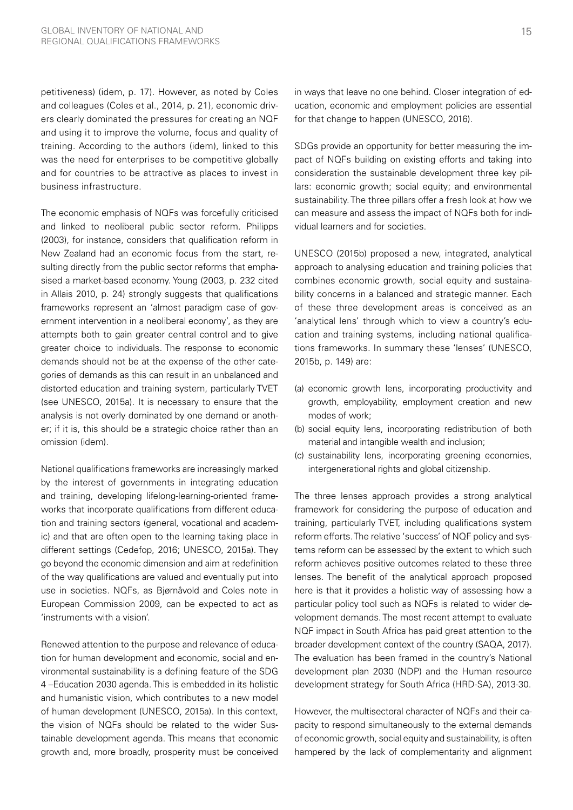petitiveness) (idem, p. 17). However, as noted by Coles and colleagues (Coles et al., 2014, p. 21), economic drivers clearly dominated the pressures for creating an NQF and using it to improve the volume, focus and quality of training. According to the authors (idem), linked to this was the need for enterprises to be competitive globally and for countries to be attractive as places to invest in business infrastructure.

The economic emphasis of NQFs was forcefully criticised and linked to neoliberal public sector reform. Philipps (2003), for instance, considers that qualification reform in New Zealand had an economic focus from the start, resulting directly from the public sector reforms that emphasised a market-based economy. Young (2003, p. 232 cited in Allais 2010, p. 24) strongly suggests that qualifications frameworks represent an 'almost paradigm case of government intervention in a neoliberal economy', as they are attempts both to gain greater central control and to give greater choice to individuals. The response to economic demands should not be at the expense of the other categories of demands as this can result in an unbalanced and distorted education and training system, particularly TVET (see UNESCO, 2015a). It is necessary to ensure that the analysis is not overly dominated by one demand or another; if it is, this should be a strategic choice rather than an omission (idem).

National qualifications frameworks are increasingly marked by the interest of governments in integrating education and training, developing lifelong-learning-oriented frameworks that incorporate qualifications from different education and training sectors (general, vocational and academic) and that are often open to the learning taking place in different settings (Cedefop, 2016; UNESCO, 2015a). They go beyond the economic dimension and aim at redefinition of the way qualifications are valued and eventually put into use in societies. NQFs, as Bjørnåvold and Coles note in European Commission 2009, can be expected to act as 'instruments with a vision'.

Renewed attention to the purpose and relevance of education for human development and economic, social and environmental sustainability is a defining feature of the SDG 4 –Education 2030 agenda. This is embedded in its holistic and humanistic vision, which contributes to a new model of human development (UNESCO, 2015a). In this context, the vision of NQFs should be related to the wider Sustainable development agenda. This means that economic growth and, more broadly, prosperity must be conceived in ways that leave no one behind. Closer integration of education, economic and employment policies are essential for that change to happen (UNESCO, 2016).

SDGs provide an opportunity for better measuring the impact of NQFs building on existing efforts and taking into consideration the sustainable development three key pillars: economic growth; social equity; and environmental sustainability. The three pillars offer a fresh look at how we can measure and assess the impact of NQFs both for individual learners and for societies.

UNESCO (2015b) proposed a new, integrated, analytical approach to analysing education and training policies that combines economic growth, social equity and sustainability concerns in a balanced and strategic manner. Each of these three development areas is conceived as an 'analytical lens' through which to view a country's education and training systems, including national qualifications frameworks. In summary these 'lenses' (UNESCO, 2015b, p. 149) are:

- (a) economic growth lens, incorporating productivity and growth, employability, employment creation and new modes of work;
- (b) social equity lens, incorporating redistribution of both material and intangible wealth and inclusion;
- (c) sustainability lens, incorporating greening economies, intergenerational rights and global citizenship.

The three lenses approach provides a strong analytical framework for considering the purpose of education and training, particularly TVET, including qualifications system reform efforts. The relative 'success' of NQF policy and systems reform can be assessed by the extent to which such reform achieves positive outcomes related to these three lenses. The benefit of the analytical approach proposed here is that it provides a holistic way of assessing how a particular policy tool such as NQFs is related to wider development demands. The most recent attempt to evaluate NQF impact in South Africa has paid great attention to the broader development context of the country (SAQA, 2017). The evaluation has been framed in the country's National development plan 2030 (NDP) and the Human resource development strategy for South Africa (HRD-SA), 2013-30.

However, the multisectoral character of NQFs and their capacity to respond simultaneously to the external demands of economic growth, social equity and sustainability, is often hampered by the lack of complementarity and alignment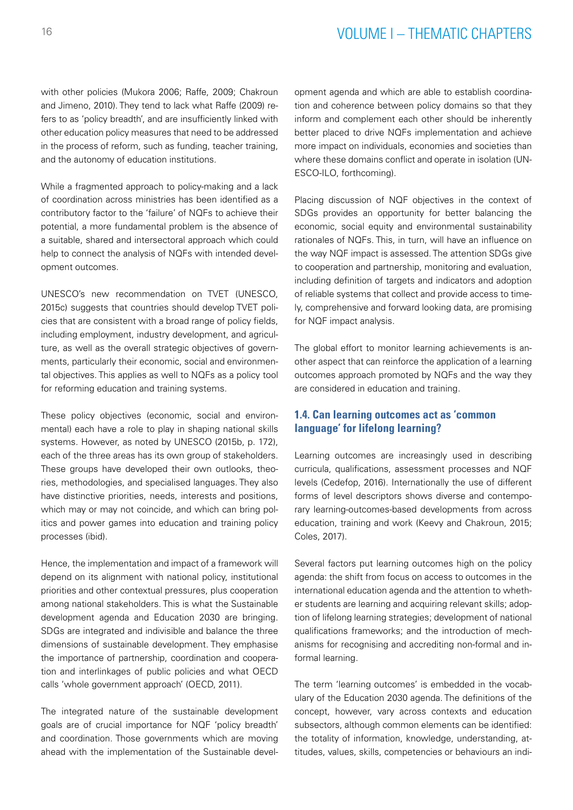# 16 VOLUME I – THEMATIC CHAPTERS

with other policies (Mukora 2006; Raffe, 2009; Chakroun and Jimeno, 2010). They tend to lack what Raffe (2009) refers to as 'policy breadth', and are insufficiently linked with other education policy measures that need to be addressed in the process of reform, such as funding, teacher training, and the autonomy of education institutions.

While a fragmented approach to policy-making and a lack of coordination across ministries has been identified as a contributory factor to the 'failure' of NQFs to achieve their potential, a more fundamental problem is the absence of a suitable, shared and intersectoral approach which could help to connect the analysis of NQFs with intended development outcomes.

UNESCO's new recommendation on TVET (UNESCO, 2015c) suggests that countries should develop TVET policies that are consistent with a broad range of policy fields, including employment, industry development, and agriculture, as well as the overall strategic objectives of governments, particularly their economic, social and environmental objectives. This applies as well to NQFs as a policy tool for reforming education and training systems.

These policy objectives (economic, social and environmental) each have a role to play in shaping national skills systems. However, as noted by UNESCO (2015b, p. 172), each of the three areas has its own group of stakeholders. These groups have developed their own outlooks, theories, methodologies, and specialised languages. They also have distinctive priorities, needs, interests and positions, which may or may not coincide, and which can bring politics and power games into education and training policy processes (ibid).

Hence, the implementation and impact of a framework will depend on its alignment with national policy, institutional priorities and other contextual pressures, plus cooperation among national stakeholders. This is what the Sustainable development agenda and Education 2030 are bringing. SDGs are integrated and indivisible and balance the three dimensions of sustainable development. They emphasise the importance of partnership, coordination and cooperation and interlinkages of public policies and what OECD calls 'whole government approach' (OECD, 2011).

The integrated nature of the sustainable development goals are of crucial importance for NQF 'policy breadth' and coordination. Those governments which are moving ahead with the implementation of the Sustainable development agenda and which are able to establish coordination and coherence between policy domains so that they inform and complement each other should be inherently better placed to drive NQFs implementation and achieve more impact on individuals, economies and societies than where these domains conflict and operate in isolation (UN-ESCO-ILO, forthcoming).

Placing discussion of NQF objectives in the context of SDGs provides an opportunity for better balancing the economic, social equity and environmental sustainability rationales of NQFs. This, in turn, will have an influence on the way NQF impact is assessed. The attention SDGs give to cooperation and partnership, monitoring and evaluation, including definition of targets and indicators and adoption of reliable systems that collect and provide access to timely, comprehensive and forward looking data, are promising for NQF impact analysis.

The global effort to monitor learning achievements is another aspect that can reinforce the application of a learning outcomes approach promoted by NQFs and the way they are considered in education and training.

# **1.4. Can learning outcomes act as 'common language' for lifelong learning?**

Learning outcomes are increasingly used in describing curricula, qualifications, assessment processes and NQF levels (Cedefop, 2016). Internationally the use of different forms of level descriptors shows diverse and contemporary learning-outcomes-based developments from across education, training and work (Keevy and Chakroun, 2015; Coles, 2017).

Several factors put learning outcomes high on the policy agenda: the shift from focus on access to outcomes in the international education agenda and the attention to whether students are learning and acquiring relevant skills; adoption of lifelong learning strategies; development of national qualifications frameworks; and the introduction of mechanisms for recognising and accrediting non-formal and informal learning.

The term 'learning outcomes' is embedded in the vocabulary of the Education 2030 agenda. The definitions of the concept, however, vary across contexts and education subsectors, although common elements can be identified: the totality of information, knowledge, understanding, attitudes, values, skills, competencies or behaviours an indi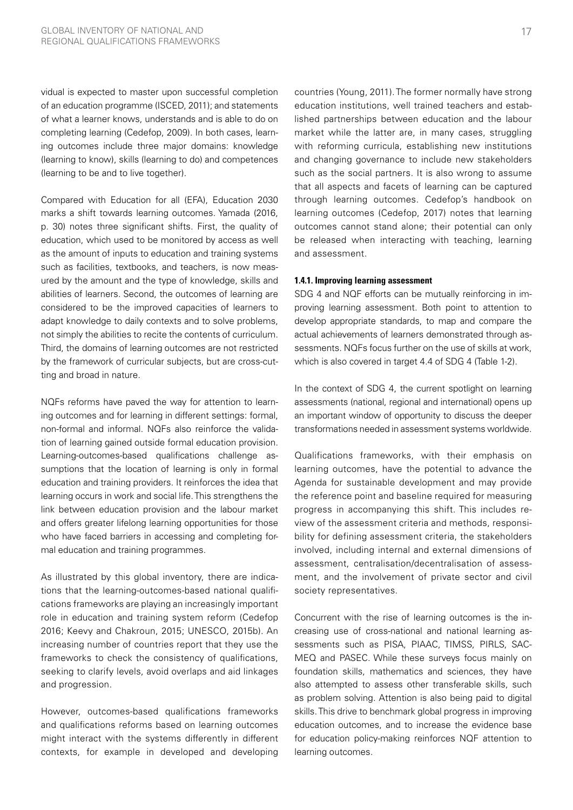vidual is expected to master upon successful completion of an education programme (ISCED, 2011); and statements of what a learner knows, understands and is able to do on completing learning (Cedefop, 2009). In both cases, learning outcomes include three major domains: knowledge (learning to know), skills (learning to do) and competences (learning to be and to live together).

Compared with Education for all (EFA), Education 2030 marks a shift towards learning outcomes. Yamada (2016, p. 30) notes three significant shifts. First, the quality of education, which used to be monitored by access as well as the amount of inputs to education and training systems such as facilities, textbooks, and teachers, is now measured by the amount and the type of knowledge, skills and abilities of learners. Second, the outcomes of learning are considered to be the improved capacities of learners to adapt knowledge to daily contexts and to solve problems, not simply the abilities to recite the contents of curriculum. Third, the domains of learning outcomes are not restricted by the framework of curricular subjects, but are cross-cutting and broad in nature.

NQFs reforms have paved the way for attention to learning outcomes and for learning in different settings: formal, non-formal and informal. NQFs also reinforce the validation of learning gained outside formal education provision. Learning-outcomes-based qualifications challenge assumptions that the location of learning is only in formal education and training providers. It reinforces the idea that learning occurs in work and social life. This strengthens the link between education provision and the labour market and offers greater lifelong learning opportunities for those who have faced barriers in accessing and completing formal education and training programmes.

As illustrated by this global inventory, there are indications that the learning-outcomes-based national qualifications frameworks are playing an increasingly important role in education and training system reform (Cedefop 2016; Keevy and Chakroun, 2015; UNESCO, 2015b). An increasing number of countries report that they use the frameworks to check the consistency of qualifications, seeking to clarify levels, avoid overlaps and aid linkages and progression.

However, outcomes-based qualifications frameworks and qualifications reforms based on learning outcomes might interact with the systems differently in different contexts, for example in developed and developing countries (Young, 2011). The former normally have strong education institutions, well trained teachers and established partnerships between education and the labour market while the latter are, in many cases, struggling with reforming curricula, establishing new institutions and changing governance to include new stakeholders such as the social partners. It is also wrong to assume that all aspects and facets of learning can be captured through learning outcomes. Cedefop's handbook on learning outcomes (Cedefop, 2017) notes that learning outcomes cannot stand alone; their potential can only be released when interacting with teaching, learning and assessment.

#### **1.4.1. Improving learning assessment**

SDG 4 and NQF efforts can be mutually reinforcing in improving learning assessment. Both point to attention to develop appropriate standards, to map and compare the actual achievements of learners demonstrated through assessments. NQFs focus further on the use of skills at work, which is also covered in target 4.4 of SDG 4 (Table 1-2).

In the context of SDG 4, the current spotlight on learning assessments (national, regional and international) opens up an important window of opportunity to discuss the deeper transformations needed in assessment systems worldwide.

Qualifications frameworks, with their emphasis on learning outcomes, have the potential to advance the Agenda for sustainable development and may provide the reference point and baseline required for measuring progress in accompanying this shift. This includes review of the assessment criteria and methods, responsibility for defining assessment criteria, the stakeholders involved, including internal and external dimensions of assessment, centralisation/decentralisation of assessment, and the involvement of private sector and civil society representatives.

Concurrent with the rise of learning outcomes is the increasing use of cross-national and national learning assessments such as PISA, PIAAC, TIMSS, PIRLS, SAC-MEQ and PASEC. While these surveys focus mainly on foundation skills, mathematics and sciences, they have also attempted to assess other transferable skills, such as problem solving. Attention is also being paid to digital skills. This drive to benchmark global progress in improving education outcomes, and to increase the evidence base for education policy-making reinforces NQF attention to learning outcomes.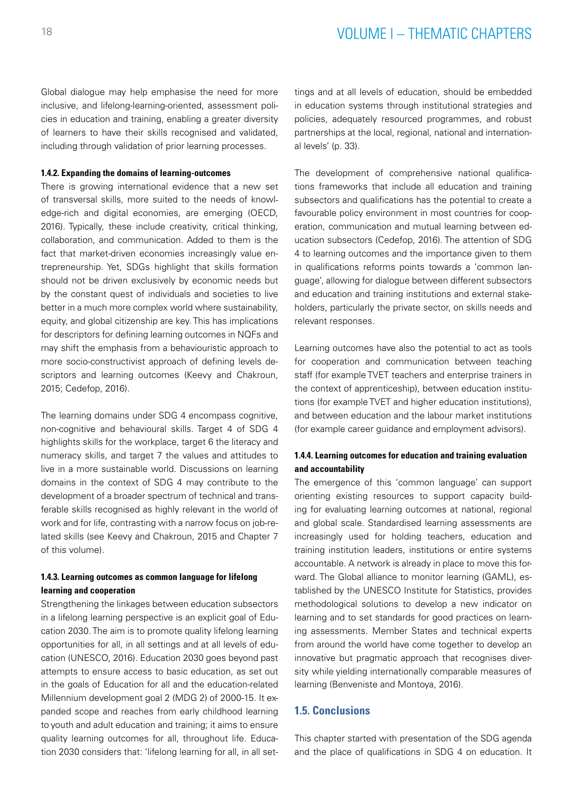# 18 VOLUME I – THEMATIC CHAPTERS

Global dialogue may help emphasise the need for more inclusive, and lifelong-learning-oriented, assessment policies in education and training, enabling a greater diversity of learners to have their skills recognised and validated, including through validation of prior learning processes.

#### **1.4.2. Expanding the domains of learning-outcomes**

There is growing international evidence that a new set of transversal skills, more suited to the needs of knowledge-rich and digital economies, are emerging (OECD, 2016). Typically, these include creativity, critical thinking, collaboration, and communication. Added to them is the fact that market-driven economies increasingly value entrepreneurship. Yet, SDGs highlight that skills formation should not be driven exclusively by economic needs but by the constant quest of individuals and societies to live better in a much more complex world where sustainability, equity, and global citizenship are key. This has implications for descriptors for defining learning outcomes in NQFs and may shift the emphasis from a behaviouristic approach to more socio-constructivist approach of defining levels descriptors and learning outcomes (Keevy and Chakroun, 2015; Cedefop, 2016).

The learning domains under SDG 4 encompass cognitive, non-cognitive and behavioural skills. Target 4 of SDG 4 highlights skills for the workplace, target 6 the literacy and numeracy skills, and target 7 the values and attitudes to live in a more sustainable world. Discussions on learning domains in the context of SDG 4 may contribute to the development of a broader spectrum of technical and transferable skills recognised as highly relevant in the world of work and for life, contrasting with a narrow focus on job-related skills (see Keevy and Chakroun, 2015 and Chapter 7 of this volume).

### **1.4.3. Learning outcomes as common language for lifelong learning and cooperation**

Strengthening the linkages between education subsectors in a lifelong learning perspective is an explicit goal of Education 2030. The aim is to promote quality lifelong learning opportunities for all, in all settings and at all levels of education (UNESCO, 2016). Education 2030 goes beyond past attempts to ensure access to basic education, as set out in the goals of Education for all and the education-related Millennium development goal 2 (MDG 2) of 2000-15. It expanded scope and reaches from early childhood learning to youth and adult education and training; it aims to ensure quality learning outcomes for all, throughout life. Education 2030 considers that: 'lifelong learning for all, in all set-

tings and at all levels of education, should be embedded in education systems through institutional strategies and policies, adequately resourced programmes, and robust partnerships at the local, regional, national and international levels' (p. 33).

The development of comprehensive national qualifications frameworks that include all education and training subsectors and qualifications has the potential to create a favourable policy environment in most countries for cooperation, communication and mutual learning between education subsectors (Cedefop, 2016). The attention of SDG 4 to learning outcomes and the importance given to them in qualifications reforms points towards a 'common language', allowing for dialogue between different subsectors and education and training institutions and external stakeholders, particularly the private sector, on skills needs and relevant responses.

Learning outcomes have also the potential to act as tools for cooperation and communication between teaching staff (for example TVET teachers and enterprise trainers in the context of apprenticeship), between education institutions (for example TVET and higher education institutions), and between education and the labour market institutions (for example career guidance and employment advisors).

#### **1.4.4. Learning outcomes for education and training evaluation and accountability**

The emergence of this 'common language' can support orienting existing resources to support capacity building for evaluating learning outcomes at national, regional and global scale. Standardised learning assessments are increasingly used for holding teachers, education and training institution leaders, institutions or entire systems accountable. A network is already in place to move this forward. The Global alliance to monitor learning (GAML), established by the UNESCO Institute for Statistics, provides methodological solutions to develop a new indicator on learning and to set standards for good practices on learning assessments. Member States and technical experts from around the world have come together to develop an innovative but pragmatic approach that recognises diversity while yielding internationally comparable measures of learning (Benveniste and Montoya, 2016).

# **1.5. Conclusions**

This chapter started with presentation of the SDG agenda and the place of qualifications in SDG 4 on education. It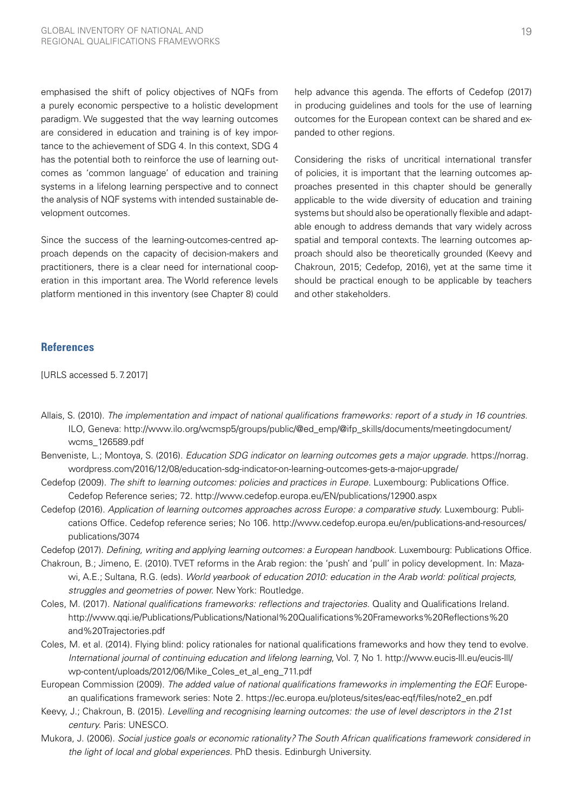emphasised the shift of policy objectives of NQFs from a purely economic perspective to a holistic development paradigm. We suggested that the way learning outcomes are considered in education and training is of key importance to the achievement of SDG 4. In this context, SDG 4 has the potential both to reinforce the use of learning outcomes as 'common language' of education and training systems in a lifelong learning perspective and to connect the analysis of NQF systems with intended sustainable development outcomes.

Since the success of the learning-outcomes-centred approach depends on the capacity of decision-makers and practitioners, there is a clear need for international cooperation in this important area. The World reference levels platform mentioned in this inventory (see Chapter 8) could

**References**

[URLS accessed 5.7.2017]

help advance this agenda. The efforts of Cedefop (2017) in producing guidelines and tools for the use of learning outcomes for the European context can be shared and expanded to other regions.

Considering the risks of uncritical international transfer of policies, it is important that the learning outcomes approaches presented in this chapter should be generally applicable to the wide diversity of education and training systems but should also be operationally flexible and adaptable enough to address demands that vary widely across spatial and temporal contexts. The learning outcomes approach should also be theoretically grounded (Keevy and Chakroun, 2015; Cedefop, 2016), yet at the same time it should be practical enough to be applicable by teachers and other stakeholders.

- Allais, S. (2010). *The implementation and impact of national qualifications frameworks: report of a study in 16 countries.*  ILO, Geneva: [http://www.ilo.org/wcmsp5/groups/public/@ed\\_emp/@ifp\\_skills/documents/meetingdocument/](http://www.ilo.org/wcmsp5/groups/public/@ed_emp/@ifp_skills/documents/meetingdocument/wcms_126589.pd) [wcms\\_126589.pdf](http://www.ilo.org/wcmsp5/groups/public/@ed_emp/@ifp_skills/documents/meetingdocument/wcms_126589.pd)
- Benveniste, L.; Montoya, S. (2016). *Education SDG indicator on learning outcomes gets a major upgrade.* [https://norrag.](https://norrag.wordpress.com/2016/12/08/education-sdg-indicator-on-learning-outcomes-gets-a-major-up) [wordpress.com/2016/12/08/education-sdg-indicator-on-learning-outcomes-gets-a-major-upgrade/](https://norrag.wordpress.com/2016/12/08/education-sdg-indicator-on-learning-outcomes-gets-a-major-up)
- Cedefop (2009). *The shift to learning outcomes: policies and practices in Europe.* Luxembourg: Publications Office. Cedefop Reference series; 72. http://www.cedefop.europa.eu/EN/publications/12900.aspx
- Cedefop (2016). *Application of learning outcomes approaches across Europe: a comparative study.* Luxembourg: Publications Office. Cedefop reference series; No 106. [http://www.cedefop.europa.eu/en/publications-and-resources/](http://www.cedefop.europa.eu/en/publications-and-resources/publications/3074) [publications/3074](http://www.cedefop.europa.eu/en/publications-and-resources/publications/3074)

Cedefop (2017). *Defining, writing and applying learning outcomes: a European handbook.* Luxembourg: Publications Office.

- Chakroun, B.; Jimeno, E. (2010). TVET reforms in the Arab region: the 'push' and 'pull' in policy development. In: Mazawi, A.E.; Sultana, R.G. (eds). *World yearbook of education 2010: education in the Arab world: political projects, struggles and geometries of power.* New York: Routledge.
- Coles, M. (2017). *National qualifications frameworks: reflections and trajectories*. Quality and Qualifications Ireland. [http://www.qqi.ie/Publications/Publications/National%20Qualifications%20Frameworks%20Reflections%20](http://www.qqi.ie/Publications/Publications/National%20Qualifications%20Frameworks%20Reflections%20a) [and%20Trajectories.pdf](http://www.qqi.ie/Publications/Publications/National%20Qualifications%20Frameworks%20Reflections%20a)
- Coles, M. et al. (2014). Flying blind: policy rationales for national qualifications frameworks and how they tend to evolve. *International journal of continuing education and lifelong learning*, Vol. 7, No 1. [http://www.eucis-lll.eu/eucis-lll/](http://www.eucis-lll.eu/eucis-lll/wp-content/uploads/2012/06/Mike_Coles_et_al_eng_711.pdf ) [wp-content/uploads/2012/06/Mike\\_Coles\\_et\\_al\\_eng\\_711.pdf](http://www.eucis-lll.eu/eucis-lll/wp-content/uploads/2012/06/Mike_Coles_et_al_eng_711.pdf )
- European Commission (2009). *The added value of national qualifications frameworks in implementing the EQF.* European qualifications framework series: Note 2. https://ec.europa.eu/ploteus/sites/eac-eqf/files/note2\_en.pdf
- Keevy, J.; Chakroun, B. (2015). *Levelling and recognising learning outcomes: the use of level descriptors in the 21st century.* Paris: UNESCO.
- Mukora, J. (2006). *Social justice goals or economic rationality? The South African qualifications framework considered in the light of local and global experiences.* PhD thesis. Edinburgh University.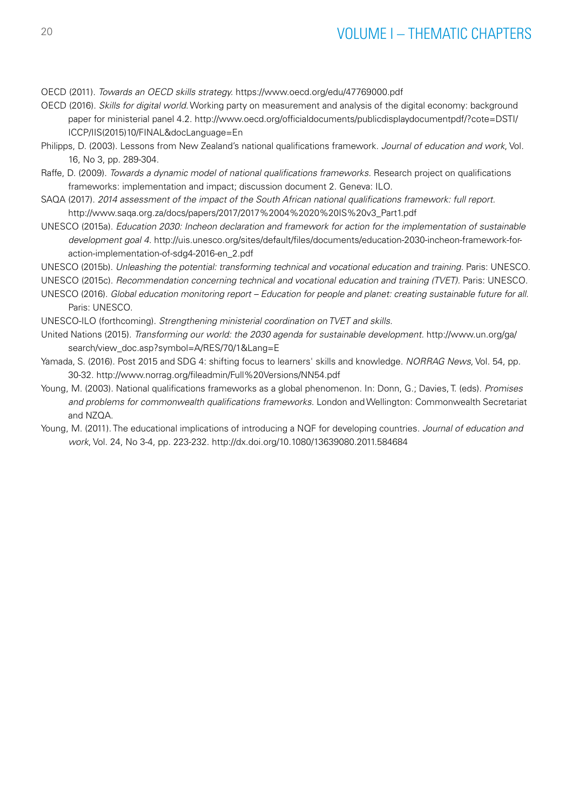# <sup>20</sup> VOLUME I – THEMATIC CHAPTERS

OECD (2011). *Towards an OECD skills strategy.* https://www.oecd.org/edu/47769000.pdf

- OECD (2016). *Skills for digital world.* Working party on measurement and analysis of the digital economy: background paper for ministerial panel 4.2. [http://www.oecd.org/officialdocuments/publicdisplaydocumentpdf/?cote=DSTI/](http://www.oecd.org/officialdocuments/publicdisplaydocumentpdf/?cote=DSTI/ICCP/IIS(2015)10/FINAL&docLanguage=En) [ICCP/IIS\(2015\)10/FINAL&docLanguage=En](http://www.oecd.org/officialdocuments/publicdisplaydocumentpdf/?cote=DSTI/ICCP/IIS(2015)10/FINAL&docLanguage=En)
- Philipps, D. (2003). Lessons from New Zealand's national qualifications framework. *Journal of education and work*, Vol. 16, No 3, pp. 289-304.
- Raffe, D. (2009). *Towards a dynamic model of national qualifications frameworks.* Research project on qualifications frameworks: implementation and impact; discussion document 2. Geneva: ILO.
- SAQA (2017). *2014 assessment of the impact of the South African national qualifications framework: full report.* http://www.saqa.org.za/docs/papers/2017/2017%2004%2020%20IS%20v3\_Part1.pdf
- UNESCO (2015a). *Education 2030: Incheon declaration and framework for action for the implementation of sustainable development goal 4.* http://uis.unesco.org/sites/default/files/documents/education-2030-incheon-framework-foraction-implementation-of-sdg4-2016-en\_2.pdf
- UNESCO (2015b). *Unleashing the potential: transforming technical and vocational education and training.* Paris: UNESCO. UNESCO (2015c). *Recommendation concerning technical and vocational education and training (TVET).* Paris: UNESCO.
- UNESCO (2016). *Global education monitoring report Education for people and planet: creating sustainable future for all.* Paris: UNESCO.

UNESCO-ILO (forthcoming). *Strengthening ministerial coordination on TVET and skills.*

- United Nations (2015). *Transforming our world: the 2030 agenda for sustainable development.* [http://www.un.org/ga/](http://www.un.org/ga/search/view_doc.asp?symbol=A/RES/70/1&Lang=E) [search/view\\_doc.asp?symbol=A/RES/70/1&Lang=E](http://www.un.org/ga/search/view_doc.asp?symbol=A/RES/70/1&Lang=E)
- Yamada, S. (2016). Post 2015 and SDG 4: shifting focus to learners' skills and knowledge. *NORRAG News*, Vol. 54, pp. 30-32. http://www.norrag.org/fileadmin/Full%20Versions/NN54.pdf
- Young, M. (2003). National qualifications frameworks as a global phenomenon. In: Donn, G.; Davies, T. (eds). *Promises and problems for commonwealth qualifications frameworks.* London and Wellington: Commonwealth Secretariat and NZQA.
- Young, M. (2011). The educational implications of introducing a NQF for developing countries. *Journal of education and work*, Vol. 24, No 3-4, pp. 223-232. http://dx.doi.org/10.1080/13639080.2011.584684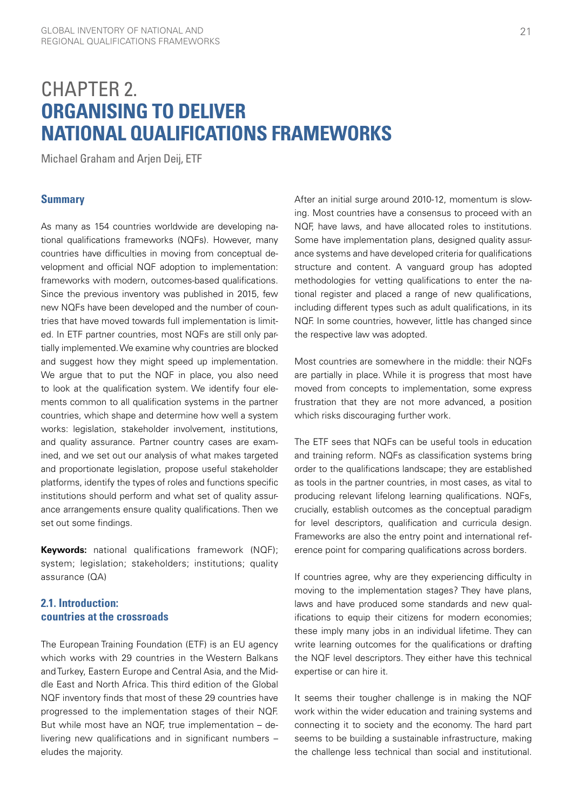# <span id="page-22-0"></span>CHAPTER 2. **ORGANISING TO DELIVER NATIONAL QUALIFICATIONS FRAMEWORKS**

Michael Graham and Arjen Deij, ETF

### **Summary**

As many as 154 countries worldwide are developing national qualifications frameworks (NQFs). However, many countries have difficulties in moving from conceptual development and official NQF adoption to implementation: frameworks with modern, outcomes-based qualifications. Since the previous inventory was published in 2015, few new NQFs have been developed and the number of countries that have moved towards full implementation is limited. In ETF partner countries, most NQFs are still only partially implemented. We examine why countries are blocked and suggest how they might speed up implementation. We argue that to put the NQF in place, you also need to look at the qualification system. We identify four elements common to all qualification systems in the partner countries, which shape and determine how well a system works: legislation, stakeholder involvement, institutions, and quality assurance. Partner country cases are examined, and we set out our analysis of what makes targeted and proportionate legislation, propose useful stakeholder platforms, identify the types of roles and functions specific institutions should perform and what set of quality assurance arrangements ensure quality qualifications. Then we set out some findings.

**Keywords:** national qualifications framework (NQF); system; legislation; stakeholders; institutions; quality assurance (QA)

# **2.1. Introduction: countries at the crossroads**

The European Training Foundation (ETF) is an EU agency which works with 29 countries in the Western Balkans and Turkey, Eastern Europe and Central Asia, and the Middle East and North Africa. This third edition of the Global NQF inventory finds that most of these 29 countries have progressed to the implementation stages of their NQF. But while most have an NQF, true implementation – delivering new qualifications and in significant numbers – eludes the majority.

After an initial surge around 2010-12, momentum is slowing. Most countries have a consensus to proceed with an NQF, have laws, and have allocated roles to institutions. Some have implementation plans, designed quality assurance systems and have developed criteria for qualifications structure and content. A vanguard group has adopted methodologies for vetting qualifications to enter the national register and placed a range of new qualifications, including different types such as adult qualifications, in its NQF. In some countries, however, little has changed since the respective law was adopted.

Most countries are somewhere in the middle: their NQFs are partially in place. While it is progress that most have moved from concepts to implementation, some express frustration that they are not more advanced, a position which risks discouraging further work.

The ETF sees that NQFs can be useful tools in education and training reform. NQFs as classification systems bring order to the qualifications landscape; they are established as tools in the partner countries, in most cases, as vital to producing relevant lifelong learning qualifications. NQFs, crucially, establish outcomes as the conceptual paradigm for level descriptors, qualification and curricula design. Frameworks are also the entry point and international reference point for comparing qualifications across borders.

If countries agree, why are they experiencing difficulty in moving to the implementation stages? They have plans, laws and have produced some standards and new qualifications to equip their citizens for modern economies; these imply many jobs in an individual lifetime. They can write learning outcomes for the qualifications or drafting the NQF level descriptors. They either have this technical expertise or can hire it.

It seems their tougher challenge is in making the NQF work within the wider education and training systems and connecting it to society and the economy. The hard part seems to be building a sustainable infrastructure, making the challenge less technical than social and institutional.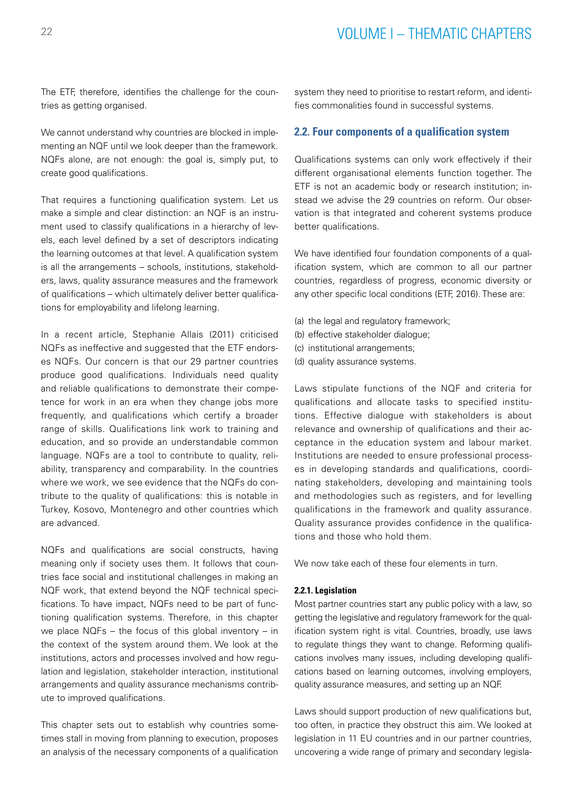The ETF, therefore, identifies the challenge for the countries as getting organised.

We cannot understand why countries are blocked in implementing an NQF until we look deeper than the framework. NQFs alone, are not enough: the goal is, simply put, to create good qualifications.

That requires a functioning qualification system. Let us make a simple and clear distinction: an NQF is an instrument used to classify qualifications in a hierarchy of levels, each level defined by a set of descriptors indicating the learning outcomes at that level. A qualification system is all the arrangements – schools, institutions, stakeholders, laws, quality assurance measures and the framework of qualifications – which ultimately deliver better qualifications for employability and lifelong learning.

In a recent article, Stephanie Allais (2011) criticised NQFs as ineffective and suggested that the ETF endorses NQFs. Our concern is that our 29 partner countries produce good qualifications. Individuals need quality and reliable qualifications to demonstrate their competence for work in an era when they change jobs more frequently, and qualifications which certify a broader range of skills. Qualifications link work to training and education, and so provide an understandable common language. NQFs are a tool to contribute to quality, reliability, transparency and comparability. In the countries where we work, we see evidence that the NQFs do contribute to the quality of qualifications: this is notable in Turkey, Kosovo, Montenegro and other countries which are advanced.

NQFs and qualifications are social constructs, having meaning only if society uses them. It follows that countries face social and institutional challenges in making an NQF work, that extend beyond the NQF technical specifications. To have impact, NQFs need to be part of functioning qualification systems. Therefore, in this chapter we place NQFs – the focus of this global inventory – in the context of the system around them. We look at the institutions, actors and processes involved and how regulation and legislation, stakeholder interaction, institutional arrangements and quality assurance mechanisms contribute to improved qualifications.

This chapter sets out to establish why countries sometimes stall in moving from planning to execution, proposes an analysis of the necessary components of a qualification

system they need to prioritise to restart reform, and identifies commonalities found in successful systems.

### **2.2. Four components of a qualification system**

Qualifications systems can only work effectively if their different organisational elements function together. The ETF is not an academic body or research institution; instead we advise the 29 countries on reform. Our observation is that integrated and coherent systems produce better qualifications.

We have identified four foundation components of a qualification system, which are common to all our partner countries, regardless of progress, economic diversity or any other specific local conditions (ETF, 2016). These are:

- (a) the legal and regulatory framework;
- (b) effective stakeholder dialogue;
- (c) institutional arrangements;
- (d) quality assurance systems.

Laws stipulate functions of the NQF and criteria for qualifications and allocate tasks to specified institutions. Effective dialogue with stakeholders is about relevance and ownership of qualifications and their acceptance in the education system and labour market. Institutions are needed to ensure professional processes in developing standards and qualifications, coordinating stakeholders, developing and maintaining tools and methodologies such as registers, and for levelling qualifications in the framework and quality assurance. Quality assurance provides confidence in the qualifications and those who hold them.

We now take each of these four elements in turn.

#### **2.2.1. Legislation**

Most partner countries start any public policy with a law, so getting the legislative and regulatory framework for the qualification system right is vital. Countries, broadly, use laws to regulate things they want to change. Reforming qualifications involves many issues, including developing qualifications based on learning outcomes, involving employers, quality assurance measures, and setting up an NQF.

Laws should support production of new qualifications but, too often, in practice they obstruct this aim. We looked at legislation in 11 EU countries and in our partner countries, uncovering a wide range of primary and secondary legisla-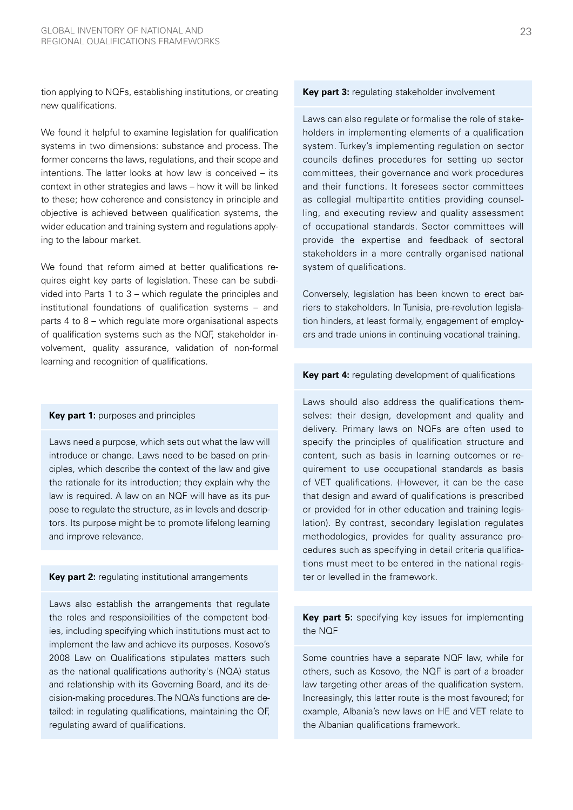tion applying to NQFs, establishing institutions, or creating new qualifications.

We found it helpful to examine legislation for qualification systems in two dimensions: substance and process. The former concerns the laws, regulations, and their scope and intentions. The latter looks at how law is conceived – its context in other strategies and laws – how it will be linked to these; how coherence and consistency in principle and objective is achieved between qualification systems, the wider education and training system and regulations applying to the labour market.

We found that reform aimed at better qualifications requires eight key parts of legislation. These can be subdivided into Parts 1 to 3 – which regulate the principles and institutional foundations of qualification systems – and parts 4 to 8 – which regulate more organisational aspects of qualification systems such as the NQF, stakeholder involvement, quality assurance, validation of non-formal learning and recognition of qualifications.

#### **Key part 1:** purposes and principles

Laws need a purpose, which sets out what the law will introduce or change. Laws need to be based on principles, which describe the context of the law and give the rationale for its introduction; they explain why the law is required. A law on an NQF will have as its purpose to regulate the structure, as in levels and descriptors. Its purpose might be to promote lifelong learning and improve relevance.

#### **Key part 2:** regulating institutional arrangements

Laws also establish the arrangements that regulate the roles and responsibilities of the competent bodies, including specifying which institutions must act to implement the law and achieve its purposes. Kosovo's 2008 Law on Qualifications stipulates matters such as the national qualifications authority's (NQA) status and relationship with its Governing Board, and its decision-making procedures. The NQA's functions are detailed: in regulating qualifications, maintaining the QF, regulating award of qualifications.

#### **Key part 3:** regulating stakeholder involvement

Laws can also regulate or formalise the role of stakeholders in implementing elements of a qualification system. Turkey's implementing regulation on sector councils defines procedures for setting up sector committees, their governance and work procedures and their functions. It foresees sector committees as collegial multipartite entities providing counselling, and executing review and quality assessment of occupational standards. Sector committees will provide the expertise and feedback of sectoral stakeholders in a more centrally organised national system of qualifications.

Conversely, legislation has been known to erect barriers to stakeholders. In Tunisia, pre-revolution legislation hinders, at least formally, engagement of employers and trade unions in continuing vocational training.

#### **Key part 4:** regulating development of qualifications

Laws should also address the qualifications themselves: their design, development and quality and delivery. Primary laws on NQFs are often used to specify the principles of qualification structure and content, such as basis in learning outcomes or requirement to use occupational standards as basis of VET qualifications. (However, it can be the case that design and award of qualifications is prescribed or provided for in other education and training legislation). By contrast, secondary legislation regulates methodologies, provides for quality assurance procedures such as specifying in detail criteria qualifications must meet to be entered in the national register or levelled in the framework.

## **Key part 5:** specifying key issues for implementing the NQF

Some countries have a separate NQF law, while for others, such as Kosovo, the NQF is part of a broader law targeting other areas of the qualification system. Increasingly, this latter route is the most favoured; for example, Albania's new laws on HE and VET relate to the Albanian qualifications framework.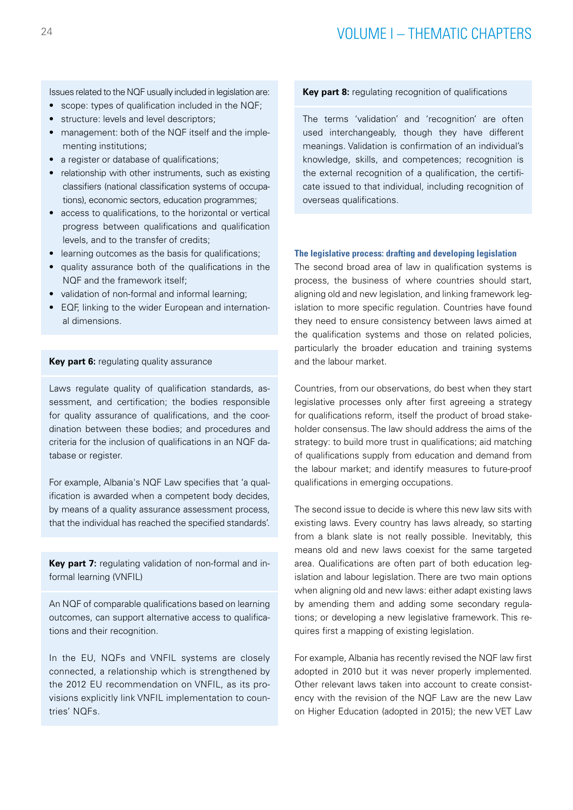Issues related to the NQF usually included in legislation are:

- scope: types of qualification included in the NQF;
- structure: levels and level descriptors:
- management: both of the NQF itself and the implementing institutions;
- a register or database of qualifications:
- relationship with other instruments, such as existing classifiers (national classification systems of occupations), economic sectors, education programmes;
- access to qualifications, to the horizontal or vertical progress between qualifications and qualification levels, and to the transfer of credits;
- learning outcomes as the basis for qualifications;
- quality assurance both of the qualifications in the NQF and the framework itself;
- validation of non-formal and informal learning;
- EQF, linking to the wider European and international dimensions.

#### **Key part 6: regulating quality assurance**

Laws regulate quality of qualification standards, assessment, and certification; the bodies responsible for quality assurance of qualifications, and the coordination between these bodies; and procedures and criteria for the inclusion of qualifications in an NQF database or register.

For example, Albania's NQF Law specifies that 'a qualification is awarded when a competent body decides, by means of a quality assurance assessment process, that the individual has reached the specified standards'.

**Key part 7:** regulating validation of non-formal and informal learning (VNFIL)

An NQF of comparable qualifications based on learning outcomes, can support alternative access to qualifications and their recognition.

In the EU, NQFs and VNFIL systems are closely connected, a relationship which is strengthened by the 2012 EU recommendation on VNFIL, as its provisions explicitly link VNFIL implementation to countries' NQFs.

### **Key part 8:** regulating recognition of qualifications

The terms 'validation' and 'recognition' are often used interchangeably, though they have different meanings. Validation is confirmation of an individual's knowledge, skills, and competences; recognition is the external recognition of a qualification, the certificate issued to that individual, including recognition of overseas qualifications.

#### **The legislative process: drafting and developing legislation**

The second broad area of law in qualification systems is process, the business of where countries should start, aligning old and new legislation, and linking framework legislation to more specific regulation. Countries have found they need to ensure consistency between laws aimed at the qualification systems and those on related policies, particularly the broader education and training systems and the labour market.

Countries, from our observations, do best when they start legislative processes only after first agreeing a strategy for qualifications reform, itself the product of broad stakeholder consensus. The law should address the aims of the strategy: to build more trust in qualifications; aid matching of qualifications supply from education and demand from the labour market; and identify measures to future-proof qualifications in emerging occupations.

The second issue to decide is where this new law sits with existing laws. Every country has laws already, so starting from a blank slate is not really possible. Inevitably, this means old and new laws coexist for the same targeted area. Qualifications are often part of both education legislation and labour legislation. There are two main options when aligning old and new laws: either adapt existing laws by amending them and adding some secondary regulations; or developing a new legislative framework. This requires first a mapping of existing legislation.

For example, Albania has recently revised the NQF law first adopted in 2010 but it was never properly implemented. Other relevant laws taken into account to create consistency with the revision of the NQF Law are the new Law on Higher Education (adopted in 2015); the new VET Law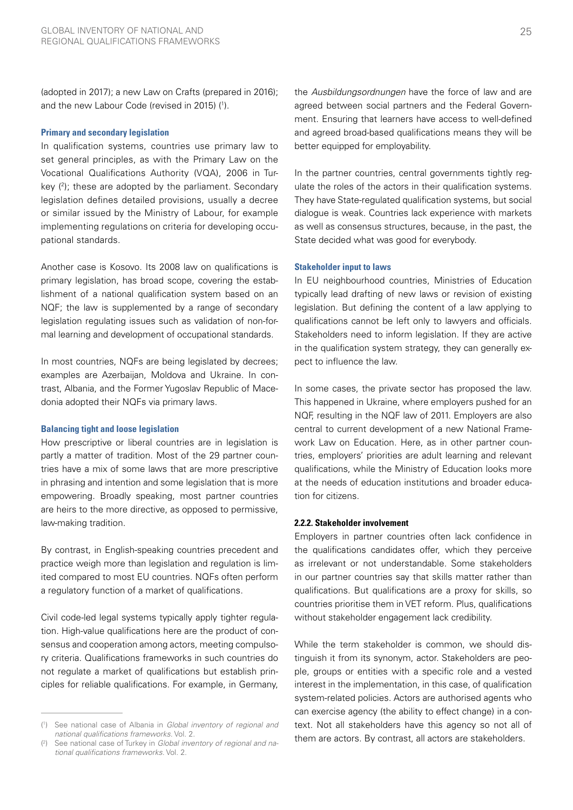(adopted in 2017); a new Law on Crafts (prepared in 2016); and the new Labour Code (revised in 2015) (1).

#### **Primary and secondary legislation**

In qualification systems, countries use primary law to set general principles, as with the Primary Law on the Vocational Qualifications Authority (VQA), 2006 in Turkey (2); these are adopted by the parliament. Secondary legislation defines detailed provisions, usually a decree or similar issued by the Ministry of Labour, for example implementing regulations on criteria for developing occupational standards.

Another case is Kosovo. Its 2008 law on qualifications is primary legislation, has broad scope, covering the establishment of a national qualification system based on an NQF; the law is supplemented by a range of secondary legislation regulating issues such as validation of non-formal learning and development of occupational standards.

In most countries, NQFs are being legislated by decrees; examples are Azerbaijan, Moldova and Ukraine. In contrast, Albania, and the Former Yugoslav Republic of Macedonia adopted their NQFs via primary laws.

#### **Balancing tight and loose legislation**

How prescriptive or liberal countries are in legislation is partly a matter of tradition. Most of the 29 partner countries have a mix of some laws that are more prescriptive in phrasing and intention and some legislation that is more empowering. Broadly speaking, most partner countries are heirs to the more directive, as opposed to permissive, law-making tradition.

By contrast, in English-speaking countries precedent and practice weigh more than legislation and regulation is limited compared to most EU countries. NQFs often perform a regulatory function of a market of qualifications.

Civil code-led legal systems typically apply tighter regulation. High-value qualifications here are the product of consensus and cooperation among actors, meeting compulsory criteria. Qualifications frameworks in such countries do not regulate a market of qualifications but establish principles for reliable qualifications. For example, in Germany,

the *Ausbildungsordnungen* have the force of law and are agreed between social partners and the Federal Government. Ensuring that learners have access to well-defined and agreed broad-based qualifications means they will be better equipped for employability.

In the partner countries, central governments tightly regulate the roles of the actors in their qualification systems. They have State-regulated qualification systems, but social dialogue is weak. Countries lack experience with markets as well as consensus structures, because, in the past, the State decided what was good for everybody.

#### **Stakeholder input to laws**

In EU neighbourhood countries, Ministries of Education typically lead drafting of new laws or revision of existing legislation. But defining the content of a law applying to qualifications cannot be left only to lawyers and officials. Stakeholders need to inform legislation. If they are active in the qualification system strategy, they can generally expect to influence the law.

In some cases, the private sector has proposed the law. This happened in Ukraine, where employers pushed for an NQF, resulting in the NQF law of 2011. Employers are also central to current development of a new National Framework Law on Education. Here, as in other partner countries, employers' priorities are adult learning and relevant qualifications, while the Ministry of Education looks more at the needs of education institutions and broader education for citizens.

#### **2.2.2. Stakeholder involvement**

Employers in partner countries often lack confidence in the qualifications candidates offer, which they perceive as irrelevant or not understandable. Some stakeholders in our partner countries say that skills matter rather than qualifications. But qualifications are a proxy for skills, so countries prioritise them in VET reform. Plus, qualifications without stakeholder engagement lack credibility.

While the term stakeholder is common, we should distinguish it from its synonym, actor. Stakeholders are people, groups or entities with a specific role and a vested interest in the implementation, in this case, of qualification system-related policies. Actors are authorised agents who can exercise agency (the ability to effect change) in a context. Not all stakeholders have this agency so not all of them are actors. By contrast, all actors are stakeholders.

<sup>(</sup> 1 ) See national case of Albania in *Global inventory of regional and national qualifications frameworks*. Vol. 2.

<sup>(</sup> 2 ) See national case of Turkey in *Global inventory of regional and national qualifications frameworks*. Vol. 2.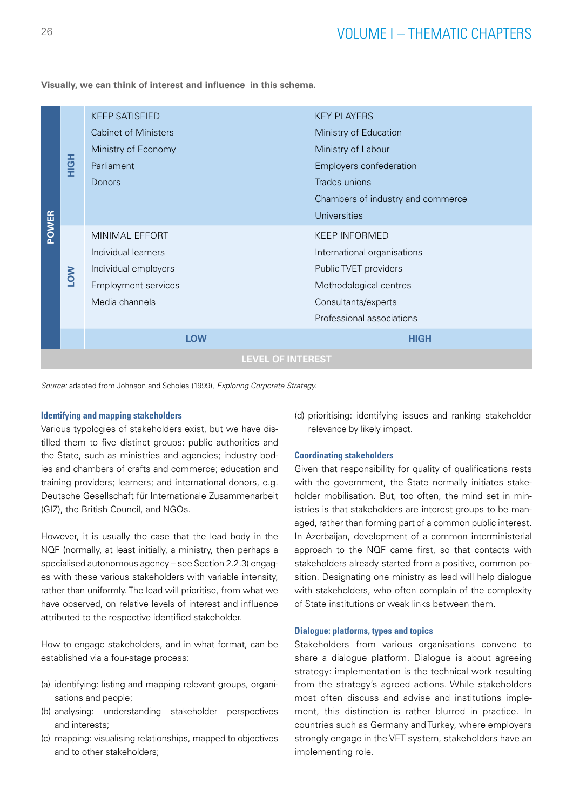**POWER HIGH** KEEP SATISFIED Cabinet of Ministers Ministry of Economy Parliament Donors KEY PLAYERS Ministry of Education Ministry of Labour Employers confederation Trades unions Chambers of industry and commerce Universities **LOW** MINIMAL EFFORT Individual learners Individual employers Employment services Media channels KEEP INFORMED International organisations Public TVET providers Methodological centres Consultants/experts Professional associations **LOW HIGH LEVEL OF INTEREST**

**Visually, we can think of interest and influence in this schema.** 

*Source:* adapted from Johnson and Scholes (1999), *Exploring Corporate Strategy.*

#### **Identifying and mapping stakeholders**

Various typologies of stakeholders exist, but we have distilled them to five distinct groups: public authorities and the State, such as ministries and agencies; industry bodies and chambers of crafts and commerce; education and training providers; learners; and international donors, e.g. Deutsche Gesellschaft für Internationale Zusammenarbeit (GIZ), the British Council, and NGOs.

However, it is usually the case that the lead body in the NQF (normally, at least initially, a ministry, then perhaps a specialised autonomous agency – see Section 2.2.3) engages with these various stakeholders with variable intensity, rather than uniformly. The lead will prioritise, from what we have observed, on relative levels of interest and influence attributed to the respective identified stakeholder.

How to engage stakeholders, and in what format, can be established via a four-stage process:

- (a) identifying: listing and mapping relevant groups, organisations and people;
- (b) analysing: understanding stakeholder perspectives and interests;
- (c) mapping: visualising relationships, mapped to objectives and to other stakeholders;

(d) prioritising: identifying issues and ranking stakeholder relevance by likely impact.

#### **Coordinating stakeholders**

Given that responsibility for quality of qualifications rests with the government, the State normally initiates stakeholder mobilisation. But, too often, the mind set in ministries is that stakeholders are interest groups to be managed, rather than forming part of a common public interest. In Azerbaijan, development of a common interministerial approach to the NQF came first, so that contacts with stakeholders already started from a positive, common position. Designating one ministry as lead will help dialogue with stakeholders, who often complain of the complexity of State institutions or weak links between them.

#### **Dialogue: platforms, types and topics**

Stakeholders from various organisations convene to share a dialogue platform. Dialogue is about agreeing strategy: implementation is the technical work resulting from the strategy's agreed actions. While stakeholders most often discuss and advise and institutions implement, this distinction is rather blurred in practice. In countries such as Germany and Turkey, where employers strongly engage in the VET system, stakeholders have an implementing role.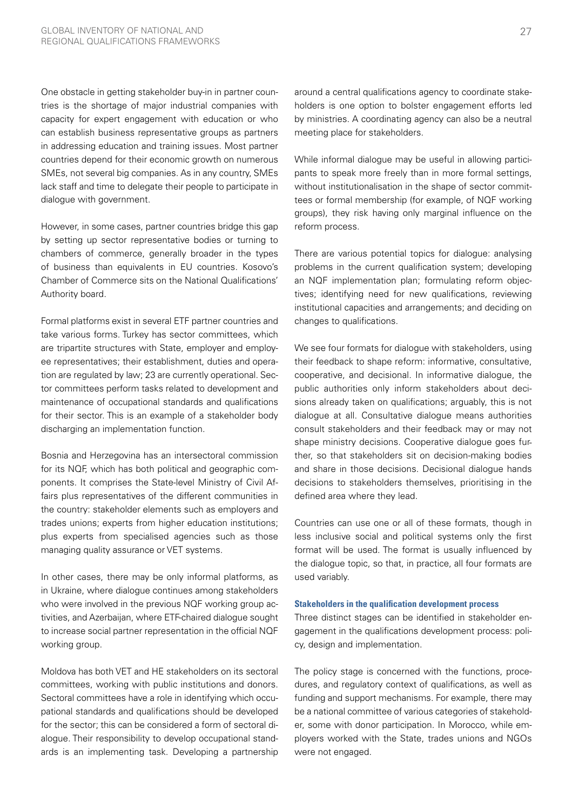One obstacle in getting stakeholder buy-in in partner countries is the shortage of major industrial companies with capacity for expert engagement with education or who can establish business representative groups as partners in addressing education and training issues. Most partner countries depend for their economic growth on numerous SMEs, not several big companies. As in any country, SMEs lack staff and time to delegate their people to participate in dialogue with government.

However, in some cases, partner countries bridge this gap by setting up sector representative bodies or turning to chambers of commerce, generally broader in the types of business than equivalents in EU countries. Kosovo's Chamber of Commerce sits on the National Qualifications' Authority board.

Formal platforms exist in several ETF partner countries and take various forms. Turkey has sector committees, which are tripartite structures with State, employer and employee representatives; their establishment, duties and operation are regulated by law; 23 are currently operational. Sector committees perform tasks related to development and maintenance of occupational standards and qualifications for their sector. This is an example of a stakeholder body discharging an implementation function.

Bosnia and Herzegovina has an intersectoral commission for its NQF, which has both political and geographic components. It comprises the State-level Ministry of Civil Affairs plus representatives of the different communities in the country: stakeholder elements such as employers and trades unions; experts from higher education institutions; plus experts from specialised agencies such as those managing quality assurance or VET systems.

In other cases, there may be only informal platforms, as in Ukraine, where dialogue continues among stakeholders who were involved in the previous NQF working group activities, and Azerbaijan, where ETF-chaired dialogue sought to increase social partner representation in the official NQF working group.

Moldova has both VET and HE stakeholders on its sectoral committees, working with public institutions and donors. Sectoral committees have a role in identifying which occupational standards and qualifications should be developed for the sector; this can be considered a form of sectoral dialogue. Their responsibility to develop occupational standards is an implementing task. Developing a partnership around a central qualifications agency to coordinate stakeholders is one option to bolster engagement efforts led by ministries. A coordinating agency can also be a neutral meeting place for stakeholders.

While informal dialogue may be useful in allowing participants to speak more freely than in more formal settings, without institutionalisation in the shape of sector committees or formal membership (for example, of NQF working groups), they risk having only marginal influence on the reform process.

There are various potential topics for dialogue: analysing problems in the current qualification system; developing an NQF implementation plan; formulating reform objectives; identifying need for new qualifications, reviewing institutional capacities and arrangements; and deciding on changes to qualifications.

We see four formats for dialogue with stakeholders, using their feedback to shape reform: informative, consultative, cooperative, and decisional. In informative dialogue, the public authorities only inform stakeholders about decisions already taken on qualifications; arguably, this is not dialogue at all. Consultative dialogue means authorities consult stakeholders and their feedback may or may not shape ministry decisions. Cooperative dialogue goes further, so that stakeholders sit on decision-making bodies and share in those decisions. Decisional dialogue hands decisions to stakeholders themselves, prioritising in the defined area where they lead.

Countries can use one or all of these formats, though in less inclusive social and political systems only the first format will be used. The format is usually influenced by the dialogue topic, so that, in practice, all four formats are used variably.

#### **Stakeholders in the qualification development process**

Three distinct stages can be identified in stakeholder engagement in the qualifications development process: policy, design and implementation.

The policy stage is concerned with the functions, procedures, and regulatory context of qualifications, as well as funding and support mechanisms. For example, there may be a national committee of various categories of stakeholder, some with donor participation. In Morocco, while employers worked with the State, trades unions and NGOs were not engaged.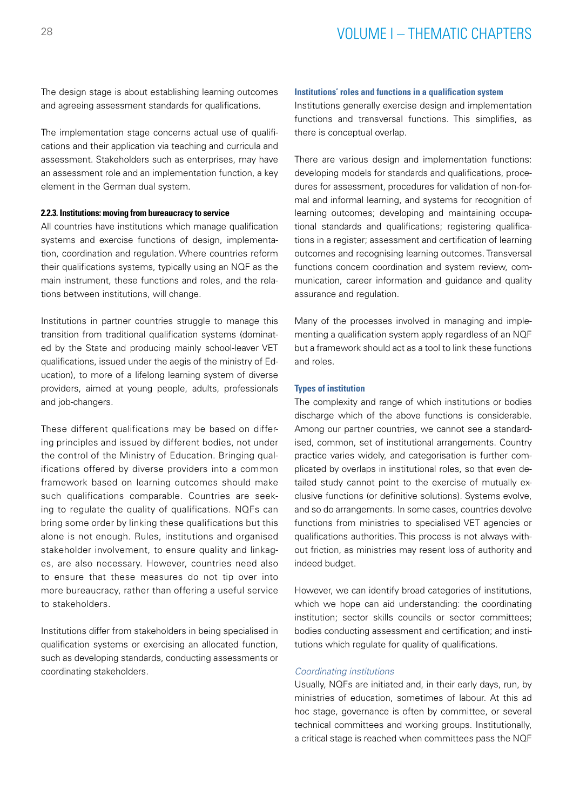The design stage is about establishing learning outcomes and agreeing assessment standards for qualifications.

The implementation stage concerns actual use of qualifications and their application via teaching and curricula and assessment. Stakeholders such as enterprises, may have an assessment role and an implementation function, a key element in the German dual system.

#### **2.2.3. Institutions: moving from bureaucracy to service**

All countries have institutions which manage qualification systems and exercise functions of design, implementation, coordination and regulation. Where countries reform their qualifications systems, typically using an NQF as the main instrument, these functions and roles, and the relations between institutions, will change.

Institutions in partner countries struggle to manage this transition from traditional qualification systems (dominated by the State and producing mainly school-leaver VET qualifications, issued under the aegis of the ministry of Education), to more of a lifelong learning system of diverse providers, aimed at young people, adults, professionals and job-changers.

These different qualifications may be based on differing principles and issued by different bodies, not under the control of the Ministry of Education. Bringing qualifications offered by diverse providers into a common framework based on learning outcomes should make such qualifications comparable. Countries are seeking to regulate the quality of qualifications. NQFs can bring some order by linking these qualifications but this alone is not enough. Rules, institutions and organised stakeholder involvement, to ensure quality and linkages, are also necessary. However, countries need also to ensure that these measures do not tip over into more bureaucracy, rather than offering a useful service to stakeholders.

Institutions differ from stakeholders in being specialised in qualification systems or exercising an allocated function, such as developing standards, conducting assessments or coordinating stakeholders.

#### **Institutions' roles and functions in a qualification system**

Institutions generally exercise design and implementation functions and transversal functions. This simplifies, as there is conceptual overlap.

There are various design and implementation functions: developing models for standards and qualifications, procedures for assessment, procedures for validation of non-formal and informal learning, and systems for recognition of learning outcomes; developing and maintaining occupational standards and qualifications; registering qualifications in a register; assessment and certification of learning outcomes and recognising learning outcomes. Transversal functions concern coordination and system review, communication, career information and guidance and quality assurance and regulation.

Many of the processes involved in managing and implementing a qualification system apply regardless of an NQF but a framework should act as a tool to link these functions and roles.

#### **Types of institution**

The complexity and range of which institutions or bodies discharge which of the above functions is considerable. Among our partner countries, we cannot see a standardised, common, set of institutional arrangements. Country practice varies widely, and categorisation is further complicated by overlaps in institutional roles, so that even detailed study cannot point to the exercise of mutually exclusive functions (or definitive solutions). Systems evolve, and so do arrangements. In some cases, countries devolve functions from ministries to specialised VET agencies or qualifications authorities. This process is not always without friction, as ministries may resent loss of authority and indeed budget.

However, we can identify broad categories of institutions, which we hope can aid understanding: the coordinating institution; sector skills councils or sector committees; bodies conducting assessment and certification; and institutions which regulate for quality of qualifications.

#### *Coordinating institutions*

Usually, NQFs are initiated and, in their early days, run, by ministries of education, sometimes of labour. At this ad hoc stage, governance is often by committee, or several technical committees and working groups. Institutionally, a critical stage is reached when committees pass the NQF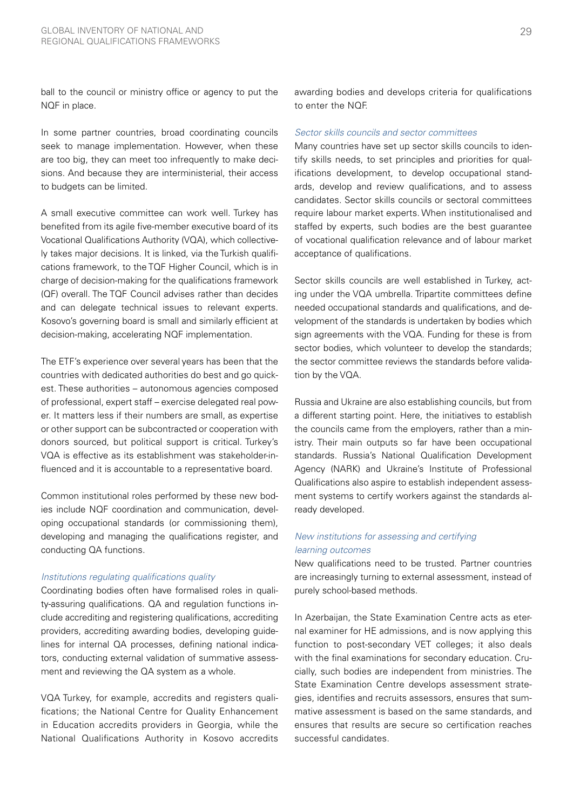ball to the council or ministry office or agency to put the NQF in place.

In some partner countries, broad coordinating councils seek to manage implementation. However, when these are too big, they can meet too infrequently to make decisions. And because they are interministerial, their access to budgets can be limited.

A small executive committee can work well. Turkey has benefited from its agile five-member executive board of its Vocational Qualifications Authority (VQA), which collectively takes major decisions. It is linked, via the Turkish qualifications framework, to the TQF Higher Council, which is in charge of decision-making for the qualifications framework (QF) overall. The TQF Council advises rather than decides and can delegate technical issues to relevant experts. Kosovo's governing board is small and similarly efficient at decision-making, accelerating NQF implementation.

The ETF's experience over several years has been that the countries with dedicated authorities do best and go quickest. These authorities – autonomous agencies composed of professional, expert staff – exercise delegated real power. It matters less if their numbers are small, as expertise or other support can be subcontracted or cooperation with donors sourced, but political support is critical. Turkey's VQA is effective as its establishment was stakeholder-influenced and it is accountable to a representative board.

Common institutional roles performed by these new bodies include NQF coordination and communication, developing occupational standards (or commissioning them), developing and managing the qualifications register, and conducting QA functions.

#### *Institutions regulating qualifications quality*

Coordinating bodies often have formalised roles in quality-assuring qualifications. QA and regulation functions include accrediting and registering qualifications, accrediting providers, accrediting awarding bodies, developing guidelines for internal QA processes, defining national indicators, conducting external validation of summative assessment and reviewing the QA system as a whole.

VQA Turkey, for example, accredits and registers qualifications; the National Centre for Quality Enhancement in Education accredits providers in Georgia, while the National Qualifications Authority in Kosovo accredits awarding bodies and develops criteria for qualifications to enter the NQF.

#### *Sector skills councils and sector committees*

Many countries have set up sector skills councils to identify skills needs, to set principles and priorities for qualifications development, to develop occupational standards, develop and review qualifications, and to assess candidates. Sector skills councils or sectoral committees require labour market experts. When institutionalised and staffed by experts, such bodies are the best guarantee of vocational qualification relevance and of labour market acceptance of qualifications.

Sector skills councils are well established in Turkey, acting under the VQA umbrella. Tripartite committees define needed occupational standards and qualifications, and development of the standards is undertaken by bodies which sign agreements with the VQA. Funding for these is from sector bodies, which volunteer to develop the standards; the sector committee reviews the standards before validation by the VQA.

Russia and Ukraine are also establishing councils, but from a different starting point. Here, the initiatives to establish the councils came from the employers, rather than a ministry. Their main outputs so far have been occupational standards. Russia's National Qualification Development Agency (NARK) and Ukraine's Institute of Professional Qualifications also aspire to establish independent assessment systems to certify workers against the standards already developed.

### *New institutions for assessing and certifying learning outcomes*

New qualifications need to be trusted. Partner countries are increasingly turning to external assessment, instead of purely school-based methods.

In Azerbaijan, the State Examination Centre acts as eternal examiner for HE admissions, and is now applying this function to post-secondary VET colleges; it also deals with the final examinations for secondary education. Crucially, such bodies are independent from ministries. The State Examination Centre develops assessment strategies, identifies and recruits assessors, ensures that summative assessment is based on the same standards, and ensures that results are secure so certification reaches successful candidates.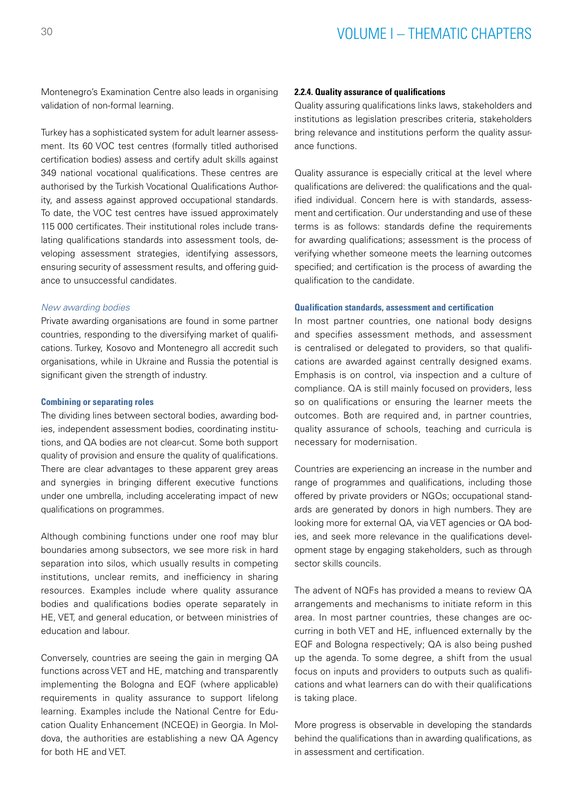Montenegro's Examination Centre also leads in organising validation of non-formal learning.

Turkey has a sophisticated system for adult learner assessment. Its 60 VOC test centres (formally titled authorised certification bodies) assess and certify adult skills against 349 national vocational qualifications. These centres are authorised by the Turkish Vocational Qualifications Authority, and assess against approved occupational standards. To date, the VOC test centres have issued approximately 115 000 certificates. Their institutional roles include translating qualifications standards into assessment tools, developing assessment strategies, identifying assessors, ensuring security of assessment results, and offering guidance to unsuccessful candidates.

#### *New awarding bodies*

Private awarding organisations are found in some partner countries, responding to the diversifying market of qualifications. Turkey, Kosovo and Montenegro all accredit such organisations, while in Ukraine and Russia the potential is significant given the strength of industry.

#### **Combining or separating roles**

The dividing lines between sectoral bodies, awarding bodies, independent assessment bodies, coordinating institutions, and QA bodies are not clear-cut. Some both support quality of provision and ensure the quality of qualifications. There are clear advantages to these apparent grey areas and synergies in bringing different executive functions under one umbrella, including accelerating impact of new qualifications on programmes.

Although combining functions under one roof may blur boundaries among subsectors, we see more risk in hard separation into silos, which usually results in competing institutions, unclear remits, and inefficiency in sharing resources. Examples include where quality assurance bodies and qualifications bodies operate separately in HE, VET, and general education, or between ministries of education and labour.

Conversely, countries are seeing the gain in merging QA functions across VET and HE, matching and transparently implementing the Bologna and EQF (where applicable) requirements in quality assurance to support lifelong learning. Examples include the National Centre for Education Quality Enhancement (NCEQE) in Georgia. In Moldova, the authorities are establishing a new QA Agency for both HE and VET.

#### **2.2.4. Quality assurance of qualifications**

Quality assuring qualifications links laws, stakeholders and institutions as legislation prescribes criteria, stakeholders bring relevance and institutions perform the quality assurance functions.

Quality assurance is especially critical at the level where qualifications are delivered: the qualifications and the qualified individual. Concern here is with standards, assessment and certification. Our understanding and use of these terms is as follows: standards define the requirements for awarding qualifications; assessment is the process of verifying whether someone meets the learning outcomes specified; and certification is the process of awarding the qualification to the candidate.

#### **Qualification standards, assessment and certification**

In most partner countries, one national body designs and specifies assessment methods, and assessment is centralised or delegated to providers, so that qualifications are awarded against centrally designed exams. Emphasis is on control, via inspection and a culture of compliance. QA is still mainly focused on providers, less so on qualifications or ensuring the learner meets the outcomes. Both are required and, in partner countries, quality assurance of schools, teaching and curricula is necessary for modernisation.

Countries are experiencing an increase in the number and range of programmes and qualifications, including those offered by private providers or NGOs; occupational standards are generated by donors in high numbers. They are looking more for external QA, via VET agencies or QA bodies, and seek more relevance in the qualifications development stage by engaging stakeholders, such as through sector skills councils.

The advent of NQFs has provided a means to review QA arrangements and mechanisms to initiate reform in this area. In most partner countries, these changes are occurring in both VET and HE, influenced externally by the EQF and Bologna respectively; QA is also being pushed up the agenda. To some degree, a shift from the usual focus on inputs and providers to outputs such as qualifications and what learners can do with their qualifications is taking place.

More progress is observable in developing the standards behind the qualifications than in awarding qualifications, as in assessment and certification.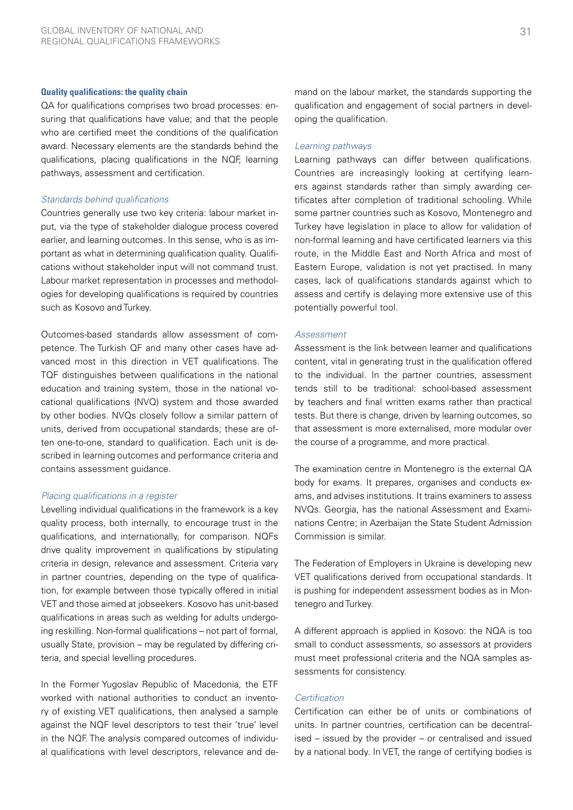#### **Quality qualifications: the quality chain**

QA for qualifications comprises two broad processes: ensuring that qualifications have value; and that the people who are certified meet the conditions of the qualification award. Necessary elements are the standards behind the qualifications, placing qualifications in the NQF, learning pathways, assessment and certification.

#### *Standards behind qualifications*

Countries generally use two key criteria: labour market input, via the type of stakeholder dialogue process covered earlier, and learning outcomes. In this sense, who is as important as what in determining qualification quality. Qualifications without stakeholder input will not command trust. Labour market representation in processes and methodologies for developing qualifications is required by countries such as Kosovo and Turkey.

Outcomes-based standards allow assessment of competence. The Turkish QF and many other cases have advanced most in this direction in VET qualifications. The TQF distinguishes between qualifications in the national education and training system, those in the national vocational qualifications (NVQ) system and those awarded by other bodies. NVQs closely follow a similar pattern of units, derived from occupational standards; these are often one-to-one, standard to qualification. Each unit is described in learning outcomes and performance criteria and contains assessment guidance.

#### *Placing qualifications in a register*

Levelling individual qualifications in the framework is a key quality process, both internally, to encourage trust in the qualifications, and internationally, for comparison. NQFs drive quality improvement in qualifications by stipulating criteria in design, relevance and assessment. Criteria vary in partner countries, depending on the type of qualification, for example between those typically offered in initial VET and those aimed at jobseekers. Kosovo has unit-based qualifications in areas such as welding for adults undergoing reskilling. Non-formal qualifications – not part of formal, usually State, provision – may be regulated by differing criteria, and special levelling procedures.

In the Former Yugoslav Republic of Macedonia, the ETF worked with national authorities to conduct an inventory of existing VET qualifications, then analysed a sample against the NQF level descriptors to test their 'true' level in the NQF. The analysis compared outcomes of individual qualifications with level descriptors, relevance and demand on the labour market, the standards supporting the qualification and engagement of social partners in developing the qualification.

#### *Learning pathways*

Learning pathways can differ between qualifications. Countries are increasingly looking at certifying learners against standards rather than simply awarding certificates after completion of traditional schooling. While some partner countries such as Kosovo, Montenegro and Turkey have legislation in place to allow for validation of non-formal learning and have certificated learners via this route, in the Middle East and North Africa and most of Eastern Europe, validation is not yet practised. In many cases, lack of qualifications standards against which to assess and certify is delaying more extensive use of this potentially powerful tool.

#### *Assessment*

Assessment is the link between learner and qualifications content, vital in generating trust in the qualification offered to the individual. In the partner countries, assessment tends still to be traditional: school-based assessment by teachers and final written exams rather than practical tests. But there is change, driven by learning outcomes, so that assessment is more externalised, more modular over the course of a programme, and more practical.

The examination centre in Montenegro is the external QA body for exams. It prepares, organises and conducts exams, and advises institutions. It trains examiners to assess NVQs. Georgia, has the national Assessment and Examinations Centre; in Azerbaijan the State Student Admission Commission is similar.

The Federation of Employers in Ukraine is developing new VET qualifications derived from occupational standards. It is pushing for independent assessment bodies as in Montenegro and Turkey.

A different approach is applied in Kosovo: the NQA is too small to conduct assessments, so assessors at providers must meet professional criteria and the NQA samples assessments for consistency.

#### *Certification*

Certification can either be of units or combinations of units. In partner countries, certification can be decentralised – issued by the provider – or centralised and issued by a national body. In VET, the range of certifying bodies is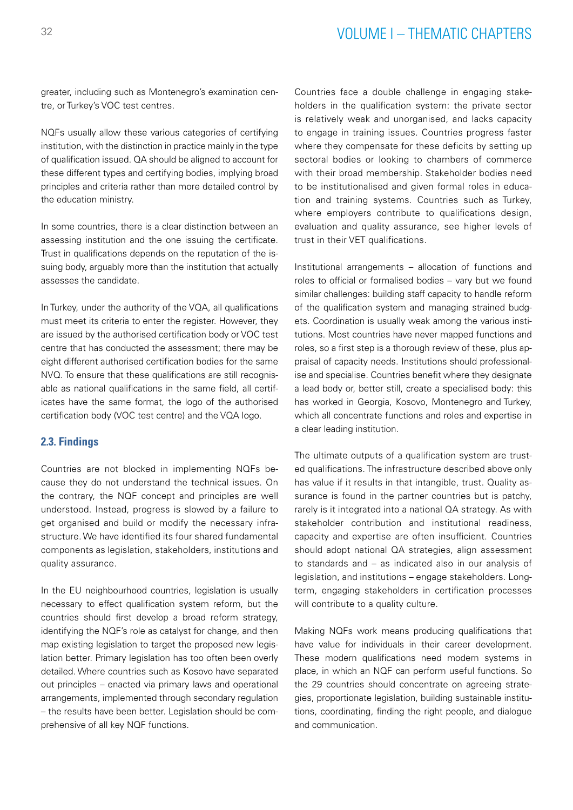# <sup>32</sup> VOLUME I – THEMATIC CHAPTERS

greater, including such as Montenegro's examination centre, or Turkey's VOC test centres.

NQFs usually allow these various categories of certifying institution, with the distinction in practice mainly in the type of qualification issued. QA should be aligned to account for these different types and certifying bodies, implying broad principles and criteria rather than more detailed control by the education ministry.

In some countries, there is a clear distinction between an assessing institution and the one issuing the certificate. Trust in qualifications depends on the reputation of the issuing body, arguably more than the institution that actually assesses the candidate.

In Turkey, under the authority of the VQA, all qualifications must meet its criteria to enter the register. However, they are issued by the authorised certification body or VOC test centre that has conducted the assessment; there may be eight different authorised certification bodies for the same NVQ. To ensure that these qualifications are still recognisable as national qualifications in the same field, all certificates have the same format, the logo of the authorised certification body (VOC test centre) and the VQA logo.

# **2.3. Findings**

Countries are not blocked in implementing NQFs because they do not understand the technical issues. On the contrary, the NQF concept and principles are well understood. Instead, progress is slowed by a failure to get organised and build or modify the necessary infrastructure. We have identified its four shared fundamental components as legislation, stakeholders, institutions and quality assurance.

In the EU neighbourhood countries, legislation is usually necessary to effect qualification system reform, but the countries should first develop a broad reform strategy, identifying the NQF's role as catalyst for change, and then map existing legislation to target the proposed new legislation better. Primary legislation has too often been overly detailed. Where countries such as Kosovo have separated out principles – enacted via primary laws and operational arrangements, implemented through secondary regulation – the results have been better. Legislation should be comprehensive of all key NQF functions.

Countries face a double challenge in engaging stakeholders in the qualification system: the private sector is relatively weak and unorganised, and lacks capacity to engage in training issues. Countries progress faster where they compensate for these deficits by setting up sectoral bodies or looking to chambers of commerce with their broad membership. Stakeholder bodies need to be institutionalised and given formal roles in education and training systems. Countries such as Turkey, where employers contribute to qualifications design, evaluation and quality assurance, see higher levels of trust in their VET qualifications.

Institutional arrangements – allocation of functions and roles to official or formalised bodies – vary but we found similar challenges: building staff capacity to handle reform of the qualification system and managing strained budgets. Coordination is usually weak among the various institutions. Most countries have never mapped functions and roles, so a first step is a thorough review of these, plus appraisal of capacity needs. Institutions should professionalise and specialise. Countries benefit where they designate a lead body or, better still, create a specialised body: this has worked in Georgia, Kosovo, Montenegro and Turkey, which all concentrate functions and roles and expertise in a clear leading institution.

The ultimate outputs of a qualification system are trusted qualifications. The infrastructure described above only has value if it results in that intangible, trust. Quality assurance is found in the partner countries but is patchy, rarely is it integrated into a national QA strategy. As with stakeholder contribution and institutional readiness, capacity and expertise are often insufficient. Countries should adopt national QA strategies, align assessment to standards and – as indicated also in our analysis of legislation, and institutions – engage stakeholders. Longterm, engaging stakeholders in certification processes will contribute to a quality culture.

Making NQFs work means producing qualifications that have value for individuals in their career development. These modern qualifications need modern systems in place, in which an NQF can perform useful functions. So the 29 countries should concentrate on agreeing strategies, proportionate legislation, building sustainable institutions, coordinating, finding the right people, and dialogue and communication.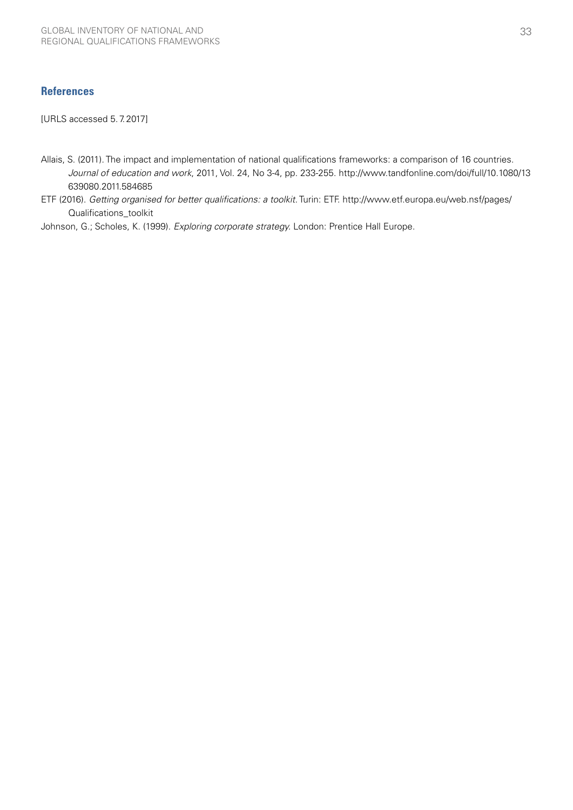# **References**

[URLS accessed 5.7.2017]

- Allais, S. (2011). The impact and implementation of national qualifications frameworks: a comparison of 16 countries. *Journal of education and work*, 2011, Vol. 24, No 3-4, pp. 233-255. [http://www.tandfonline.com/doi/full/10.1080/13](http://www.tandfonline.com/doi/full/10.1080/13639080.2011.584685 ) [639080.2011.584685](http://www.tandfonline.com/doi/full/10.1080/13639080.2011.584685 )
- ETF (2016). *Getting organised for better qualifications: a toolkit.* Turin: ETF. [http://www.etf.europa.eu/web.nsf/pages/](http://www.etf.europa.eu/web.nsf/pages/Qualifications_toolkit) [Qualifications\\_toolkit](http://www.etf.europa.eu/web.nsf/pages/Qualifications_toolkit)

Johnson, G.; Scholes, K. (1999). *Exploring corporate strategy.* London: Prentice Hall Europe.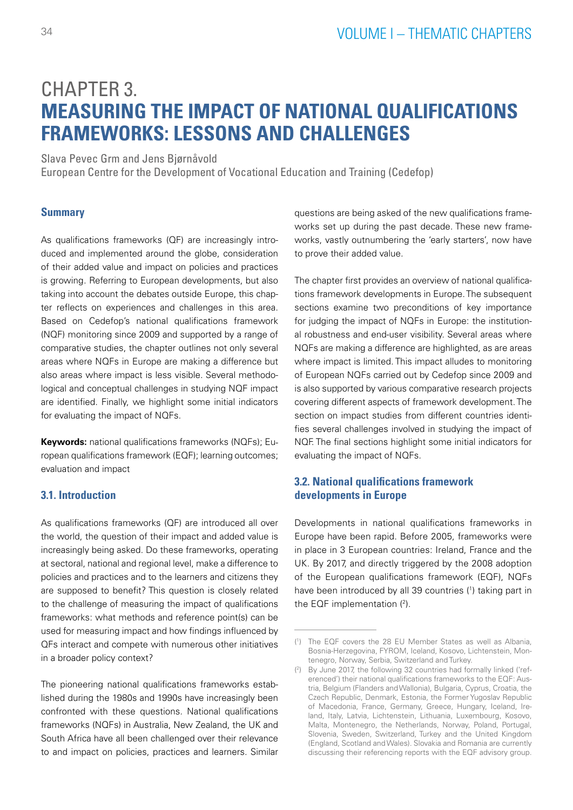# <span id="page-35-0"></span>CHAPTER 3. **MEASURING THE IMPACT OF NATIONAL QUALIFICATIONS FRAMEWORKS: LESSONS AND CHALLENGES**

Slava Pevec Grm and Jens Bjørnåvold

European Centre for the Development of Vocational Education and Training (Cedefop)

## **Summary**

As qualifications frameworks (QF) are increasingly introduced and implemented around the globe, consideration of their added value and impact on policies and practices is growing. Referring to European developments, but also taking into account the debates outside Europe, this chapter reflects on experiences and challenges in this area. Based on Cedefop's national qualifications framework (NQF) monitoring since 2009 and supported by a range of comparative studies, the chapter outlines not only several areas where NQFs in Europe are making a difference but also areas where impact is less visible. Several methodological and conceptual challenges in studying NQF impact are identified. Finally, we highlight some initial indicators for evaluating the impact of NQFs.

**Keywords:** national qualifications frameworks (NQFs); European qualifications framework (EQF); learning outcomes; evaluation and impact

### **3.1. Introduction**

As qualifications frameworks (QF) are introduced all over the world, the question of their impact and added value is increasingly being asked. Do these frameworks, operating at sectoral, national and regional level, make a difference to policies and practices and to the learners and citizens they are supposed to benefit? This question is closely related to the challenge of measuring the impact of qualifications frameworks: what methods and reference point(s) can be used for measuring impact and how findings influenced by QFs interact and compete with numerous other initiatives in a broader policy context?

The pioneering national qualifications frameworks established during the 1980s and 1990s have increasingly been confronted with these questions. National qualifications frameworks (NQFs) in Australia, New Zealand, the UK and South Africa have all been challenged over their relevance to and impact on policies, practices and learners. Similar questions are being asked of the new qualifications frameworks set up during the past decade. These new frameworks, vastly outnumbering the 'early starters', now have to prove their added value.

The chapter first provides an overview of national qualifications framework developments in Europe. The subsequent sections examine two preconditions of key importance for judging the impact of NQFs in Europe: the institutional robustness and end-user visibility. Several areas where NQFs are making a difference are highlighted, as are areas where impact is limited. This impact alludes to monitoring of European NQFs carried out by Cedefop since 2009 and is also supported by various comparative research projects covering different aspects of framework development. The section on impact studies from different countries identifies several challenges involved in studying the impact of NQF. The final sections highlight some initial indicators for evaluating the impact of NQFs.

# **3.2. National qualifications framework developments in Europe**

Developments in national qualifications frameworks in Europe have been rapid. Before 2005, frameworks were in place in 3 European countries: Ireland, France and the UK. By 2017, and directly triggered by the 2008 adoption of the European qualifications framework (EQF), NQFs have been introduced by all 39 countries (1) taking part in the EQF implementation  $(2)$ .

<sup>(</sup> 1 ) The EQF covers the 28 EU Member States as well as Albania, Bosnia-Herzegovina, FYROM, Iceland, Kosovo, Lichtenstein, Montenegro, Norway, Serbia, Switzerland and Turkey.

<sup>(</sup> 2 ) By June 2017, the following 32 countries had formally linked ('referenced') their national qualifications frameworks to the EQF: Austria, Belgium (Flanders and Wallonia), Bulgaria, Cyprus, Croatia, the Czech Republic, Denmark, Estonia, the Former Yugoslav Republic of Macedonia, France, Germany, Greece, Hungary, Iceland, Ireland, Italy, Latvia, Lichtenstein, Lithuania, Luxembourg, Kosovo, Malta, Montenegro, the Netherlands, Norway, Poland, Portugal, Slovenia, Sweden, Switzerland, Turkey and the United Kingdom (England, Scotland and Wales). Slovakia and Romania are currently discussing their referencing reports with the EQF advisory group.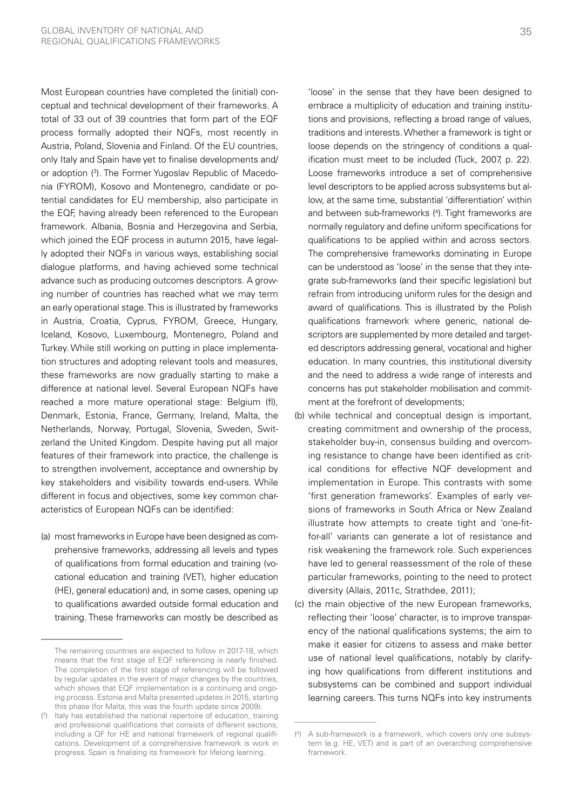Most European countries have completed the (initial) conceptual and technical development of their frameworks. A total of 33 out of 39 countries that form part of the EQF process formally adopted their NQFs, most recently in Austria, Poland, Slovenia and Finland. Of the EU countries, only Italy and Spain have yet to finalise developments and/ or adoption (3 ). The Former Yugoslav Republic of Macedonia (FYROM), Kosovo and Montenegro, candidate or potential candidates for EU membership, also participate in the EQF, having already been referenced to the European framework. Albania, Bosnia and Herzegovina and Serbia, which joined the EQF process in autumn 2015, have legally adopted their NQFs in various ways, establishing social dialogue platforms, and having achieved some technical advance such as producing outcomes descriptors. A growing number of countries has reached what we may term an early operational stage. This is illustrated by frameworks in Austria, Croatia, Cyprus, FYROM, Greece, Hungary, Iceland, Kosovo, Luxembourg, Montenegro, Poland and Turkey. While still working on putting in place implementation structures and adopting relevant tools and measures, these frameworks are now gradually starting to make a difference at national level. Several European NQFs have reached a more mature operational stage: Belgium (fl), Denmark, Estonia, France, Germany, Ireland, Malta, the Netherlands, Norway, Portugal, Slovenia, Sweden, Switzerland the United Kingdom. Despite having put all major features of their framework into practice, the challenge is to strengthen involvement, acceptance and ownership by key stakeholders and visibility towards end-users. While different in focus and objectives, some key common characteristics of European NQFs can be identified:

(a) most frameworks in Europe have been designed as comprehensive frameworks, addressing all levels and types of qualifications from formal education and training (vocational education and training (VET), higher education (HE), general education) and, in some cases, opening up to qualifications awarded outside formal education and training. These frameworks can mostly be described as

'loose' in the sense that they have been designed to embrace a multiplicity of education and training institutions and provisions, reflecting a broad range of values, traditions and interests. Whether a framework is tight or loose depends on the stringency of conditions a qualification must meet to be included (Tuck, 2007, p. 22). Loose frameworks introduce a set of comprehensive level descriptors to be applied across subsystems but allow, at the same time, substantial 'differentiation' within and between sub-frameworks (4 ). Tight frameworks are normally regulatory and define uniform specifications for qualifications to be applied within and across sectors. The comprehensive frameworks dominating in Europe can be understood as 'loose' in the sense that they integrate sub-frameworks (and their specific legislation) but refrain from introducing uniform rules for the design and award of qualifications. This is illustrated by the Polish qualifications framework where generic, national descriptors are supplemented by more detailed and targeted descriptors addressing general, vocational and higher education. In many countries, this institutional diversity and the need to address a wide range of interests and concerns has put stakeholder mobilisation and commitment at the forefront of developments;

- (b) while technical and conceptual design is important, creating commitment and ownership of the process, stakeholder buy-in, consensus building and overcoming resistance to change have been identified as critical conditions for effective NQF development and implementation in Europe. This contrasts with some 'first generation frameworks'. Examples of early versions of frameworks in South Africa or New Zealand illustrate how attempts to create tight and 'one-fitfor-all' variants can generate a lot of resistance and risk weakening the framework role. Such experiences have led to general reassessment of the role of these particular frameworks, pointing to the need to protect diversity (Allais, 2011c, Strathdee, 2011);
- (c) the main objective of the new European frameworks, reflecting their 'loose' character, is to improve transparency of the national qualifications systems; the aim to make it easier for citizens to assess and make better use of national level qualifications, notably by clarifying how qualifications from different institutions and subsystems can be combined and support individual learning careers. This turns NQFs into key instruments

The remaining countries are expected to follow in 2017-18, which means that the first stage of EQF referencing is nearly finished. The completion of the first stage of referencing will be followed by regular updates in the event of major changes by the countries, which shows that EQF implementation is a continuing and ongoing process. Estonia and Malta presented updates in 2015, starting this phase (for Malta, this was the fourth update since 2009).

<sup>(</sup> 3 ) Italy has established the national repertoire of education, training and professional qualifications that consists of different sections, including a QF for HE and national framework of regional qualifications. Development of a comprehensive framework is work in progress. Spain is finalising its framework for lifelong learning.

<sup>(</sup> 4 ) A sub-framework is a framework, which covers only one subsystem (e.g. HE, VET) and is part of an overarching comprehensive framework.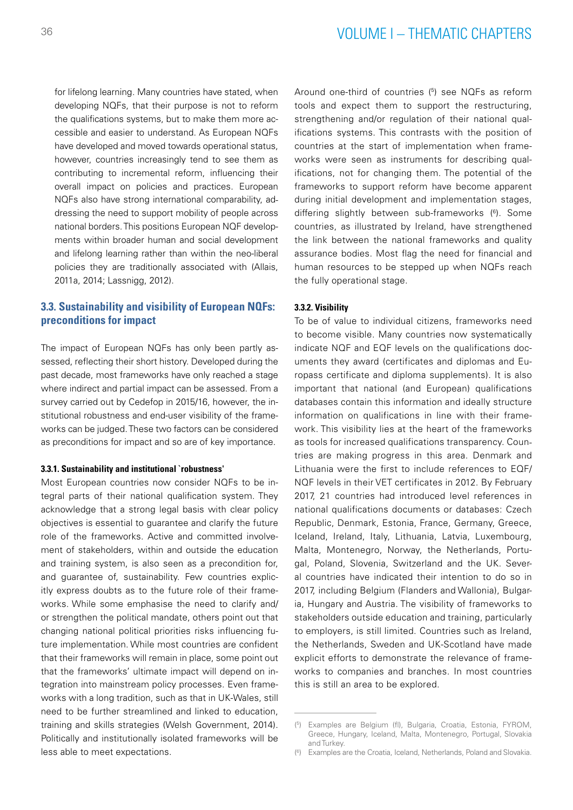for lifelong learning. Many countries have stated, when developing NQFs, that their purpose is not to reform the qualifications systems, but to make them more accessible and easier to understand. As European NQFs have developed and moved towards operational status, however, countries increasingly tend to see them as contributing to incremental reform, influencing their overall impact on policies and practices. European NQFs also have strong international comparability, addressing the need to support mobility of people across national borders. This positions European NQF developments within broader human and social development and lifelong learning rather than within the neo-liberal policies they are traditionally associated with (Allais, 2011a, 2014; Lassnigg, 2012).

## **3.3. Sustainability and visibility of European NQFs: preconditions for impact**

The impact of European NQFs has only been partly assessed, reflecting their short history. Developed during the past decade, most frameworks have only reached a stage where indirect and partial impact can be assessed. From a survey carried out by Cedefop in 2015/16, however, the institutional robustness and end-user visibility of the frameworks can be judged. These two factors can be considered as preconditions for impact and so are of key importance.

#### **3.3.1. Sustainability and institutional `robustness'**

Most European countries now consider NQFs to be integral parts of their national qualification system. They acknowledge that a strong legal basis with clear policy objectives is essential to guarantee and clarify the future role of the frameworks. Active and committed involvement of stakeholders, within and outside the education and training system, is also seen as a precondition for, and guarantee of, sustainability. Few countries explicitly express doubts as to the future role of their frameworks. While some emphasise the need to clarify and/ or strengthen the political mandate, others point out that changing national political priorities risks influencing future implementation. While most countries are confident that their frameworks will remain in place, some point out that the frameworks' ultimate impact will depend on integration into mainstream policy processes. Even frameworks with a long tradition, such as that in UK-Wales, still need to be further streamlined and linked to education, training and skills strategies (Welsh Government, 2014). Politically and institutionally isolated frameworks will be less able to meet expectations.

Around one-third of countries (<sup>5</sup>) see NQFs as reform tools and expect them to support the restructuring, strengthening and/or regulation of their national qualifications systems. This contrasts with the position of countries at the start of implementation when frameworks were seen as instruments for describing qualifications, not for changing them. The potential of the frameworks to support reform have become apparent during initial development and implementation stages, differing slightly between sub-frameworks (<sup>6</sup>). Some countries, as illustrated by Ireland, have strengthened the link between the national frameworks and quality assurance bodies. Most flag the need for financial and human resources to be stepped up when NQFs reach the fully operational stage.

#### **3.3.2. Visibility**

To be of value to individual citizens, frameworks need to become visible. Many countries now systematically indicate NQF and EQF levels on the qualifications documents they award (certificates and diplomas and Europass certificate and diploma supplements). It is also important that national (and European) qualifications databases contain this information and ideally structure information on qualifications in line with their framework. This visibility lies at the heart of the frameworks as tools for increased qualifications transparency. Countries are making progress in this area. Denmark and Lithuania were the first to include references to EQF/ NQF levels in their VET certificates in 2012. By February 2017, 21 countries had introduced level references in national qualifications documents or databases: Czech Republic, Denmark, Estonia, France, Germany, Greece, Iceland, Ireland, Italy, Lithuania, Latvia, Luxembourg, Malta, Montenegro, Norway, the Netherlands, Portugal, Poland, Slovenia, Switzerland and the UK. Several countries have indicated their intention to do so in 2017, including Belgium (Flanders and Wallonia), Bulgaria, Hungary and Austria. The visibility of frameworks to stakeholders outside education and training, particularly to employers, is still limited. Countries such as Ireland, the Netherlands, Sweden and UK-Scotland have made explicit efforts to demonstrate the relevance of frameworks to companies and branches. In most countries this is still an area to be explored.

<sup>(</sup> 5 ) Examples are Belgium (fl), Bulgaria, Croatia, Estonia, FYROM, Greece, Hungary, Iceland, Malta, Montenegro, Portugal, Slovakia and Turkey.

<sup>(</sup> 6 ) Examples are the Croatia, Iceland, Netherlands, Poland and Slovakia.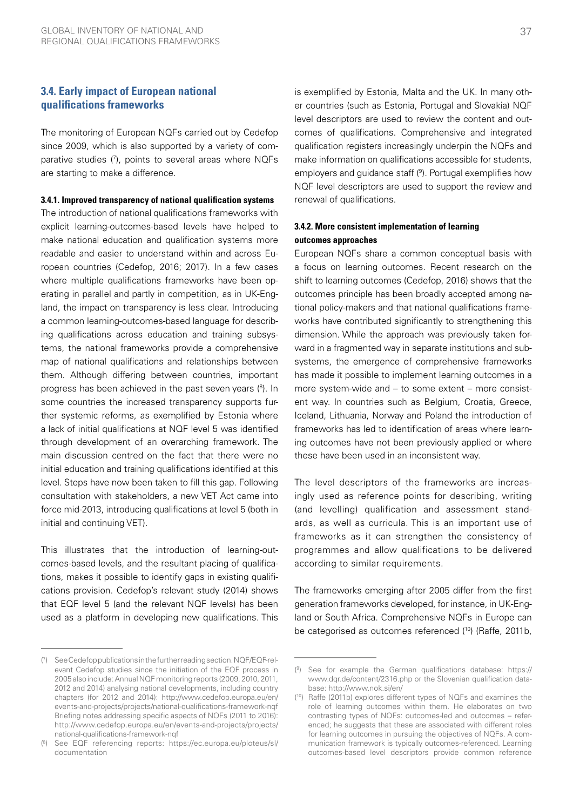## **3.4. Early impact of European national qualifications frameworks**

The monitoring of European NQFs carried out by Cedefop since 2009, which is also supported by a variety of comparative studies (7), points to several areas where NQFs are starting to make a difference.

#### **3.4.1. Improved transparency of national qualification systems**

The introduction of national qualifications frameworks with explicit learning-outcomes-based levels have helped to make national education and qualification systems more readable and easier to understand within and across European countries (Cedefop, 2016; 2017). In a few cases where multiple qualifications frameworks have been operating in parallel and partly in competition, as in UK-England, the impact on transparency is less clear. Introducing a common learning-outcomes-based language for describing qualifications across education and training subsystems, the national frameworks provide a comprehensive map of national qualifications and relationships between them. Although differing between countries, important progress has been achieved in the past seven years (8). In some countries the increased transparency supports further systemic reforms, as exemplified by Estonia where a lack of initial qualifications at NQF level 5 was identified through development of an overarching framework. The main discussion centred on the fact that there were no initial education and training qualifications identified at this level. Steps have now been taken to fill this gap. Following consultation with stakeholders, a new VET Act came into force mid-2013, introducing qualifications at level 5 (both in initial and continuing VET).

This illustrates that the introduction of learning-outcomes-based levels, and the resultant placing of qualifications, makes it possible to identify gaps in existing qualifications provision. Cedefop's relevant study (2014) shows that EQF level 5 (and the relevant NQF levels) has been used as a platform in developing new qualifications. This

is exemplified by Estonia, Malta and the UK. In many other countries (such as Estonia, Portugal and Slovakia) NQF level descriptors are used to review the content and outcomes of qualifications. Comprehensive and integrated qualification registers increasingly underpin the NQFs and make information on qualifications accessible for students, employers and guidance staff (9 ). Portugal exemplifies how NQF level descriptors are used to support the review and renewal of qualifications.

## **3.4.2. More consistent implementation of learning outcomes approaches**

European NQFs share a common conceptual basis with a focus on learning outcomes. Recent research on the shift to learning outcomes (Cedefop, 2016) shows that the outcomes principle has been broadly accepted among national policy-makers and that national qualifications frameworks have contributed significantly to strengthening this dimension. While the approach was previously taken forward in a fragmented way in separate institutions and subsystems, the emergence of comprehensive frameworks has made it possible to implement learning outcomes in a more system-wide and – to some extent – more consistent way. In countries such as Belgium, Croatia, Greece, Iceland, Lithuania, Norway and Poland the introduction of frameworks has led to identification of areas where learning outcomes have not been previously applied or where these have been used in an inconsistent way.

The level descriptors of the frameworks are increasingly used as reference points for describing, writing (and levelling) qualification and assessment standards, as well as curricula. This is an important use of frameworks as it can strengthen the consistency of programmes and allow qualifications to be delivered according to similar requirements.

The frameworks emerging after 2005 differ from the first generation frameworks developed, for instance, in UK-England or South Africa. Comprehensive NQFs in Europe can be categorised as outcomes referenced (<sup>10</sup>) (Raffe, 2011b,

<sup>(</sup> 7 ) See Cedefop publications in the further reading section. NQF/EQF-relevant Cedefop studies since the initiation of the EQF process in 2005 also include: Annual NQF monitoring reports (2009, 2010, 2011, 2012 and 2014) analysing national developments, including country chapters (for 2012 and 2014): [http://www.cedefop.europa.eu/en/](http://www.cedefop.europa.eu/en/events-and-projects/projects/national-qualifications-framework-nqf) [events-and-projects/projects/national-qualifications-framework-nqf](http://www.cedefop.europa.eu/en/events-and-projects/projects/national-qualifications-framework-nqf) Briefing notes addressing specific aspects of NQFs (2011 to 2016): [http://www.cedefop.europa.eu/en/events-and-projects/projects/](http://www.cedefop.europa.eu/en/events-and-projects/projects/national-qualifications-framework-nqf) [national-qualifications-framework-nqf](http://www.cedefop.europa.eu/en/events-and-projects/projects/national-qualifications-framework-nqf)

<sup>(</sup> 8 ) See EQF referencing reports: [https://ec.europa.eu/ploteus/sl/](https://ec.europa.eu/ploteus/sl/documentation) [documentation](https://ec.europa.eu/ploteus/sl/documentation)

<sup>(</sup> 9 ) See for example the German qualifications database: [https://](https://www.dqr.de/content/2316.php) [www.dqr.de/content/2316.php](https://www.dqr.de/content/2316.php) or the Slovenian qualification database: <http://www.nok.si/en/>

<sup>(</sup> 10) Raffe (2011b) explores different types of NQFs and examines the role of learning outcomes within them. He elaborates on two contrasting types of NQFs: outcomes-led and outcomes – referenced; he suggests that these are associated with different roles for learning outcomes in pursuing the objectives of NQFs. A communication framework is typically outcomes-referenced. Learning outcomes-based level descriptors provide common reference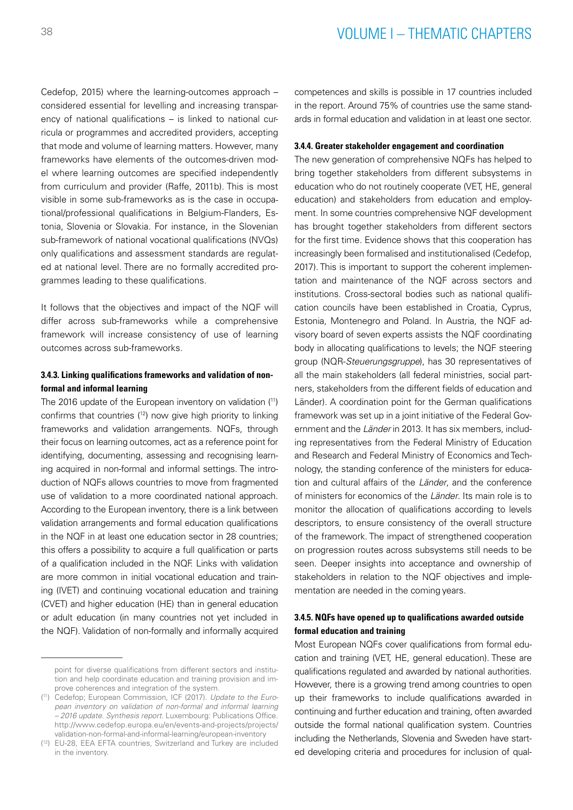Cedefop, 2015) where the learning-outcomes approach – considered essential for levelling and increasing transparency of national qualifications – is linked to national curricula or programmes and accredited providers, accepting that mode and volume of learning matters. However, many frameworks have elements of the outcomes-driven model where learning outcomes are specified independently from curriculum and provider (Raffe, 2011b). This is most visible in some sub-frameworks as is the case in occupational/professional qualifications in Belgium-Flanders, Estonia, Slovenia or Slovakia. For instance, in the Slovenian sub-framework of national vocational qualifications (NVQs) only qualifications and assessment standards are regulated at national level. There are no formally accredited programmes leading to these qualifications.

It follows that the objectives and impact of the NQF will differ across sub-frameworks while a comprehensive framework will increase consistency of use of learning outcomes across sub-frameworks.

### **3.4.3. Linking qualifications frameworks and validation of nonformal and informal learning**

The 2016 update of the European inventory on validation (11) confirms that countries (12) now give high priority to linking frameworks and validation arrangements. NQFs, through their focus on learning outcomes, act as a reference point for identifying, documenting, assessing and recognising learning acquired in non-formal and informal settings. The introduction of NQFs allows countries to move from fragmented use of validation to a more coordinated national approach. According to the European inventory, there is a link between validation arrangements and formal education qualifications in the NQF in at least one education sector in 28 countries; this offers a possibility to acquire a full qualification or parts of a qualification included in the NQF. Links with validation are more common in initial vocational education and training (IVET) and continuing vocational education and training (CVET) and higher education (HE) than in general education or adult education (in many countries not yet included in the NQF). Validation of non-formally and informally acquired

competences and skills is possible in 17 countries included in the report. Around 75% of countries use the same standards in formal education and validation in at least one sector.

### **3.4.4. Greater stakeholder engagement and coordination**

The new generation of comprehensive NQFs has helped to bring together stakeholders from different subsystems in education who do not routinely cooperate (VET, HE, general education) and stakeholders from education and employment. In some countries comprehensive NQF development has brought together stakeholders from different sectors for the first time. Evidence shows that this cooperation has increasingly been formalised and institutionalised (Cedefop, 2017). This is important to support the coherent implementation and maintenance of the NQF across sectors and institutions. Cross-sectoral bodies such as national qualification councils have been established in Croatia, Cyprus, Estonia, Montenegro and Poland. In Austria, the NQF advisory board of seven experts assists the NQF coordinating body in allocating qualifications to levels; the NQF steering group (NQR-*Steuerungsgruppe*), has 30 representatives of all the main stakeholders (all federal ministries, social partners, stakeholders from the different fields of education and Länder). A coordination point for the German qualifications framework was set up in a joint initiative of the Federal Government and the *Länder* in 2013. It has six members, including representatives from the Federal Ministry of Education and Research and Federal Ministry of Economics and Technology, the standing conference of the ministers for education and cultural affairs of the *Länder*, and the conference of ministers for economics of the *Länder*. Its main role is to monitor the allocation of qualifications according to levels descriptors, to ensure consistency of the overall structure of the framework. The impact of strengthened cooperation on progression routes across subsystems still needs to be seen. Deeper insights into acceptance and ownership of stakeholders in relation to the NQF objectives and implementation are needed in the coming years.

## **3.4.5. NQFs have opened up to qualifications awarded outside formal education and training**

Most European NQFs cover qualifications from formal education and training (VET, HE, general education). These are qualifications regulated and awarded by national authorities. However, there is a growing trend among countries to open up their frameworks to include qualifications awarded in continuing and further education and training, often awarded outside the formal national qualification system. Countries including the Netherlands, Slovenia and Sweden have started developing criteria and procedures for inclusion of qual-

point for diverse qualifications from different sectors and institution and help coordinate education and training provision and improve coherences and integration of the system.

<sup>(</sup> 11) Cedefop; European Commission, ICF (2017). *Update to the European inventory on validation of non-formal and informal learning – 2016 update. Synthesis report.* Luxembourg: Publications Office. [http://www.cedefop.europa.eu/en/events-and-projects/projects/](http://www.cedefop.europa.eu/en/events-and-projects/projects/validation-non-formal-and-informal-learning/european-inventory) [validation-non-formal-and-informal-learning/european-inventory](http://www.cedefop.europa.eu/en/events-and-projects/projects/validation-non-formal-and-informal-learning/european-inventory)

<sup>(</sup> 12) EU-28, EEA EFTA countries, Switzerland and Turkey are included in the inventory.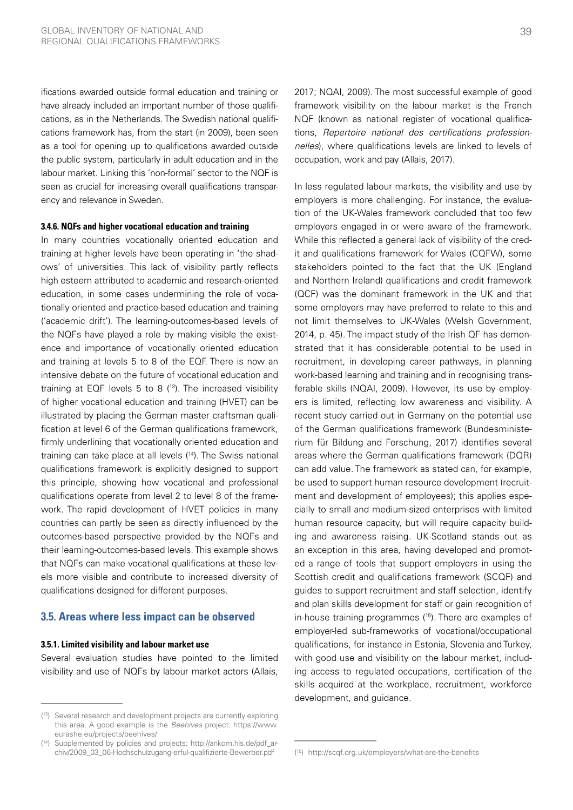ifications awarded outside formal education and training or have already included an important number of those qualifications, as in the Netherlands. The Swedish national qualifications framework has, from the start (in 2009), been seen as a tool for opening up to qualifications awarded outside the public system, particularly in adult education and in the labour market. Linking this 'non-formal' sector to the NQF is seen as crucial for increasing overall qualifications transparency and relevance in Sweden.

#### **3.4.6. NQFs and higher vocational education and training**

In many countries vocationally oriented education and training at higher levels have been operating in 'the shadows' of universities. This lack of visibility partly reflects high esteem attributed to academic and research-oriented education, in some cases undermining the role of vocationally oriented and practice-based education and training ('academic drift'). The learning-outcomes-based levels of the NQFs have played a role by making visible the existence and importance of vocationally oriented education and training at levels 5 to 8 of the EQF. There is now an intensive debate on the future of vocational education and training at EQF levels 5 to 8  $(13)$ . The increased visibility of higher vocational education and training (HVET) can be illustrated by placing the German master craftsman qualification at level 6 of the German qualifications framework, firmly underlining that vocationally oriented education and training can take place at all levels (14). The Swiss national qualifications framework is explicitly designed to support this principle, showing how vocational and professional qualifications operate from level 2 to level 8 of the framework. The rapid development of HVET policies in many countries can partly be seen as directly influenced by the outcomes-based perspective provided by the NQFs and their learning-outcomes-based levels. This example shows that NQFs can make vocational qualifications at these levels more visible and contribute to increased diversity of qualifications designed for different purposes.

## **3.5. Areas where less impact can be observed**

#### **3.5.1. Limited visibility and labour market use**

Several evaluation studies have pointed to the limited visibility and use of NQFs by labour market actors (Allais,

2017; NQAI, 2009). The most successful example of good framework visibility on the labour market is the French NQF (known as national register of vocational qualifications, *Repertoire national des certifications professionnelles*), where qualifications levels are linked to levels of occupation, work and pay (Allais, 2017).

In less regulated labour markets, the visibility and use by employers is more challenging. For instance, the evaluation of the UK-Wales framework concluded that too few employers engaged in or were aware of the framework. While this reflected a general lack of visibility of the credit and qualifications framework for Wales (CQFW), some stakeholders pointed to the fact that the UK (England and Northern Ireland) qualifications and credit framework (QCF) was the dominant framework in the UK and that some employers may have preferred to relate to this and not limit themselves to UK-Wales (Welsh Government, 2014, p. 45). The impact study of the Irish QF has demonstrated that it has considerable potential to be used in recruitment, in developing career pathways, in planning work-based learning and training and in recognising transferable skills (NQAI, 2009). However, its use by employers is limited, reflecting low awareness and visibility. A recent study carried out in Germany on the potential use of the German qualifications framework (Bundesministerium für Bildung and Forschung, 2017) identifies several areas where the German qualifications framework (DQR) can add value. The framework as stated can, for example, be used to support human resource development (recruitment and development of employees); this applies especially to small and medium-sized enterprises with limited human resource capacity, but will require capacity building and awareness raising. UK-Scotland stands out as an exception in this area, having developed and promoted a range of tools that support employers in using the Scottish credit and qualifications framework (SCQF) and guides to support recruitment and staff selection, identify and plan skills development for staff or gain recognition of in-house training programmes (15). There are examples of employer-led sub-frameworks of vocational/occupational qualifications, for instance in Estonia, Slovenia and Turkey, with good use and visibility on the labour market, including access to regulated occupations, certification of the skills acquired at the workplace, recruitment, workforce development, and guidance.

<sup>(</sup> 13) Several research and development projects are currently exploring this area. A good example is the *Beehives* project: [https://www.](https://www.eurashe.eu/projects/beehives/) [eurashe.eu/projects/beehives/](https://www.eurashe.eu/projects/beehives/)

 $(14)$ Supplemented by policies and projects: [http://ankom.his.de/pdf\\_ar](http://ankom.his.de/pdf_archiv/2009_03_06-Hochschulzugang-erful-qualifizierte-Bewerber.pdf)[chiv/2009\\_03\\_06-Hochschulzugang-erful-qualifizierte-Bewerber.pdf](http://ankom.his.de/pdf_archiv/2009_03_06-Hochschulzugang-erful-qualifizierte-Bewerber.pdf)

<sup>(</sup> 15) <http://scqf.org.uk/employers/what-are-the-benefits>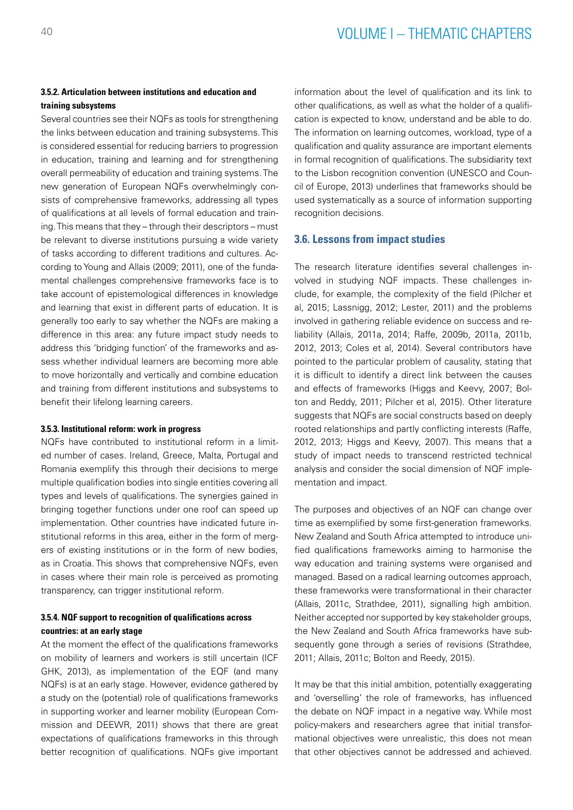## **3.5.2. Articulation between institutions and education and training subsystems**

Several countries see their NQFs as tools for strengthening the links between education and training subsystems. This is considered essential for reducing barriers to progression in education, training and learning and for strengthening overall permeability of education and training systems. The new generation of European NQFs overwhelmingly consists of comprehensive frameworks, addressing all types of qualifications at all levels of formal education and training. This means that they – through their descriptors – must be relevant to diverse institutions pursuing a wide variety of tasks according to different traditions and cultures. According to Young and Allais (2009; 2011), one of the fundamental challenges comprehensive frameworks face is to take account of epistemological differences in knowledge and learning that exist in different parts of education. It is generally too early to say whether the NQFs are making a difference in this area: any future impact study needs to address this 'bridging function' of the frameworks and assess whether individual learners are becoming more able to move horizontally and vertically and combine education and training from different institutions and subsystems to benefit their lifelong learning careers.

#### **3.5.3. Institutional reform: work in progress**

NQFs have contributed to institutional reform in a limited number of cases. Ireland, Greece, Malta, Portugal and Romania exemplify this through their decisions to merge multiple qualification bodies into single entities covering all types and levels of qualifications. The synergies gained in bringing together functions under one roof can speed up implementation. Other countries have indicated future institutional reforms in this area, either in the form of mergers of existing institutions or in the form of new bodies, as in Croatia. This shows that comprehensive NQFs, even in cases where their main role is perceived as promoting transparency, can trigger institutional reform.

## **3.5.4. NQF support to recognition of qualifications across countries: at an early stage**

At the moment the effect of the qualifications frameworks on mobility of learners and workers is still uncertain (ICF GHK, 2013), as implementation of the EQF (and many NQFs) is at an early stage. However, evidence gathered by a study on the (potential) role of qualifications frameworks in supporting worker and learner mobility (European Commission and DEEWR, 2011) shows that there are great expectations of qualifications frameworks in this through better recognition of qualifications. NQFs give important

information about the level of qualification and its link to other qualifications, as well as what the holder of a qualification is expected to know, understand and be able to do. The information on learning outcomes, workload, type of a qualification and quality assurance are important elements in formal recognition of qualifications. The subsidiarity text to the Lisbon recognition convention (UNESCO and Council of Europe, 2013) underlines that frameworks should be used systematically as a source of information supporting recognition decisions.

### **3.6. Lessons from impact studies**

The research literature identifies several challenges involved in studying NQF impacts. These challenges include, for example, the complexity of the field (Pilcher et al, 2015; Lassnigg, 2012; Lester, 2011) and the problems involved in gathering reliable evidence on success and reliability (Allais, 2011a, 2014; Raffe, 2009b, 2011a, 2011b, 2012, 2013; Coles et al, 2014). Several contributors have pointed to the particular problem of causality, stating that it is difficult to identify a direct link between the causes and effects of frameworks (Higgs and Keevy, 2007; Bolton and Reddy, 2011; Pilcher et al, 2015). Other literature suggests that NQFs are social constructs based on deeply rooted relationships and partly conflicting interests (Raffe, 2012, 2013; Higgs and Keevy, 2007). This means that a study of impact needs to transcend restricted technical analysis and consider the social dimension of NQF implementation and impact.

The purposes and objectives of an NQF can change over time as exemplified by some first-generation frameworks. New Zealand and South Africa attempted to introduce unified qualifications frameworks aiming to harmonise the way education and training systems were organised and managed. Based on a radical learning outcomes approach, these frameworks were transformational in their character (Allais, 2011c, Strathdee, 2011), signalling high ambition. Neither accepted nor supported by key stakeholder groups, the New Zealand and South Africa frameworks have subsequently gone through a series of revisions (Strathdee, 2011; Allais, 2011c; Bolton and Reedy, 2015).

It may be that this initial ambition, potentially exaggerating and 'overselling' the role of frameworks, has influenced the debate on NQF impact in a negative way. While most policy-makers and researchers agree that initial transformational objectives were unrealistic, this does not mean that other objectives cannot be addressed and achieved.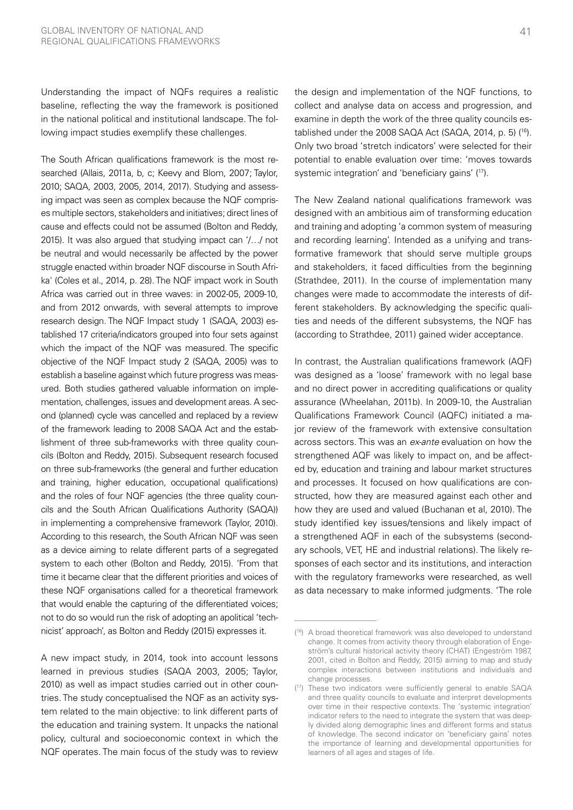Understanding the impact of NQFs requires a realistic baseline, reflecting the way the framework is positioned in the national political and institutional landscape. The following impact studies exemplify these challenges.

The South African qualifications framework is the most researched (Allais, 2011a, b, c; Keevy and Blom, 2007; Taylor, 2010; SAQA, 2003, 2005, 2014, 2017). Studying and assessing impact was seen as complex because the NQF comprises multiple sectors, stakeholders and initiatives; direct lines of cause and effects could not be assumed (Bolton and Reddy, 2015). It was also argued that studying impact can '/…/ not be neutral and would necessarily be affected by the power struggle enacted within broader NQF discourse in South Afrika' (Coles et al., 2014, p. 28). The NQF impact work in South Africa was carried out in three waves: in 2002-05, 2009-10, and from 2012 onwards, with several attempts to improve research design. The NQF Impact study 1 (SAQA, 2003) established 17 criteria/indicators grouped into four sets against which the impact of the NQF was measured. The specific objective of the NQF Impact study 2 (SAQA, 2005) was to establish a baseline against which future progress was measured. Both studies gathered valuable information on implementation, challenges, issues and development areas. A second (planned) cycle was cancelled and replaced by a review of the framework leading to 2008 SAQA Act and the establishment of three sub-frameworks with three quality councils (Bolton and Reddy, 2015). Subsequent research focused on three sub-frameworks (the general and further education and training, higher education, occupational qualifications) and the roles of four NQF agencies (the three quality councils and the South African Qualifications Authority (SAQA)) in implementing a comprehensive framework (Taylor, 2010). According to this research, the South African NQF was seen as a device aiming to relate different parts of a segregated system to each other (Bolton and Reddy, 2015). 'From that time it became clear that the different priorities and voices of these NQF organisations called for a theoretical framework that would enable the capturing of the differentiated voices; not to do so would run the risk of adopting an apolitical 'technicist' approach', as Bolton and Reddy (2015) expresses it.

A new impact study, in 2014, took into account lessons learned in previous studies (SAQA 2003, 2005; Taylor, 2010) as well as impact studies carried out in other countries. The study conceptualised the NQF as an activity system related to the main objective: to link different parts of the education and training system. It unpacks the national policy, cultural and socioeconomic context in which the NQF operates. The main focus of the study was to review

the design and implementation of the NQF functions, to collect and analyse data on access and progression, and examine in depth the work of the three quality councils established under the 2008 SAQA Act (SAQA, 2014, p. 5) (16). Only two broad 'stretch indicators' were selected for their potential to enable evaluation over time: 'moves towards systemic integration' and 'beneficiary gains' (17).

The New Zealand national qualifications framework was designed with an ambitious aim of transforming education and training and adopting 'a common system of measuring and recording learning'. Intended as a unifying and transformative framework that should serve multiple groups and stakeholders, it faced difficulties from the beginning (Strathdee, 2011). In the course of implementation many changes were made to accommodate the interests of different stakeholders. By acknowledging the specific qualities and needs of the different subsystems, the NQF has (according to Strathdee, 2011) gained wider acceptance.

In contrast, the Australian qualifications framework (AQF) was designed as a 'loose' framework with no legal base and no direct power in accrediting qualifications or quality assurance (Wheelahan, 2011b). In 2009-10, the Australian Qualifications Framework Council (AQFC) initiated a major review of the framework with extensive consultation across sectors. This was an *ex-ante* evaluation on how the strengthened AQF was likely to impact on, and be affected by, education and training and labour market structures and processes. It focused on how qualifications are constructed, how they are measured against each other and how they are used and valued (Buchanan et al, 2010). The study identified key issues/tensions and likely impact of a strengthened AQF in each of the subsystems (secondary schools, VET, HE and industrial relations). The likely responses of each sector and its institutions, and interaction with the regulatory frameworks were researched, as well as data necessary to make informed judgments. 'The role

<sup>(</sup> 16) A broad theoretical framework was also developed to understand change. It comes from activity theory through elaboration of Engeström's cultural historical activity theory (CHAT) (Engeström 1987, 2001, cited in Bolton and Reddy, 2015) aiming to map and study complex interactions between institutions and individuals and change processes.

<sup>(</sup> 17) These two indicators were sufficiently general to enable SAQA and three quality councils to evaluate and interpret developments over time in their respective contexts. The 'systemic integration' indicator refers to the need to integrate the system that was deeply divided along demographic lines and different forms and status of knowledge. The second indicator on 'beneficiary gains' notes the importance of learning and developmental opportunities for learners of all ages and stages of life.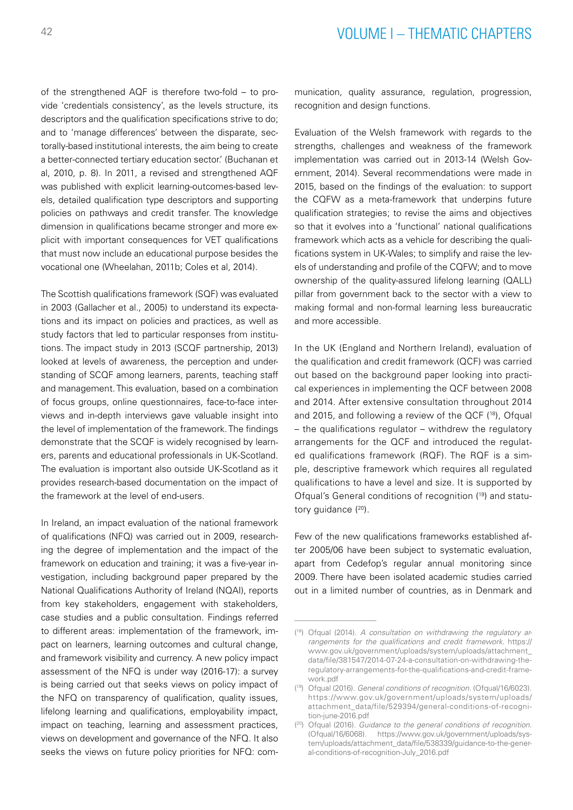of the strengthened AQF is therefore two-fold – to provide 'credentials consistency', as the levels structure, its descriptors and the qualification specifications strive to do; and to 'manage differences' between the disparate, sectorally‐based institutional interests, the aim being to create a better‐connected tertiary education sector.' (Buchanan et al, 2010, p. 8). In 2011, a revised and strengthened AQF was published with explicit learning-outcomes-based levels, detailed qualification type descriptors and supporting policies on pathways and credit transfer. The knowledge dimension in qualifications became stronger and more explicit with important consequences for VET qualifications that must now include an educational purpose besides the vocational one (Wheelahan, 2011b; Coles et al, 2014).

The Scottish qualifications framework (SQF) was evaluated in 2003 (Gallacher et al., 2005) to understand its expectations and its impact on policies and practices, as well as study factors that led to particular responses from institutions. The impact study in 2013 (SCQF partnership, 2013) looked at levels of awareness, the perception and understanding of SCQF among learners, parents, teaching staff and management. This evaluation, based on a combination of focus groups, online questionnaires, face-to-face interviews and in-depth interviews gave valuable insight into the level of implementation of the framework. The findings demonstrate that the SCQF is widely recognised by learners, parents and educational professionals in UK-Scotland. The evaluation is important also outside UK-Scotland as it provides research-based documentation on the impact of the framework at the level of end-users.

In Ireland, an impact evaluation of the national framework of qualifications (NFQ) was carried out in 2009, researching the degree of implementation and the impact of the framework on education and training; it was a five-year investigation, including background paper prepared by the National Qualifications Authority of Ireland (NQAI), reports from key stakeholders, engagement with stakeholders, case studies and a public consultation. Findings referred to different areas: implementation of the framework, impact on learners, learning outcomes and cultural change, and framework visibility and currency. A new policy impact assessment of the NFQ is under way (2016-17): a survey is being carried out that seeks views on policy impact of the NFQ on transparency of qualification, quality issues, lifelong learning and qualifications, employability impact, impact on teaching, learning and assessment practices, views on development and governance of the NFQ. It also seeks the views on future policy priorities for NFQ: communication, quality assurance, regulation, progression, recognition and design functions.

Evaluation of the Welsh framework with regards to the strengths, challenges and weakness of the framework implementation was carried out in 2013-14 (Welsh Government, 2014). Several recommendations were made in 2015, based on the findings of the evaluation: to support the CQFW as a meta-framework that underpins future qualification strategies; to revise the aims and objectives so that it evolves into a 'functional' national qualifications framework which acts as a vehicle for describing the qualifications system in UK-Wales; to simplify and raise the levels of understanding and profile of the CQFW; and to move ownership of the quality-assured lifelong learning (QALL) pillar from government back to the sector with a view to making formal and non-formal learning less bureaucratic and more accessible.

In the UK (England and Northern Ireland), evaluation of the qualification and credit framework (QCF) was carried out based on the background paper looking into practical experiences in implementing the QCF between 2008 and 2014. After extensive consultation throughout 2014 and 2015, and following a review of the  $QCF$   $(18)$ , Ofqual – the qualifications regulator – withdrew the regulatory arrangements for the QCF and introduced the regulated qualifications framework (RQF). The RQF is a simple, descriptive framework which requires all regulated qualifications to have a level and size. It is supported by Ofqual's General conditions of recognition (19) and statutory guidance (20).

Few of the new qualifications frameworks established after 2005/06 have been subject to systematic evaluation, apart from Cedefop's regular annual monitoring since 2009. There have been isolated academic studies carried out in a limited number of countries, as in Denmark and

<sup>(</sup> 18) Ofqual (2014). *A consultation on withdrawing the regulatory arrangements for the qualifications and credit framework.* [https://](https://www.gov.uk/government/uploads/system/uploads/attachment_data/file/381547/2014-07-24-a-consultation-on-withdrawing-the-regulatory-arrangements-for-the-qualifications-and-credit-framework.pdf) [www.gov.uk/government/uploads/system/uploads/attachment\\_](https://www.gov.uk/government/uploads/system/uploads/attachment_data/file/381547/2014-07-24-a-consultation-on-withdrawing-the-regulatory-arrangements-for-the-qualifications-and-credit-framework.pdf) [data/file/381547/2014-07-24-a-consultation-on-withdrawing-the](https://www.gov.uk/government/uploads/system/uploads/attachment_data/file/381547/2014-07-24-a-consultation-on-withdrawing-the-regulatory-arrangements-for-the-qualifications-and-credit-framework.pdf)[regulatory-arrangements-for-the-qualifications-and-credit-frame](https://www.gov.uk/government/uploads/system/uploads/attachment_data/file/381547/2014-07-24-a-consultation-on-withdrawing-the-regulatory-arrangements-for-the-qualifications-and-credit-framework.pdf)[work.pdf](https://www.gov.uk/government/uploads/system/uploads/attachment_data/file/381547/2014-07-24-a-consultation-on-withdrawing-the-regulatory-arrangements-for-the-qualifications-and-credit-framework.pdf)

<sup>(</sup> 19) Ofqual (2016). *General conditions of recognition.* (Ofqual/16/6023). [https://www.gov.uk/government/uploads/system/uploads/](https://www.gov.uk/government/uploads/system/uploads/attachment_data/file/529394/general-conditions-of-recognition-june-2016.pdf) [attachment\\_data/file/529394/general-conditions-of-recogni](https://www.gov.uk/government/uploads/system/uploads/attachment_data/file/529394/general-conditions-of-recognition-june-2016.pdf)[tion-june-2016.pdf](https://www.gov.uk/government/uploads/system/uploads/attachment_data/file/529394/general-conditions-of-recognition-june-2016.pdf)

<sup>(</sup> 20) Ofqual (2016). *Guidance to the general conditions of recognition.*  (Ofqual/16/6068). [https://www.gov.uk/government/uploads/sys](https://www.gov.uk/government/uploads/system/uploads/attachment_data/file/538339/guidance-to-the-general-conditions-of-recognition-July_2016.pdf)[tem/uploads/attachment\\_data/file/538339/guidance-to-the-gener](https://www.gov.uk/government/uploads/system/uploads/attachment_data/file/538339/guidance-to-the-general-conditions-of-recognition-July_2016.pdf)[al-conditions-of-recognition-July\\_2016.pdf](https://www.gov.uk/government/uploads/system/uploads/attachment_data/file/538339/guidance-to-the-general-conditions-of-recognition-July_2016.pdf)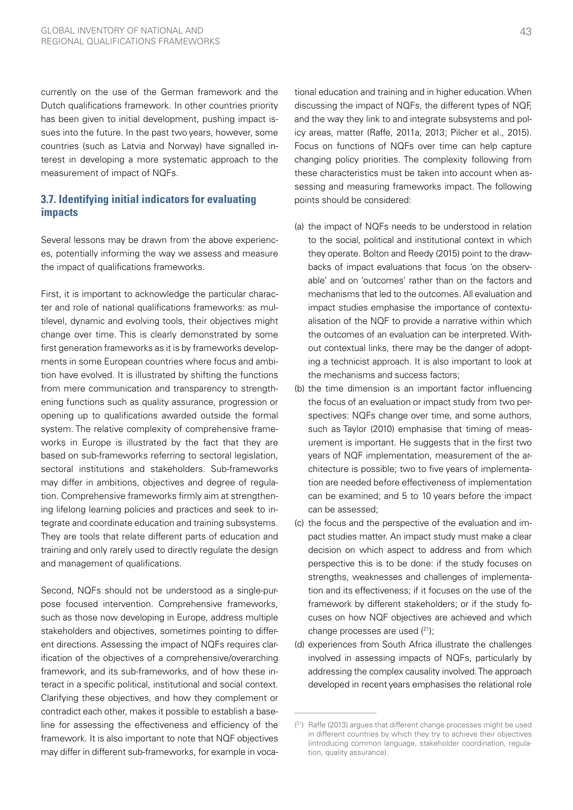currently on the use of the German framework and the Dutch qualifications framework. In other countries priority has been given to initial development, pushing impact issues into the future. In the past two years, however, some countries (such as Latvia and Norway) have signalled interest in developing a more systematic approach to the measurement of impact of NQFs.

## **3.7. Identifying initial indicators for evaluating impacts**

Several lessons may be drawn from the above experiences, potentially informing the way we assess and measure the impact of qualifications frameworks.

First, it is important to acknowledge the particular character and role of national qualifications frameworks: as multilevel, dynamic and evolving tools, their objectives might change over time. This is clearly demonstrated by some first generation frameworks as it is by frameworks developments in some European countries where focus and ambition have evolved. It is illustrated by shifting the functions from mere communication and transparency to strengthening functions such as quality assurance, progression or opening up to qualifications awarded outside the formal system. The relative complexity of comprehensive frameworks in Europe is illustrated by the fact that they are based on sub-frameworks referring to sectoral legislation, sectoral institutions and stakeholders. Sub-frameworks may differ in ambitions, objectives and degree of regulation. Comprehensive frameworks firmly aim at strengthening lifelong learning policies and practices and seek to integrate and coordinate education and training subsystems. They are tools that relate different parts of education and training and only rarely used to directly regulate the design and management of qualifications.

Second, NQFs should not be understood as a single-purpose focused intervention. Comprehensive frameworks, such as those now developing in Europe, address multiple stakeholders and objectives, sometimes pointing to different directions. Assessing the impact of NQFs requires clarification of the objectives of a comprehensive/overarching framework, and its sub-frameworks, and of how these interact in a specific political, institutional and social context. Clarifying these objectives, and how they complement or contradict each other, makes it possible to establish a baseline for assessing the effectiveness and efficiency of the framework. It is also important to note that NQF objectives may differ in different sub-frameworks, for example in voca-

tional education and training and in higher education. When discussing the impact of NQFs, the different types of NQF, and the way they link to and integrate subsystems and policy areas, matter (Raffe, 2011a, 2013; Pilcher et al., 2015). Focus on functions of NQFs over time can help capture changing policy priorities. The complexity following from these characteristics must be taken into account when assessing and measuring frameworks impact. The following points should be considered:

- (a) the impact of NQFs needs to be understood in relation to the social, political and institutional context in which they operate. Bolton and Reedy (2015) point to the drawbacks of impact evaluations that focus 'on the observable' and on 'outcomes' rather than on the factors and mechanisms that led to the outcomes. All evaluation and impact studies emphasise the importance of contextualisation of the NQF to provide a narrative within which the outcomes of an evaluation can be interpreted. Without contextual links, there may be the danger of adopting a technicist approach. It is also important to look at the mechanisms and success factors;
- (b) the time dimension is an important factor influencing the focus of an evaluation or impact study from two perspectives: NQFs change over time, and some authors, such as Taylor (2010) emphasise that timing of measurement is important. He suggests that in the first two years of NQF implementation, measurement of the architecture is possible; two to five years of implementation are needed before effectiveness of implementation can be examined; and 5 to 10 years before the impact can be assessed;
- (c) the focus and the perspective of the evaluation and impact studies matter. An impact study must make a clear decision on which aspect to address and from which perspective this is to be done: if the study focuses on strengths, weaknesses and challenges of implementation and its effectiveness; if it focuses on the use of the framework by different stakeholders; or if the study focuses on how NQF objectives are achieved and which change processes are used  $(21)$ ;
- (d) experiences from South Africa illustrate the challenges involved in assessing impacts of NQFs, particularly by addressing the complex causality involved. The approach developed in recent years emphasises the relational role

<sup>(</sup> 21) Raffe (2013) argues that different change processes might be used in different countries by which they try to achieve their objectives (introducing common language, stakeholder coordination, regulation, quality assurance).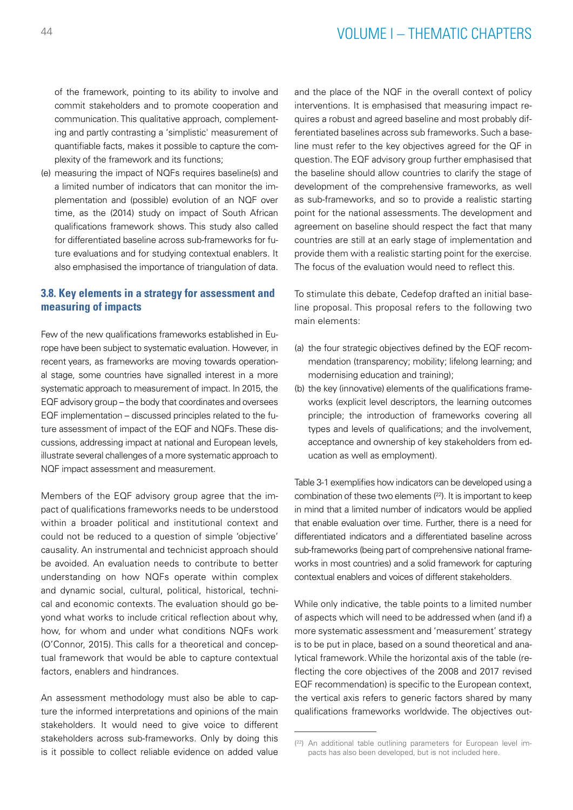of the framework, pointing to its ability to involve and commit stakeholders and to promote cooperation and communication. This qualitative approach, complementing and partly contrasting a 'simplistic' measurement of quantifiable facts, makes it possible to capture the complexity of the framework and its functions;

(e) measuring the impact of NQFs requires baseline(s) and a limited number of indicators that can monitor the implementation and (possible) evolution of an NQF over time, as the (2014) study on impact of South African qualifications framework shows. This study also called for differentiated baseline across sub-frameworks for future evaluations and for studying contextual enablers. It also emphasised the importance of triangulation of data.

## **3.8. Key elements in a strategy for assessment and measuring of impacts**

Few of the new qualifications frameworks established in Europe have been subject to systematic evaluation. However, in recent years, as frameworks are moving towards operational stage, some countries have signalled interest in a more systematic approach to measurement of impact. In 2015, the EQF advisory group – the body that coordinates and oversees EQF implementation – discussed principles related to the future assessment of impact of the EQF and NQFs. These discussions, addressing impact at national and European levels, illustrate several challenges of a more systematic approach to NQF impact assessment and measurement.

Members of the EQF advisory group agree that the impact of qualifications frameworks needs to be understood within a broader political and institutional context and could not be reduced to a question of simple 'objective' causality. An instrumental and technicist approach should be avoided. An evaluation needs to contribute to better understanding on how NQFs operate within complex and dynamic social, cultural, political, historical, technical and economic contexts. The evaluation should go beyond what works to include critical reflection about why, how, for whom and under what conditions NQFs work (O'Connor, 2015). This calls for a theoretical and conceptual framework that would be able to capture contextual factors, enablers and hindrances.

An assessment methodology must also be able to capture the informed interpretations and opinions of the main stakeholders. It would need to give voice to different stakeholders across sub-frameworks. Only by doing this is it possible to collect reliable evidence on added value and the place of the NQF in the overall context of policy interventions. It is emphasised that measuring impact requires a robust and agreed baseline and most probably differentiated baselines across sub frameworks. Such a baseline must refer to the key objectives agreed for the QF in question. The EQF advisory group further emphasised that the baseline should allow countries to clarify the stage of development of the comprehensive frameworks, as well as sub-frameworks, and so to provide a realistic starting point for the national assessments. The development and agreement on baseline should respect the fact that many countries are still at an early stage of implementation and provide them with a realistic starting point for the exercise. The focus of the evaluation would need to reflect this.

To stimulate this debate, Cedefop drafted an initial baseline proposal. This proposal refers to the following two main elements:

- (a) the four strategic objectives defined by the EQF recommendation (transparency; mobility; lifelong learning; and modernising education and training);
- (b) the key (innovative) elements of the qualifications frameworks (explicit level descriptors, the learning outcomes principle; the introduction of frameworks covering all types and levels of qualifications; and the involvement, acceptance and ownership of key stakeholders from education as well as employment).

Table 3-1 exemplifies how indicators can be developed using a combination of these two elements  $(^{22})$ . It is important to keep in mind that a limited number of indicators would be applied that enable evaluation over time. Further, there is a need for differentiated indicators and a differentiated baseline across sub-frameworks (being part of comprehensive national frameworks in most countries) and a solid framework for capturing contextual enablers and voices of different stakeholders.

While only indicative, the table points to a limited number of aspects which will need to be addressed when (and if) a more systematic assessment and 'measurement' strategy is to be put in place, based on a sound theoretical and analytical framework. While the horizontal axis of the table (reflecting the core objectives of the 2008 and 2017 revised EQF recommendation) is specific to the European context, the vertical axis refers to generic factors shared by many qualifications frameworks worldwide. The objectives out-

<sup>(</sup> 22) An additional table outlining parameters for European level impacts has also been developed, but is not included here.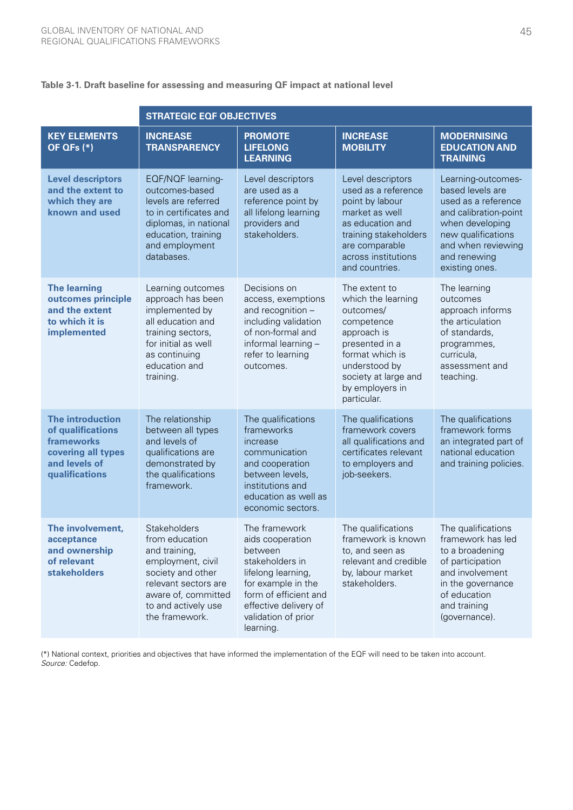## **Table 3-1. Draft baseline for assessing and measuring QF impact at national level**

|                                                                                                                     | <b>STRATEGIC EQF OBJECTIVES</b>                                                                                                                                                   |                                                                                                                                                                                                   |                                                                                                                                                                                               |                                                                                                                                                                                         |  |  |  |
|---------------------------------------------------------------------------------------------------------------------|-----------------------------------------------------------------------------------------------------------------------------------------------------------------------------------|---------------------------------------------------------------------------------------------------------------------------------------------------------------------------------------------------|-----------------------------------------------------------------------------------------------------------------------------------------------------------------------------------------------|-----------------------------------------------------------------------------------------------------------------------------------------------------------------------------------------|--|--|--|
| <b>KEY ELEMENTS</b><br>OF QFs $(*)$                                                                                 | <b>INCREASE</b><br><b>TRANSPARENCY</b>                                                                                                                                            | <b>PROMOTE</b><br><b>LIFELONG</b><br><b>LEARNING</b>                                                                                                                                              | <b>INCREASE</b><br><b>MOBILITY</b>                                                                                                                                                            | <b>MODERNISING</b><br><b>EDUCATION AND</b><br><b>TRAINING</b>                                                                                                                           |  |  |  |
| <b>Level descriptors</b><br>and the extent to<br>which they are<br>known and used                                   | EQF/NQF learning-<br>outcomes-based<br>levels are referred<br>to in certificates and<br>diplomas, in national<br>education, training<br>and employment<br>databases.              | Level descriptors<br>are used as a<br>reference point by<br>all lifelong learning<br>providers and<br>stakeholders.                                                                               | Level descriptors<br>used as a reference<br>point by labour<br>market as well<br>as education and<br>training stakeholders<br>are comparable<br>across institutions<br>and countries.         | Learning-outcomes-<br>based levels are<br>used as a reference<br>and calibration-point<br>when developing<br>new qualifications<br>and when reviewing<br>and renewing<br>existing ones. |  |  |  |
| <b>The learning</b><br>outcomes principle<br>and the extent<br>to which it is<br>implemented                        | Learning outcomes<br>approach has been<br>implemented by<br>all education and<br>training sectors,<br>for initial as well<br>as continuing<br>education and<br>training.          | Decisions on<br>access, exemptions<br>and recognition -<br>including validation<br>of non-formal and<br>informal learning -<br>refer to learning<br>outcomes.                                     | The extent to<br>which the learning<br>outcomes/<br>competence<br>approach is<br>presented in a<br>format which is<br>understood by<br>society at large and<br>by employers in<br>particular. | The learning<br>outcomes<br>approach informs<br>the articulation<br>of standards,<br>programmes,<br>curricula,<br>assessment and<br>teaching.                                           |  |  |  |
| <b>The introduction</b><br>of qualifications<br>frameworks<br>covering all types<br>and levels of<br>qualifications | The relationship<br>between all types<br>and levels of<br>qualifications are<br>demonstrated by<br>the qualifications<br>framework.                                               | The qualifications<br>frameworks<br>increase<br>communication<br>and cooperation<br>between levels,<br>institutions and<br>education as well as<br>economic sectors.                              | The qualifications<br>framework covers<br>all qualifications and<br>certificates relevant<br>to employers and<br>job-seekers.                                                                 | The qualifications<br>framework forms<br>an integrated part of<br>national education<br>and training policies.                                                                          |  |  |  |
| The involvement,<br>acceptance<br>and ownership<br>of relevant<br><b>stakeholders</b>                               | Stakeholders<br>from education<br>and training,<br>employment, civil<br>society and other<br>relevant sectors are<br>aware of, committed<br>to and actively use<br>the framework. | The framework<br>aids cooperation<br>between<br>stakeholders in<br>lifelong learning,<br>for example in the<br>form of efficient and<br>effective delivery of<br>validation of prior<br>learning. | The qualifications<br>framework is known<br>to, and seen as<br>relevant and credible<br>by, labour market<br>stakeholders.                                                                    | The qualifications<br>framework has led<br>to a broadening<br>of participation<br>and involvement<br>in the governance<br>of education<br>and training<br>(governance).                 |  |  |  |

(\*) National context, priorities and objectives that have informed the implementation of the EQF will need to be taken into account. *Source:* Cedefop.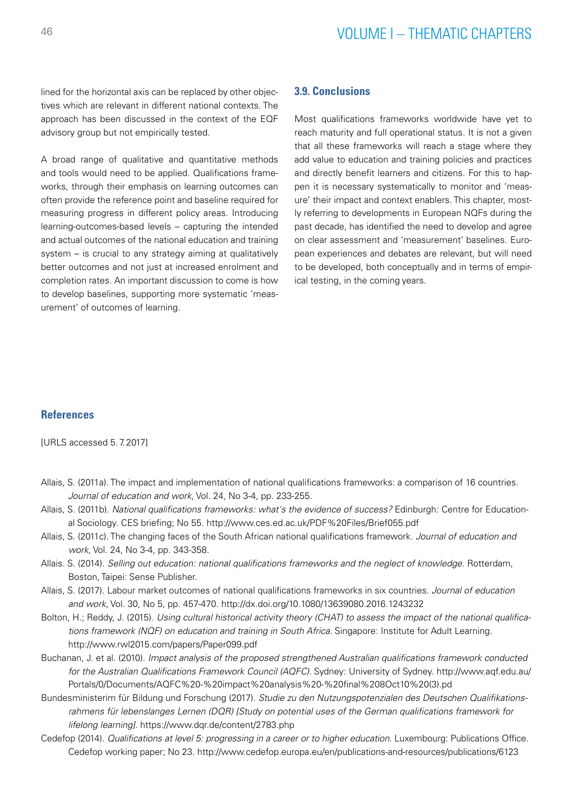lined for the horizontal axis can be replaced by other objectives which are relevant in different national contexts. The approach has been discussed in the context of the EQF advisory group but not empirically tested.

A broad range of qualitative and quantitative methods and tools would need to be applied. Qualifications frameworks, through their emphasis on learning outcomes can often provide the reference point and baseline required for measuring progress in different policy areas. Introducing learning-outcomes-based levels – capturing the intended and actual outcomes of the national education and training system – is crucial to any strategy aiming at qualitatively better outcomes and not just at increased enrolment and completion rates. An important discussion to come is how to develop baselines, supporting more systematic 'measurement' of outcomes of learning.

### **3.9. Conclusions**

Most qualifications frameworks worldwide have yet to reach maturity and full operational status. It is not a given that all these frameworks will reach a stage where they add value to education and training policies and practices and directly benefit learners and citizens. For this to happen it is necessary systematically to monitor and 'measure' their impact and context enablers. This chapter, mostly referring to developments in European NQFs during the past decade, has identified the need to develop and agree on clear assessment and 'measurement' baselines. European experiences and debates are relevant, but will need to be developed, both conceptually and in terms of empirical testing, in the coming years.

## **References**

[URLS accessed 5.7.2017]

- Allais, S. (2011a). The impact and implementation of national qualifications frameworks: a comparison of 16 countries. *Journal of education and work*, Vol. 24, No 3-4, pp. 233-255.
- Allais, S. (2011b). *National qualifications frameworks: what's the evidence of success?* Edinburgh: Centre for Educational Sociology. CES briefing; No 55. <http://www.ces.ed.ac.uk/PDF%20Files/Brief055.pdf>
- Allais, S. (2011c). The changing faces of the South African national qualifications framework. *Journal of education and work*, Vol. 24, No 3-4, pp. 343-358.
- Allais. S. (2014). *Selling out education: national qualifications frameworks and the neglect of knowledge.* Rotterdam, Boston, Taipei: Sense Publisher.
- Allais, S. (2017). Labour market outcomes of national qualifications frameworks in six countries. *Journal of education and work*, Vol. 30, No 5, pp. 457-470.<http://dx.doi.org/10.1080/13639080.2016.1243232>
- Bolton, H.; Reddy, J. (2015). *Using cultural historical activity theory (CHAT) to assess the impact of the national qualifications framework (NQF) on education and training in South Africa.* Singapore: Institute for Adult Learning. <http://www.rwl2015.com/papers/Paper099.pdf>
- Buchanan, J. et al. (2010). *Impact analysis of the proposed strengthened Australian qualifications framework conducted for the Australian Qualifications Framework Council (AQFC).* Sydney: University of Sydney. [http://www.aqf.edu.au/](http://www.aqf.edu.au/Portals/0/Documents/AQFC%20-%20impact%20analysis%20-%20final%208Oct10%20(3).pd) [Portals/0/Documents/AQFC%20-%20impact%20analysis%20-%20final%208Oct10%20\(3\).pd](http://www.aqf.edu.au/Portals/0/Documents/AQFC%20-%20impact%20analysis%20-%20final%208Oct10%20(3).pd)
- Bundesministerim für Bildung und Forschung (2017). *Studie zu den Nutzungspotenzialen des Deutschen Qualifikationsrahmens für lebenslanges Lernen (DQR) [Study on potential uses of the German qualifications framework for lifelong learning].* <https://www.dqr.de/content/2783.php>
- Cedefop (2014). *Qualifications at level 5: progressing in a career or to higher education.* Luxembourg: Publications Office. Cedefop working paper; No 23.<http://www.cedefop.europa.eu/en/publications-and-resources/publications/6123>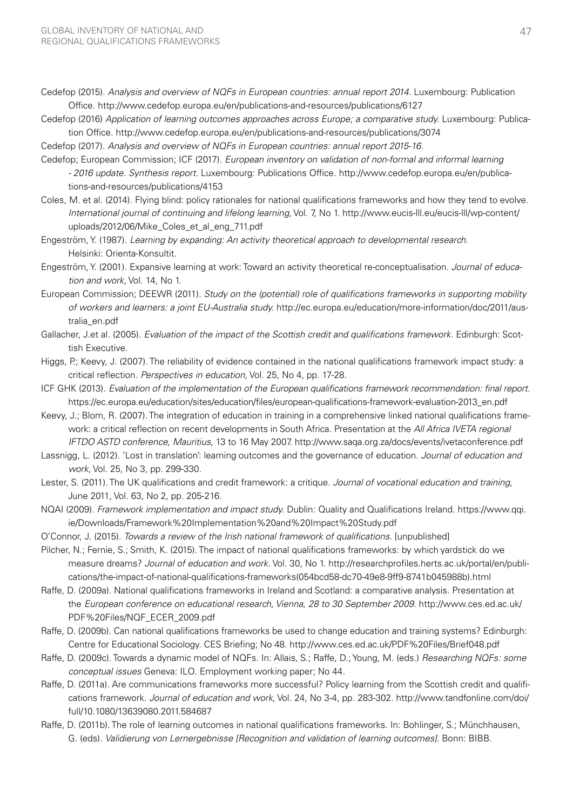- Cedefop (2015). *Analysis and overview of NQFs in European countries: annual report 2014.* Luxembourg: Publication Office. <http://www.cedefop.europa.eu/en/publications-and-resources/publications/6127>
- Cedefop (2016) *Application of learning outcomes approaches across Europe; a comparative study.* Luxembourg: Publication Office.<http://www.cedefop.europa.eu/en/publications-and-resources/publications/3074>
- Cedefop (2017). *Analysis and overview of NQFs in European countries: annual report 2015-16.*
- Cedefop; European Commission; ICF (2017). *European inventory on validation of non-formal and informal learning - 2016 update. Synthesis report.* Luxembourg: Publications Office. [http://www.cedefop.europa.eu/en/publica](http://www.cedefop.europa.eu/en/publications-and-resources/publications/4153)[tions-and-resources/publications/4153](http://www.cedefop.europa.eu/en/publications-and-resources/publications/4153)
- Coles, M. et al. (2014). Flying blind: policy rationales for national qualifications frameworks and how they tend to evolve. *International journal of continuing and lifelong learning*, Vol. 7, No 1. [http://www.eucis-lll.eu/eucis-lll/wp-content/](http://www.eucis-lll.eu/eucis-lll/wp-content/uploads/2012/06/Mike_Coles_et_al_eng_711.pdf) uploads/2012/06/Mike Coles et al eng 711.pdf
- Engeström, Y. (1987). *Learning by expanding: An activity theoretical approach to developmental research.* Helsinki: Orienta-Konsultit.
- Engeström, Y. (2001). Expansive learning at work: Toward an activity theoretical re-conceptualisation. *Journal of education and work*, Vol. 14, No 1.
- European Commission; DEEWR (2011). *Study on the (potential) role of qualifications frameworks in supporting mobility of workers and learners: a joint EU-Australia study.* [http://ec.europa.eu/education/more-information/doc/2011/aus](http://ec.europa.eu/education/more-information/doc/2011/australia_en.pdf)[tralia\\_en.pdf](http://ec.europa.eu/education/more-information/doc/2011/australia_en.pdf)
- Gallacher, [J.et](http://J.et) al. (2005). *Evaluation of the impact of the Scottish credit and qualifications framework.* Edinburgh: Scottish Executive.
- Higgs, P.; Keevy, J. (2007). The reliability of evidence contained in the national qualifications framework impact study: a critical reflection. *Perspectives in education*, Vol. 25, No 4, pp. 17-28.
- ICF GHK (2013). *Evaluation of the implementation of the European qualifications framework recommendation: final report.* [https://ec.europa.eu/education/sites/education/files/european-qualifications-framework-evaluation-2013\\_en.pdf](https://ec.europa.eu/education/sites/education/files/european-qualifications-framework-evaluation-2013_en.pdf)
- Keevy, J.; Blom, R. (2007). The integration of education in training in a comprehensive linked national qualifications framework: a critical reflection on recent developments in South Africa. Presentation at the *All Africa IVETA regional IFTDO ASTD conference, Mauritius*, 13 to 16 May 2007.<http://www.saqa.org.za/docs/events/ivetaconference.pdf>
- Lassnigg, L. (2012). 'Lost in translation': learning outcomes and the governance of education. *Journal of education and work*, Vol. 25, No 3, pp. 299-330.
- Lester, S. (2011). The UK qualifications and credit framework: a critique. *Journal of vocational education and training*, June 2011, Vol. 63, No 2, pp. 205-216.
- NQAI (2009). *Framework implementation and impact study.* Dublin: Quality and Qualifications Ireland. [https://www.qqi.](https://www.qqi.ie/Downloads/Framework%20Implementation%20and%20Impact%20Study.pdf) [ie/Downloads/Framework%20Implementation%20and%20Impact%20Study.pdf](https://www.qqi.ie/Downloads/Framework%20Implementation%20and%20Impact%20Study.pdf)
- O'Connor, J. (2015). *Towards a review of the Irish national framework of qualifications.* [unpublished]
- Pilcher, N.; Fernie, S.; Smith, K. (2015). The impact of national qualifications frameworks: by which yardstick do we measure dreams? *Journal of education and work.* Vol. 30, No 1. [http://researchprofiles.herts.ac.uk/portal/en/publi](http://researchprofiles.herts.ac.uk/portal/en/publications/the-impact-of-national-qualifications-frameworks(054bcd58-dc70-49e8-9ff9-8741b045988b).html)[cations/the-impact-of-national-qualifications-frameworks\(054bcd58-dc70-49e8-9ff9-8741b045988b\).html](http://researchprofiles.herts.ac.uk/portal/en/publications/the-impact-of-national-qualifications-frameworks(054bcd58-dc70-49e8-9ff9-8741b045988b).html)
- Raffe, D. (2009a). National qualifications frameworks in Ireland and Scotland: a comparative analysis. Presentation at the *European conference on educational research, Vienna, 28 to 30 September 2009*. [http://www.ces.ed.ac.uk/](http://www.ces.ed.ac.uk/PDF%20Files/NQF_ECER_2009.pdf) [PDF%20Files/NQF\\_ECER\\_2009.pdf](http://www.ces.ed.ac.uk/PDF%20Files/NQF_ECER_2009.pdf)
- Raffe, D. (2009b). Can national qualifications frameworks be used to change education and training systems? Edinburgh: Centre for Educational Sociology. CES Briefing; No 48.<http://www.ces.ed.ac.uk/PDF%20Files/Brief048.pdf>
- Raffe, D. (2009c). Towards a dynamic model of NQFs. In: Allais, S.; Raffe, D.; Young, M. (eds.) *Researching NQFs: some conceptual issues* Geneva: ILO. Employment working paper; No 44.
- Raffe, D. (2011a). Are communications frameworks more successful? Policy learning from the Scottish credit and qualifications framework. *Journal of education and work*, Vol. 24, No 3-4, pp. 283-302. [http://www.tandfonline.com/doi/](http://www.tandfonline.com/doi/full/10.1080/13639080.2011.584687) [full/10.1080/13639080.2011.584687](http://www.tandfonline.com/doi/full/10.1080/13639080.2011.584687)
- Raffe, D. (2011b). The role of learning outcomes in national qualifications frameworks. In: Bohlinger, S.; Münchhausen, G. (eds). *Validierung von Lernergebnisse [Recognition and validation of learning outcomes].* Bonn: BIBB.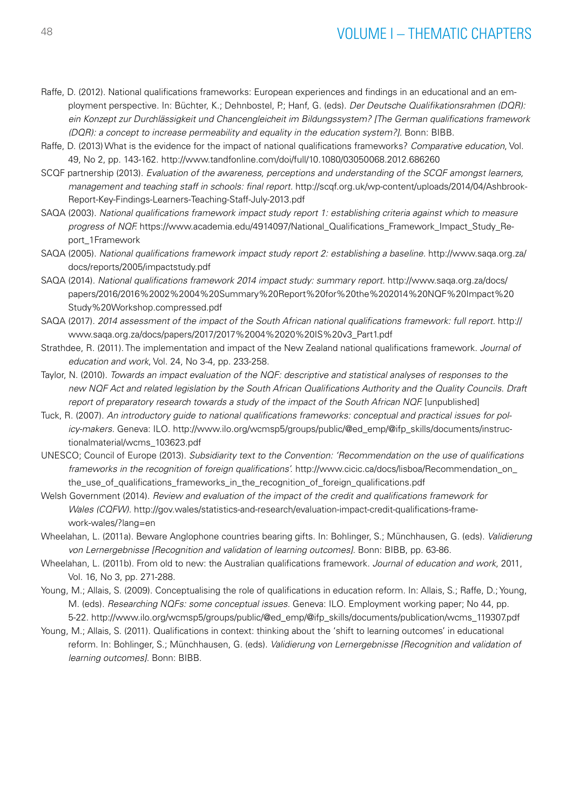- Raffe, D. (2012). National qualifications frameworks: European experiences and findings in an educational and an employment perspective. In: Büchter, K.; Dehnbostel, P.; Hanf, G. (eds). *Der Deutsche Qualifikationsrahmen (DQR): ein Konzept zur Durchlässigkeit und Chancengleicheit im Bildungssystem? [The German qualifications framework (DQR): a concept to increase permeability and equality in the education system?].* Bonn: BIBB.
- Raffe, D. (2013) What is the evidence for the impact of national qualifications frameworks? *Comparative education*, Vol. 49, No 2, pp. 143-162. <http://www.tandfonline.com/doi/full/10.1080/03050068.2012.686260>
- SCQF partnership (2013). *Evaluation of the awareness, perceptions and understanding of the SCQF amongst learners, management and teaching staff in schools: final report.* [http://scqf.org.uk/wp-content/uploads/2014/04/Ashbrook-](http://scqf.org.uk/wp-content/uploads/2014/04/Ashbrook-Report-Key-Findings-Learners-Teaching-Staff-July-2013.pdf)[Report-Key-Findings-Learners-Teaching-Staff-July-2013.pdf](http://scqf.org.uk/wp-content/uploads/2014/04/Ashbrook-Report-Key-Findings-Learners-Teaching-Staff-July-2013.pdf)
- SAQA (2003). *National qualifications framework impact study report 1: establishing criteria against which to measure progress of NQF.* [https://www.academia.edu/4914097/National\\_Qualifications\\_Framework\\_Impact\\_Study\\_Re](https://www.academia.edu/4914097/National_Qualifications_Framework_Impact_Study_Report_1Framework)[port\\_1Framework](https://www.academia.edu/4914097/National_Qualifications_Framework_Impact_Study_Report_1Framework)
- SAQA (2005). *National qualifications framework impact study report 2: establishing a baseline.* [http://www.saqa.org.za/](http://www.saqa.org.za/docs/reports/2005/impactstudy.pdf) [docs/reports/2005/impactstudy.pdf](http://www.saqa.org.za/docs/reports/2005/impactstudy.pdf)
- SAQA (2014). *National qualifications framework 2014 impact study: summary report.* [http://www.saqa.org.za/docs/](http://www.saqa.org.za/docs/papers/2016/2016%2002%2004%20Summary%20Report%20for%20the%202014%20NQF%20Impact%20Study%20Workshop.compressed.pdf) [papers/2016/2016%2002%2004%20Summary%20Report%20for%20the%202014%20NQF%20Impact%20](http://www.saqa.org.za/docs/papers/2016/2016%2002%2004%20Summary%20Report%20for%20the%202014%20NQF%20Impact%20Study%20Workshop.compressed.pdf) [Study%20Workshop.compressed.pdf](http://www.saqa.org.za/docs/papers/2016/2016%2002%2004%20Summary%20Report%20for%20the%202014%20NQF%20Impact%20Study%20Workshop.compressed.pdf)
- SAQA (2017). *2014 assessment of the impact of the South African national qualifications framework: full report.* [http://](http://www.saqa.org.za/docs/papers/2017/2017%2004%2020%20IS%20v3_Part1.pdf) [www.saqa.org.za/docs/papers/2017/2017%2004%2020%20IS%20v3\\_Part1.pdf](http://www.saqa.org.za/docs/papers/2017/2017%2004%2020%20IS%20v3_Part1.pdf)
- Strathdee, R. (2011). The implementation and impact of the New Zealand national qualifications framework. *Journal of education and work*, Vol. 24, No 3-4, pp. 233-258.
- Taylor, N. (2010). *Towards an impact evaluation of the NQF: descriptive and statistical analyses of responses to the new NQF Act and related legislation by the South African Qualifications Authority and the Quality Councils. Draft report of preparatory research towards a study of the impact of the South African NQF.* [unpublished]
- Tuck, R. (2007). *An introductory guide to national qualifications frameworks: conceptual and practical issues for policy-makers.* Geneva: ILO. [http://www.ilo.org/wcmsp5/groups/public/@](http://www.ilo.org/wcmsp5/groups/public/)ed\_emp/@ifp\_skills/documents/instructionalmaterial/wcms\_103623.pdf
- UNESCO; Council of Europe (2013). *Subsidiarity text to the Convention: 'Recommendation on the use of qualifications frameworks in the recognition of foreign qualifications'.* [http://www.cicic.ca/docs/lisboa/Recommendation\\_on\\_](http://www.cicic.ca/docs/lisboa/Recommendation_on_the_use_of_qualifications_frameworks_in_the_recognition_of_foreign_qualifications.pdf) [the\\_use\\_of\\_qualifications\\_frameworks\\_in\\_the\\_recognition\\_of\\_foreign\\_qualifications.pdf](http://www.cicic.ca/docs/lisboa/Recommendation_on_the_use_of_qualifications_frameworks_in_the_recognition_of_foreign_qualifications.pdf)
- Welsh Government (2014). *Review and evaluation of the impact of the credit and qualifications framework for Wales (CQFW).* [http://gov.wales/statistics-and-research/evaluation-impact-credit-qualifications-frame](http://gov.wales/statistics-and-research/evaluation-impact-credit-qualifications-framework-wales/?lang=en)[work-wales/?lang=en](http://gov.wales/statistics-and-research/evaluation-impact-credit-qualifications-framework-wales/?lang=en)
- Wheelahan, L. (2011a). Beware Anglophone countries bearing gifts. In: Bohlinger, S.; Münchhausen, G. (eds). *Validierung von Lernergebnisse [Recognition and validation of learning outcomes].* Bonn: BIBB, pp. 63-86.
- Wheelahan, L. (2011b). From old to new: the Australian qualifications framework. *Journal of education and work*, 2011, Vol. 16, No 3, pp. 271-288.
- Young, M.; Allais, S. (2009). Conceptualising the role of qualifications in education reform. In: Allais, S.; Raffe, D.; Young, M. (eds). *Researching NQFs: some conceptual issues.* Geneva: ILO. Employment working paper; No 44, pp. 5-22. [http://www.ilo.org/wcmsp5/groups/public/@ed\\_emp/@ifp\\_skills/documents/publication/wcms\\_119307.pdf](http://www.ilo.org/wcmsp5/groups/public/@ed_emp/@ifp_skills/documents/publication/wcms_119307.pdf)
- Young, M.; Allais, S. (2011). Qualifications in context: thinking about the 'shift to learning outcomes' in educational reform. In: Bohlinger, S.; Münchhausen, G. (eds). *Validierung von Lernergebnisse [Recognition and validation of learning outcomes].* Bonn: BIBB.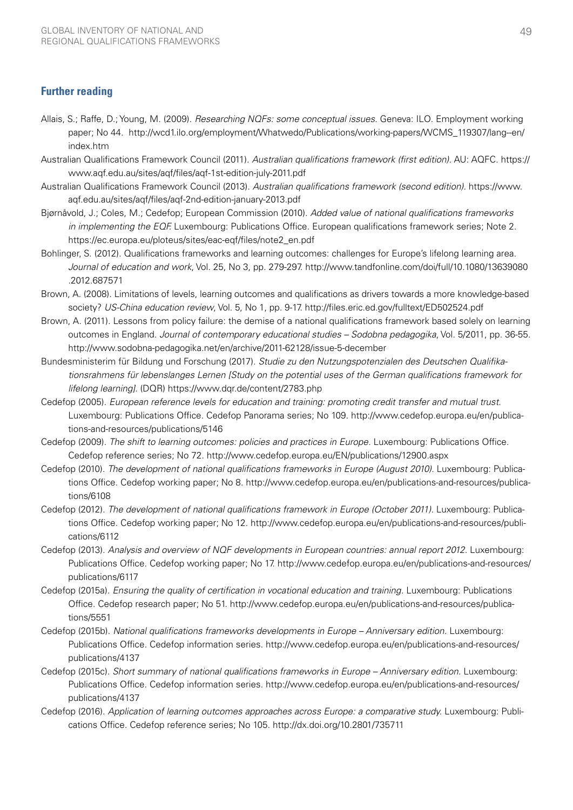## **Further reading**

- Allais, S.; Raffe, D.; Young, M. (2009). *Researching NQFs: some conceptual issues.* Geneva: ILO. Employment working paper; No 44. [http://wcd1.ilo.org/employment/Whatwedo/Publications/working-papers/WCMS\\_119307/lang--en/](http://wcd1.ilo.org/employment/Whatwedo/Publications/working-papers/WCMS_119307/lang--en/index.htm) [index.htm](http://wcd1.ilo.org/employment/Whatwedo/Publications/working-papers/WCMS_119307/lang--en/index.htm)
- Australian Qualifications Framework Council (2011). *Australian qualifications framework (first edition).* AU: AQFC. [https://](https://www.aqf.edu.au/sites/aqf/files/aqf-1st-edition-july-2011.pdf) [www.aqf.edu.au/sites/aqf/files/aqf-1st-edition-july-2011.pdf](https://www.aqf.edu.au/sites/aqf/files/aqf-1st-edition-july-2011.pdf)
- Australian Qualifications Framework Council (2013). *Australian qualifications framework (second edition).* [https://www.](https://www.aqf.edu.au/sites/aqf/files/aqf-2nd-edition-january-2013.pdf) [aqf.edu.au/sites/aqf/files/aqf-2nd-edition-january-2013.pdf](https://www.aqf.edu.au/sites/aqf/files/aqf-2nd-edition-january-2013.pdf)
- Bjørnåvold, J.; Coles, M.; Cedefop; European Commission (2010). *Added value of national qualifications frameworks in implementing the EQF.* Luxembourg: Publications Office. European qualifications framework series; Note 2. [https://ec.europa.eu/ploteus/sites/eac-eqf/files/note2\\_en.pdf](https://ec.europa.eu/ploteus/sites/eac-eqf/files/note2_en.pdf)
- Bohlinger, S. (2012). Qualifications frameworks and learning outcomes: challenges for Europe's lifelong learning area. *Journal of education and work*, Vol. 25, No 3, pp. 279-297. [http://www.tandfonline.com/doi/full/10.1080/13639080](http://www.tandfonline.com/doi/full/10.1080/13639080.2012.687571) [.2012.687571](http://www.tandfonline.com/doi/full/10.1080/13639080.2012.687571)
- Brown, A. (2008). Limitations of levels, learning outcomes and qualifications as drivers towards a more knowledge-based society? *US-China education review*, Vol. 5, No 1, pp. 9-17. <http://files.eric.ed.gov/fulltext/ED502524.pdf>
- Brown, A. (2011). Lessons from policy failure: the demise of a national qualifications framework based solely on learning outcomes in England. *Journal of contemporary educational studies – Sodobna pedagogika*, Vol. 5/2011, pp. 36-55. <http://www.sodobna-pedagogika.net/en/archive/2011-62128/issue-5-december>
- Bundesministerim für Bildung und Forschung (2017). *Studie zu den Nutzungspotenzialen des Deutschen Qualifikationsrahmens für lebenslanges Lernen [Study on the potential uses of the German qualifications framework for lifelong learning].* (DQR) <https://www.dqr.de/content/2783.php>
- Cedefop (2005). *European reference levels for education and training: promoting credit transfer and mutual trust.*  Luxembourg: Publications Office. Cedefop Panorama series; No 109. [http://www.cedefop.europa.eu/en/publica](http://www.cedefop.europa.eu/en/publications-and-resources/publications/5146)[tions-and-resources/publications/5146](http://www.cedefop.europa.eu/en/publications-and-resources/publications/5146)
- Cedefop (2009). *The shift to learning outcomes: policies and practices in Europe.* Luxembourg: Publications Office. Cedefop reference series; No 72. <http://www.cedefop.europa.eu/EN/publications/12900.aspx>
- Cedefop (2010). *The development of national qualifications frameworks in Europe (August 2010).* Luxembourg: Publications Office. Cedefop working paper; No 8. [http://www.cedefop.europa.eu/en/publications-and-resources/publica](http://www.cedefop.europa.eu/en/publications-and-resources/publications/6108)[tions/6108](http://www.cedefop.europa.eu/en/publications-and-resources/publications/6108)
- Cedefop (2012). *The development of national qualifications framework in Europe (October 2011).* Luxembourg: Publications Office. Cedefop working paper; No 12. [http://www.cedefop.europa.eu/en/publications-and-resources/publi](http://www.cedefop.europa.eu/en/publications-and-resources/publications/6112)[cations/6112](http://www.cedefop.europa.eu/en/publications-and-resources/publications/6112)
- Cedefop (2013). *Analysis and overview of NQF developments in European countries: annual report 2012.* Luxembourg: Publications Office. Cedefop working paper; No 17. [http://www.cedefop.europa.eu/en/publications-and-resources/](http://www.cedefop.europa.eu/en/publications-and-resources/publications/6117) [publications/6117](http://www.cedefop.europa.eu/en/publications-and-resources/publications/6117)
- Cedefop (2015a). *Ensuring the quality of certification in vocational education and training.* Luxembourg: Publications Office. Cedefop research paper; No 51. [http://www.cedefop.europa.eu/en/publications-and-resources/publica](http://www.cedefop.europa.eu/en/publications-and-resources/publications/5551)[tions/5551](http://www.cedefop.europa.eu/en/publications-and-resources/publications/5551)
- Cedefop (2015b). *National qualifications frameworks developments in Europe Anniversary edition.* Luxembourg: Publications Office. Cedefop information series. [http://www.cedefop.europa.eu/en/publications-and-resources/](http://www.cedefop.europa.eu/en/publications-and-resources/publications/4137) [publications/4137](http://www.cedefop.europa.eu/en/publications-and-resources/publications/4137)
- Cedefop (2015c). *Short summary of national qualifications frameworks in Europe Anniversary edition.* Luxembourg: Publications Office. Cedefop information series. [http://www.cedefop.europa.eu/en/publications-and-resources/](http://www.cedefop.europa.eu/en/publications-and-resources/publications/4137) [publications/4137](http://www.cedefop.europa.eu/en/publications-and-resources/publications/4137)
- Cedefop (2016). *Application of learning outcomes approaches across Europe: a comparative study.* Luxembourg: Publications Office. Cedefop reference series; No 105.<http://dx.doi.org/10.2801/735711>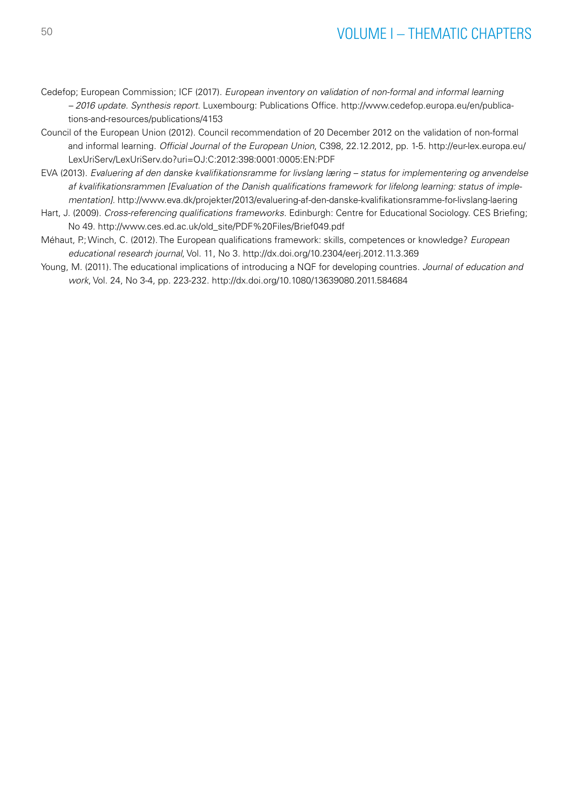- Cedefop; European Commission; ICF (2017). *European inventory on validation of non-formal and informal learning – 2016 update. Synthesis report.* Luxembourg: Publications Office. [http://www.cedefop.europa.eu/en/publica](http://www.cedefop.europa.eu/en/publications-and-resources/publications/4153)[tions-and-resources/publications/4153](http://www.cedefop.europa.eu/en/publications-and-resources/publications/4153)
- Council of the European Union (2012). Council recommendation of 20 December 2012 on the validation of non-formal and informal learning. *Official Journal of the European Union*, C398, 22.12.2012, pp. 1-5. [http://eur-lex.europa.eu/](http://eur-lex.europa.eu/LexUriServ/LexUriServ.do?uri=OJ:C:2012:398:0001:0005:EN:PDF) [LexUriServ/LexUriServ.do?uri=OJ:C:2012:398:0001:0005:EN:PDF](http://eur-lex.europa.eu/LexUriServ/LexUriServ.do?uri=OJ:C:2012:398:0001:0005:EN:PDF)
- EVA (2013). *Evaluering af den danske kvalifikationsramme for livslang læring status for implementering og anvendelse af kvalifikationsrammen [Evaluation of the Danish qualifications framework for lifelong learning: status of implementation].*<http://www.eva.dk/projekter/2013/evaluering-af-den-danske-kvalifikationsramme-for-livslang-laering>
- Hart, J. (2009). *Cross-referencing qualifications frameworks.* Edinburgh: Centre for Educational Sociology. CES Briefing; No 49. [http://www.ces.ed.ac.uk/old\\_site/PDF%20Files/Brief049.pdf](http://www.ces.ed.ac.uk/old_site/PDF%20Files/Brief049.pdf)
- Méhaut, P.; Winch, C. (2012). The European qualifications framework: skills, competences or knowledge? *European educational research journal*, Vol. 11, No 3.<http://dx.doi.org/10.2304/eerj.2012.11.3.369>
- Young, M. (2011). The educational implications of introducing a NQF for developing countries. *Journal of education and work*, Vol. 24, No 3-4, pp. 223-232.<http://dx.doi.org/10.1080/13639080.2011.584684>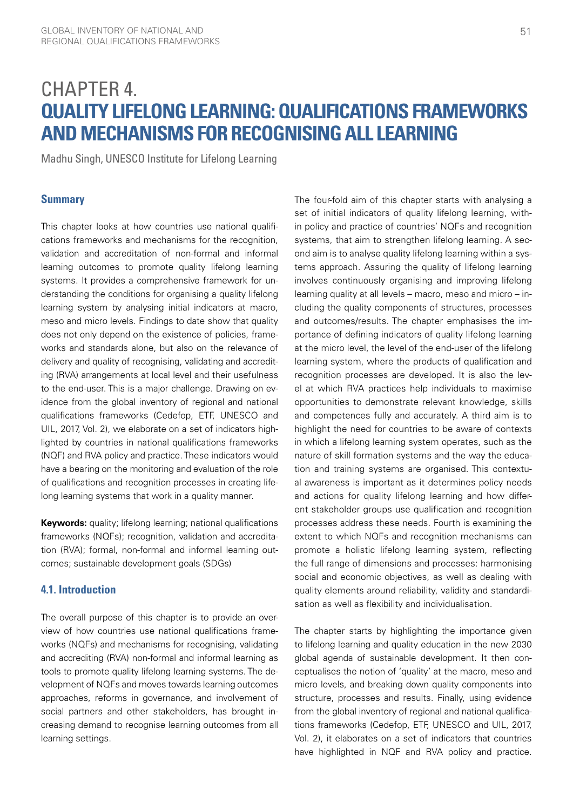# CHAPTER 4. **QUALITY LIFELONG LEARNING: QUALIFICATIONS FRAMEWORKS AND MECHANISMS FOR RECOGNISING ALL LEARNING**

Madhu Singh, UNESCO Institute for Lifelong Learning

### **Summary**

This chapter looks at how countries use national qualifications frameworks and mechanisms for the recognition, validation and accreditation of non-formal and informal learning outcomes to promote quality lifelong learning systems. It provides a comprehensive framework for understanding the conditions for organising a quality lifelong learning system by analysing initial indicators at macro, meso and micro levels. Findings to date show that quality does not only depend on the existence of policies, frameworks and standards alone, but also on the relevance of delivery and quality of recognising, validating and accrediting (RVA) arrangements at local level and their usefulness to the end-user. This is a major challenge. Drawing on evidence from the global inventory of regional and national qualifications frameworks (Cedefop, ETF, UNESCO and UIL, 2017, Vol. 2), we elaborate on a set of indicators highlighted by countries in national qualifications frameworks (NQF) and RVA policy and practice. These indicators would have a bearing on the monitoring and evaluation of the role of qualifications and recognition processes in creating lifelong learning systems that work in a quality manner.

**Keywords:** quality; lifelong learning; national qualifications frameworks (NQFs); recognition, validation and accreditation (RVA); formal, non-formal and informal learning outcomes; sustainable development goals (SDGs)

## **4.1. Introduction**

The overall purpose of this chapter is to provide an overview of how countries use national qualifications frameworks (NQFs) and mechanisms for recognising, validating and accrediting (RVA) non-formal and informal learning as tools to promote quality lifelong learning systems. The development of NQFs and moves towards learning outcomes approaches, reforms in governance, and involvement of social partners and other stakeholders, has brought increasing demand to recognise learning outcomes from all learning settings.

The four-fold aim of this chapter starts with analysing a set of initial indicators of quality lifelong learning, within policy and practice of countries' NQFs and recognition systems, that aim to strengthen lifelong learning. A second aim is to analyse quality lifelong learning within a systems approach. Assuring the quality of lifelong learning involves continuously organising and improving lifelong learning quality at all levels – macro, meso and micro – including the quality components of structures, processes and outcomes/results. The chapter emphasises the importance of defining indicators of quality lifelong learning at the micro level, the level of the end-user of the lifelong learning system, where the products of qualification and recognition processes are developed. It is also the level at which RVA practices help individuals to maximise opportunities to demonstrate relevant knowledge, skills and competences fully and accurately. A third aim is to highlight the need for countries to be aware of contexts in which a lifelong learning system operates, such as the nature of skill formation systems and the way the education and training systems are organised. This contextual awareness is important as it determines policy needs and actions for quality lifelong learning and how different stakeholder groups use qualification and recognition processes address these needs. Fourth is examining the extent to which NQFs and recognition mechanisms can promote a holistic lifelong learning system, reflecting the full range of dimensions and processes: harmonising social and economic objectives, as well as dealing with quality elements around reliability, validity and standardisation as well as flexibility and individualisation.

The chapter starts by highlighting the importance given to lifelong learning and quality education in the new 2030 global agenda of sustainable development. It then conceptualises the notion of 'quality' at the macro, meso and micro levels, and breaking down quality components into structure, processes and results. Finally, using evidence from the global inventory of regional and national qualifications frameworks (Cedefop, ETF, UNESCO and UIL, 2017, Vol. 2), it elaborates on a set of indicators that countries have highlighted in NQF and RVA policy and practice.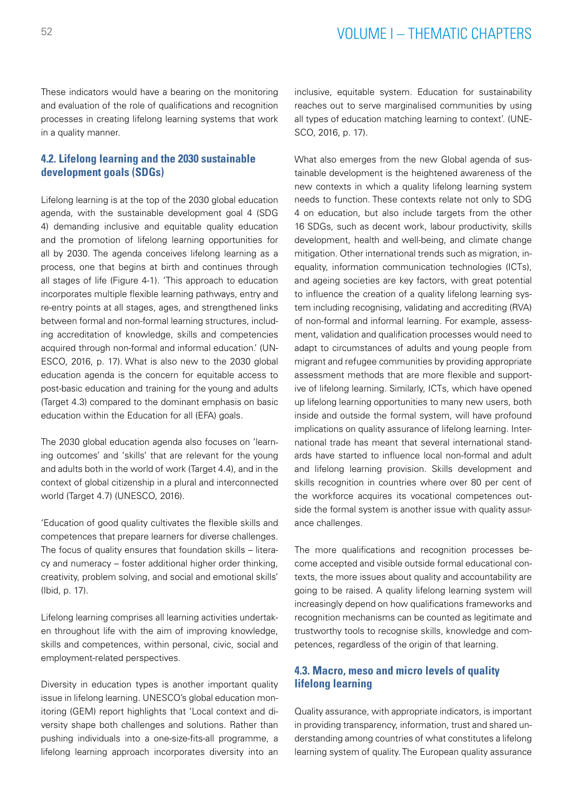These indicators would have a bearing on the monitoring and evaluation of the role of qualifications and recognition processes in creating lifelong learning systems that work in a quality manner.

## **4.2. Lifelong learning and the 2030 sustainable development goals (SDGs)**

Lifelong learning is at the top of the 2030 global education agenda, with the sustainable development goal 4 (SDG 4) demanding inclusive and equitable quality education and the promotion of lifelong learning opportunities for all by 2030. The agenda conceives lifelong learning as a process, one that begins at birth and continues through all stages of life (Figure 4-1). 'This approach to education incorporates multiple flexible learning pathways, entry and re-entry points at all stages, ages, and strengthened links between formal and non-formal learning structures, including accreditation of knowledge, skills and competencies acquired through non-formal and informal education.' (UN-ESCO, 2016, p. 17). What is also new to the 2030 global education agenda is the concern for equitable access to post-basic education and training for the young and adults (Target 4.3) compared to the dominant emphasis on basic education within the Education for all (EFA) goals.

The 2030 global education agenda also focuses on 'learning outcomes' and 'skills' that are relevant for the young and adults both in the world of work (Target 4.4), and in the context of global citizenship in a plural and interconnected world (Target 4.7) (UNESCO, 2016).

'Education of good quality cultivates the flexible skills and competences that prepare learners for diverse challenges. The focus of quality ensures that foundation skills – literacy and numeracy – foster additional higher order thinking, creativity, problem solving, and social and emotional skills' (Ibid, p. 17).

Lifelong learning comprises all learning activities undertaken throughout life with the aim of improving knowledge, skills and competences, within personal, civic, social and employment-related perspectives.

Diversity in education types is another important quality issue in lifelong learning. UNESCO's global education monitoring (GEM) report highlights that 'Local context and diversity shape both challenges and solutions. Rather than pushing individuals into a one-size-fits-all programme, a lifelong learning approach incorporates diversity into an inclusive, equitable system. Education for sustainability reaches out to serve marginalised communities by using all types of education matching learning to context'. (UNE-SCO, 2016, p. 17).

What also emerges from the new Global agenda of sustainable development is the heightened awareness of the new contexts in which a quality lifelong learning system needs to function. These contexts relate not only to SDG 4 on education, but also include targets from the other 16 SDGs, such as decent work, labour productivity, skills development, health and well-being, and climate change mitigation. Other international trends such as migration, inequality, information communication technologies (ICTs), and ageing societies are key factors, with great potential to influence the creation of a quality lifelong learning system including recognising, validating and accrediting (RVA) of non-formal and informal learning. For example, assessment, validation and qualification processes would need to adapt to circumstances of adults and young people from migrant and refugee communities by providing appropriate assessment methods that are more flexible and supportive of lifelong learning. Similarly, ICTs, which have opened up lifelong learning opportunities to many new users, both inside and outside the formal system, will have profound implications on quality assurance of lifelong learning. International trade has meant that several international standards have started to influence local non-formal and adult and lifelong learning provision. Skills development and skills recognition in countries where over 80 per cent of the workforce acquires its vocational competences outside the formal system is another issue with quality assurance challenges.

The more qualifications and recognition processes become accepted and visible outside formal educational contexts, the more issues about quality and accountability are going to be raised. A quality lifelong learning system will increasingly depend on how qualifications frameworks and recognition mechanisms can be counted as legitimate and trustworthy tools to recognise skills, knowledge and competences, regardless of the origin of that learning.

## **4.3. Macro, meso and micro levels of quality lifelong learning**

Quality assurance, with appropriate indicators, is important in providing transparency, information, trust and shared understanding among countries of what constitutes a lifelong learning system of quality. The European quality assurance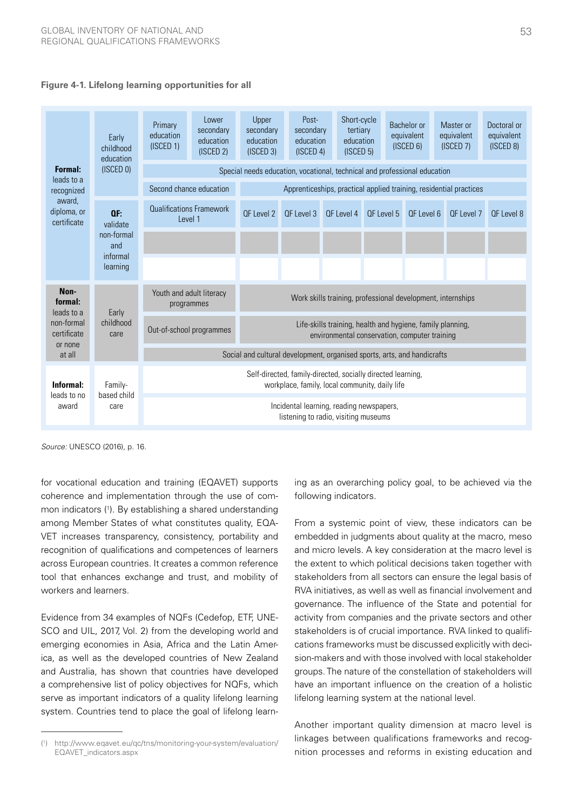

| Early                                | childhood<br>education                                                                                                                                                                                                              | Primary<br>education<br>(ISCED 1)                                         | Lower<br>secondary<br>education<br>(ISCED 2)                       | Upper<br>secondary<br>education<br>(ISCED 3)                                                                | Post-<br>secondary<br>education<br>(ISCED 4) |  | Short-cycle<br>tertiary<br>education<br>(ISCED 5) |            |  | Bachelor or<br>equivalent<br>(ISCED 6) | Master or<br>equivalent<br>(ISCED 7) | Doctoral or<br>equivalent<br>(ISCED 8) |
|--------------------------------------|-------------------------------------------------------------------------------------------------------------------------------------------------------------------------------------------------------------------------------------|---------------------------------------------------------------------------|--------------------------------------------------------------------|-------------------------------------------------------------------------------------------------------------|----------------------------------------------|--|---------------------------------------------------|------------|--|----------------------------------------|--------------------------------------|----------------------------------------|
| <b>Formal:</b><br>leads to a         | (ISCED 0)                                                                                                                                                                                                                           | Special needs education, vocational, technical and professional education |                                                                    |                                                                                                             |                                              |  |                                                   |            |  |                                        |                                      |                                        |
| recognized                           | Second chance education                                                                                                                                                                                                             |                                                                           | Apprenticeships, practical applied training, residential practices |                                                                                                             |                                              |  |                                                   |            |  |                                        |                                      |                                        |
| award.<br>diploma, or<br>certificate | QF.<br>validate                                                                                                                                                                                                                     | <b>Qualifications Framework</b><br>Level 1                                |                                                                    | OF Level 2                                                                                                  | OF Level 3                                   |  | OF Level 4                                        | OF Level 5 |  | OF Level 6                             | OF Level 7                           | OF Level 8                             |
|                                      | non-formal<br>and                                                                                                                                                                                                                   |                                                                           |                                                                    |                                                                                                             |                                              |  |                                                   |            |  |                                        |                                      |                                        |
|                                      | informal<br>learning                                                                                                                                                                                                                |                                                                           |                                                                    |                                                                                                             |                                              |  |                                                   |            |  |                                        |                                      |                                        |
| Non-<br>formal:<br>leads to a        | Early                                                                                                                                                                                                                               | Youth and adult literacy<br>programmes                                    |                                                                    | Work skills training, professional development, internships                                                 |                                              |  |                                                   |            |  |                                        |                                      |                                        |
| non-formal<br>certificate            | childhood<br>care                                                                                                                                                                                                                   | Out-of-school programmes                                                  |                                                                    | Life-skills training, health and hygiene, family planning,<br>environmental conservation, computer training |                                              |  |                                                   |            |  |                                        |                                      |                                        |
| or none<br>at all                    |                                                                                                                                                                                                                                     | Social and cultural development, organised sports, arts, and handicrafts  |                                                                    |                                                                                                             |                                              |  |                                                   |            |  |                                        |                                      |                                        |
| Informal:<br>leads to no             | Self-directed, family-directed, socially directed learning,<br>workplace, family, local community, daily life<br>Family-<br>based child<br>Incidental learning, reading newspapers,<br>care<br>listening to radio, visiting museums |                                                                           |                                                                    |                                                                                                             |                                              |  |                                                   |            |  |                                        |                                      |                                        |
| award                                |                                                                                                                                                                                                                                     |                                                                           |                                                                    |                                                                                                             |                                              |  |                                                   |            |  |                                        |                                      |                                        |

*Source:* UNESCO (2016), p. 16.

tool that enhances exchange and trust, and mobility of for vocational education and training (EQAVET) supports coherence and implementation through the use of common indicators (1 ). By establishing a shared understanding among Member States of what constitutes quality, EQA-VET increases transparency, consistency, portability and recognition of qualifications and competences of learners across European countries. It creates a common reference workers and learners.

Evidence from 34 examples of NQFs (Cedefop, ETF, UNE-C Postal Process SCO and UIL, 2017, Vol. 2) from the developing world and **Diploma** a comprehensive list of policy objectives for NQFs, which l serve as important indicators of a quality lifelong learning emerging economies in Asia, Africa and the Latin America, as well as the developed countries of New Zealand and Australia, has shown that countries have developed system. Countries tend to place the goal of lifelong learn-

**Basic education**

ing as an overarching policy goal, to be achieved via the following indicators.

Lii<br>plor<br>stic<br>tic<br>tor arrive the district of the private section and stakeholders is of crucial importance. RVA linked to qualifi- $\frac{1}{2}$ selection  $\frac{1}{2}$ sion-makers and with those involved with local stakeholder articulation III (National Certification IIII (NC 3)<br>in Special certification III (Included: III (Included: III (Included: III (Included: III (Included: III (Inclu **BHUTAN VOCATION** RVA initiatives, as well as well as financial involvement and governance. The influence of the State and potential for From a systemic point of view, these indicators can be embedded in judgments about quality at the macro, meso and micro levels. A key consideration at the macro level is the extent to which political decisions taken together with stakeholders from all sectors can ensure the legal basis of activity from companies and the private sectors and other cations frameworks must be discussed explicitly with decigroups. The nature of the constellation of stakeholders will have an important influence on the creation of a holistic

linkages between qualifications frameworks and recog- $\Delta$ apply for selected courses Another important quality dimension at macro level is nition processes and reforms in existing education and

<sup>(</sup> 1 ) [http://www.eqavet.eu/qc/tns/monitoring-your-system/evaluation/](http://www.eqavet.eu/qc/tns/monitoring-your-system/evaluation/EQAVET_indicators.aspx) [EQAVET\\_indicators.aspx](http://www.eqavet.eu/qc/tns/monitoring-your-system/evaluation/EQAVET_indicators.aspx)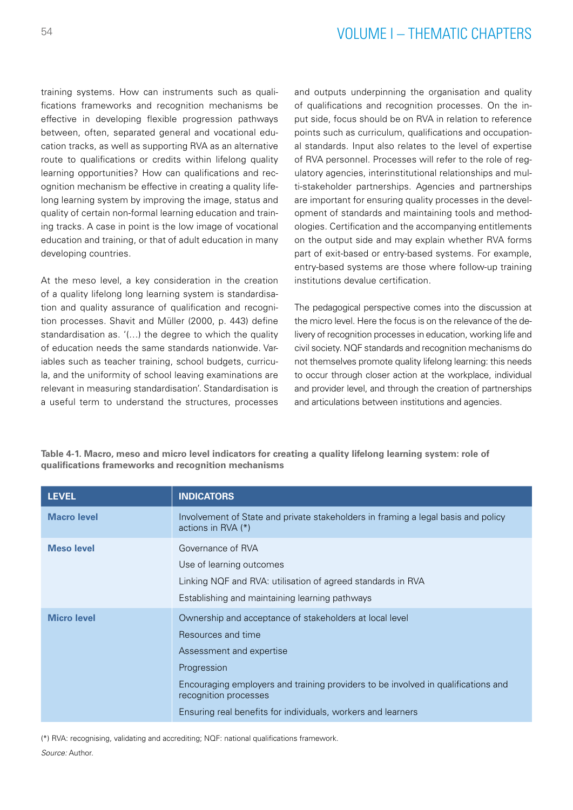training systems. How can instruments such as qualifications frameworks and recognition mechanisms be effective in developing flexible progression pathways between, often, separated general and vocational education tracks, as well as supporting RVA as an alternative route to qualifications or credits within lifelong quality learning opportunities? How can qualifications and recognition mechanism be effective in creating a quality lifelong learning system by improving the image, status and quality of certain non-formal learning education and training tracks. A case in point is the low image of vocational education and training, or that of adult education in many developing countries.

At the meso level, a key consideration in the creation of a quality lifelong long learning system is standardisation and quality assurance of qualification and recognition processes. Shavit and Müller (2000, p. 443) define standardisation as. '(…) the degree to which the quality of education needs the same standards nationwide. Variables such as teacher training, school budgets, curricula, and the uniformity of school leaving examinations are relevant in measuring standardisation'. Standardisation is a useful term to understand the structures, processes and outputs underpinning the organisation and quality of qualifications and recognition processes. On the input side, focus should be on RVA in relation to reference points such as curriculum, qualifications and occupational standards. Input also relates to the level of expertise of RVA personnel. Processes will refer to the role of regulatory agencies, interinstitutional relationships and multi-stakeholder partnerships. Agencies and partnerships are important for ensuring quality processes in the development of standards and maintaining tools and methodologies. Certification and the accompanying entitlements on the output side and may explain whether RVA forms part of exit-based or entry-based systems. For example, entry-based systems are those where follow-up training institutions devalue certification.

The pedagogical perspective comes into the discussion at the micro level. Here the focus is on the relevance of the delivery of recognition processes in education, working life and civil society. NQF standards and recognition mechanisms do not themselves promote quality lifelong learning: this needs to occur through closer action at the workplace, individual and provider level, and through the creation of partnerships and articulations between institutions and agencies.

| <b>LEVEL</b>       | <b>INDICATORS</b>                                                                                                                                                                                                                                                                                      |
|--------------------|--------------------------------------------------------------------------------------------------------------------------------------------------------------------------------------------------------------------------------------------------------------------------------------------------------|
| <b>Macro level</b> | Involvement of State and private stakeholders in framing a legal basis and policy<br>actions in $RVA$ $(*)$                                                                                                                                                                                            |
| <b>Meso level</b>  | Governance of RVA<br>Use of learning outcomes<br>Linking NQF and RVA: utilisation of agreed standards in RVA<br>Establishing and maintaining learning pathways                                                                                                                                         |
| <b>Micro level</b> | Ownership and acceptance of stakeholders at local level<br>Resources and time<br>Assessment and expertise<br>Progression<br>Encouraging employers and training providers to be involved in qualifications and<br>recognition processes<br>Ensuring real benefits for individuals, workers and learners |

**Table 4-1. Macro, meso and micro level indicators for creating a quality lifelong learning system: role of qualifications frameworks and recognition mechanisms**

(\*) RVA: recognising, validating and accrediting; NQF: national qualifications framework.

*Source:* Author.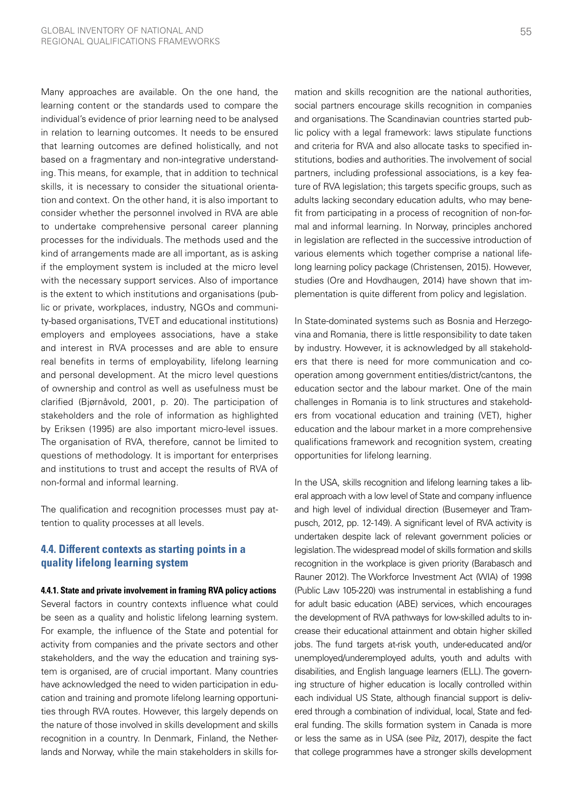Many approaches are available. On the one hand, the learning content or the standards used to compare the individual's evidence of prior learning need to be analysed in relation to learning outcomes. It needs to be ensured that learning outcomes are defined holistically, and not based on a fragmentary and non-integrative understanding. This means, for example, that in addition to technical skills, it is necessary to consider the situational orientation and context. On the other hand, it is also important to consider whether the personnel involved in RVA are able to undertake comprehensive personal career planning processes for the individuals. The methods used and the kind of arrangements made are all important, as is asking if the employment system is included at the micro level with the necessary support services. Also of importance is the extent to which institutions and organisations (public or private, workplaces, industry, NGOs and community-based organisations, TVET and educational institutions) employers and employees associations, have a stake and interest in RVA processes and are able to ensure real benefits in terms of employability, lifelong learning and personal development. At the micro level questions of ownership and control as well as usefulness must be clarified (Bjørnåvold, 2001, p. 20). The participation of stakeholders and the role of information as highlighted by Eriksen (1995) are also important micro-level issues. The organisation of RVA, therefore, cannot be limited to questions of methodology. It is important for enterprises and institutions to trust and accept the results of RVA of non-formal and informal learning.

The qualification and recognition processes must pay attention to quality processes at all levels.

## **4.4. Different contexts as starting points in a quality lifelong learning system**

#### **4.4.1. State and private involvement in framing RVA policy actions**

Several factors in country contexts influence what could be seen as a quality and holistic lifelong learning system. For example, the influence of the State and potential for activity from companies and the private sectors and other stakeholders, and the way the education and training system is organised, are of crucial important. Many countries have acknowledged the need to widen participation in education and training and promote lifelong learning opportunities through RVA routes. However, this largely depends on the nature of those involved in skills development and skills recognition in a country. In Denmark, Finland, the Netherlands and Norway, while the main stakeholders in skills formation and skills recognition are the national authorities, social partners encourage skills recognition in companies and organisations. The Scandinavian countries started public policy with a legal framework: laws stipulate functions and criteria for RVA and also allocate tasks to specified institutions, bodies and authorities. The involvement of social partners, including professional associations, is a key feature of RVA legislation; this targets specific groups, such as adults lacking secondary education adults, who may benefit from participating in a process of recognition of non-formal and informal learning. In Norway, principles anchored in legislation are reflected in the successive introduction of various elements which together comprise a national lifelong learning policy package (Christensen, 2015). However, studies (Ore and Hovdhaugen, 2014) have shown that implementation is quite different from policy and legislation.

In State-dominated systems such as Bosnia and Herzegovina and Romania, there is little responsibility to date taken by industry. However, it is acknowledged by all stakeholders that there is need for more communication and cooperation among government entities/district/cantons, the education sector and the labour market. One of the main challenges in Romania is to link structures and stakeholders from vocational education and training (VET), higher education and the labour market in a more comprehensive qualifications framework and recognition system, creating opportunities for lifelong learning.

In the USA, skills recognition and lifelong learning takes a liberal approach with a low level of State and company influence and high level of individual direction (Busemeyer and Trampusch, 2012, pp. 12-149). A significant level of RVA activity is undertaken despite lack of relevant government policies or legislation. The widespread model of skills formation and skills recognition in the workplace is given priority (Barabasch and Rauner 2012). The Workforce Investment Act (WIA) of 1998 (Public Law 105-220) was instrumental in establishing a fund for adult basic education (ABE) services, which encourages the development of RVA pathways for low-skilled adults to increase their educational attainment and obtain higher skilled jobs. The fund targets at-risk youth, under-educated and/or unemployed/underemployed adults, youth and adults with disabilities, and English language learners (ELL). The governing structure of higher education is locally controlled within each individual US State, although financial support is delivered through a combination of individual, local, State and federal funding. The skills formation system in Canada is more or less the same as in USA (see Pilz, 2017), despite the fact that college programmes have a stronger skills development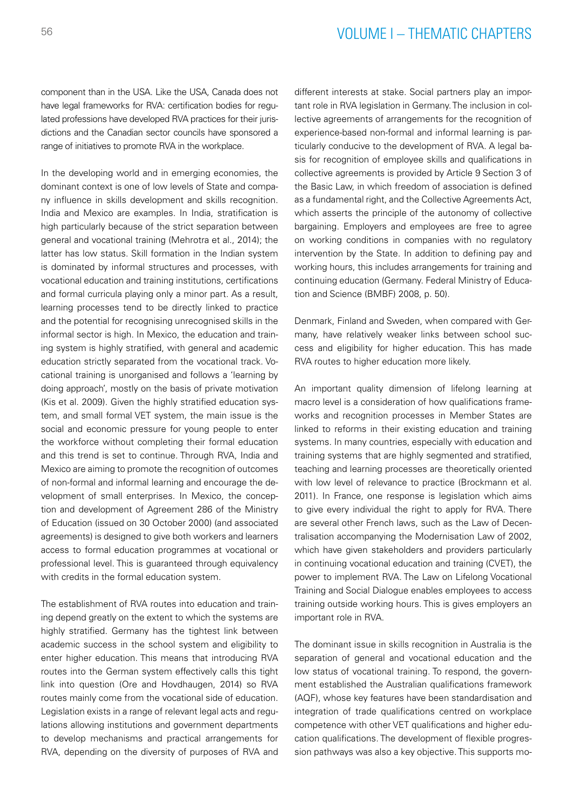component than in the USA. Like the USA, Canada does not have legal frameworks for RVA: certification bodies for regulated professions have developed RVA practices for their jurisdictions and the Canadian sector councils have sponsored a range of initiatives to promote RVA in the workplace.

In the developing world and in emerging economies, the dominant context is one of low levels of State and company influence in skills development and skills recognition. India and Mexico are examples. In India, stratification is high particularly because of the strict separation between general and vocational training (Mehrotra et al., 2014); the latter has low status. Skill formation in the Indian system is dominated by informal structures and processes, with vocational education and training institutions, certifications and formal curricula playing only a minor part. As a result, learning processes tend to be directly linked to practice and the potential for recognising unrecognised skills in the informal sector is high. In Mexico, the education and training system is highly stratified, with general and academic education strictly separated from the vocational track. Vocational training is unorganised and follows a 'learning by doing approach', mostly on the basis of private motivation (Kis et al. 2009). Given the highly stratified education system, and small formal VET system, the main issue is the social and economic pressure for young people to enter the workforce without completing their formal education and this trend is set to continue. Through RVA, India and Mexico are aiming to promote the recognition of outcomes of non-formal and informal learning and encourage the development of small enterprises. In Mexico, the conception and development of Agreement 286 of the Ministry of Education (issued on 30 October 2000) (and associated agreements) is designed to give both workers and learners access to formal education programmes at vocational or professional level. This is guaranteed through equivalency with credits in the formal education system.

The establishment of RVA routes into education and training depend greatly on the extent to which the systems are highly stratified. Germany has the tightest link between academic success in the school system and eligibility to enter higher education. This means that introducing RVA routes into the German system effectively calls this tight link into question (Ore and Hovdhaugen, 2014) so RVA routes mainly come from the vocational side of education. Legislation exists in a range of relevant legal acts and regulations allowing institutions and government departments to develop mechanisms and practical arrangements for RVA, depending on the diversity of purposes of RVA and different interests at stake. Social partners play an important role in RVA legislation in Germany. The inclusion in collective agreements of arrangements for the recognition of experience-based non-formal and informal learning is particularly conducive to the development of RVA. A legal basis for recognition of employee skills and qualifications in collective agreements is provided by Article 9 Section 3 of the Basic Law, in which freedom of association is defined as a fundamental right, and the Collective Agreements Act, which asserts the principle of the autonomy of collective bargaining. Employers and employees are free to agree on working conditions in companies with no regulatory intervention by the State. In addition to defining pay and working hours, this includes arrangements for training and continuing education (Germany. Federal Ministry of Education and Science (BMBF) 2008, p. 50).

Denmark, Finland and Sweden, when compared with Germany, have relatively weaker links between school success and eligibility for higher education. This has made RVA routes to higher education more likely.

An important quality dimension of lifelong learning at macro level is a consideration of how qualifications frameworks and recognition processes in Member States are linked to reforms in their existing education and training systems. In many countries, especially with education and training systems that are highly segmented and stratified, teaching and learning processes are theoretically oriented with low level of relevance to practice (Brockmann et al. 2011). In France, one response is legislation which aims to give every individual the right to apply for RVA. There are several other French laws, such as the Law of Decentralisation accompanying the Modernisation Law of 2002, which have given stakeholders and providers particularly in continuing vocational education and training (CVET), the power to implement RVA. The Law on Lifelong Vocational Training and Social Dialogue enables employees to access training outside working hours. This is gives employers an important role in RVA.

The dominant issue in skills recognition in Australia is the separation of general and vocational education and the low status of vocational training. To respond, the government established the Australian qualifications framework (AQF), whose key features have been standardisation and integration of trade qualifications centred on workplace competence with other VET qualifications and higher education qualifications. The development of flexible progression pathways was also a key objective. This supports mo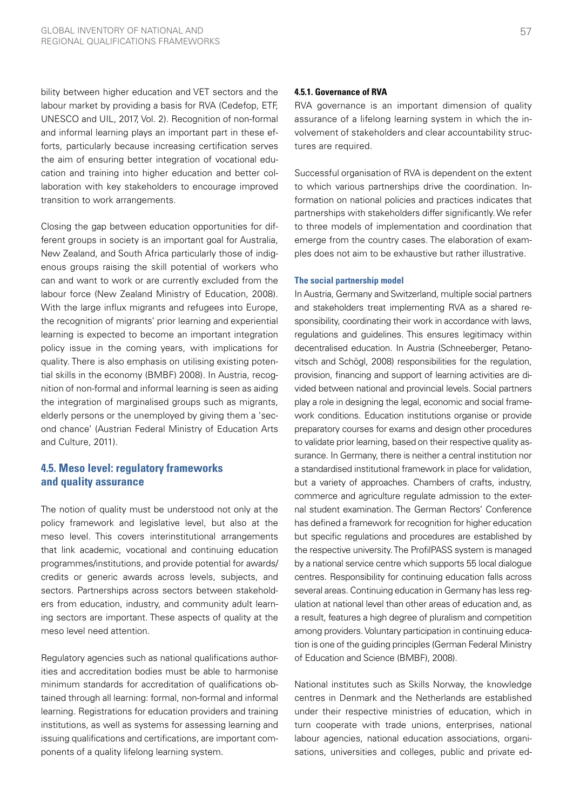bility between higher education and VET sectors and the labour market by providing a basis for RVA (Cedefop, ETF, UNESCO and UIL, 2017, Vol. 2). Recognition of non-formal and informal learning plays an important part in these efforts, particularly because increasing certification serves the aim of ensuring better integration of vocational education and training into higher education and better collaboration with key stakeholders to encourage improved transition to work arrangements.

Closing the gap between education opportunities for different groups in society is an important goal for Australia, New Zealand, and South Africa particularly those of indigenous groups raising the skill potential of workers who can and want to work or are currently excluded from the labour force (New Zealand Ministry of Education, 2008). With the large influx migrants and refugees into Europe, the recognition of migrants' prior learning and experiential learning is expected to become an important integration policy issue in the coming years, with implications for quality. There is also emphasis on utilising existing potential skills in the economy (BMBF) 2008). In Austria, recognition of non-formal and informal learning is seen as aiding the integration of marginalised groups such as migrants, elderly persons or the unemployed by giving them a 'second chance' (Austrian Federal Ministry of Education Arts and Culture, 2011).

## **4.5. Meso level: regulatory frameworks and quality assurance**

The notion of quality must be understood not only at the policy framework and legislative level, but also at the meso level. This covers interinstitutional arrangements that link academic, vocational and continuing education programmes/institutions, and provide potential for awards/ credits or generic awards across levels, subjects, and sectors. Partnerships across sectors between stakeholders from education, industry, and community adult learning sectors are important. These aspects of quality at the meso level need attention.

Regulatory agencies such as national qualifications authorities and accreditation bodies must be able to harmonise minimum standards for accreditation of qualifications obtained through all learning: formal, non-formal and informal learning. Registrations for education providers and training institutions, as well as systems for assessing learning and issuing qualifications and certifications, are important components of a quality lifelong learning system.

### **4.5.1. Governance of RVA**

RVA governance is an important dimension of quality assurance of a lifelong learning system in which the involvement of stakeholders and clear accountability structures are required.

Successful organisation of RVA is dependent on the extent to which various partnerships drive the coordination. Information on national policies and practices indicates that partnerships with stakeholders differ significantly. We refer to three models of implementation and coordination that emerge from the country cases. The elaboration of examples does not aim to be exhaustive but rather illustrative.

#### **The social partnership model**

In Austria, Germany and Switzerland, multiple social partners and stakeholders treat implementing RVA as a shared responsibility, coordinating their work in accordance with laws, regulations and guidelines. This ensures legitimacy within decentralised education. In Austria (Schneeberger, Petanovitsch and Schögl, 2008) responsibilities for the regulation, provision, financing and support of learning activities are divided between national and provincial levels. Social partners play a role in designing the legal, economic and social framework conditions. Education institutions organise or provide preparatory courses for exams and design other procedures to validate prior learning, based on their respective quality assurance. In Germany, there is neither a central institution nor a standardised institutional framework in place for validation, but a variety of approaches. Chambers of crafts, industry, commerce and agriculture regulate admission to the external student examination. The German Rectors' Conference has defined a framework for recognition for higher education but specific regulations and procedures are established by the respective university. The ProfilPASS system is managed by a national service centre which supports 55 local dialogue centres. Responsibility for continuing education falls across several areas. Continuing education in Germany has less regulation at national level than other areas of education and, as a result, features a high degree of pluralism and competition among providers. Voluntary participation in continuing education is one of the guiding principles (German Federal Ministry of Education and Science (BMBF), 2008).

National institutes such as Skills Norway, the knowledge centres in Denmark and the Netherlands are established under their respective ministries of education, which in turn cooperate with trade unions, enterprises, national labour agencies, national education associations, organisations, universities and colleges, public and private ed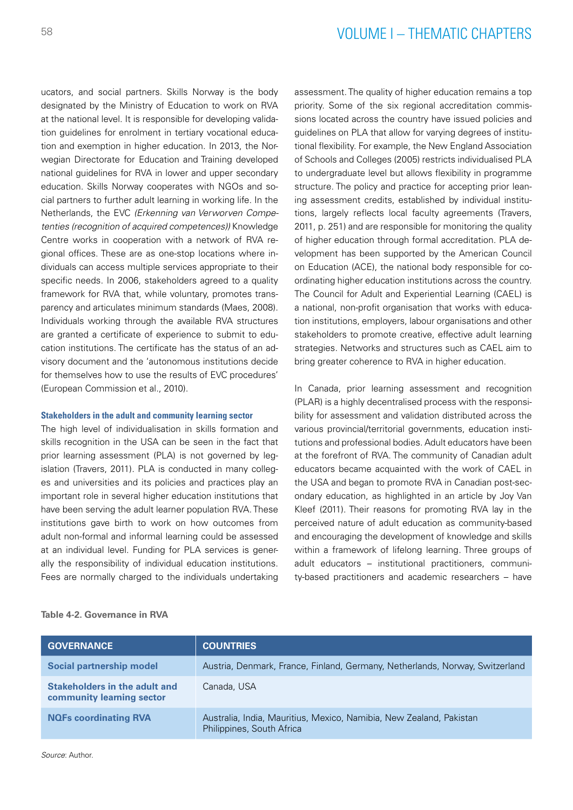ucators, and social partners. Skills Norway is the body designated by the Ministry of Education to work on RVA at the national level. It is responsible for developing validation guidelines for enrolment in tertiary vocational education and exemption in higher education. In 2013, the Norwegian Directorate for Education and Training developed national guidelines for RVA in lower and upper secondary education. Skills Norway cooperates with NGOs and social partners to further adult learning in working life. In the Netherlands, the EVC *(Erkenning van Verworven Competenties (recognition of acquired competences))* Knowledge Centre works in cooperation with a network of RVA regional offices. These are as one-stop locations where individuals can access multiple services appropriate to their specific needs. In 2006, stakeholders agreed to a quality framework for RVA that, while voluntary, promotes transparency and articulates minimum standards (Maes, 2008). Individuals working through the available RVA structures are granted a certificate of experience to submit to education institutions. The certificate has the status of an advisory document and the 'autonomous institutions decide for themselves how to use the results of EVC procedures' (European Commission et al., 2010).

### **Stakeholders in the adult and community learning sector**

The high level of individualisation in skills formation and skills recognition in the USA can be seen in the fact that prior learning assessment (PLA) is not governed by legislation (Travers, 2011). PLA is conducted in many colleges and universities and its policies and practices play an important role in several higher education institutions that have been serving the adult learner population RVA. These institutions gave birth to work on how outcomes from adult non-formal and informal learning could be assessed at an individual level. Funding for PLA services is generally the responsibility of individual education institutions. Fees are normally charged to the individuals undertaking assessment. The quality of higher education remains a top priority. Some of the six regional accreditation commissions located across the country have issued policies and guidelines on PLA that allow for varying degrees of institutional flexibility. For example, the New England Association of Schools and Colleges (2005) restricts individualised PLA to undergraduate level but allows flexibility in programme structure. The policy and practice for accepting prior leaning assessment credits, established by individual institutions, largely reflects local faculty agreements (Travers, 2011, p. 251) and are responsible for monitoring the quality of higher education through formal accreditation. PLA development has been supported by the American Council on Education (ACE), the national body responsible for coordinating higher education institutions across the country. The Council for Adult and Experiential Learning (CAEL) is a national, non-profit organisation that works with education institutions, employers, labour organisations and other stakeholders to promote creative, effective adult learning strategies. Networks and structures such as CAEL aim to bring greater coherence to RVA in higher education.

In Canada, prior learning assessment and recognition (PLAR) is a highly decentralised process with the responsibility for assessment and validation distributed across the various provincial/territorial governments, education institutions and professional bodies. Adult educators have been at the forefront of RVA. The community of Canadian adult educators became acquainted with the work of CAEL in the USA and began to promote RVA in Canadian post-secondary education, as highlighted in an article by Joy Van Kleef (2011). Their reasons for promoting RVA lay in the perceived nature of adult education as community-based and encouraging the development of knowledge and skills within a framework of lifelong learning. Three groups of adult educators – institutional practitioners, community-based practitioners and academic researchers – have

| <b>GOVERNANCE</b>                                          | <b>COUNTRIES</b>                                                                                 |
|------------------------------------------------------------|--------------------------------------------------------------------------------------------------|
| <b>Social partnership model</b>                            | Austria, Denmark, France, Finland, Germany, Netherlands, Norway, Switzerland                     |
| Stakeholders in the adult and<br>community learning sector | Canada, USA                                                                                      |
| <b>NQFs coordinating RVA</b>                               | Australia, India, Mauritius, Mexico, Namibia, New Zealand, Pakistan<br>Philippines, South Africa |
|                                                            |                                                                                                  |

#### **Table 4-2. Governance in RVA**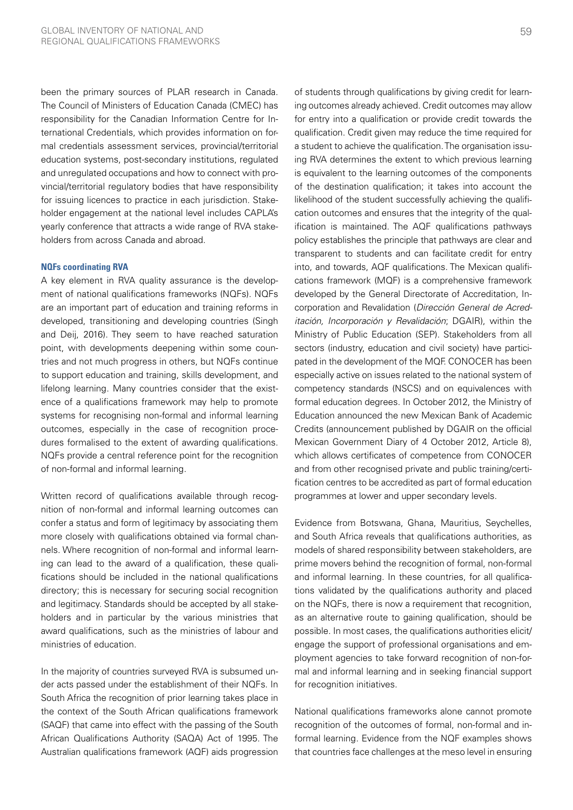been the primary sources of PLAR research in Canada. The Council of Ministers of Education Canada (CMEC) has responsibility for the Canadian Information Centre for International Credentials, which provides information on formal credentials assessment services, provincial/territorial education systems, post-secondary institutions, regulated and unregulated occupations and how to connect with provincial/territorial regulatory bodies that have responsibility for issuing licences to practice in each jurisdiction. Stakeholder engagement at the national level includes CAPLA's yearly conference that attracts a wide range of RVA stakeholders from across Canada and abroad.

#### **NQFs coordinating RVA**

A key element in RVA quality assurance is the development of national qualifications frameworks (NQFs). NQFs are an important part of education and training reforms in developed, transitioning and developing countries (Singh and Deij, 2016). They seem to have reached saturation point, with developments deepening within some countries and not much progress in others, but NQFs continue to support education and training, skills development, and lifelong learning. Many countries consider that the existence of a qualifications framework may help to promote systems for recognising non-formal and informal learning outcomes, especially in the case of recognition procedures formalised to the extent of awarding qualifications. NQFs provide a central reference point for the recognition of non-formal and informal learning.

Written record of qualifications available through recognition of non-formal and informal learning outcomes can confer a status and form of legitimacy by associating them more closely with qualifications obtained via formal channels. Where recognition of non-formal and informal learning can lead to the award of a qualification, these qualifications should be included in the national qualifications directory; this is necessary for securing social recognition and legitimacy. Standards should be accepted by all stakeholders and in particular by the various ministries that award qualifications, such as the ministries of labour and ministries of education.

In the majority of countries surveyed RVA is subsumed under acts passed under the establishment of their NQFs. In South Africa the recognition of prior learning takes place in the context of the South African qualifications framework (SAQF) that came into effect with the passing of the South African Qualifications Authority (SAQA) Act of 1995. The Australian qualifications framework (AQF) aids progression of students through qualifications by giving credit for learning outcomes already achieved. Credit outcomes may allow for entry into a qualification or provide credit towards the qualification. Credit given may reduce the time required for a student to achieve the qualification. The organisation issuing RVA determines the extent to which previous learning is equivalent to the learning outcomes of the components of the destination qualification; it takes into account the likelihood of the student successfully achieving the qualification outcomes and ensures that the integrity of the qualification is maintained. The AQF qualifications pathways policy establishes the principle that pathways are clear and transparent to students and can facilitate credit for entry into, and towards, AQF qualifications. The Mexican qualifications framework (MQF) is a comprehensive framework developed by the General Directorate of Accreditation, Incorporation and Revalidation (*Dirección General de Acreditación, Incorporación y Revalidación*; DGAIR), within the Ministry of Public Education (SEP). Stakeholders from all sectors (industry, education and civil society) have participated in the development of the MQF. CONOCER has been especially active on issues related to the national system of competency standards (NSCS) and on equivalences with formal education degrees. In October 2012, the Ministry of Education announced the new Mexican Bank of Academic Credits (announcement published by DGAIR on the official Mexican Government Diary of 4 October 2012, Article 8), which allows certificates of competence from CONOCER and from other recognised private and public training/certification centres to be accredited as part of formal education programmes at lower and upper secondary levels.

Evidence from Botswana, Ghana, Mauritius, Seychelles, and South Africa reveals that qualifications authorities, as models of shared responsibility between stakeholders, are prime movers behind the recognition of formal, non-formal and informal learning. In these countries, for all qualifications validated by the qualifications authority and placed on the NQFs, there is now a requirement that recognition, as an alternative route to gaining qualification, should be possible. In most cases, the qualifications authorities elicit/ engage the support of professional organisations and employment agencies to take forward recognition of non-formal and informal learning and in seeking financial support for recognition initiatives.

National qualifications frameworks alone cannot promote recognition of the outcomes of formal, non-formal and informal learning. Evidence from the NQF examples shows that countries face challenges at the meso level in ensuring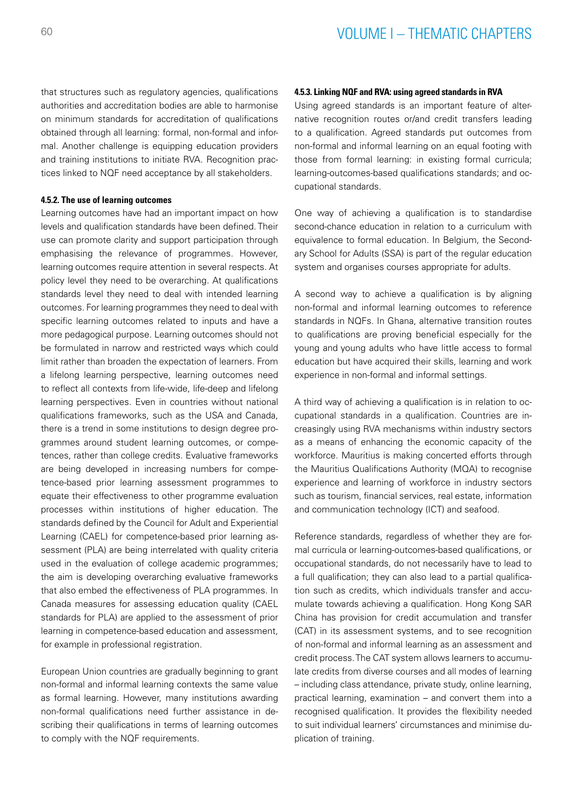that structures such as regulatory agencies, qualifications authorities and accreditation bodies are able to harmonise on minimum standards for accreditation of qualifications obtained through all learning: formal, non-formal and informal. Another challenge is equipping education providers and training institutions to initiate RVA. Recognition practices linked to NQF need acceptance by all stakeholders.

#### **4.5.2. The use of learning outcomes**

Learning outcomes have had an important impact on how levels and qualification standards have been defined. Their use can promote clarity and support participation through emphasising the relevance of programmes. However, learning outcomes require attention in several respects. At policy level they need to be overarching. At qualifications standards level they need to deal with intended learning outcomes. For learning programmes they need to deal with specific learning outcomes related to inputs and have a more pedagogical purpose. Learning outcomes should not be formulated in narrow and restricted ways which could limit rather than broaden the expectation of learners. From a lifelong learning perspective, learning outcomes need to reflect all contexts from life-wide, life-deep and lifelong learning perspectives. Even in countries without national qualifications frameworks, such as the USA and Canada, there is a trend in some institutions to design degree programmes around student learning outcomes, or competences, rather than college credits. Evaluative frameworks are being developed in increasing numbers for competence-based prior learning assessment programmes to equate their effectiveness to other programme evaluation processes within institutions of higher education. The standards defined by the Council for Adult and Experiential Learning (CAEL) for competence-based prior learning assessment (PLA) are being interrelated with quality criteria used in the evaluation of college academic programmes; the aim is developing overarching evaluative frameworks that also embed the effectiveness of PLA programmes. In Canada measures for assessing education quality (CAEL standards for PLA) are applied to the assessment of prior learning in competence-based education and assessment, for example in professional registration.

European Union countries are gradually beginning to grant non-formal and informal learning contexts the same value as formal learning. However, many institutions awarding non-formal qualifications need further assistance in describing their qualifications in terms of learning outcomes to comply with the NQF requirements.

### **4.5.3. Linking NQF and RVA: using agreed standards in RVA**

Using agreed standards is an important feature of alternative recognition routes or/and credit transfers leading to a qualification. Agreed standards put outcomes from non-formal and informal learning on an equal footing with those from formal learning: in existing formal curricula; learning-outcomes-based qualifications standards; and occupational standards.

One way of achieving a qualification is to standardise second-chance education in relation to a curriculum with equivalence to formal education. In Belgium, the Secondary School for Adults (SSA) is part of the regular education system and organises courses appropriate for adults.

A second way to achieve a qualification is by aligning non-formal and informal learning outcomes to reference standards in NQFs. In Ghana, alternative transition routes to qualifications are proving beneficial especially for the young and young adults who have little access to formal education but have acquired their skills, learning and work experience in non-formal and informal settings.

A third way of achieving a qualification is in relation to occupational standards in a qualification. Countries are increasingly using RVA mechanisms within industry sectors as a means of enhancing the economic capacity of the workforce. Mauritius is making concerted efforts through the Mauritius Qualifications Authority (MQA) to recognise experience and learning of workforce in industry sectors such as tourism, financial services, real estate, information and communication technology (ICT) and seafood.

Reference standards, regardless of whether they are formal curricula or learning-outcomes-based qualifications, or occupational standards, do not necessarily have to lead to a full qualification; they can also lead to a partial qualification such as credits, which individuals transfer and accumulate towards achieving a qualification. Hong Kong SAR China has provision for credit accumulation and transfer (CAT) in its assessment systems, and to see recognition of non-formal and informal learning as an assessment and credit process. The CAT system allows learners to accumulate credits from diverse courses and all modes of learning – including class attendance, private study, online learning, practical learning, examination – and convert them into a recognised qualification. It provides the flexibility needed to suit individual learners' circumstances and minimise duplication of training.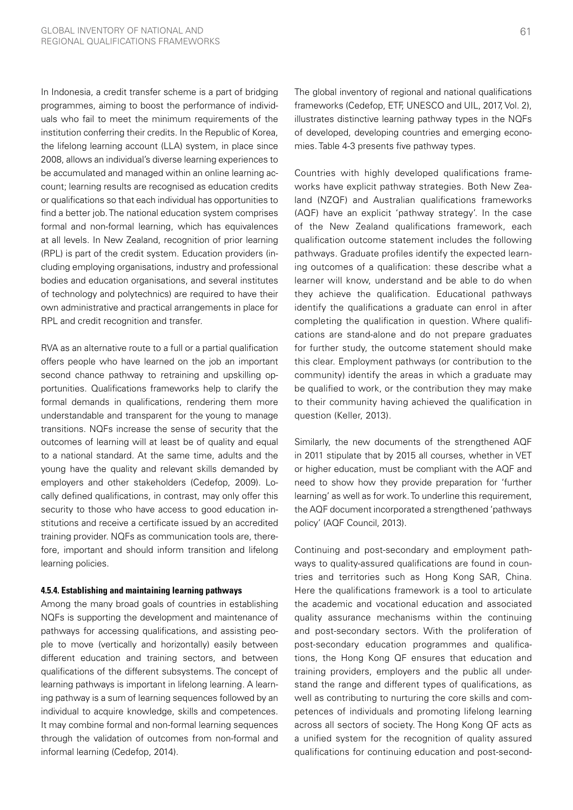In Indonesia, a credit transfer scheme is a part of bridging programmes, aiming to boost the performance of individuals who fail to meet the minimum requirements of the institution conferring their credits. In the Republic of Korea, the lifelong learning account (LLA) system, in place since 2008, allows an individual's diverse learning experiences to be accumulated and managed within an online learning account; learning results are recognised as education credits or qualifications so that each individual has opportunities to find a better job. The national education system comprises formal and non-formal learning, which has equivalences at all levels. In New Zealand, recognition of prior learning (RPL) is part of the credit system. Education providers (including employing organisations, industry and professional bodies and education organisations, and several institutes of technology and polytechnics) are required to have their own administrative and practical arrangements in place for RPL and credit recognition and transfer.

RVA as an alternative route to a full or a partial qualification offers people who have learned on the job an important second chance pathway to retraining and upskilling opportunities. Qualifications frameworks help to clarify the formal demands in qualifications, rendering them more understandable and transparent for the young to manage transitions. NQFs increase the sense of security that the outcomes of learning will at least be of quality and equal to a national standard. At the same time, adults and the young have the quality and relevant skills demanded by employers and other stakeholders (Cedefop, 2009). Locally defined qualifications, in contrast, may only offer this security to those who have access to good education institutions and receive a certificate issued by an accredited training provider. NQFs as communication tools are, therefore, important and should inform transition and lifelong learning policies.

#### **4.5.4. Establishing and maintaining learning pathways**

Among the many broad goals of countries in establishing NQFs is supporting the development and maintenance of pathways for accessing qualifications, and assisting people to move (vertically and horizontally) easily between different education and training sectors, and between qualifications of the different subsystems. The concept of learning pathways is important in lifelong learning. A learning pathway is a sum of learning sequences followed by an individual to acquire knowledge, skills and competences. It may combine formal and non-formal learning sequences through the validation of outcomes from non-formal and informal learning (Cedefop, 2014).

The global inventory of regional and national qualifications frameworks (Cedefop, ETF, UNESCO and UIL, 2017, Vol. 2), illustrates distinctive learning pathway types in the NQFs of developed, developing countries and emerging economies. Table 4-3 presents five pathway types.

Countries with highly developed qualifications frameworks have explicit pathway strategies. Both New Zealand (NZQF) and Australian qualifications frameworks (AQF) have an explicit 'pathway strategy'. In the case of the New Zealand qualifications framework, each qualification outcome statement includes the following pathways. Graduate profiles identify the expected learning outcomes of a qualification: these describe what a learner will know, understand and be able to do when they achieve the qualification. Educational pathways identify the qualifications a graduate can enrol in after completing the qualification in question. Where qualifications are stand-alone and do not prepare graduates for further study, the outcome statement should make this clear. Employment pathways (or contribution to the community) identify the areas in which a graduate may be qualified to work, or the contribution they may make to their community having achieved the qualification in question (Keller, 2013).

Similarly, the new documents of the strengthened AQF in 2011 stipulate that by 2015 all courses, whether in VET or higher education, must be compliant with the AQF and need to show how they provide preparation for 'further learning' as well as for work. To underline this requirement, the AQF document incorporated a strengthened 'pathways policy' (AQF Council, 2013).

Continuing and post-secondary and employment pathways to quality-assured qualifications are found in countries and territories such as Hong Kong SAR, China. Here the qualifications framework is a tool to articulate the academic and vocational education and associated quality assurance mechanisms within the continuing and post-secondary sectors. With the proliferation of post-secondary education programmes and qualifications, the Hong Kong QF ensures that education and training providers, employers and the public all understand the range and different types of qualifications, as well as contributing to nurturing the core skills and competences of individuals and promoting lifelong learning across all sectors of society. The Hong Kong QF acts as a unified system for the recognition of quality assured qualifications for continuing education and post-second-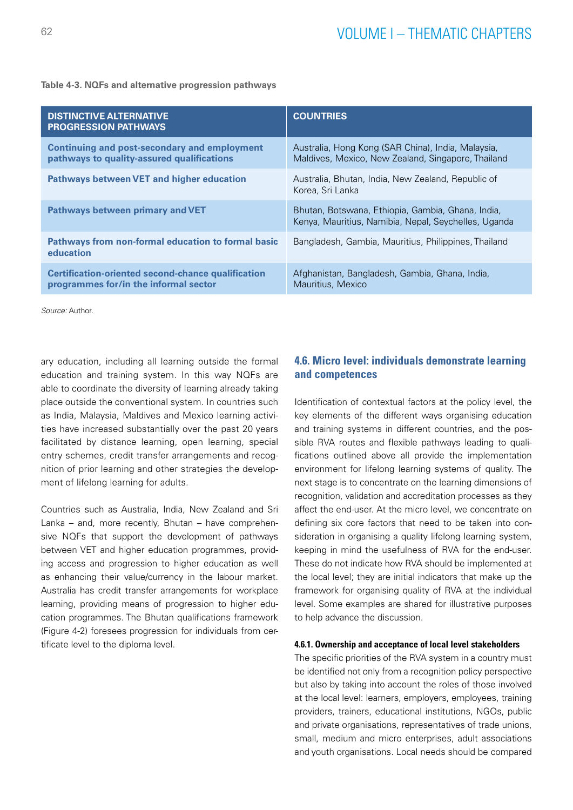| <b>DISTINCTIVE ALTERNATIVE</b><br><b>PROGRESSION PATHWAYS</b>                                      | <b>COUNTRIES</b>                                                                                          |
|----------------------------------------------------------------------------------------------------|-----------------------------------------------------------------------------------------------------------|
| <b>Continuing and post-secondary and employment</b><br>pathways to quality-assured qualifications  | Australia, Hong Kong (SAR China), India, Malaysia,<br>Maldives, Mexico, New Zealand, Singapore, Thailand  |
| <b>Pathways between VET and higher education</b>                                                   | Australia, Bhutan, India, New Zealand, Republic of<br>Korea, Sri Lanka                                    |
| Pathways between primary and VET                                                                   | Bhutan, Botswana, Ethiopia, Gambia, Ghana, India,<br>Kenya, Mauritius, Namibia, Nepal, Seychelles, Uganda |
| Pathways from non-formal education to formal basic<br>education                                    | Bangladesh, Gambia, Mauritius, Philippines, Thailand                                                      |
| <b>Certification-oriented second-chance qualification</b><br>programmes for/in the informal sector | Afghanistan, Bangladesh, Gambia, Ghana, India,<br>Mauritius, Mexico                                       |

#### **Table 4-3. NQFs and alternative progression pathways**

*Source:* Author.

ary education, including all learning outside the formal education and training system. In this way NQFs are able to coordinate the diversity of learning already taking place outside the conventional system. In countries such as India, Malaysia, Maldives and Mexico learning activities have increased substantially over the past 20 years facilitated by distance learning, open learning, special entry schemes, credit transfer arrangements and recognition of prior learning and other strategies the development of lifelong learning for adults.

Countries such as Australia, India, New Zealand and Sri Lanka – and, more recently, Bhutan – have comprehensive NQFs that support the development of pathways between VET and higher education programmes, providing access and progression to higher education as well as enhancing their value/currency in the labour market. Australia has credit transfer arrangements for workplace learning, providing means of progression to higher education programmes. The Bhutan qualifications framework (Figure 4-2) foresees progression for individuals from certificate level to the diploma level.

## **4.6. Micro level: individuals demonstrate learning and competences**

Identification of contextual factors at the policy level, the key elements of the different ways organising education and training systems in different countries, and the possible RVA routes and flexible pathways leading to qualifications outlined above all provide the implementation environment for lifelong learning systems of quality. The next stage is to concentrate on the learning dimensions of recognition, validation and accreditation processes as they affect the end-user. At the micro level, we concentrate on defining six core factors that need to be taken into consideration in organising a quality lifelong learning system, keeping in mind the usefulness of RVA for the end-user. These do not indicate how RVA should be implemented at the local level; they are initial indicators that make up the framework for organising quality of RVA at the individual level. Some examples are shared for illustrative purposes to help advance the discussion.

#### **4.6.1. Ownership and acceptance of local level stakeholders**

The specific priorities of the RVA system in a country must be identified not only from a recognition policy perspective but also by taking into account the roles of those involved at the local level: learners, employers, employees, training providers, trainers, educational institutions, NGOs, public and private organisations, representatives of trade unions, small, medium and micro enterprises, adult associations and youth organisations. Local needs should be compared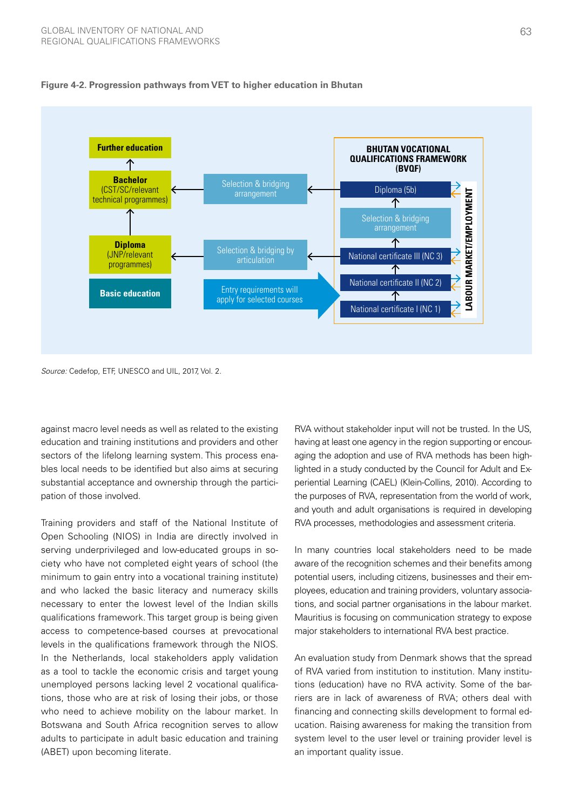

#### **Figure 4-2. Progression pathways from VET to higher education in Bhutan**

*Source:* Cedefop, ETF, UNESCO and UIL, 2017, Vol. 2.

against macro level needs as well as related to the existing education and training institutions and providers and other sectors of the lifelong learning system. This process enables local needs to be identified but also aims at securing substantial acceptance and ownership through the participation of those involved.

Training providers and staff of the National Institute of Open Schooling (NIOS) in India are directly involved in serving underprivileged and low-educated groups in society who have not completed eight years of school (the minimum to gain entry into a vocational training institute) and who lacked the basic literacy and numeracy skills necessary to enter the lowest level of the Indian skills qualifications framework. This target group is being given access to competence-based courses at prevocational levels in the qualifications framework through the NIOS. In the Netherlands, local stakeholders apply validation as a tool to tackle the economic crisis and target young unemployed persons lacking level 2 vocational qualifications, those who are at risk of losing their jobs, or those who need to achieve mobility on the labour market. In Botswana and South Africa recognition serves to allow adults to participate in adult basic education and training (ABET) upon becoming literate.

RVA without stakeholder input will not be trusted. In the US, having at least one agency in the region supporting or encouraging the adoption and use of RVA methods has been highlighted in a study conducted by the Council for Adult and Experiential Learning (CAEL) (Klein-Collins, 2010). According to the purposes of RVA, representation from the world of work, and youth and adult organisations is required in developing RVA processes, methodologies and assessment criteria.

In many countries local stakeholders need to be made aware of the recognition schemes and their benefits among potential users, including citizens, businesses and their employees, education and training providers, voluntary associations, and social partner organisations in the labour market. Mauritius is focusing on communication strategy to expose major stakeholders to international RVA best practice.

An evaluation study from Denmark shows that the spread of RVA varied from institution to institution. Many institutions (education) have no RVA activity. Some of the barriers are in lack of awareness of RVA; others deal with financing and connecting skills development to formal education. Raising awareness for making the transition from system level to the user level or training provider level is an important quality issue.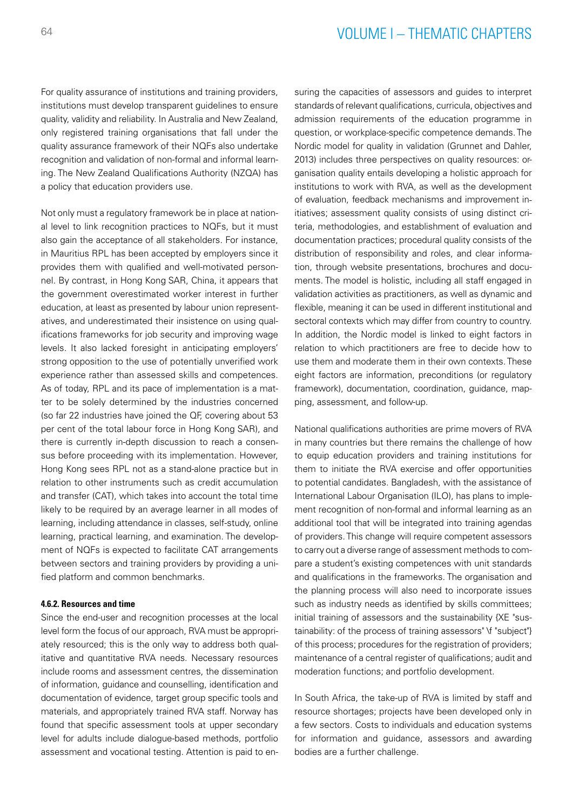For quality assurance of institutions and training providers, institutions must develop transparent guidelines to ensure quality, validity and reliability. In Australia and New Zealand, only registered training organisations that fall under the quality assurance framework of their NQFs also undertake recognition and validation of non-formal and informal learning. The New Zealand Qualifications Authority (NZQA) has a policy that education providers use.

Not only must a regulatory framework be in place at national level to link recognition practices to NQFs, but it must also gain the acceptance of all stakeholders. For instance, in Mauritius RPL has been accepted by employers since it provides them with qualified and well-motivated personnel. By contrast, in Hong Kong SAR, China, it appears that the government overestimated worker interest in further education, at least as presented by labour union representatives, and underestimated their insistence on using qualifications frameworks for job security and improving wage levels. It also lacked foresight in anticipating employers' strong opposition to the use of potentially unverified work experience rather than assessed skills and competences. As of today, RPL and its pace of implementation is a matter to be solely determined by the industries concerned (so far 22 industries have joined the QF, covering about 53 per cent of the total labour force in Hong Kong SAR), and there is currently in-depth discussion to reach a consensus before proceeding with its implementation. However, Hong Kong sees RPL not as a stand-alone practice but in relation to other instruments such as credit accumulation and transfer (CAT), which takes into account the total time likely to be required by an average learner in all modes of learning, including attendance in classes, self-study, online learning, practical learning, and examination. The development of NQFs is expected to facilitate CAT arrangements between sectors and training providers by providing a unified platform and common benchmarks.

#### **4.6.2. Resources and time**

Since the end-user and recognition processes at the local level form the focus of our approach, RVA must be appropriately resourced; this is the only way to address both qualitative and quantitative RVA needs. Necessary resources include rooms and assessment centres, the dissemination of information, guidance and counselling, identification and documentation of evidence, target group specific tools and materials, and appropriately trained RVA staff. Norway has found that specific assessment tools at upper secondary level for adults include dialogue-based methods, portfolio assessment and vocational testing. Attention is paid to ensuring the capacities of assessors and guides to interpret standards of relevant qualifications, curricula, objectives and admission requirements of the education programme in question, or workplace-specific competence demands. The Nordic model for quality in validation (Grunnet and Dahler, 2013) includes three perspectives on quality resources: organisation quality entails developing a holistic approach for institutions to work with RVA, as well as the development of evaluation, feedback mechanisms and improvement initiatives; assessment quality consists of using distinct criteria, methodologies, and establishment of evaluation and documentation practices; procedural quality consists of the distribution of responsibility and roles, and clear information, through website presentations, brochures and documents. The model is holistic, including all staff engaged in validation activities as practitioners, as well as dynamic and flexible, meaning it can be used in different institutional and sectoral contexts which may differ from country to country. In addition, the Nordic model is linked to eight factors in relation to which practitioners are free to decide how to use them and moderate them in their own contexts. These eight factors are information, preconditions (or regulatory framework), documentation, coordination, guidance, mapping, assessment, and follow-up.

National qualifications authorities are prime movers of RVA in many countries but there remains the challenge of how to equip education providers and training institutions for them to initiate the RVA exercise and offer opportunities to potential candidates. Bangladesh, with the assistance of International Labour Organisation (ILO), has plans to implement recognition of non-formal and informal learning as an additional tool that will be integrated into training agendas of providers. This change will require competent assessors to carry out a diverse range of assessment methods to compare a student's existing competences with unit standards and qualifications in the frameworks. The organisation and the planning process will also need to incorporate issues such as industry needs as identified by skills committees; initial training of assessors and the sustainability {XE "sustainability: of the process of training assessors" \f "subject"} of this process; procedures for the registration of providers; maintenance of a central register of qualifications; audit and moderation functions; and portfolio development.

In South Africa, the take-up of RVA is limited by staff and resource shortages; projects have been developed only in a few sectors. Costs to individuals and education systems for information and guidance, assessors and awarding bodies are a further challenge.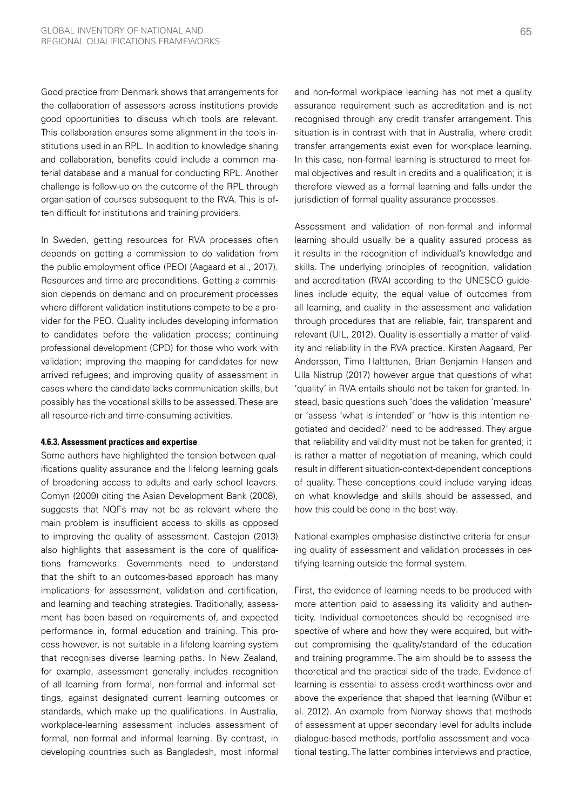Good practice from Denmark shows that arrangements for the collaboration of assessors across institutions provide good opportunities to discuss which tools are relevant. This collaboration ensures some alignment in the tools institutions used in an RPL. In addition to knowledge sharing and collaboration, benefits could include a common material database and a manual for conducting RPL. Another challenge is follow-up on the outcome of the RPL through organisation of courses subsequent to the RVA. This is often difficult for institutions and training providers.

In Sweden, getting resources for RVA processes often depends on getting a commission to do validation from the public employment office (PEO) (Aagaard et al., 2017). Resources and time are preconditions. Getting a commission depends on demand and on procurement processes where different validation institutions compete to be a provider for the PEO. Quality includes developing information to candidates before the validation process; continuing professional development (CPD) for those who work with validation; improving the mapping for candidates for new arrived refugees; and improving quality of assessment in cases where the candidate lacks communication skills, but possibly has the vocational skills to be assessed. These are all resource-rich and time-consuming activities.

#### **4.6.3. Assessment practices and expertise**

Some authors have highlighted the tension between qualifications quality assurance and the lifelong learning goals of broadening access to adults and early school leavers. Comyn (2009) citing the Asian Development Bank (2008), suggests that NQFs may not be as relevant where the main problem is insufficient access to skills as opposed to improving the quality of assessment. Castejon (2013) also highlights that assessment is the core of qualifications frameworks. Governments need to understand that the shift to an outcomes-based approach has many implications for assessment, validation and certification, and learning and teaching strategies. Traditionally, assessment has been based on requirements of, and expected performance in, formal education and training. This process however, is not suitable in a lifelong learning system that recognises diverse learning paths. In New Zealand, for example, assessment generally includes recognition of all learning from formal, non-formal and informal settings, against designated current learning outcomes or standards, which make up the qualifications. In Australia, workplace-learning assessment includes assessment of formal, non-formal and informal learning. By contrast, in developing countries such as Bangladesh, most informal and non-formal workplace learning has not met a quality assurance requirement such as accreditation and is not recognised through any credit transfer arrangement. This situation is in contrast with that in Australia, where credit transfer arrangements exist even for workplace learning. In this case, non-formal learning is structured to meet formal objectives and result in credits and a qualification; it is therefore viewed as a formal learning and falls under the jurisdiction of formal quality assurance processes.

Assessment and validation of non-formal and informal learning should usually be a quality assured process as it results in the recognition of individual's knowledge and skills. The underlying principles of recognition, validation and accreditation (RVA) according to the UNESCO guidelines include equity, the equal value of outcomes from all learning, and quality in the assessment and validation through procedures that are reliable, fair, transparent and relevant (UIL, 2012). Quality is essentially a matter of validity and reliability in the RVA practice. Kirsten Aagaard, Per Andersson, Timo Halttunen, Brian Benjamin Hansen and Ulla Nistrup (2017) however argue that questions of what 'quality' in RVA entails should not be taken for granted. Instead, basic questions such 'does the validation 'measure' or 'assess 'what is intended' or 'how is this intention negotiated and decided?' need to be addressed. They argue that reliability and validity must not be taken for granted; it is rather a matter of negotiation of meaning, which could result in different situation-context-dependent conceptions of quality. These conceptions could include varying ideas on what knowledge and skills should be assessed, and how this could be done in the best way.

National examples emphasise distinctive criteria for ensuring quality of assessment and validation processes in certifying learning outside the formal system.

First, the evidence of learning needs to be produced with more attention paid to assessing its validity and authenticity. Individual competences should be recognised irrespective of where and how they were acquired, but without compromising the quality/standard of the education and training programme. The aim should be to assess the theoretical and the practical side of the trade. Evidence of learning is essential to assess credit-worthiness over and above the experience that shaped that learning (Wilbur et al. 2012). An example from Norway shows that methods of assessment at upper secondary level for adults include dialogue-based methods, portfolio assessment and vocational testing. The latter combines interviews and practice,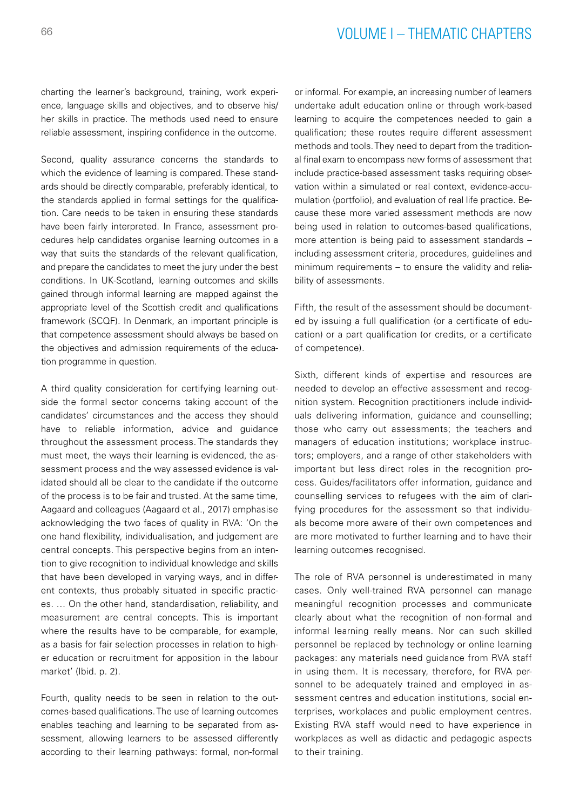charting the learner's background, training, work experience, language skills and objectives, and to observe his/ her skills in practice. The methods used need to ensure reliable assessment, inspiring confidence in the outcome.

Second, quality assurance concerns the standards to which the evidence of learning is compared. These standards should be directly comparable, preferably identical, to the standards applied in formal settings for the qualification. Care needs to be taken in ensuring these standards have been fairly interpreted. In France, assessment procedures help candidates organise learning outcomes in a way that suits the standards of the relevant qualification, and prepare the candidates to meet the jury under the best conditions. In UK-Scotland, learning outcomes and skills gained through informal learning are mapped against the appropriate level of the Scottish credit and qualifications framework (SCQF). In Denmark, an important principle is that competence assessment should always be based on the objectives and admission requirements of the education programme in question.

A third quality consideration for certifying learning outside the formal sector concerns taking account of the candidates' circumstances and the access they should have to reliable information, advice and guidance throughout the assessment process. The standards they must meet, the ways their learning is evidenced, the assessment process and the way assessed evidence is validated should all be clear to the candidate if the outcome of the process is to be fair and trusted. At the same time, Aagaard and colleagues (Aagaard et al., 2017) emphasise acknowledging the two faces of quality in RVA: 'On the one hand flexibility, individualisation, and judgement are central concepts. This perspective begins from an intention to give recognition to individual knowledge and skills that have been developed in varying ways, and in different contexts, thus probably situated in specific practices. … On the other hand, standardisation, reliability, and measurement are central concepts. This is important where the results have to be comparable, for example, as a basis for fair selection processes in relation to higher education or recruitment for apposition in the labour market' (Ibid. p. 2).

Fourth, quality needs to be seen in relation to the outcomes-based qualifications. The use of learning outcomes enables teaching and learning to be separated from assessment, allowing learners to be assessed differently according to their learning pathways: formal, non-formal or informal. For example, an increasing number of learners undertake adult education online or through work-based learning to acquire the competences needed to gain a qualification; these routes require different assessment methods and tools. They need to depart from the traditional final exam to encompass new forms of assessment that include practice-based assessment tasks requiring observation within a simulated or real context, evidence-accumulation (portfolio), and evaluation of real life practice. Because these more varied assessment methods are now being used in relation to outcomes-based qualifications, more attention is being paid to assessment standards – including assessment criteria, procedures, guidelines and minimum requirements – to ensure the validity and reliability of assessments.

Fifth, the result of the assessment should be documented by issuing a full qualification (or a certificate of education) or a part qualification (or credits, or a certificate of competence).

Sixth, different kinds of expertise and resources are needed to develop an effective assessment and recognition system. Recognition practitioners include individuals delivering information, guidance and counselling; those who carry out assessments; the teachers and managers of education institutions; workplace instructors; employers, and a range of other stakeholders with important but less direct roles in the recognition process. Guides/facilitators offer information, guidance and counselling services to refugees with the aim of clarifying procedures for the assessment so that individuals become more aware of their own competences and are more motivated to further learning and to have their learning outcomes recognised.

The role of RVA personnel is underestimated in many cases. Only well-trained RVA personnel can manage meaningful recognition processes and communicate clearly about what the recognition of non-formal and informal learning really means. Nor can such skilled personnel be replaced by technology or online learning packages: any materials need guidance from RVA staff in using them. It is necessary, therefore, for RVA personnel to be adequately trained and employed in assessment centres and education institutions, social enterprises, workplaces and public employment centres. Existing RVA staff would need to have experience in workplaces as well as didactic and pedagogic aspects to their training.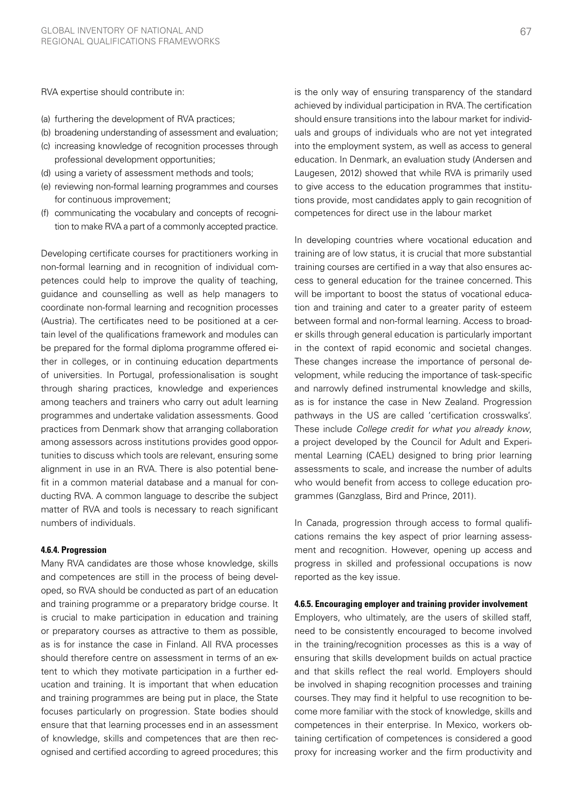RVA expertise should contribute in:

- (a) furthering the development of RVA practices;
- (b) broadening understanding of assessment and evaluation;
- (c) increasing knowledge of recognition processes through professional development opportunities;
- (d) using a variety of assessment methods and tools;
- (e) reviewing non-formal learning programmes and courses for continuous improvement;
- (f) communicating the vocabulary and concepts of recognition to make RVA a part of a commonly accepted practice.

Developing certificate courses for practitioners working in non-formal learning and in recognition of individual competences could help to improve the quality of teaching, guidance and counselling as well as help managers to coordinate non-formal learning and recognition processes (Austria). The certificates need to be positioned at a certain level of the qualifications framework and modules can be prepared for the formal diploma programme offered either in colleges, or in continuing education departments of universities. In Portugal, professionalisation is sought through sharing practices, knowledge and experiences among teachers and trainers who carry out adult learning programmes and undertake validation assessments. Good practices from Denmark show that arranging collaboration among assessors across institutions provides good opportunities to discuss which tools are relevant, ensuring some alignment in use in an RVA. There is also potential benefit in a common material database and a manual for conducting RVA. A common language to describe the subject matter of RVA and tools is necessary to reach significant numbers of individuals.

#### **4.6.4. Progression**

Many RVA candidates are those whose knowledge, skills and competences are still in the process of being developed, so RVA should be conducted as part of an education and training programme or a preparatory bridge course. It is crucial to make participation in education and training or preparatory courses as attractive to them as possible, as is for instance the case in Finland. All RVA processes should therefore centre on assessment in terms of an extent to which they motivate participation in a further education and training. It is important that when education and training programmes are being put in place, the State focuses particularly on progression. State bodies should ensure that that learning processes end in an assessment of knowledge, skills and competences that are then recognised and certified according to agreed procedures; this is the only way of ensuring transparency of the standard achieved by individual participation in RVA. The certification should ensure transitions into the labour market for individuals and groups of individuals who are not yet integrated into the employment system, as well as access to general education. In Denmark, an evaluation study (Andersen and Laugesen, 2012) showed that while RVA is primarily used to give access to the education programmes that institutions provide, most candidates apply to gain recognition of competences for direct use in the labour market

In developing countries where vocational education and training are of low status, it is crucial that more substantial training courses are certified in a way that also ensures access to general education for the trainee concerned. This will be important to boost the status of vocational education and training and cater to a greater parity of esteem between formal and non-formal learning. Access to broader skills through general education is particularly important in the context of rapid economic and societal changes. These changes increase the importance of personal development, while reducing the importance of task-specific and narrowly defined instrumental knowledge and skills, as is for instance the case in New Zealand. Progression pathways in the US are called 'certification crosswalks'. These include *College credit for what you already know*, a project developed by the Council for Adult and Experimental Learning (CAEL) designed to bring prior learning assessments to scale, and increase the number of adults who would benefit from access to college education programmes (Ganzglass, Bird and Prince, 2011).

In Canada, progression through access to formal qualifications remains the key aspect of prior learning assessment and recognition. However, opening up access and progress in skilled and professional occupations is now reported as the key issue.

#### **4.6.5. Encouraging employer and training provider involvement**

Employers, who ultimately, are the users of skilled staff, need to be consistently encouraged to become involved in the training/recognition processes as this is a way of ensuring that skills development builds on actual practice and that skills reflect the real world. Employers should be involved in shaping recognition processes and training courses. They may find it helpful to use recognition to become more familiar with the stock of knowledge, skills and competences in their enterprise. In Mexico, workers obtaining certification of competences is considered a good proxy for increasing worker and the firm productivity and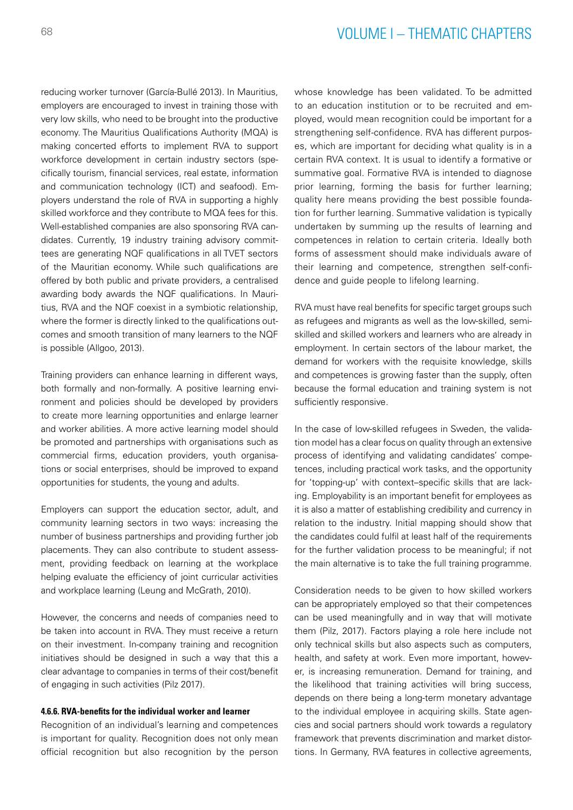reducing worker turnover (García-Bullé 2013). In Mauritius, employers are encouraged to invest in training those with very low skills, who need to be brought into the productive economy. The Mauritius Qualifications Authority (MQA) is making concerted efforts to implement RVA to support workforce development in certain industry sectors (specifically tourism, financial services, real estate, information and communication technology (ICT) and seafood). Employers understand the role of RVA in supporting a highly skilled workforce and they contribute to MQA fees for this. Well-established companies are also sponsoring RVA candidates. Currently, 19 industry training advisory committees are generating NQF qualifications in all TVET sectors of the Mauritian economy. While such qualifications are offered by both public and private providers, a centralised awarding body awards the NQF qualifications. In Mauritius, RVA and the NQF coexist in a symbiotic relationship, where the former is directly linked to the qualifications outcomes and smooth transition of many learners to the NQF is possible (Allgoo, 2013).

Training providers can enhance learning in different ways, both formally and non-formally. A positive learning environment and policies should be developed by providers to create more learning opportunities and enlarge learner and worker abilities. A more active learning model should be promoted and partnerships with organisations such as commercial firms, education providers, youth organisations or social enterprises, should be improved to expand opportunities for students, the young and adults.

Employers can support the education sector, adult, and community learning sectors in two ways: increasing the number of business partnerships and providing further job placements. They can also contribute to student assessment, providing feedback on learning at the workplace helping evaluate the efficiency of joint curricular activities and workplace learning (Leung and McGrath, 2010).

However, the concerns and needs of companies need to be taken into account in RVA. They must receive a return on their investment. In-company training and recognition initiatives should be designed in such a way that this a clear advantage to companies in terms of their cost/benefit of engaging in such activities (Pilz 2017).

### **4.6.6. RVA-benefits for the individual worker and learner**

Recognition of an individual's learning and competences is important for quality. Recognition does not only mean official recognition but also recognition by the person

whose knowledge has been validated. To be admitted to an education institution or to be recruited and employed, would mean recognition could be important for a strengthening self-confidence. RVA has different purposes, which are important for deciding what quality is in a certain RVA context. It is usual to identify a formative or summative goal. Formative RVA is intended to diagnose prior learning, forming the basis for further learning; quality here means providing the best possible foundation for further learning. Summative validation is typically undertaken by summing up the results of learning and competences in relation to certain criteria. Ideally both forms of assessment should make individuals aware of their learning and competence, strengthen self-confidence and guide people to lifelong learning.

RVA must have real benefits for specific target groups such as refugees and migrants as well as the low-skilled, semiskilled and skilled workers and learners who are already in employment. In certain sectors of the labour market, the demand for workers with the requisite knowledge, skills and competences is growing faster than the supply, often because the formal education and training system is not sufficiently responsive.

In the case of low-skilled refugees in Sweden, the validation model has a clear focus on quality through an extensive process of identifying and validating candidates' competences, including practical work tasks, and the opportunity for 'topping-up' with context–specific skills that are lacking. Employability is an important benefit for employees as it is also a matter of establishing credibility and currency in relation to the industry. Initial mapping should show that the candidates could fulfil at least half of the requirements for the further validation process to be meaningful; if not the main alternative is to take the full training programme.

Consideration needs to be given to how skilled workers can be appropriately employed so that their competences can be used meaningfully and in way that will motivate them (Pilz, 2017). Factors playing a role here include not only technical skills but also aspects such as computers, health, and safety at work. Even more important, however, is increasing remuneration. Demand for training, and the likelihood that training activities will bring success, depends on there being a long-term monetary advantage to the individual employee in acquiring skills. State agencies and social partners should work towards a regulatory framework that prevents discrimination and market distortions. In Germany, RVA features in collective agreements,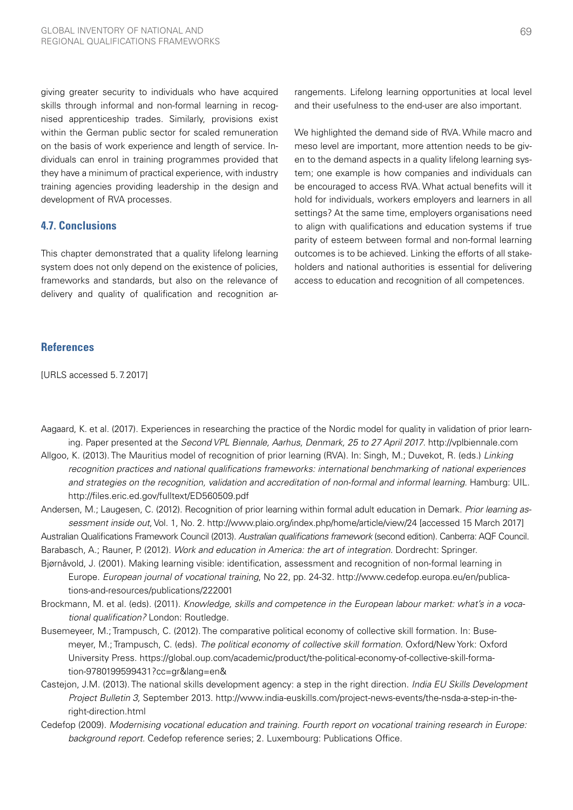giving greater security to individuals who have acquired skills through informal and non-formal learning in recognised apprenticeship trades. Similarly, provisions exist within the German public sector for scaled remuneration on the basis of work experience and length of service. Individuals can enrol in training programmes provided that they have a minimum of practical experience, with industry training agencies providing leadership in the design and development of RVA processes.

## **4.7. Conclusions**

This chapter demonstrated that a quality lifelong learning system does not only depend on the existence of policies, frameworks and standards, but also on the relevance of delivery and quality of qualification and recognition ar-

## **References**

[URLS accessed 5.7.2017]

rangements. Lifelong learning opportunities at local level and their usefulness to the end-user are also important.

We highlighted the demand side of RVA. While macro and meso level are important, more attention needs to be given to the demand aspects in a quality lifelong learning system; one example is how companies and individuals can be encouraged to access RVA. What actual benefits will it hold for individuals, workers employers and learners in all settings? At the same time, employers organisations need to align with qualifications and education systems if true parity of esteem between formal and non-formal learning outcomes is to be achieved. Linking the efforts of all stakeholders and national authorities is essential for delivering access to education and recognition of all competences.

- Aagaard, K. et al. (2017). Experiences in researching the practice of the Nordic model for quality in validation of prior learning. Paper presented at the *Second VPL Biennale, Aarhus, Denmark, 25 to 27 April 2017*. http://vplbiennale.com
- Allgoo, K. (2013). The Mauritius model of recognition of prior learning (RVA). In: Singh, M.; Duvekot, R. (eds.) *Linking recognition practices and national qualifications frameworks: international benchmarking of national experiences and strategies on the recognition, validation and accreditation of non-formal and informal learning*. Hamburg: UIL. http://files.eric.ed.gov/fulltext/ED560509.pdf
- Andersen, M.; Laugesen, C. (2012). Recognition of prior learning within formal adult education in Demark. *Prior learning assessment inside out*, Vol. 1, No. 2. http://www.plaio.org/index.php/home/article/view/24 [accessed 15 March 2017]
- Australian Qualifications Framework Council (2013). *Australian qualifications framework* (second edition). Canberra: AQF Council.
- Barabasch, A.; Rauner, P. (2012). *Work and education in America: the art of integration.* Dordrecht: Springer.
- Bjørnåvold, J. (2001). Making learning visible: identification, assessment and recognition of non-formal learning in Europe. *European journal of vocational training*, No 22, pp. 24-32. http://www.cedefop.europa.eu/en/publications-and-resources/publications/222001
- Brockmann, M. et al. (eds). (2011). *Knowledge, skills and competence in the European labour market: what's in a vocational qualification?* London: Routledge.
- Busemeyeer, M.; Trampusch, C. (2012). The comparative political economy of collective skill formation. In: Busemeyer, M.; Trampusch, C. (eds). *The political economy of collective skill formation*. Oxford/New York: Oxford University Press. https://global.oup.com/academic/product/the-political-economy-of-collective-skill-formation-9780199599431?cc=gr&lang=en&
- Castejon, J.M. (2013). The national skills development agency: a step in the right direction. *India EU Skills Development Project Bulletin 3,* September 2013. http://www.india-euskills.com/project-news-events/the-nsda-a-step-in-theright-direction.html
- Cedefop (2009). *Modernising vocational education and training. Fourth report on vocational training research in Europe: background report*. Cedefop reference series; 2. Luxembourg: Publications Office.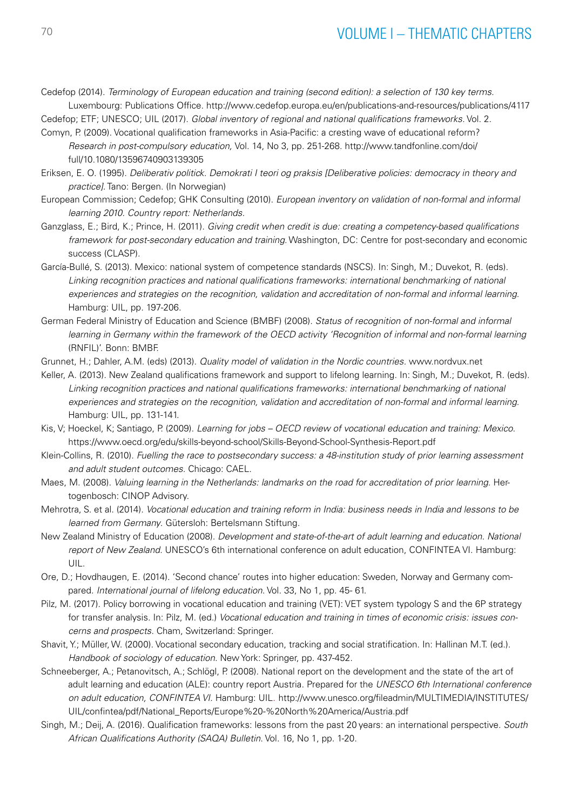Cedefop (2014). *Terminology of European education and training (second edition): a selection of 130 key terms.* Luxembourg: Publications Office. http://www.cedefop.europa.eu/en/publications-and-resources/publications/4117

Cedefop; ETF; UNESCO; UIL (2017). *Global inventory of regional and national qualifications frameworks.* Vol. 2.

- Comyn, P. (2009). Vocational qualification frameworks in Asia-Pacific: a cresting wave of educational reform? *Research in post-compulsory education,* Vol. 14, No 3, pp. 251-268. [http://www.tandfonline.com/doi/](http://www.tandfonline.com/doi/full/10.1080/13596740903139305) [full/10.1080/13596740903139305](http://www.tandfonline.com/doi/full/10.1080/13596740903139305)
- Eriksen, E. O. (1995). *Deliberativ politick. Demokrati I teori og praksis [Deliberative policies: democracy in theory and practice]*. Tano: Bergen. (In Norwegian)
- European Commission; Cedefop; GHK Consulting (2010). *European inventory on validation of non-formal and informal learning 2010. Country report: Netherlands.*
- Ganzglass, E.; Bird, K.; Prince, H. (2011). *Giving credit when credit is due: creating a competency-based qualifications framework for post-secondary education and training*. Washington, DC: Centre for post-secondary and economic success (CLASP).
- García-Bullé, S. (2013). Mexico: national system of competence standards (NSCS). In: Singh, M.; Duvekot, R. (eds). *Linking recognition practices and national qualifications frameworks: international benchmarking of national experiences and strategies on the recognition, validation and accreditation of non-formal and informal learning*. Hamburg: UIL, pp. 197-206.
- German Federal Ministry of Education and Science (BMBF) (2008). *Status of recognition of non-formal and informal learning in Germany within the framework of the OECD activity 'Recognition of informal and non-formal learning* (RNFIL)'. Bonn: BMBF.
- Grunnet, H.; Dahler, A.M. (eds) (2013). *Quality model of validation in the Nordic countries.* www.nordvux.net
- Keller, A. (2013). New Zealand qualifications framework and support to lifelong learning. In: Singh, M.; Duvekot, R. (eds). *Linking recognition practices and national qualifications frameworks: international benchmarking of national experiences and strategies on the recognition, validation and accreditation of non-formal and informal learning*. Hamburg: UIL, pp. 131-141.
- Kis, V; Hoeckel, K; Santiago, P. (2009). *Learning for jobs OECD review of vocational education and training: Mexico*. https://www.oecd.org/edu/skills-beyond-school/Skills-Beyond-School-Synthesis-Report.pdf
- Klein-Collins, R. (2010). *Fuelling the race to postsecondary success: a 48-institution study of prior learning assessment and adult student outcomes*. Chicago: CAEL.
- Maes, M. (2008). *Valuing learning in the Netherlands: landmarks on the road for accreditation of prior learning*. Hertogenbosch: CINOP Advisory.
- Mehrotra, S. et al. (2014). *Vocational education and training reform in India: business needs in India and lessons to be learned from Germany*. Gütersloh: Bertelsmann Stiftung.
- New Zealand Ministry of Education (2008). *Development and state-of-the-art of adult learning and education. National report of New Zealand.* UNESCO's 6th international conference on adult education, CONFINTEA VI. Hamburg: UIL.
- Ore, D.; Hovdhaugen, E. (2014). 'Second chance' routes into higher education: Sweden, Norway and Germany compared. *International journal of lifelong education*. Vol. 33, No 1, pp. 45- 61.
- Pilz, M. (2017). Policy borrowing in vocational education and training (VET): VET system typology S and the 6P strategy for transfer analysis. In: Pilz, M. (ed.) *Vocational education and training in times of economic crisis: issues concerns and prospects.* Cham, Switzerland: Springer.
- Shavit, Y.; Müller, W. (2000). Vocational secondary education, tracking and social stratification. In: Hallinan M.T. (ed.). *Handbook of sociology of education*. New York: Springer, pp. 437-452.
- Schneeberger, A.; Petanovitsch, A.; Schlögl, P. (2008). National report on the development and the state of the art of adult learning and education (ALE): country report Austria. Prepared for the *UNESCO 6th International conference on adult education, CONFINTEA VI.* Hamburg: UIL. [http://www.unesco.org/fileadmin/MULTIMEDIA/INSTITUTES/](http://www.unesco.org/fileadmin/MULTIMEDIA/INSTITUTES/UIL/confintea/pdf/National_Reports/Europe%20-%20North%20America/Austria.pdf) [UIL/confintea/pdf/National\\_Reports/Europe%20-%20North%20America/Austria.pdf](http://www.unesco.org/fileadmin/MULTIMEDIA/INSTITUTES/UIL/confintea/pdf/National_Reports/Europe%20-%20North%20America/Austria.pdf)
- Singh, M.; Deij, A. (2016). Qualification frameworks: lessons from the past 20 years: an international perspective. *South African Qualifications Authority (SAQA) Bulletin*. Vol. 16, No 1, pp. 1-20.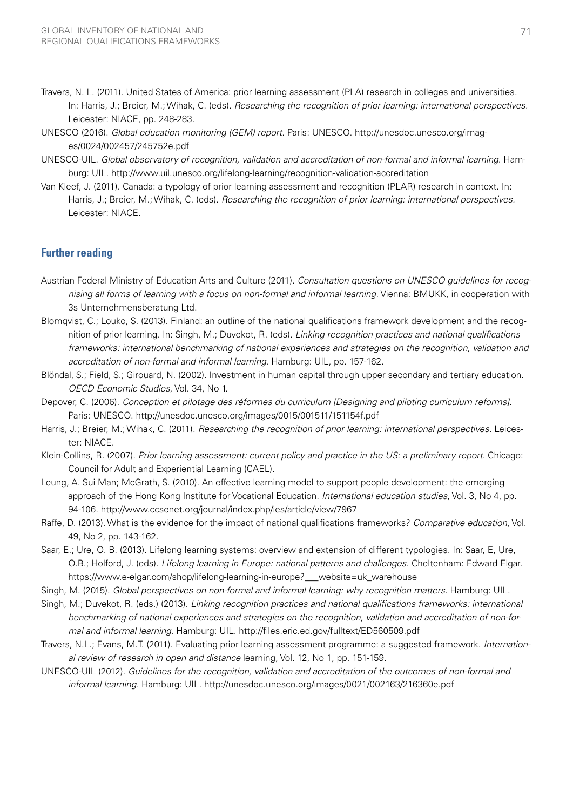- Travers, N. L. (2011). United States of America: prior learning assessment (PLA) research in colleges and universities. In: Harris, J.; Breier, M.; Wihak, C. (eds). *Researching the recognition of prior learning: international perspectives.* Leicester: NIACE, pp. 248-283.
- UNESCO (2016). *Global education monitoring (GEM) report*. Paris: UNESCO. http://unesdoc.unesco.org/images/0024/002457/245752e.pdf
- UNESCO-UIL. *Global observatory of recognition, validation and accreditation of non-formal and informal learning*. Hamburg: UIL. http://www.uil.unesco.org/lifelong-learning/recognition-validation-accreditation
- Van Kleef, J. (2011). Canada: a typology of prior learning assessment and recognition (PLAR) research in context. In: Harris, J.; Breier, M.; Wihak, C. (eds). *Researching the recognition of prior learning: international perspectives.* Leicester: NIACE.

## **Further reading**

- Austrian Federal Ministry of Education Arts and Culture (2011). *Consultation questions on UNESCO guidelines for recognising all forms of learning with a focus on non-formal and informal learning.* Vienna: BMUKK, in cooperation with 3s Unternehmensberatung Ltd.
- Blomqvist, C.; Louko, S. (2013). Finland: an outline of the national qualifications framework development and the recognition of prior learning. In: Singh, M.; Duvekot, R. (eds). *Linking recognition practices and national qualifications frameworks: international benchmarking of national experiences and strategies on the recognition, validation and accreditation of non-formal and informal learning*. Hamburg: UIL, pp. 157-162.
- Blöndal, S.; Field, S.; Girouard, N. (2002). Investment in human capital through upper secondary and tertiary education. *OECD Economic Studies*, Vol. 34, No 1.
- Depover, C. (2006). *Conception et pilotage des réformes du curriculum [Designing and piloting curriculum reforms].*  Paris: UNESCO. http://unesdoc.unesco.org/images/0015/001511/151154f.pdf
- Harris, J.; Breier, M.; Wihak, C. (2011). *Researching the recognition of prior learning: international perspectives.* Leicester: NIACE.
- Klein-Collins, R. (2007). *Prior learning assessment: current policy and practice in the US: a preliminary report.* Chicago: Council for Adult and Experiential Learning (CAEL).
- Leung, A. Sui Man; McGrath, S. (2010). An effective learning model to support people development: the emerging approach of the Hong Kong Institute for Vocational Education. *International education studies*, Vol. 3, No 4, pp. 94-106. http://www.ccsenet.org/journal/index.php/ies/article/view/7967
- Raffe, D. (2013). What is the evidence for the impact of national qualifications frameworks? *Comparative education*, Vol. 49, No 2, pp. 143-162.
- Saar, E.; Ure, O. B. (2013). Lifelong learning systems: overview and extension of different typologies. In: Saar, E, Ure, O.B.; Holford, J. (eds). *Lifelong learning in Europe: national patterns and challenges*. Cheltenham: Edward Elgar. https://www.e-elgar.com/shop/lifelong-learning-in-europe?\_\_\_website=uk\_warehouse
- Singh, M. (2015). *Global perspectives on non-formal and informal learning: why recognition matters*. Hamburg: UIL.
- Singh, M.; Duvekot, R. (eds.) (2013). *Linking recognition practices and national qualifications frameworks: international benchmarking of national experiences and strategies on the recognition, validation and accreditation of non-formal and informal learning*. Hamburg: UIL. http://files.eric.ed.gov/fulltext/ED560509.pdf
- Travers, N.L.; Evans, M.T. (2011). Evaluating prior learning assessment programme: a suggested framework. *International review of research in open and distance* learning, Vol. 12, No 1, pp. 151-159.
- UNESCO-UIL (2012). *Guidelines for the recognition, validation and accreditation of the outcomes of non-formal and informal learning.* Hamburg: UIL. http://unesdoc.unesco.org/images/0021/002163/216360e.pdf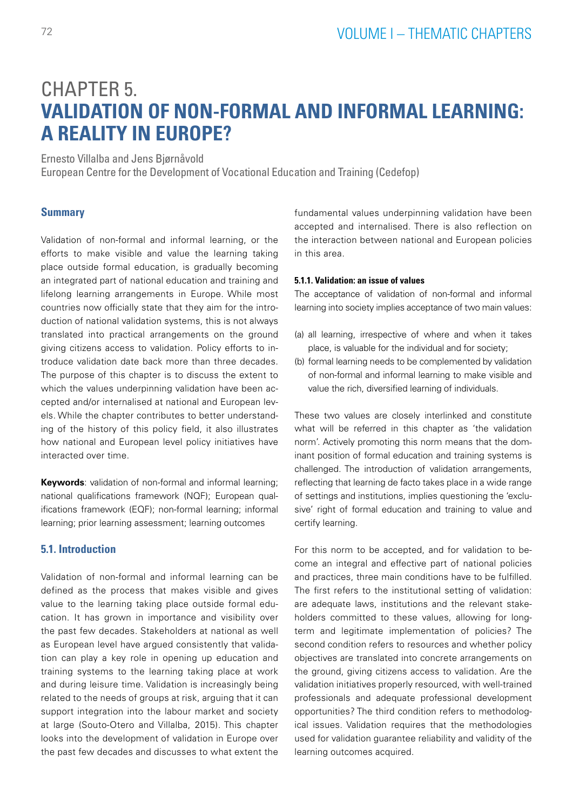# CHAPTER 5. **VALIDATION OF NON-FORMAL AND INFORMAL LEARNING: A REALITY IN EUROPE?**

Ernesto Villalba and Jens Bjørnåvold

European Centre for the Development of Vocational Education and Training (Cedefop)

## **Summary**

Validation of non-formal and informal learning, or the efforts to make visible and value the learning taking place outside formal education, is gradually becoming an integrated part of national education and training and lifelong learning arrangements in Europe. While most countries now officially state that they aim for the introduction of national validation systems, this is not always translated into practical arrangements on the ground giving citizens access to validation. Policy efforts to introduce validation date back more than three decades. The purpose of this chapter is to discuss the extent to which the values underpinning validation have been accepted and/or internalised at national and European levels. While the chapter contributes to better understanding of the history of this policy field, it also illustrates how national and European level policy initiatives have interacted over time.

**Keywords**: validation of non-formal and informal learning; national qualifications framework (NQF); European qualifications framework (EQF); non-formal learning; informal learning; prior learning assessment; learning outcomes

## **5.1. Introduction**

Validation of non-formal and informal learning can be defined as the process that makes visible and gives value to the learning taking place outside formal education. It has grown in importance and visibility over the past few decades. Stakeholders at national as well as European level have argued consistently that validation can play a key role in opening up education and training systems to the learning taking place at work and during leisure time. Validation is increasingly being related to the needs of groups at risk, arguing that it can support integration into the labour market and society at large (Souto-Otero and Villalba, 2015). This chapter looks into the development of validation in Europe over the past few decades and discusses to what extent the fundamental values underpinning validation have been accepted and internalised. There is also reflection on the interaction between national and European policies in this area.

## **5.1.1. Validation: an issue of values**

The acceptance of validation of non-formal and informal learning into society implies acceptance of two main values:

- (a) all learning, irrespective of where and when it takes place, is valuable for the individual and for society;
- (b) formal learning needs to be complemented by validation of non-formal and informal learning to make visible and value the rich, diversified learning of individuals.

These two values are closely interlinked and constitute what will be referred in this chapter as 'the validation norm'. Actively promoting this norm means that the dominant position of formal education and training systems is challenged. The introduction of validation arrangements, reflecting that learning de facto takes place in a wide range of settings and institutions, implies questioning the 'exclusive' right of formal education and training to value and certify learning.

For this norm to be accepted, and for validation to become an integral and effective part of national policies and practices, three main conditions have to be fulfilled. The first refers to the institutional setting of validation: are adequate laws, institutions and the relevant stakeholders committed to these values, allowing for longterm and legitimate implementation of policies? The second condition refers to resources and whether policy objectives are translated into concrete arrangements on the ground, giving citizens access to validation. Are the validation initiatives properly resourced, with well-trained professionals and adequate professional development opportunities? The third condition refers to methodological issues. Validation requires that the methodologies used for validation guarantee reliability and validity of the learning outcomes acquired.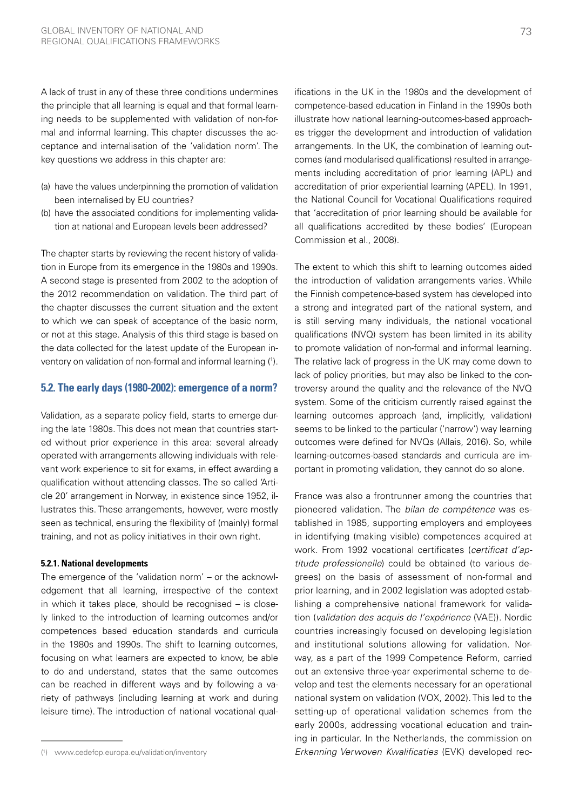A lack of trust in any of these three conditions undermines the principle that all learning is equal and that formal learning needs to be supplemented with validation of non-formal and informal learning. This chapter discusses the acceptance and internalisation of the 'validation norm'. The key questions we address in this chapter are:

- (a) have the values underpinning the promotion of validation been internalised by EU countries?
- (b) have the associated conditions for implementing validation at national and European levels been addressed?

The chapter starts by reviewing the recent history of validation in Europe from its emergence in the 1980s and 1990s. A second stage is presented from 2002 to the adoption of the 2012 recommendation on validation. The third part of the chapter discusses the current situation and the extent to which we can speak of acceptance of the basic norm, or not at this stage. Analysis of this third stage is based on the data collected for the latest update of the European inventory on validation of non-formal and informal learning (1 ).

## **5.2. The early days (1980-2002): emergence of a norm?**

Validation, as a separate policy field, starts to emerge during the late 1980s. This does not mean that countries started without prior experience in this area: several already operated with arrangements allowing individuals with relevant work experience to sit for exams, in effect awarding a qualification without attending classes. The so called 'Article 20' arrangement in Norway, in existence since 1952, illustrates this. These arrangements, however, were mostly seen as technical, ensuring the flexibility of (mainly) formal training, and not as policy initiatives in their own right.

### **5.2.1. National developments**

The emergence of the 'validation norm' – or the acknowledgement that all learning, irrespective of the context in which it takes place, should be recognised – is closely linked to the introduction of learning outcomes and/or competences based education standards and curricula in the 1980s and 1990s. The shift to learning outcomes, focusing on what learners are expected to know, be able to do and understand, states that the same outcomes can be reached in different ways and by following a variety of pathways (including learning at work and during leisure time). The introduction of national vocational qualifications in the UK in the 1980s and the development of competence-based education in Finland in the 1990s both illustrate how national learning-outcomes-based approaches trigger the development and introduction of validation arrangements. In the UK, the combination of learning outcomes (and modularised qualifications) resulted in arrangements including accreditation of prior learning (APL) and accreditation of prior experiential learning (APEL). In 1991, the National Council for Vocational Qualifications required that 'accreditation of prior learning should be available for all qualifications accredited by these bodies' (European Commission et al., 2008).

The extent to which this shift to learning outcomes aided the introduction of validation arrangements varies. While the Finnish competence-based system has developed into a strong and integrated part of the national system, and is still serving many individuals, the national vocational qualifications (NVQ) system has been limited in its ability to promote validation of non-formal and informal learning. The relative lack of progress in the UK may come down to lack of policy priorities, but may also be linked to the controversy around the quality and the relevance of the NVQ system. Some of the criticism currently raised against the learning outcomes approach (and, implicitly, validation) seems to be linked to the particular ('narrow') way learning outcomes were defined for NVQs (Allais, 2016). So, while learning-outcomes-based standards and curricula are important in promoting validation, they cannot do so alone.

France was also a frontrunner among the countries that pioneered validation. The *bilan de compétence* was established in 1985, supporting employers and employees in identifying (making visible) competences acquired at work. From 1992 vocational certificates (*certificat d'aptitude professionelle*) could be obtained (to various degrees) on the basis of assessment of non-formal and prior learning, and in 2002 legislation was adopted establishing a comprehensive national framework for validation (*validation des acquis de l'expérience* (VAE)). Nordic countries increasingly focused on developing legislation and institutional solutions allowing for validation. Norway, as a part of the 1999 Competence Reform, carried out an extensive three-year experimental scheme to develop and test the elements necessary for an operational national system on validation (VOX, 2002). This led to the setting-up of operational validation schemes from the early 2000s, addressing vocational education and training in particular. In the Netherlands, the commission on *Erkenning Verwoven Kwalificaties* (EVK) developed rec-

<sup>(</sup> 1 ) [www.cedefop.europa.eu/validation/inventory](http://www.cedefop.europa.eu/validation/inventory)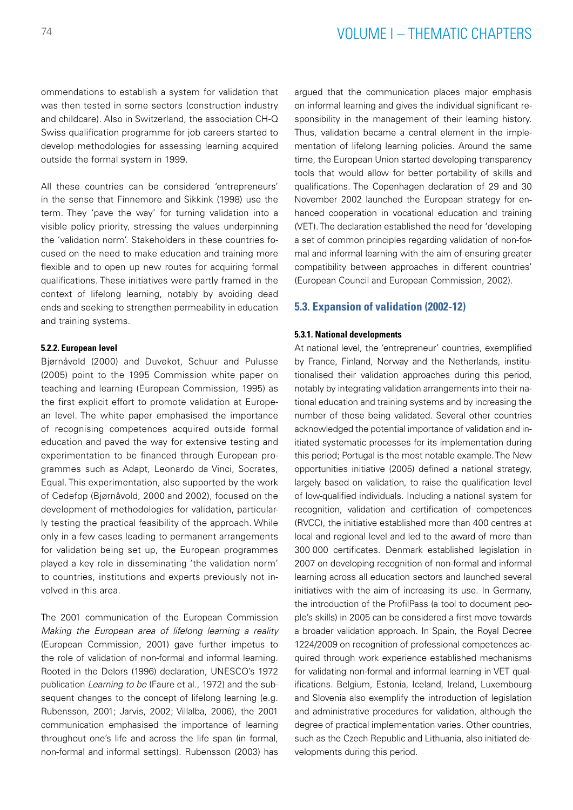## <sup>74</sup> VOLUME I – THEMATIC CHAPTERS

ommendations to establish a system for validation that was then tested in some sectors (construction industry and childcare). Also in Switzerland, the association CH-Q Swiss qualification programme for job careers started to develop methodologies for assessing learning acquired outside the formal system in 1999.

All these countries can be considered 'entrepreneurs' in the sense that Finnemore and Sikkink (1998) use the term. They 'pave the way' for turning validation into a visible policy priority, stressing the values underpinning the 'validation norm'. Stakeholders in these countries focused on the need to make education and training more flexible and to open up new routes for acquiring formal qualifications. These initiatives were partly framed in the context of lifelong learning, notably by avoiding dead ends and seeking to strengthen permeability in education and training systems.

#### **5.2.2. European level**

Bjørnåvold (2000) and Duvekot, Schuur and Pulusse (2005) point to the 1995 Commission white paper on teaching and learning (European Commission, 1995) as the first explicit effort to promote validation at European level. The white paper emphasised the importance of recognising competences acquired outside formal education and paved the way for extensive testing and experimentation to be financed through European programmes such as Adapt, Leonardo da Vinci, Socrates, Equal. This experimentation, also supported by the work of Cedefop (Bjørnåvold, 2000 and 2002), focused on the development of methodologies for validation, particularly testing the practical feasibility of the approach. While only in a few cases leading to permanent arrangements for validation being set up, the European programmes played a key role in disseminating 'the validation norm' to countries, institutions and experts previously not involved in this area.

The 2001 communication of the European Commission *Making the European area of lifelong learning a reality* (European Commission, 2001) gave further impetus to the role of validation of non-formal and informal learning. Rooted in the Delors (1996) declaration, UNESCO's 1972 publication *Learning to be* (Faure et al., 1972) and the subsequent changes to the concept of lifelong learning (e.g. Rubensson, 2001; Jarvis, 2002; Villalba, 2006), the 2001 communication emphasised the importance of learning throughout one's life and across the life span (in formal, non-formal and informal settings). Rubensson (2003) has argued that the communication places major emphasis on informal learning and gives the individual significant responsibility in the management of their learning history. Thus, validation became a central element in the implementation of lifelong learning policies. Around the same time, the European Union started developing transparency tools that would allow for better portability of skills and qualifications. The Copenhagen declaration of 29 and 30 November 2002 launched the European strategy for enhanced cooperation in vocational education and training (VET). The declaration established the need for 'developing a set of common principles regarding validation of non-formal and informal learning with the aim of ensuring greater compatibility between approaches in different countries' (European Council and European Commission, 2002).

### **5.3. Expansion of validation (2002-12)**

#### **5.3.1. National developments**

At national level, the 'entrepreneur' countries, exemplified by France, Finland, Norway and the Netherlands, institutionalised their validation approaches during this period, notably by integrating validation arrangements into their national education and training systems and by increasing the number of those being validated. Several other countries acknowledged the potential importance of validation and initiated systematic processes for its implementation during this period; Portugal is the most notable example. The New opportunities initiative (2005) defined a national strategy, largely based on validation, to raise the qualification level of low-qualified individuals. Including a national system for recognition, validation and certification of competences (RVCC), the initiative established more than 400 centres at local and regional level and led to the award of more than 300 000 certificates. Denmark established legislation in 2007 on developing recognition of non-formal and informal learning across all education sectors and launched several initiatives with the aim of increasing its use. In Germany, the introduction of the ProfilPass (a tool to document people's skills) in 2005 can be considered a first move towards a broader validation approach. In Spain, the Royal Decree 1224/2009 on recognition of professional competences acquired through work experience established mechanisms for validating non-formal and informal learning in VET qualifications. Belgium, Estonia, Iceland, Ireland, Luxembourg and Slovenia also exemplify the introduction of legislation and administrative procedures for validation, although the degree of practical implementation varies. Other countries, such as the Czech Republic and Lithuania, also initiated developments during this period.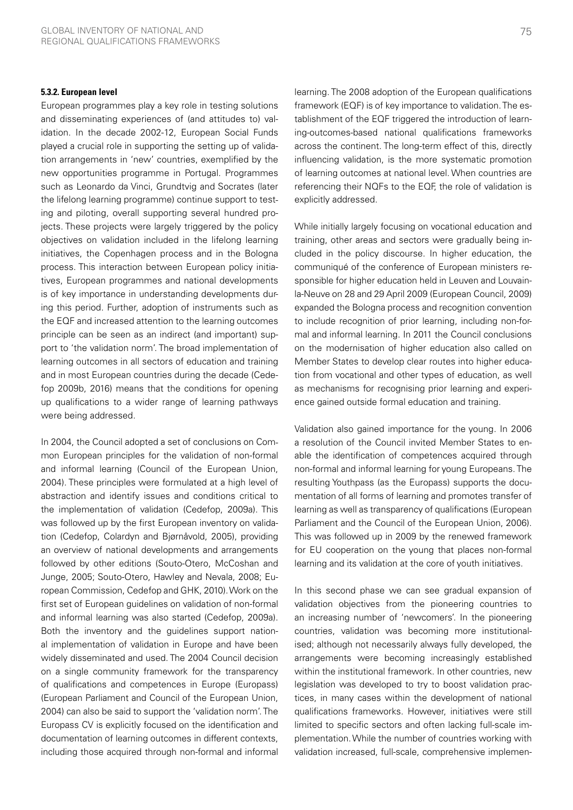#### **5.3.2. European level**

European programmes play a key role in testing solutions and disseminating experiences of (and attitudes to) validation. In the decade 2002-12, European Social Funds played a crucial role in supporting the setting up of validation arrangements in 'new' countries, exemplified by the new opportunities programme in Portugal. Programmes such as Leonardo da Vinci, Grundtvig and Socrates (later the lifelong learning programme) continue support to testing and piloting, overall supporting several hundred projects. These projects were largely triggered by the policy objectives on validation included in the lifelong learning initiatives, the Copenhagen process and in the Bologna process. This interaction between European policy initiatives, European programmes and national developments is of key importance in understanding developments during this period. Further, adoption of instruments such as the EQF and increased attention to the learning outcomes principle can be seen as an indirect (and important) support to 'the validation norm'. The broad implementation of learning outcomes in all sectors of education and training and in most European countries during the decade (Cedefop 2009b, 2016) means that the conditions for opening up qualifications to a wider range of learning pathways were being addressed.

In 2004, the Council adopted a set of conclusions on Common European principles for the validation of non-formal and informal learning (Council of the European Union, 2004). These principles were formulated at a high level of abstraction and identify issues and conditions critical to the implementation of validation (Cedefop, 2009a). This was followed up by the first European inventory on validation (Cedefop, Colardyn and Bjørnåvold, 2005), providing an overview of national developments and arrangements followed by other editions (Souto-Otero, McCoshan and Junge, 2005; Souto-Otero, Hawley and Nevala, 2008; European Commission, Cedefop and GHK, 2010). Work on the first set of European guidelines on validation of non-formal and informal learning was also started (Cedefop, 2009a). Both the inventory and the guidelines support national implementation of validation in Europe and have been widely disseminated and used. The 2004 Council decision on a single community framework for the transparency of qualifications and competences in Europe (Europass) (European Parliament and Council of the European Union, 2004) can also be said to support the 'validation norm'. The Europass CV is explicitly focused on the identification and documentation of learning outcomes in different contexts, including those acquired through non-formal and informal learning. The 2008 adoption of the European qualifications framework (EQF) is of key importance to validation. The establishment of the EQF triggered the introduction of learning-outcomes-based national qualifications frameworks across the continent. The long-term effect of this, directly influencing validation, is the more systematic promotion of learning outcomes at national level. When countries are referencing their NQFs to the EQF, the role of validation is explicitly addressed.

While initially largely focusing on vocational education and training, other areas and sectors were gradually being included in the policy discourse. In higher education, the communiqué of the conference of European ministers responsible for higher education held in Leuven and Louvainla-Neuve on 28 and 29 April 2009 (European Council, 2009) expanded the Bologna process and recognition convention to include recognition of prior learning, including non-formal and informal learning. In 2011 the Council conclusions on the modernisation of higher education also called on Member States to develop clear routes into higher education from vocational and other types of education, as well as mechanisms for recognising prior learning and experience gained outside formal education and training.

Validation also gained importance for the young. In 2006 a resolution of the Council invited Member States to enable the identification of competences acquired through non-formal and informal learning for young Europeans. The resulting Youthpass (as the Europass) supports the documentation of all forms of learning and promotes transfer of learning as well as transparency of qualifications (European Parliament and the Council of the European Union, 2006). This was followed up in 2009 by the renewed framework for EU cooperation on the young that places non-formal learning and its validation at the core of youth initiatives.

In this second phase we can see gradual expansion of validation objectives from the pioneering countries to an increasing number of 'newcomers'. In the pioneering countries, validation was becoming more institutionalised; although not necessarily always fully developed, the arrangements were becoming increasingly established within the institutional framework. In other countries, new legislation was developed to try to boost validation practices, in many cases within the development of national qualifications frameworks. However, initiatives were still limited to specific sectors and often lacking full-scale implementation. While the number of countries working with validation increased, full-scale, comprehensive implemen-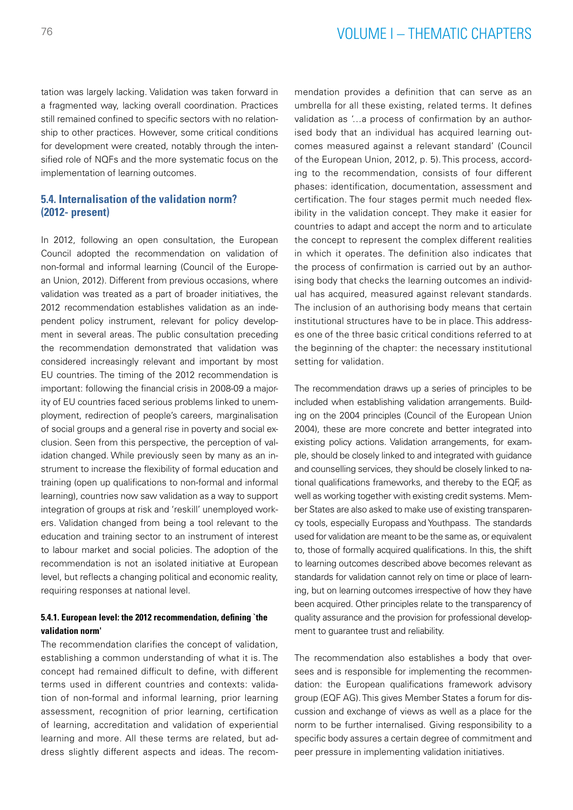tation was largely lacking. Validation was taken forward in a fragmented way, lacking overall coordination. Practices still remained confined to specific sectors with no relationship to other practices. However, some critical conditions for development were created, notably through the intensified role of NQFs and the more systematic focus on the implementation of learning outcomes.

## **5.4. Internalisation of the validation norm? (2012- present)**

In 2012, following an open consultation, the European Council adopted the recommendation on validation of non-formal and informal learning (Council of the European Union, 2012). Different from previous occasions, where validation was treated as a part of broader initiatives, the 2012 recommendation establishes validation as an independent policy instrument, relevant for policy development in several areas. The public consultation preceding the recommendation demonstrated that validation was considered increasingly relevant and important by most EU countries. The timing of the 2012 recommendation is important: following the financial crisis in 2008-09 a majority of EU countries faced serious problems linked to unemployment, redirection of people's careers, marginalisation of social groups and a general rise in poverty and social exclusion. Seen from this perspective, the perception of validation changed. While previously seen by many as an instrument to increase the flexibility of formal education and training (open up qualifications to non-formal and informal learning), countries now saw validation as a way to support integration of groups at risk and 'reskill' unemployed workers. Validation changed from being a tool relevant to the education and training sector to an instrument of interest to labour market and social policies. The adoption of the recommendation is not an isolated initiative at European level, but reflects a changing political and economic reality, requiring responses at national level.

## **5.4.1. European level: the 2012 recommendation, defining `the validation norm'**

The recommendation clarifies the concept of validation, establishing a common understanding of what it is. The concept had remained difficult to define, with different terms used in different countries and contexts: validation of non-formal and informal learning, prior learning assessment, recognition of prior learning, certification of learning, accreditation and validation of experiential learning and more. All these terms are related, but address slightly different aspects and ideas. The recommendation provides a definition that can serve as an umbrella for all these existing, related terms. It defines validation as '…a process of confirmation by an authorised body that an individual has acquired learning outcomes measured against a relevant standard' (Council of the European Union, 2012, p. 5). This process, according to the recommendation, consists of four different phases: identification, documentation, assessment and certification. The four stages permit much needed flexibility in the validation concept. They make it easier for countries to adapt and accept the norm and to articulate the concept to represent the complex different realities in which it operates. The definition also indicates that the process of confirmation is carried out by an authorising body that checks the learning outcomes an individual has acquired, measured against relevant standards. The inclusion of an authorising body means that certain institutional structures have to be in place. This addresses one of the three basic critical conditions referred to at the beginning of the chapter: the necessary institutional setting for validation.

The recommendation draws up a series of principles to be included when establishing validation arrangements. Building on the 2004 principles (Council of the European Union 2004), these are more concrete and better integrated into existing policy actions. Validation arrangements, for example, should be closely linked to and integrated with guidance and counselling services, they should be closely linked to national qualifications frameworks, and thereby to the EQF, as well as working together with existing credit systems. Member States are also asked to make use of existing transparency tools, especially Europass and Youthpass. The standards used for validation are meant to be the same as, or equivalent to, those of formally acquired qualifications. In this, the shift to learning outcomes described above becomes relevant as standards for validation cannot rely on time or place of learning, but on learning outcomes irrespective of how they have been acquired. Other principles relate to the transparency of quality assurance and the provision for professional development to guarantee trust and reliability.

The recommendation also establishes a body that oversees and is responsible for implementing the recommendation: the European qualifications framework advisory group (EQF AG). This gives Member States a forum for discussion and exchange of views as well as a place for the norm to be further internalised. Giving responsibility to a specific body assures a certain degree of commitment and peer pressure in implementing validation initiatives.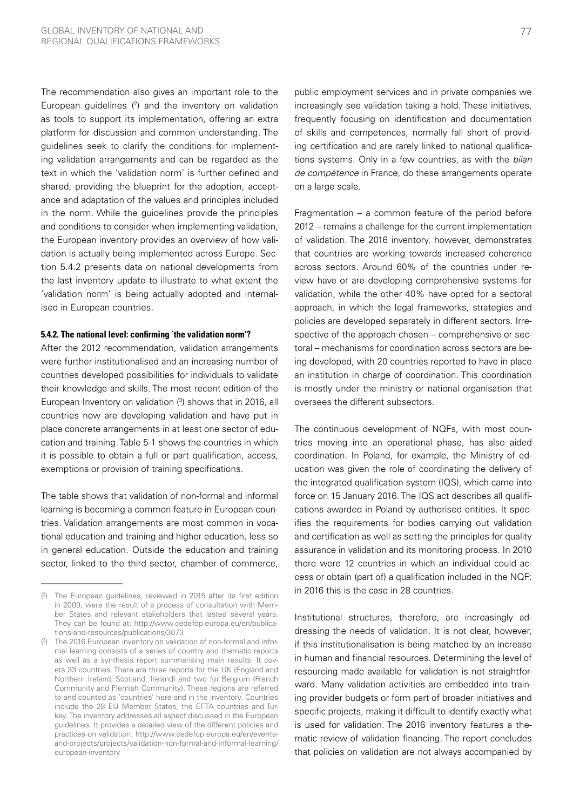The recommendation also gives an important role to the European guidelines  $(2)$  and the inventory on validation as tools to support its implementation, offering an extra platform for discussion and common understanding. The guidelines seek to clarify the conditions for implementing validation arrangements and can be regarded as the text in which the 'validation norm' is further defined and shared, providing the blueprint for the adoption, acceptance and adaptation of the values and principles included in the norm. While the guidelines provide the principles and conditions to consider when implementing validation, the European inventory provides an overview of how validation is actually being implemented across Europe. Section 5.4.2 presents data on national developments from the last inventory update to illustrate to what extent the 'validation norm' is being actually adopted and internalised in European countries.

#### **5.4.2. The national level: confirming `the validation norm'?**

After the 2012 recommendation, validation arrangements were further institutionalised and an increasing number of countries developed possibilities for individuals to validate their knowledge and skills. The most recent edition of the European Inventory on validation (3) shows that in 2016, all countries now are developing validation and have put in place concrete arrangements in at least one sector of education and training. Table 5-1 shows the countries in which it is possible to obtain a full or part qualification, access, exemptions or provision of training specifications.

The table shows that validation of non-formal and informal learning is becoming a common feature in European countries. Validation arrangements are most common in vocational education and training and higher education, less so in general education. Outside the education and training sector, linked to the third sector, chamber of commerce,

public employment services and in private companies we increasingly see validation taking a hold. These initiatives, frequently focusing on identification and documentation of skills and competences, normally fall short of providing certification and are rarely linked to national qualifications systems. Only in a few countries, as with the *bilan de compétence* in France, do these arrangements operate on a large scale.

Fragmentation – a common feature of the period before 2012 – remains a challenge for the current implementation of validation. The 2016 inventory, however, demonstrates that countries are working towards increased coherence across sectors. Around 60% of the countries under review have or are developing comprehensive systems for validation, while the other 40% have opted for a sectoral approach, in which the legal frameworks, strategies and policies are developed separately in different sectors. Irrespective of the approach chosen – comprehensive or sectoral – mechanisms for coordination across sectors are being developed, with 20 countries reported to have in place an institution in charge of coordination. This coordination is mostly under the ministry or national organisation that oversees the different subsectors.

The continuous development of NQFs, with most countries moving into an operational phase, has also aided coordination. In Poland, for example, the Ministry of education was given the role of coordinating the delivery of the integrated qualification system (IQS), which came into force on 15 January 2016. The IQS act describes all qualifications awarded in Poland by authorised entities. It specifies the requirements for bodies carrying out validation and certification as well as setting the principles for quality assurance in validation and its monitoring process. In 2010 there were 12 countries in which an individual could access or obtain (part of) a qualification included in the NQF: in 2016 this is the case in 28 countries.

Institutional structures, therefore, are increasingly addressing the needs of validation. It is not clear, however, if this institutionalisation is being matched by an increase in human and financial resources. Determining the level of resourcing made available for validation is not straightforward. Many validation activities are embedded into training provider budgets or form part of broader initiatives and specific projects, making it difficult to identify exactly what is used for validation. The 2016 inventory features a thematic review of validation financing. The report concludes that policies on validation are not always accompanied by

<sup>(</sup> 2 ) The European guidelines, reviewed in 2015 after its first edition in 2009, were the result of a process of consultation with Member States and relevant stakeholders that lasted several years. They can be found at: [http://www.cedefop.europa.eu/en/publica](http://www.cedefop.europa.eu/en/publications-and-resources/publications/3073)[tions-and-resources/publications/3073](http://www.cedefop.europa.eu/en/publications-and-resources/publications/3073)

<sup>(</sup> 3 ) The 2016 European inventory on validation of non-formal and informal learning consists of a series of country and thematic reports as well as a synthesis report summarising main results. It covers 33 countries. There are three reports for the UK (England and Northern Ireland; Scotland; Ireland) and two for Belgium (French Community and Flemish Community). These regions are referred to and counted as 'countries' here and in the inventory. Countries include the 28 EU Member States, the EFTA countries and Turkey. The inventory addresses all aspect discussed in the European guidelines. It provides a detailed view of the different policies and practices on validation. [http://www.cedefop.europa.eu/en/events](http://www.cedefop.europa.eu/en/events-and-projects/projects/validation-non-formal-and-informal-learning/european-inventory)[and-projects/projects/validation-non-formal-and-informal-learning/](http://www.cedefop.europa.eu/en/events-and-projects/projects/validation-non-formal-and-informal-learning/european-inventory) [european-inventory](http://www.cedefop.europa.eu/en/events-and-projects/projects/validation-non-formal-and-informal-learning/european-inventory)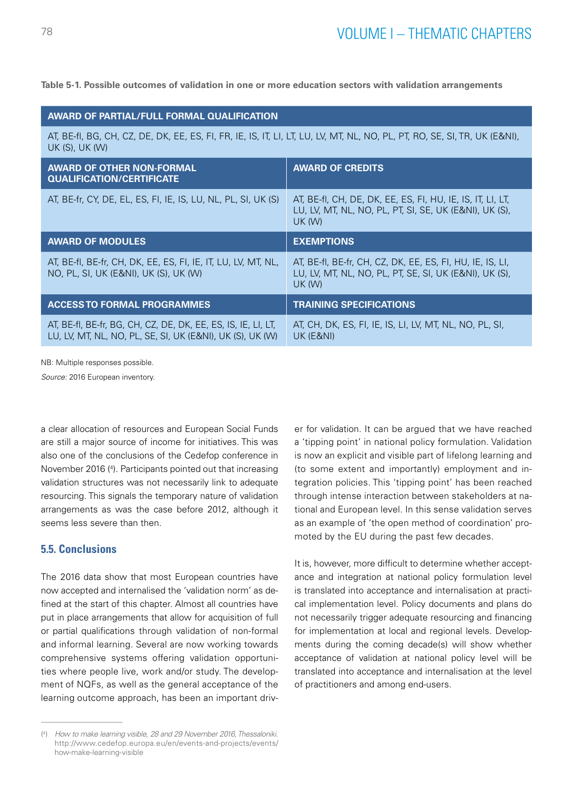**Table 5-1. Possible outcomes of validation in one or more education sectors with validation arrangements**

| <b>AWARD OF PARTIAL/FULL FORMAL QUALIFICATION</b>                                                                                           |                                                                                                                                       |  |  |
|---------------------------------------------------------------------------------------------------------------------------------------------|---------------------------------------------------------------------------------------------------------------------------------------|--|--|
| AT, BE-fI, BG, CH, CZ, DE, DK, EE, ES, FI, FR, IE, IS, IT, LI, LT, LU, LV, MT, NL, NO, PL, PT, RO, SE, SI, TR, UK (E&NI),<br>UK (S), UK (W) |                                                                                                                                       |  |  |
| <b>AWARD OF OTHER NON-FORMAL</b><br><b>QUALIFICATION/CERTIFICATE</b>                                                                        | <b>AWARD OF CREDITS</b>                                                                                                               |  |  |
| AT, BE-fr, CY, DE, EL, ES, FI, IE, IS, LU, NL, PL, SI, UK (S)                                                                               | AT, BE-fl, CH, DE, DK, EE, ES, FI, HU, IE, IS, IT, LI, LT,<br>LU, LV, MT, NL, NO, PL, PT, SI, SE, UK (E&NI), UK (S),<br><b>UK (W)</b> |  |  |
| <b>AWARD OF MODULES</b>                                                                                                                     | <b>EXEMPTIONS</b>                                                                                                                     |  |  |
| AT, BE-fl, BE-fr, CH, DK, EE, ES, FI, IE, IT, LU, LV, MT, NL,<br>NO, PL, SI, UK (E&NI), UK (S), UK (W)                                      | AT, BE-fl, BE-fr, CH, CZ, DK, EE, ES, FI, HU, IE, IS, LI,<br>LU, LV, MT, NL, NO, PL, PT, SE, SI, UK (E&NI), UK (S),<br><b>UK (W)</b>  |  |  |
| <b>ACCESS TO FORMAL PROGRAMMES</b>                                                                                                          | <b>TRAINING SPECIFICATIONS</b>                                                                                                        |  |  |
| AT, BE-fl, BE-fr, BG, CH, CZ, DE, DK, EE, ES, IS, IE, LI, LT,<br>LU, LV, MT, NL, NO, PL, SE, SI, UK (E&NI), UK (S), UK (W)                  | AT, CH, DK, ES, FI, IE, IS, LI, LV, MT, NL, NO, PL, SI,<br>UK (E&NI)                                                                  |  |  |

NB: Multiple responses possible.

*Source:* 2016 European inventory.

a clear allocation of resources and European Social Funds are still a major source of income for initiatives. This was also one of the conclusions of the Cedefop conference in November 2016 (4 ). Participants pointed out that increasing validation structures was not necessarily link to adequate resourcing. This signals the temporary nature of validation arrangements as was the case before 2012, although it seems less severe than then.

## **5.5. Conclusions**

The 2016 data show that most European countries have now accepted and internalised the 'validation norm' as defined at the start of this chapter. Almost all countries have put in place arrangements that allow for acquisition of full or partial qualifications through validation of non-formal and informal learning. Several are now working towards comprehensive systems offering validation opportunities where people live, work and/or study. The development of NQFs, as well as the general acceptance of the learning outcome approach, has been an important driver for validation. It can be argued that we have reached a 'tipping point' in national policy formulation. Validation is now an explicit and visible part of lifelong learning and (to some extent and importantly) employment and integration policies. This 'tipping point' has been reached through intense interaction between stakeholders at national and European level. In this sense validation serves as an example of 'the open method of coordination' promoted by the EU during the past few decades.

It is, however, more difficult to determine whether acceptance and integration at national policy formulation level is translated into acceptance and internalisation at practical implementation level. Policy documents and plans do not necessarily trigger adequate resourcing and financing for implementation at local and regional levels. Developments during the coming decade(s) will show whether acceptance of validation at national policy level will be translated into acceptance and internalisation at the level of practitioners and among end-users.

<sup>(</sup> 4 ) *How to make learning visible, 28 and 29 November 2016, Thessaloniki.* [http://www.cedefop.europa.eu/en/events-and-projects/events/](http://www.cedefop.europa.eu/en/events-and-projects/events/how-make-learning-visible) [how-make-learning-visible](http://www.cedefop.europa.eu/en/events-and-projects/events/how-make-learning-visible)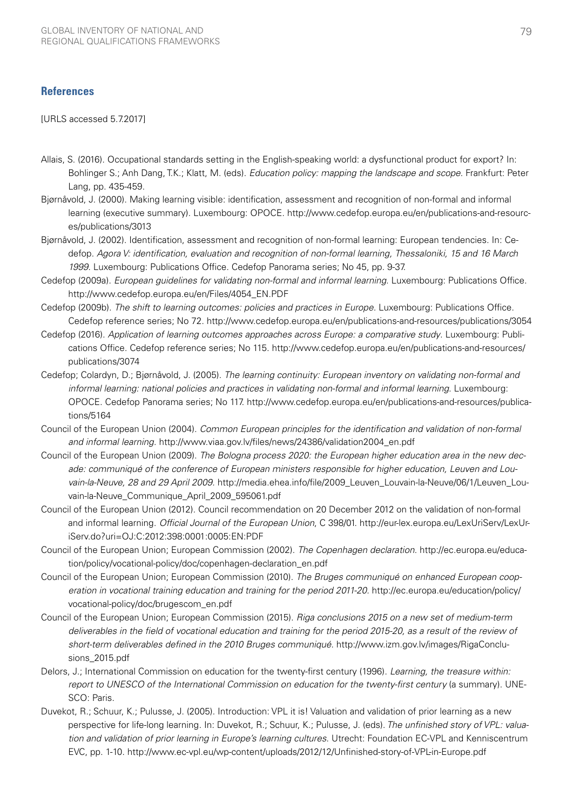## **References**

[URLS accessed 5.7.2017]

- Allais, S. (2016). Occupational standards setting in the English-speaking world: a dysfunctional product for export? In: Bohlinger S.; Anh Dang, T.K.; Klatt, M. (eds). *Education policy: mapping the landscape and scope*. Frankfurt: Peter Lang, pp. 435-459.
- Bjørnåvold, J. (2000). Making learning visible: identification, assessment and recognition of non-formal and informal learning (executive summary). Luxembourg: OPOCE. [http://www.cedefop.europa.eu/en/publications-and-resourc](http://www.cedefop.europa.eu/en/publications-and-resources/publications/3013)[es/publications/3013](http://www.cedefop.europa.eu/en/publications-and-resources/publications/3013)
- Bjørnåvold, J. (2002). Identification, assessment and recognition of non-formal learning: European tendencies. In: Cedefop. *Agora V: identification, evaluation and recognition of non-formal learning, Thessaloniki, 15 and 16 March 1999*. Luxembourg: Publications Office. Cedefop Panorama series; No 45, pp. 9-37.
- Cedefop (2009a). *European guidelines for validating non-formal and informal learning*. Luxembourg: Publications Office. [http://www.cedefop.europa.eu/en/Files/4054\\_EN.PDF](http://www.cedefop.europa.eu/en/Files/4054_EN.PDF)
- Cedefop (2009b). *The shift to learning outcomes: policies and practices in Europe.* Luxembourg: Publications Office. Cedefop reference series; No 72. <http://www.cedefop.europa.eu/en/publications-and-resources/publications/3054>
- Cedefop (2016). *Application of learning outcomes approaches across Europe: a comparative study*. Luxembourg: Publications Office. Cedefop reference series; No 115. [http://www.cedefop.europa.eu/en/publications-and-resources/](http://www.cedefop.europa.eu/en/publications-and-resources/publications/3074) [publications/3074](http://www.cedefop.europa.eu/en/publications-and-resources/publications/3074)
- Cedefop; Colardyn, D.; Bjørnåvold, J. (2005). *The learning continuity: European inventory on validating non-formal and informal learning: national policies and practices in validating non-formal and informal learning*. Luxembourg: OPOCE. Cedefop Panorama series; No 117. [http://www.cedefop.europa.eu/en/publications-and-resources/publica](http://www.cedefop.europa.eu/en/publications-and-resources/publications/5164)[tions/5164](http://www.cedefop.europa.eu/en/publications-and-resources/publications/5164)
- Council of the European Union (2004). *Common European principles for the identification and validation of non-formal and informal learning.* [http://www.viaa.gov.lv/files/news/24386/validation2004\\_en.pdf](http://www.viaa.gov.lv/files/news/24386/validation2004_en.pdf)
- Council of the European Union (2009). *The Bologna process 2020: the European higher education area in the new decade: communiqué of the conference of European ministers responsible for higher education, Leuven and Louvain-la-Neuve, 28 and 29 April 2009.* [http://media.ehea.info/file/2009\\_Leuven\\_Louvain-la-Neuve/06/1/Leuven\\_Lou](http://media.ehea.info/file/2009_Leuven_Louvain-la-Neuve/06/1/Leuven_Louvain-la-Neuve_Communique_April_2009_595061.pdf)[vain-la-Neuve\\_Communique\\_April\\_2009\\_595061.pdf](http://media.ehea.info/file/2009_Leuven_Louvain-la-Neuve/06/1/Leuven_Louvain-la-Neuve_Communique_April_2009_595061.pdf)
- Council of the European Union (2012). Council recommendation on 20 December 2012 on the validation of non-formal and informal learning. *Official Journal of the European Union*, C 398/01. [http://eur-lex.europa.eu/LexUriServ/LexUr](http://eur-lex.europa.eu/LexUriServ/LexUriServ.do?uri=OJ:C:2012:398:0001:0005:EN:PDF)[iServ.do?uri=OJ:C:2012:398:0001:0005:EN:PDF](http://eur-lex.europa.eu/LexUriServ/LexUriServ.do?uri=OJ:C:2012:398:0001:0005:EN:PDF)
- Council of the European Union; European Commission (2002). *The Copenhagen declaration*. [http://ec.europa.eu/educa](http://ec.europa.eu/education/policy/vocational-policy/doc/copenhagen-declaration_en.pdf)[tion/policy/vocational-policy/doc/copenhagen-declaration\\_en.pdf](http://ec.europa.eu/education/policy/vocational-policy/doc/copenhagen-declaration_en.pdf)
- Council of the European Union; European Commission (2010). *The Bruges communiqué on enhanced European cooperation in vocational training education and training for the period 2011-20.* [http://ec.europa.eu/education/policy/](http://ec.europa.eu/education/policy/vocational-policy/doc/brugescom_en.pdf) [vocational-policy/doc/brugescom\\_en.pdf](http://ec.europa.eu/education/policy/vocational-policy/doc/brugescom_en.pdf)
- Council of the European Union; European Commission (2015). *Riga conclusions 2015 on a new set of medium-term deliverables in the field of vocational education and training for the period 2015-20, as a result of the review of short-term deliverables defined in the 2010 Bruges communiqué*. [http://www.izm.gov.lv/images/RigaConclu](http://www.izm.gov.lv/images/RigaConclusions_2015.pdf)[sions\\_2015.pdf](http://www.izm.gov.lv/images/RigaConclusions_2015.pdf)
- Delors, J.; International Commission on education for the twenty-first century (1996). *Learning, the treasure within: report to UNESCO of the International Commission on education for the twenty-first century* (a summary). UNE-SCO: Paris.
- Duvekot, R.; Schuur, K.; Pulusse, J. (2005). Introduction: VPL it is! Valuation and validation of prior learning as a new perspective for life-long learning. In: Duvekot, R.; Schuur, K.; Pulusse, J. (eds). *The unfinished story of VPL: valuation and validation of prior learning in Europe's learning cultures*. Utrecht: Foundation EC-VPL and Kenniscentrum EVC, pp. 1-10.<http://www.ec-vpl.eu/wp-content/uploads/2012/12/Unfinished-story-of-VPL-in-Europe.pdf>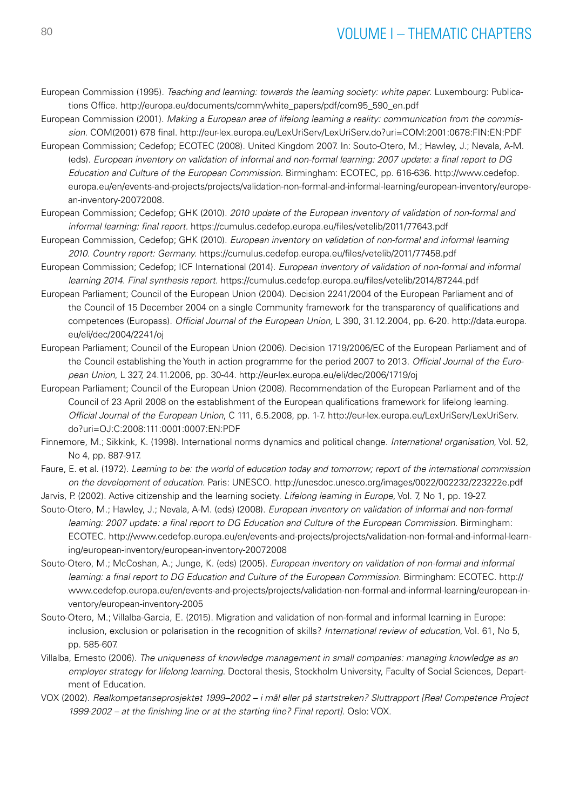## 80 VOLUME I – THEMATIC CHAPTERS

- European Commission (1995). *Teaching and learning: towards the learning society: white paper*. Luxembourg: Publications Office. [http://europa.eu/documents/comm/white\\_papers/pdf/com95\\_590\\_en.pdf](http://europa.eu/documents/comm/white_papers/pdf/com95_590_en.pdf)
- European Commission (2001). *Making a European area of lifelong learning a reality: communication from the commission*. COM(2001) 678 final.<http://eur-lex.europa.eu/LexUriServ/LexUriServ.do?uri=COM:2001:0678:FIN:EN:PDF>
- European Commission; Cedefop; ECOTEC (2008). United Kingdom 2007. In: Souto-Otero, M.; Hawley, J.; Nevala, A-M. (eds). *European inventory on validation of informal and non-formal learning: 2007 update: a final report to DG Education and Culture of the European Commission.* Birmingham: ECOTEC, pp. 616-636. [http://www.cedefop.](http://www.cedefop.europa.eu/en/events-and-projects/projects/validation-non-formal-and-informal-learning/european-inventory/european-inventory-20072008.) [europa.eu/en/events-and-projects/projects/validation-non-formal-and-informal-learning/european-inventory/europe](http://www.cedefop.europa.eu/en/events-and-projects/projects/validation-non-formal-and-informal-learning/european-inventory/european-inventory-20072008.)[an-inventory-20072008.](http://www.cedefop.europa.eu/en/events-and-projects/projects/validation-non-formal-and-informal-learning/european-inventory/european-inventory-20072008.)
- European Commission; Cedefop; GHK (2010). *2010 update of the European inventory of validation of non-formal and informal learning: final report.* <https://cumulus.cedefop.europa.eu/files/vetelib/2011/77643.pdf>
- European Commission, Cedefop; GHK (2010). *European inventory on validation of non-formal and informal learning 2010. Country report: Germany.* <https://cumulus.cedefop.europa.eu/files/vetelib/2011/77458.pdf>
- European Commission; Cedefop; ICF International (2014). *European inventory of validation of non-formal and informal learning 2014*. *Final synthesis report*.<https://cumulus.cedefop.europa.eu/files/vetelib/2014/87244.pdf>
- European Parliament; Council of the European Union (2004). Decision 2241/2004 of the European Parliament and of the Council of 15 December 2004 on a single Community framework for the transparency of qualifications and competences (Europass). *Official Journal of the European Union,* L 390, 31.12.2004, pp. 6-20. [http://data.europa.](http://data.europa.eu/eli/dec/2004/2241/oj) [eu/eli/dec/2004/2241/oj](http://data.europa.eu/eli/dec/2004/2241/oj)
- European Parliament; Council of the European Union (2006). Decision 1719/2006/EC of the European Parliament and of the Council establishing the Youth in action programme for the period 2007 to 2013. *Official Journal of the European Union*, L 327, 24.11.2006, pp. 30-44. <http://eur-lex.europa.eu/eli/dec/2006/1719/oj>
- European Parliament; Council of the European Union (2008). Recommendation of the European Parliament and of the Council of 23 April 2008 on the establishment of the European qualifications framework for lifelong learning. *Official Journal of the European Union*, C 111, 6.5.2008, pp. 1-7. [http://eur-lex.europa.eu/LexUriServ/LexUriServ.](http://eur-lex.europa.eu/LexUriServ/LexUriServ.do?uri=OJ:C:2008:111:0001:0007:EN:PDF) [do?uri=OJ:C:2008:111:0001:0007:EN:PDF](http://eur-lex.europa.eu/LexUriServ/LexUriServ.do?uri=OJ:C:2008:111:0001:0007:EN:PDF)
- Finnemore, M.; Sikkink, K. (1998). International norms dynamics and political change. *International organisation*, Vol. 52, No 4, pp. 887-917.
- Faure, E. et al. (1972). *Learning to be: the world of education today and tomorrow; report of the international commission on the development of education.* Paris: UNESCO.<http://unesdoc.unesco.org/images/0022/002232/223222e.pdf>
- Jarvis, P. (2002). Active citizenship and the learning society. *Lifelong learning in Europe,* Vol. 7, No 1, pp. 19-27.
- Souto-Otero, M.; Hawley, J.; Nevala, A-M. (eds) (2008). *European inventory on validation of informal and non-formal learning: 2007 update: a final report to DG Education and Culture of the European Commission*. Birmingham: ECOTEC. [http://www.cedefop.europa.eu/en/events-and-projects/projects/validation-non-formal-and-informal-learn](http://www.cedefop.europa.eu/en/events-and-projects/projects/validation-non-formal-and-informal-learning/european-inventory/european-inventory-20072008)[ing/european-inventory/european-inventory-20072008](http://www.cedefop.europa.eu/en/events-and-projects/projects/validation-non-formal-and-informal-learning/european-inventory/european-inventory-20072008)
- Souto-Otero, M.; McCoshan, A.; Junge, K. (eds) (2005). *European inventory on validation of non-formal and informal learning: a final report to DG Education and Culture of the European Commission.* Birmingham: ECOTEC. [http://](http://www.cedefop.europa.eu/en/events-and-projects/projects/validation-non-formal-and-informal-learning/european-inventory/european-inventory-2005) [www.cedefop.europa.eu/en/events-and-projects/projects/validation-non-formal-and-informal-learning/european-in](http://www.cedefop.europa.eu/en/events-and-projects/projects/validation-non-formal-and-informal-learning/european-inventory/european-inventory-2005)[ventory/european-inventory-2005](http://www.cedefop.europa.eu/en/events-and-projects/projects/validation-non-formal-and-informal-learning/european-inventory/european-inventory-2005)
- Souto-Otero, M.; Villalba-Garcia, E. (2015). Migration and validation of non-formal and informal learning in Europe: inclusion, exclusion or polarisation in the recognition of skills? *International review of education*, Vol. 61, No 5, pp. 585-607.
- Villalba, Ernesto (2006). *The uniqueness of knowledge management in small companies: managing knowledge as an employer strategy for lifelong learning*. Doctoral thesis, Stockholm University, Faculty of Social Sciences, Department of Education.
- VOX (2002). *Realkompetanseprosjektet 1999–2002 i mål eller på startstreken? Sluttrapport [Real Competence Project 1999-2002 – at the finishing line or at the starting line? Final report].* Oslo: VOX.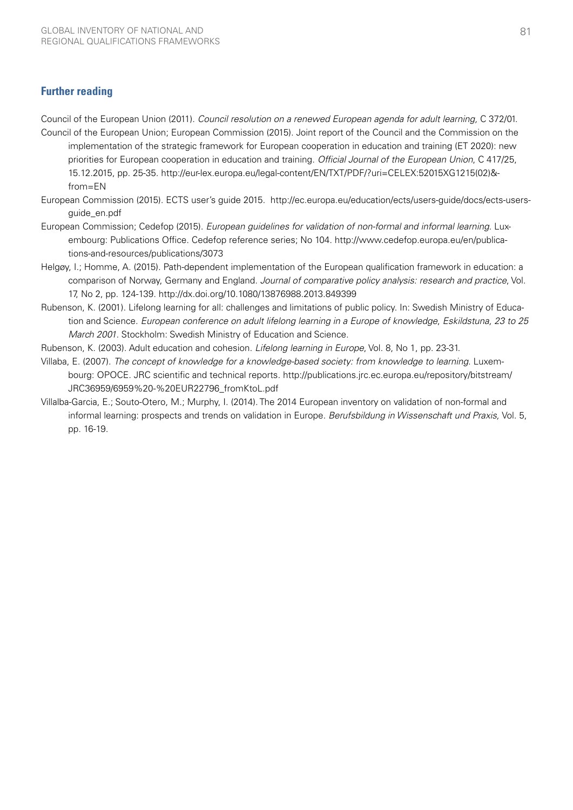## **Further reading**

Council of the European Union (2011). *Council resolution on a renewed European agenda for adult learning,* C 372/01.

- Council of the European Union; European Commission (2015). Joint report of the Council and the Commission on the implementation of the strategic framework for European cooperation in education and training (ET 2020): new priorities for European cooperation in education and training. *Official Journal of the European Union*, C 417/25, 15.12.2015, pp. 25-35. [http://eur-lex.europa.eu/legal-content/EN/TXT/PDF/?uri=CELEX:52015XG1215\(02\)&](http://eur-lex.europa.eu/legal-content/EN/TXT/PDF/?uri=CELEX:52015XG1215(02)&from=EN) [from=EN](http://eur-lex.europa.eu/legal-content/EN/TXT/PDF/?uri=CELEX:52015XG1215(02)&from=EN)
- European Commission (2015). ECTS user's guide 2015. [http://ec.europa.eu/education/ects/users-guide/docs/ects-users](http://ec.europa.eu/education/ects/users-guide/docs/ects-users-guide_en.pdf)[guide\\_en.pdf](http://ec.europa.eu/education/ects/users-guide/docs/ects-users-guide_en.pdf)
- European Commission; Cedefop (2015). *European guidelines for validation of non-formal and informal learning*. Luxembourg: Publications Office. Cedefop reference series; No 104. [http://www.cedefop.europa.eu/en/publica](http://www.cedefop.europa.eu/en/publications-and-resources/publications/3073)[tions-and-resources/publications/3073](http://www.cedefop.europa.eu/en/publications-and-resources/publications/3073)
- Helgøy, I.; Homme, A. (2015). Path-dependent implementation of the European qualification framework in education: a comparison of Norway, Germany and England. *Journal of comparative policy analysis: research and practice*, Vol. 17, No 2, pp. 124-139. <http://dx.doi.org/10.1080/13876988.2013.849399>
- Rubenson, K. (2001). Lifelong learning for all: challenges and limitations of public policy. In: Swedish Ministry of Education and Science. *European conference on adult lifelong learning in a Europe of knowledge*, *Eskildstuna, 23 to 25 March 2001*. Stockholm: Swedish Ministry of Education and Science.

Rubenson, K. (2003). Adult education and cohesion. *Lifelong learning in Europe*, Vol. 8, No 1, pp. 23-31.

- Villaba, E. (2007). *The concept of knowledge for a knowledge-based society: from knowledge to learning*. Luxembourg: OPOCE. JRC scientific and technical reports. [http://publications.jrc.ec.europa.eu/repository/bitstream/](http://publications.jrc.ec.europa.eu/repository/bitstream/JRC36959/6959%20-%20EUR22796_fromKtoL.pdf) [JRC36959/6959%20-%20EUR22796\\_fromKtoL.pdf](http://publications.jrc.ec.europa.eu/repository/bitstream/JRC36959/6959%20-%20EUR22796_fromKtoL.pdf)
- Villalba-Garcia, E.; Souto-Otero, M.; Murphy, I. (2014). The 2014 European inventory on validation of non-formal and informal learning: prospects and trends on validation in Europe. *Berufsbildung in Wissenschaft und Praxis,* Vol. 5, pp. 16-19.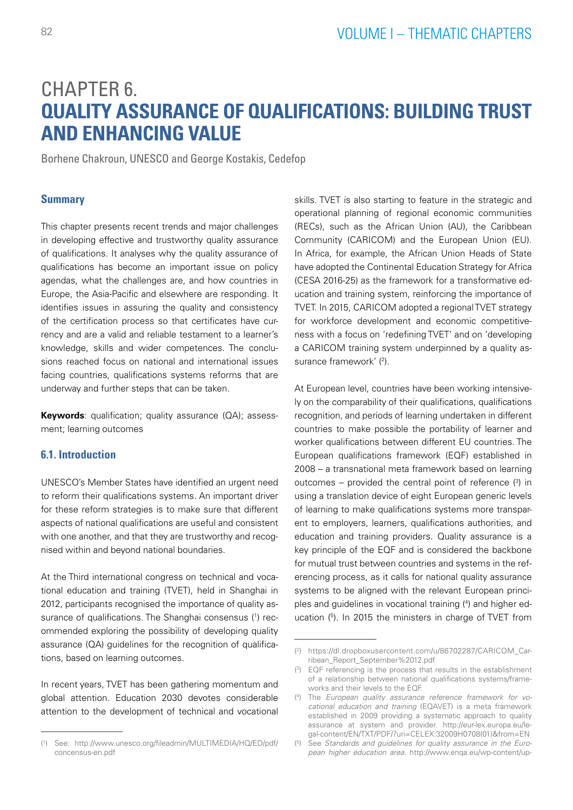# CHAPTER 6. **QUALITY ASSURANCE OF QUALIFICATIONS: BUILDING TRUST AND ENHANCING VALUE**

Borhene Chakroun, UNESCO and George Kostakis, Cedefop

## **Summary**

This chapter presents recent trends and major challenges in developing effective and trustworthy quality assurance of qualifications. It analyses why the quality assurance of qualifications has become an important issue on policy agendas, what the challenges are, and how countries in Europe, the Asia-Pacific and elsewhere are responding. It identifies issues in assuring the quality and consistency of the certification process so that certificates have currency and are a valid and reliable testament to a learner's knowledge, skills and wider competences. The conclusions reached focus on national and international issues facing countries, qualifications systems reforms that are underway and further steps that can be taken.

**Keywords**: qualification; quality assurance (QA); assessment; learning outcomes

## **6.1. Introduction**

UNESCO's Member States have identified an urgent need to reform their qualifications systems. An important driver for these reform strategies is to make sure that different aspects of national qualifications are useful and consistent with one another, and that they are trustworthy and recognised within and beyond national boundaries.

At the Third international congress on technical and vocational education and training (TVET), held in Shanghai in 2012, participants recognised the importance of quality assurance of qualifications. The Shanghai consensus (1) recommended exploring the possibility of developing quality assurance (QA) guidelines for the recognition of qualifications, based on learning outcomes.

In recent years, TVET has been gathering momentum and global attention. Education 2030 devotes considerable attention to the development of technical and vocational skills. TVET is also starting to feature in the strategic and operational planning of regional economic communities (RECs), such as the African Union (AU), the Caribbean Community (CARICOM) and the European Union (EU). In Africa, for example, the African Union Heads of State have adopted the Continental Education Strategy for Africa (CESA 2016-25) as the framework for a transformative education and training system, reinforcing the importance of TVET. In 2015, CARICOM adopted a regional TVET strategy for workforce development and economic competitiveness with a focus on 'redefining TVET' and on 'developing a CARICOM training system underpinned by a quality assurance framework' (2).

At European level, countries have been working intensively on the comparability of their qualifications, qualifications recognition, and periods of learning undertaken in different countries to make possible the portability of learner and worker qualifications between different EU countries. The European qualifications framework (EQF) established in 2008 – a transnational meta framework based on learning outcomes  $-$  provided the central point of reference  $(3)$  in using a translation device of eight European generic levels of learning to make qualifications systems more transparent to employers, learners, qualifications authorities, and education and training providers. Quality assurance is a key principle of the EQF and is considered the backbone for mutual trust between countries and systems in the referencing process, as it calls for national quality assurance systems to be aligned with the relevant European principles and guidelines in vocational training (4 ) and higher education  $(5)$ . In 2015 the ministers in charge of TVET from

<sup>(</sup> 1 ) See: [http://www.unesco.org/fileadmin/MULTIMEDIA/HQ/ED/pdf/](http://www.unesco.org/fileadmin/MULTIMEDIA/HQ/ED/pdf/concensus-en.pdf) [concensus-en.pdf](http://www.unesco.org/fileadmin/MULTIMEDIA/HQ/ED/pdf/concensus-en.pdf)

<sup>(</sup> 2 ) [https://dl.dropboxusercontent.com/u/86702287/CARICOM\\_Car](https://dl.dropboxusercontent.com/u/86702287/CARICOM_Carribean_Report_September%2012.pdf)[ribean\\_Report\\_September%2012.pdf](https://dl.dropboxusercontent.com/u/86702287/CARICOM_Carribean_Report_September%2012.pdf)

<sup>(</sup> 3 ) EQF referencing is the process that results in the establishment of a relationship between national qualifications systems/frameworks and their levels to the EQF.

<sup>(</sup> 4 ) The *European quality assurance reference framework for vocational education and training* (EQAVET) is a meta framework established in 2009 providing a systematic approach to quality assurance at system and provider. [http://eur-lex.europa.eu/le](http://eur-lex.europa.eu/legal-content/EN/TXT/PDF/?uri=CELEX:32009H0708(01)&from=EN)[gal-content/EN/TXT/PDF/?uri=CELEX:32009H0708\(01\)&from=EN](http://eur-lex.europa.eu/legal-content/EN/TXT/PDF/?uri=CELEX:32009H0708(01)&from=EN)

<sup>(</sup> 5 ) See *Standards and guidelines for quality assurance in the European higher education area*. [http://www.enqa.eu/wp-content/up-](http://www.enqa.eu/wp-content/uploads/2015/11/ESG_2015.pdf)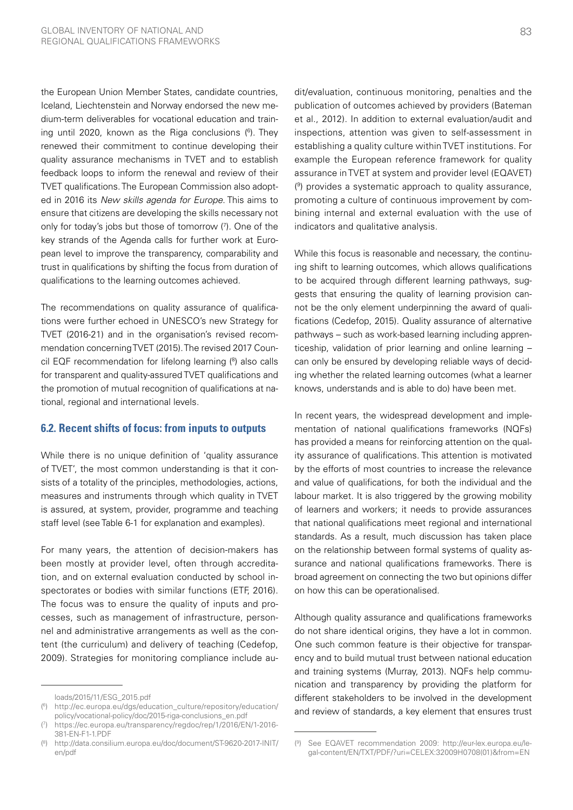the European Union Member States, candidate countries, Iceland, Liechtenstein and Norway endorsed the new medium-term deliverables for vocational education and training until 2020, known as the Riga conclusions (6 ). They renewed their commitment to continue developing their quality assurance mechanisms in TVET and to establish feedback loops to inform the renewal and review of their TVET qualifications. The European Commission also adopted in 2016 its *New skills agenda for Europe*. This aims to ensure that citizens are developing the skills necessary not only for today's jobs but those of tomorrow (7 ). One of the key strands of the Agenda calls for further work at European level to improve the transparency, comparability and trust in qualifications by shifting the focus from duration of qualifications to the learning outcomes achieved.

The recommendations on quality assurance of qualifications were further echoed in UNESCO's new Strategy for TVET (2016-21) and in the organisation's revised recommendation concerning TVET (2015). The revised 2017 Council EQF recommendation for lifelong learning (8 ) also calls for transparent and quality-assured TVET qualifications and the promotion of mutual recognition of qualifications at national, regional and international levels.

## **6.2. Recent shifts of focus: from inputs to outputs**

While there is no unique definition of 'quality assurance of TVET', the most common understanding is that it consists of a totality of the principles, methodologies, actions, measures and instruments through which quality in TVET is assured, at system, provider, programme and teaching staff level (see Table 6-1 for explanation and examples).

For many years, the attention of decision-makers has been mostly at provider level, often through accreditation, and on external evaluation conducted by school inspectorates or bodies with similar functions (ETF, 2016). The focus was to ensure the quality of inputs and processes, such as management of infrastructure, personnel and administrative arrangements as well as the content (the curriculum) and delivery of teaching (Cedefop, 2009). Strategies for monitoring compliance include auWhile this focus is reasonable and necessary, the continuing shift to learning outcomes, which allows qualifications to be acquired through different learning pathways, suggests that ensuring the quality of learning provision cannot be the only element underpinning the award of qualifications (Cedefop, 2015). Quality assurance of alternative pathways – such as work-based learning including apprenticeship, validation of prior learning and online learning – can only be ensured by developing reliable ways of deciding whether the related learning outcomes (what a learner knows, understands and is able to do) have been met.

In recent years, the widespread development and implementation of national qualifications frameworks (NQFs) has provided a means for reinforcing attention on the quality assurance of qualifications. This attention is motivated by the efforts of most countries to increase the relevance and value of qualifications, for both the individual and the labour market. It is also triggered by the growing mobility of learners and workers; it needs to provide assurances that national qualifications meet regional and international standards. As a result, much discussion has taken place on the relationship between formal systems of quality assurance and national qualifications frameworks. There is broad agreement on connecting the two but opinions differ on how this can be operationalised.

Although quality assurance and qualifications frameworks do not share identical origins, they have a lot in common. One such common feature is their objective for transparency and to build mutual trust between national education and training systems (Murray, 2013). NQFs help communication and transparency by providing the platform for different stakeholders to be involved in the development and review of standards, a key element that ensures trust

[loads/2015/11/ESG\\_2015.pdf](http://www.enqa.eu/wp-content/uploads/2015/11/ESG_2015.pdf)

<sup>(</sup> 6 ) [http://ec.europa.eu/dgs/education\\_culture/repository/education/](http://ec.europa.eu/dgs/education_culture/repository/education/policy/vocational-policy/doc/2015-riga-conclusions_en.pdf) [policy/vocational-policy/doc/2015-riga-conclusions\\_en.pdf](http://ec.europa.eu/dgs/education_culture/repository/education/policy/vocational-policy/doc/2015-riga-conclusions_en.pdf)

<sup>(</sup> 7 ) [https://ec.europa.eu/transparency/regdoc/rep/1/2016/EN/1-2016-](https://ec.europa.eu/transparency/regdoc/rep/1/2016/EN/1-2016-381-EN-F1-1.PDF) [381-EN-F1-1.PDF](https://ec.europa.eu/transparency/regdoc/rep/1/2016/EN/1-2016-381-EN-F1-1.PDF)

<sup>(</sup> 8 ) [http://data.consilium.europa.eu/doc/document/ST-9620-2017-INIT/](http://data.consilium.europa.eu/doc/document/ST-9620-2017-INIT/en/pdf) [en/pdf](http://data.consilium.europa.eu/doc/document/ST-9620-2017-INIT/en/pdf)

dit/evaluation, continuous monitoring, penalties and the publication of outcomes achieved by providers (Bateman et al., 2012). In addition to external evaluation/audit and inspections, attention was given to self-assessment in establishing a quality culture within TVET institutions. For example the European reference framework for quality assurance in TVET at system and provider level (EQAVET) ( 9 ) provides a systematic approach to quality assurance, promoting a culture of continuous improvement by combining internal and external evaluation with the use of indicators and qualitative analysis.

<sup>(</sup> 9 ) See EQAVET recommendation 2009: [http://eur-lex.europa.eu/le](http://eur-lex.europa.eu/legal-content/EN/TXT/PDF/?uri=CELEX:32009H0708(01)&from=EN)[gal-content/EN/TXT/PDF/?uri=CELEX:32009H0708\(01\)&from=EN](http://eur-lex.europa.eu/legal-content/EN/TXT/PDF/?uri=CELEX:32009H0708(01)&from=EN)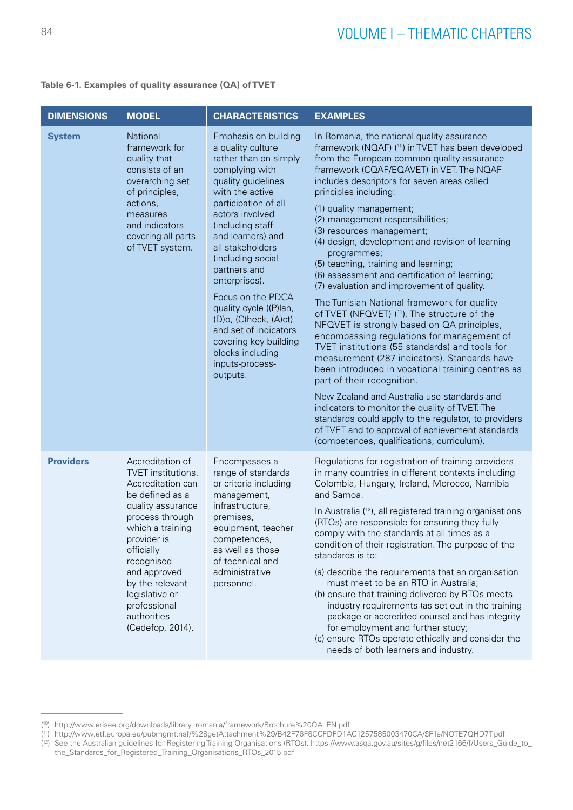|  |  |  |  | Table 6-1. Examples of quality assurance (QA) of TVET |  |  |
|--|--|--|--|-------------------------------------------------------|--|--|
|--|--|--|--|-------------------------------------------------------|--|--|

| <b>DIMENSIONS</b> | <b>MODEL</b>                                                                                                                                                                                                                                                                                  | <b>CHARACTERISTICS</b>                                                                                                                                                                                                                                                                                                                                                                                                                                                   | <b>EXAMPLES</b>                                                                                                                                                                                                                                                                                                                                                                                                                                                                                                                                                                                                                                                                                                                                                                                                                                                                                                                                                                                                                                                                                                                                                                                                               |
|-------------------|-----------------------------------------------------------------------------------------------------------------------------------------------------------------------------------------------------------------------------------------------------------------------------------------------|--------------------------------------------------------------------------------------------------------------------------------------------------------------------------------------------------------------------------------------------------------------------------------------------------------------------------------------------------------------------------------------------------------------------------------------------------------------------------|-------------------------------------------------------------------------------------------------------------------------------------------------------------------------------------------------------------------------------------------------------------------------------------------------------------------------------------------------------------------------------------------------------------------------------------------------------------------------------------------------------------------------------------------------------------------------------------------------------------------------------------------------------------------------------------------------------------------------------------------------------------------------------------------------------------------------------------------------------------------------------------------------------------------------------------------------------------------------------------------------------------------------------------------------------------------------------------------------------------------------------------------------------------------------------------------------------------------------------|
| <b>System</b>     | <b>National</b><br>framework for<br>quality that<br>consists of an<br>overarching set<br>of principles,<br>actions,<br>measures<br>and indicators<br>covering all parts<br>of TVET system.                                                                                                    | Emphasis on building<br>a quality culture<br>rather than on simply<br>complying with<br>quality guidelines<br>with the active<br>participation of all<br>actors involved<br>(including staff<br>and learners) and<br>all stakeholders<br>(including social<br>partners and<br>enterprises).<br>Focus on the PDCA<br>quality cycle ((P)lan,<br>(D)o, (C)heck, (A)ct)<br>and set of indicators<br>covering key building<br>blocks including<br>inputs-process-<br>outputs. | In Romania, the national quality assurance<br>framework (NQAF) ( <sup>10</sup> ) in TVET has been developed<br>from the European common quality assurance<br>framework (CQAF/EQAVET) in VET. The NQAF<br>includes descriptors for seven areas called<br>principles including:<br>(1) quality management;<br>(2) management responsibilities;<br>(3) resources management;<br>(4) design, development and revision of learning<br>programmes;<br>(5) teaching, training and learning;<br>(6) assessment and certification of learning;<br>(7) evaluation and improvement of quality.<br>The Tunisian National framework for quality<br>of TVET (NFQVET) (11). The structure of the<br>NFQVET is strongly based on QA principles,<br>encompassing regulations for management of<br>TVET institutions (55 standards) and tools for<br>measurement (287 indicators). Standards have<br>been introduced in vocational training centres as<br>part of their recognition.<br>New Zealand and Australia use standards and<br>indicators to monitor the quality of TVET. The<br>standards could apply to the regulator, to providers<br>of TVET and to approval of achievement standards<br>(competences, qualifications, curriculum). |
| <b>Providers</b>  | Accreditation of<br>TVET institutions.<br>Accreditation can<br>be defined as a<br>quality assurance<br>process through<br>which a training<br>provider is<br>officially<br>recognised<br>and approved<br>by the relevant<br>legislative or<br>professional<br>authorities<br>(Cedefop, 2014). | Encompasses a<br>range of standards<br>or criteria including<br>management,<br>infrastructure,<br>premises,<br>equipment, teacher<br>competences,<br>as well as those<br>of technical and<br>administrative<br>personnel.                                                                                                                                                                                                                                                | Regulations for registration of training providers<br>in many countries in different contexts including<br>Colombia, Hungary, Ireland, Morocco, Namibia<br>and Samoa.<br>In Australia (12), all registered training organisations<br>(RTOs) are responsible for ensuring they fully<br>comply with the standards at all times as a<br>condition of their registration. The purpose of the<br>standards is to:<br>(a) describe the requirements that an organisation<br>must meet to be an RTO in Australia;<br>(b) ensure that training delivered by RTOs meets<br>industry requirements (as set out in the training<br>package or accredited course) and has integrity<br>for employment and further study;<br>(c) ensure RTOs operate ethically and consider the<br>needs of both learners and industry.                                                                                                                                                                                                                                                                                                                                                                                                                    |

<sup>(</sup> 10) [http://www.erisee.org/downloads/library\\_romania/framework/Brochure%20QA\\_EN.pdf](http://www.erisee.org/downloads/library_romania/framework/Brochure%20QA_EN.pdf) 

<sup>(</sup> 11) [http://www.etf.europa.eu/pubmgmt.nsf/%28getAttachment%29/B42F76F8CCFDFD1AC1257585003470CA/\\$File/NOTE7QHD7T.pdf](http://www.etf.europa.eu/pubmgmt.nsf/%28getAttachment%29/B42F76F8CCFDFD1AC1257585003470CA/$File/NOTE7QHD7T.pdf)

<sup>(</sup> 12) See the Australian guidelines for Registering Training Organisations (RTOs): [https://www.asqa.gov.au/sites/g/files/net2166/f/Users\\_Guide\\_to\\_](https://www.asqa.gov.au/sites/g/files/net2166/f/Users_Guide_to_the_Standards_for_Registered_Training_Organisations_RTOs_2015.pdf) [the\\_Standards\\_for\\_Registered\\_Training\\_Organisations\\_RTOs\\_2015.pdf](https://www.asqa.gov.au/sites/g/files/net2166/f/Users_Guide_to_the_Standards_for_Registered_Training_Organisations_RTOs_2015.pdf)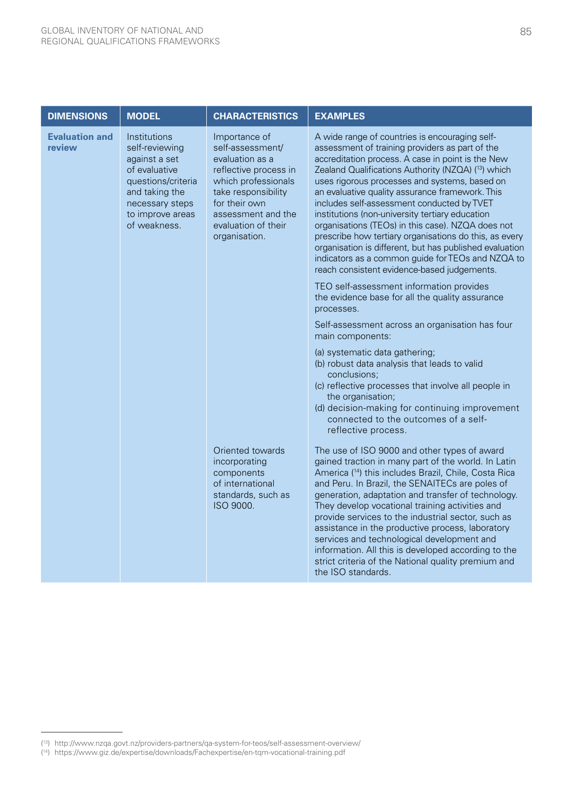| <b>MODEL</b>                                                                                                                                                    | <b>CHARACTERISTICS</b>                                                                                                                                                                                     | <b>EXAMPLES</b>                                                                                                                                                                                                                                                                                                                                                                                                                                                                                                                                                                                                                                                                                 |
|-----------------------------------------------------------------------------------------------------------------------------------------------------------------|------------------------------------------------------------------------------------------------------------------------------------------------------------------------------------------------------------|-------------------------------------------------------------------------------------------------------------------------------------------------------------------------------------------------------------------------------------------------------------------------------------------------------------------------------------------------------------------------------------------------------------------------------------------------------------------------------------------------------------------------------------------------------------------------------------------------------------------------------------------------------------------------------------------------|
| Institutions<br>self-reviewing<br>against a set<br>of evaluative<br>questions/criteria<br>and taking the<br>necessary steps<br>to improve areas<br>of weakness. | Importance of<br>self-assessment/<br>evaluation as a<br>reflective process in<br>which professionals<br>take responsibility<br>for their own<br>assessment and the<br>evaluation of their<br>organisation. | A wide range of countries is encouraging self-<br>assessment of training providers as part of the<br>accreditation process. A case in point is the New<br>Zealand Qualifications Authority (NZQA) (13) which<br>uses rigorous processes and systems, based on<br>an evaluative quality assurance framework. This<br>includes self-assessment conducted by TVET<br>institutions (non-university tertiary education<br>organisations (TEOs) in this case). NZQA does not<br>prescribe how tertiary organisations do this, as every<br>organisation is different, but has published evaluation<br>indicators as a common guide for TEOs and NZQA to<br>reach consistent evidence-based judgements. |
|                                                                                                                                                                 |                                                                                                                                                                                                            | TEO self-assessment information provides<br>the evidence base for all the quality assurance<br>processes.                                                                                                                                                                                                                                                                                                                                                                                                                                                                                                                                                                                       |
|                                                                                                                                                                 |                                                                                                                                                                                                            | Self-assessment across an organisation has four<br>main components:                                                                                                                                                                                                                                                                                                                                                                                                                                                                                                                                                                                                                             |
|                                                                                                                                                                 |                                                                                                                                                                                                            | (a) systematic data gathering;<br>(b) robust data analysis that leads to valid<br>conclusions;<br>(c) reflective processes that involve all people in<br>the organisation;<br>(d) decision-making for continuing improvement<br>connected to the outcomes of a self-<br>reflective process.                                                                                                                                                                                                                                                                                                                                                                                                     |
|                                                                                                                                                                 | Oriented towards<br>incorporating<br>components<br>of international<br>standards, such as<br>ISO 9000.                                                                                                     | The use of ISO 9000 and other types of award<br>gained traction in many part of the world. In Latin<br>America ( <sup>14</sup> ) this includes Brazil, Chile, Costa Rica<br>and Peru. In Brazil, the SENAITECs are poles of<br>generation, adaptation and transfer of technology.<br>They develop vocational training activities and<br>provide services to the industrial sector, such as<br>assistance in the productive process, laboratory<br>services and technological development and<br>information. All this is developed according to the<br>strict criteria of the National quality premium and<br>the ISO standards.                                                                |
|                                                                                                                                                                 |                                                                                                                                                                                                            |                                                                                                                                                                                                                                                                                                                                                                                                                                                                                                                                                                                                                                                                                                 |

<sup>(</sup> 13) <http://www.nzqa.govt.nz/providers-partners/qa-system-for-teos/self-assessment-overview/>

<sup>(</sup> 14) <https://www.giz.de/expertise/downloads/Fachexpertise/en-tqm-vocational-training.pdf>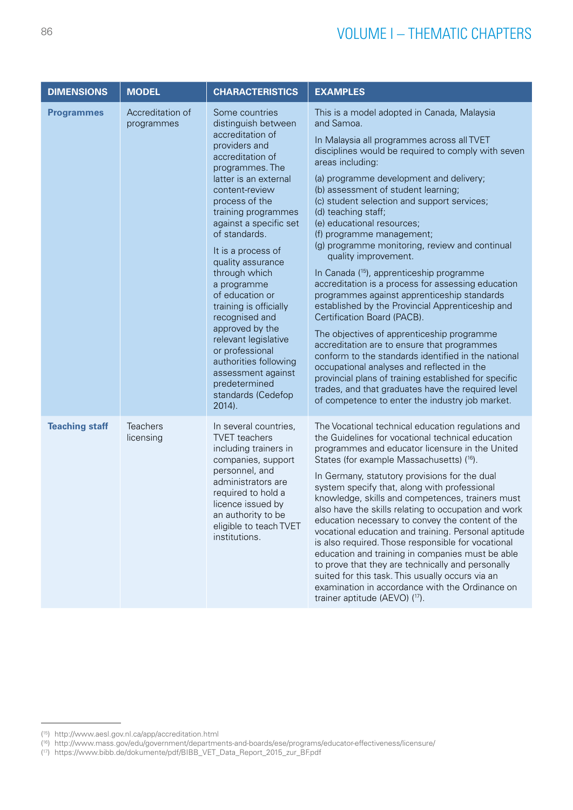| <b>DIMENSIONS</b>     | <b>MODEL</b>                   | <b>CHARACTERISTICS</b>                                                                                                                                                                                                                                                                                                                                                                                                                                                                                                                                      | <b>EXAMPLES</b>                                                                                                                                                                                                                                                                                                                                                                                                                                                                                                                                                                                                                                                                                                                                                                                                                                                                                                                                                                                                                                                                                     |
|-----------------------|--------------------------------|-------------------------------------------------------------------------------------------------------------------------------------------------------------------------------------------------------------------------------------------------------------------------------------------------------------------------------------------------------------------------------------------------------------------------------------------------------------------------------------------------------------------------------------------------------------|-----------------------------------------------------------------------------------------------------------------------------------------------------------------------------------------------------------------------------------------------------------------------------------------------------------------------------------------------------------------------------------------------------------------------------------------------------------------------------------------------------------------------------------------------------------------------------------------------------------------------------------------------------------------------------------------------------------------------------------------------------------------------------------------------------------------------------------------------------------------------------------------------------------------------------------------------------------------------------------------------------------------------------------------------------------------------------------------------------|
| <b>Programmes</b>     | Accreditation of<br>programmes | Some countries<br>distinguish between<br>accreditation of<br>providers and<br>accreditation of<br>programmes. The<br>latter is an external<br>content-review<br>process of the<br>training programmes<br>against a specific set<br>of standards.<br>It is a process of<br>quality assurance<br>through which<br>a programme<br>of education or<br>training is officially<br>recognised and<br>approved by the<br>relevant legislative<br>or professional<br>authorities following<br>assessment against<br>predetermined<br>standards (Cedefop<br>$2014$ ). | This is a model adopted in Canada, Malaysia<br>and Samoa.<br>In Malaysia all programmes across all TVET<br>disciplines would be required to comply with seven<br>areas including:<br>(a) programme development and delivery;<br>(b) assessment of student learning;<br>(c) student selection and support services;<br>(d) teaching staff;<br>(e) educational resources;<br>(f) programme management;<br>(g) programme monitoring, review and continual<br>quality improvement.<br>In Canada ( <sup>15</sup> ), apprenticeship programme<br>accreditation is a process for assessing education<br>programmes against apprenticeship standards<br>established by the Provincial Apprenticeship and<br>Certification Board (PACB).<br>The objectives of apprenticeship programme<br>accreditation are to ensure that programmes<br>conform to the standards identified in the national<br>occupational analyses and reflected in the<br>provincial plans of training established for specific<br>trades, and that graduates have the required level<br>of competence to enter the industry job market. |
| <b>Teaching staff</b> | <b>Teachers</b><br>licensing   | In several countries,<br><b>TVET</b> teachers<br>including trainers in<br>companies, support<br>personnel, and<br>administrators are<br>required to hold a<br>licence issued by<br>an authority to be<br>eligible to teach TVET<br>institutions.                                                                                                                                                                                                                                                                                                            | The Vocational technical education regulations and<br>the Guidelines for vocational technical education<br>programmes and educator licensure in the United<br>States (for example Massachusetts) (16).<br>In Germany, statutory provisions for the dual<br>system specify that, along with professional<br>knowledge, skills and competences, trainers must<br>also have the skills relating to occupation and work<br>education necessary to convey the content of the<br>vocational education and training. Personal aptitude<br>is also required. Those responsible for vocational<br>education and training in companies must be able<br>to prove that they are technically and personally<br>suited for this task. This usually occurs via an<br>examination in accordance with the Ordinance on<br>trainer aptitude (AEVO) (17).                                                                                                                                                                                                                                                              |

<sup>(</sup> 15) <http://www.aesl.gov.nl.ca/app/accreditation.html>

<sup>(</sup> 16) <http://www.mass.gov/edu/government/departments-and-boards/ese/programs/educator-effectiveness/licensure/>

<sup>(</sup> 17) [https://www.bibb.de/dokumente/pdf/BIBB\\_VET\\_Data\\_Report\\_2015\\_zur\\_BF.pdf](https://www.bibb.de/dokumente/pdf/BIBB_VET_Data_Report_2015_zur_BF.pdf)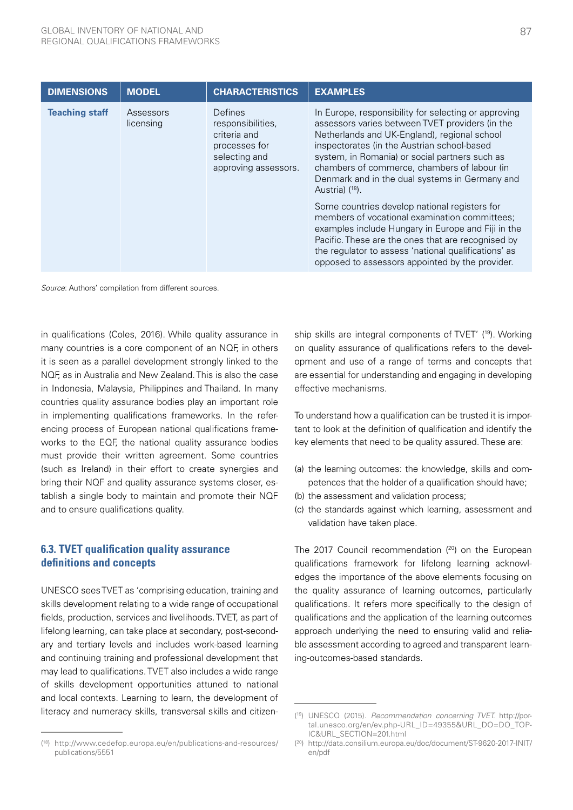| <b>DIMENSIONS</b>     | <b>MODEL</b>                                                                                             | <b>CHARACTERISTICS</b> | <b>EXAMPLES</b>                                                                                                                                                                                                                                                                                                                                                                           |
|-----------------------|----------------------------------------------------------------------------------------------------------|------------------------|-------------------------------------------------------------------------------------------------------------------------------------------------------------------------------------------------------------------------------------------------------------------------------------------------------------------------------------------------------------------------------------------|
| <b>Teaching staff</b> | Defines<br>Assessors<br>licensing<br>responsibilities,<br>criteria and<br>processes for<br>selecting and | approving assessors.   | In Europe, responsibility for selecting or approving<br>assessors varies between TVET providers (in the<br>Netherlands and UK-England), regional school<br>inspectorates (in the Austrian school-based<br>system, in Romania) or social partners such as<br>chambers of commerce, chambers of labour (in<br>Denmark and in the dual systems in Germany and<br>Austria) ( <sup>18</sup> ). |
|                       |                                                                                                          |                        | Some countries develop national registers for<br>members of vocational examination committees;<br>examples include Hungary in Europe and Fiji in the<br>Pacific. These are the ones that are recognised by<br>the regulator to assess 'national qualifications' as<br>opposed to assessors appointed by the provider.                                                                     |

*Source*: Authors' compilation from different sources.

in qualifications (Coles, 2016). While quality assurance in many countries is a core component of an NQF, in others it is seen as a parallel development strongly linked to the NQF, as in Australia and New Zealand. This is also the case in Indonesia, Malaysia, Philippines and Thailand. In many countries quality assurance bodies play an important role in implementing qualifications frameworks. In the referencing process of European national qualifications frameworks to the EQF, the national quality assurance bodies must provide their written agreement. Some countries (such as Ireland) in their effort to create synergies and bring their NQF and quality assurance systems closer, establish a single body to maintain and promote their NQF and to ensure qualifications quality.

## **6.3. TVET qualification quality assurance definitions and concepts**

UNESCO sees TVET as 'comprising education, training and skills development relating to a wide range of occupational fields, production, services and livelihoods. TVET, as part of lifelong learning, can take place at secondary, post-secondary and tertiary levels and includes work-based learning and continuing training and professional development that may lead to qualifications. TVET also includes a wide range of skills development opportunities attuned to national and local contexts. Learning to learn, the development of literacy and numeracy skills, transversal skills and citizenship skills are integral components of TVET' (19). Working on quality assurance of qualifications refers to the development and use of a range of terms and concepts that are essential for understanding and engaging in developing effective mechanisms.

To understand how a qualification can be trusted it is important to look at the definition of qualification and identify the key elements that need to be quality assured. These are:

- (a) the learning outcomes: the knowledge, skills and competences that the holder of a qualification should have;
- (b) the assessment and validation process;
- (c) the standards against which learning, assessment and validation have taken place.

The 2017 Council recommendation  $(20)$  on the European qualifications framework for lifelong learning acknowledges the importance of the above elements focusing on the quality assurance of learning outcomes, particularly qualifications. It refers more specifically to the design of qualifications and the application of the learning outcomes approach underlying the need to ensuring valid and reliable assessment according to agreed and transparent learning-outcomes-based standards.

<sup>(</sup> 18) [http://www.cedefop.europa.eu/en/publications-and-resources/](http://www.cedefop.europa.eu/en/publications-and-resources/publications/5551) [publications/5551](http://www.cedefop.europa.eu/en/publications-and-resources/publications/5551)

<sup>(</sup> 19) UNESCO (2015). *Recommendation concerning TVET.* [http://por](http://portal.unesco.org/en/ev.php-URL_ID=49355&URL_DO=DO_TOPIC&URL_SECTION=201.html)[tal.unesco.org/en/ev.php-URL\\_ID=49355&URL\\_DO=DO\\_TOP-](http://portal.unesco.org/en/ev.php-URL_ID=49355&URL_DO=DO_TOPIC&URL_SECTION=201.html)[IC&URL\\_SECTION=201.html](http://portal.unesco.org/en/ev.php-URL_ID=49355&URL_DO=DO_TOPIC&URL_SECTION=201.html)

<sup>(</sup> 20) [http://data.consilium.europa.eu/doc/document/ST-9620-2017-INIT/](http://data.consilium.europa.eu/doc/document/ST-9620-2017-INIT/en/pdf) [en/pdf](http://data.consilium.europa.eu/doc/document/ST-9620-2017-INIT/en/pdf)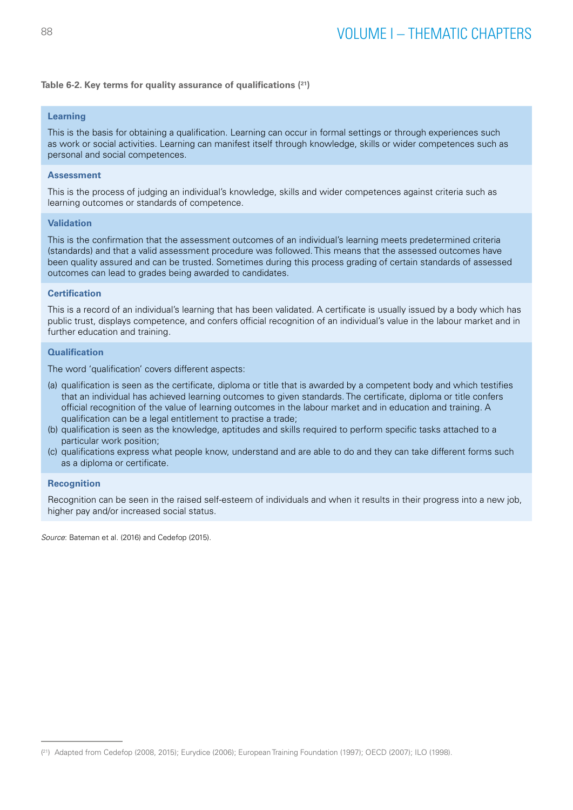#### **Table 6-2. Key terms for quality assurance of qualifications (21)**

## **Learning**

This is the basis for obtaining a qualification. Learning can occur in formal settings or through experiences such as work or social activities. Learning can manifest itself through knowledge, skills or wider competences such as personal and social competences.

## **Assessment**

This is the process of judging an individual's knowledge, skills and wider competences against criteria such as learning outcomes or standards of competence.

#### **Validation**

This is the confirmation that the assessment outcomes of an individual's learning meets predetermined criteria (standards) and that a valid assessment procedure was followed. This means that the assessed outcomes have been quality assured and can be trusted. Sometimes during this process grading of certain standards of assessed outcomes can lead to grades being awarded to candidates.

#### **Certification**

This is a record of an individual's learning that has been validated. A certificate is usually issued by a body which has public trust, displays competence, and confers official recognition of an individual's value in the labour market and in further education and training.

## **Qualification**

The word 'qualification' covers different aspects:

- (a) qualification is seen as the certificate, diploma or title that is awarded by a competent body and which testifies that an individual has achieved learning outcomes to given standards. The certificate, diploma or title confers official recognition of the value of learning outcomes in the labour market and in education and training. A qualification can be a legal entitlement to practise a trade;
- (b) qualification is seen as the knowledge, aptitudes and skills required to perform specific tasks attached to a particular work position;
- (c) qualifications express what people know, understand and are able to do and they can take different forms such as a diploma or certificate.

### **Recognition**

Recognition can be seen in the raised self-esteem of individuals and when it results in their progress into a new job, higher pay and/or increased social status.

*Source*: Bateman et al. (2016) and Cedefop (2015).

<sup>(</sup> 21) Adapted from Cedefop (2008, 2015); Eurydice (2006); European Training Foundation (1997); OECD (2007); ILO (1998).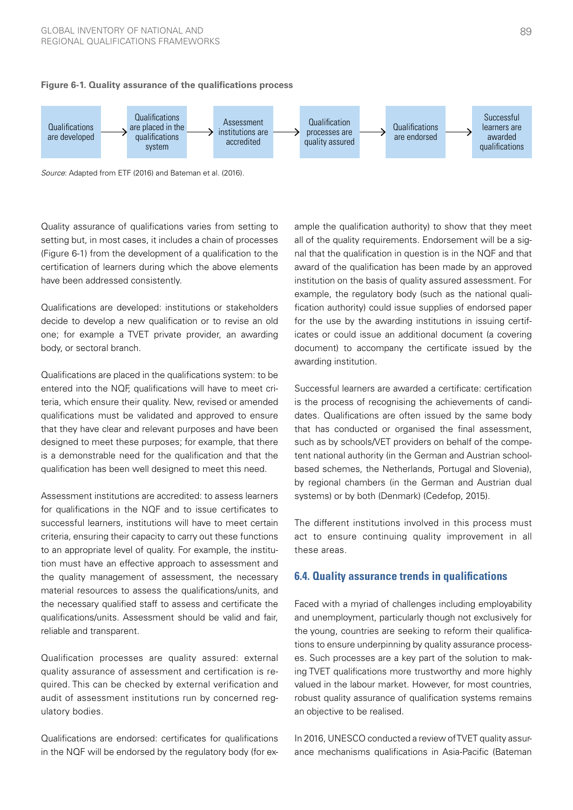

#### **Figure 6-1. Quality assurance of the qualifications process**

*Source*: Adapted from ETF (2016) and Bateman et al. (2016).

Quality assurance of qualifications varies from setting to setting but, in most cases, it includes a chain of processes (Figure 6-1) from the development of a qualification to the nal that the qualification in question is ir certification of learners during which the above elements award of the qualification has bee have been addressed consistently. student of fournoid daring which the

**Qualifications are developed: institutions or stakeholders** fication authority) could issue sur decide to develop a new qualification or to revise an old  $\;\;\;\;$  for the use by the awarding institutior one; for example a TVET private provider, an awarding body, or sectoral branch.  $\frac{1}{2}$  and study programme in terms of content, learning  $\frac{1}{2}$  in terms and time in terms of content, as  $\frac{1}{2}$ 

Qualifications are placed in the qualifications system: to be entered into the NQF, qualifications will have to meet criteria, which ensure their quality. New, revised or amended qualifications must be validated and approved to ensure that they have clear and relevant purposes and have been designed to meet these purposes; for example, that there is a demonstrable need for the qualification and that the tent national authority (in the Gern qualification has been well designed to meet this need. **based sch**  $\alpha$ , writer ensure their quality. New, revised  $\alpha$ 

Assessment institutions are accredited: to assess learners for qualifications in the NQF and to issue certificates to successful learners, institutions will have to meet certain criteria, ensuring their capacity to carry out these functions 40 to an appropriate level of quality. For example, the institu-35 tion must have an effective approach to assessment and the quality management of assessment, the necessary material resources to assess the qualifications/units, and the necessary qualified staff to assess and certificate the 20 qualifications/units. Assessment should be valid and fair, reliable and transparent. cr<br>tc<br>tik<br>th<br>th

Qualification processes are quality assured: external 5 **4** quality assurance of assessment and certification is required. This can be checked by external verification and audit of assessment institutions run by concerned regulatory bodies.

Qualifications are endorsed: certificates for qualifications in the NQF will be endorsed by the regulatory body (for ex-

ample the qualification authority) to show that they meet all of the quality requirements. Endorsement will be a signal that the qualification in question is in the NQF and that award of the qualification has been made by an approved institution on the basis of quality assured assessment. For example, the regulatory body (such as the national qualification authority) could issue supplies of endorsed paper for the use by the awarding institutions in issuing certificates or could issue an additional document (a covering document) to accompany the certificate issued by the awarding institution. **Assessment standards**… may specify the object on informing

Successful learners are awarded a certificate: certification is the process of recognising the achievements of candidates. Qualifications are often issued by the same body asted. Learned the and other issued by the same body that has conducted or organised the final assessment, such as by schools/VET providers on behalf of the competent national authority (in the German and Austrian schoolbased schemes, the Netherlands, Portugal and Slovenia), by regional chambers (in the German and Austrian dual by regional chambers (in the German and Austrian dual systems) or by both (Denmark) (Cedefop, 2015). of assessment, performance criteria, assessment Successful learners are awarded a component

The different institutions involved in this process must act to ensure continuing quality improvement in all these areas. **35**

## **6.4. Quality assurance trends in qualifications**

Faced with a myriad of challenges including employability and unemployment, particularly though not exclusively for the young, countries are seeking to reform their qualifications to ensure underpinning by quality assurance processes. Such processes are a key part of the solution to maknce of assessment and certification is re- ing TVET qualifications more trustworthy and more highly valued in the labour market. However, for most countries, robust quality assurance of qualification systems remains an objective to be realised. 1995-1999 2000-2004 2005-2009 2010-2014 2015-2016 Not yet

> In 2016, UNESCO conducted a review of TVET quality assurance mechanisms qualifications in Asia-Pacific (Bateman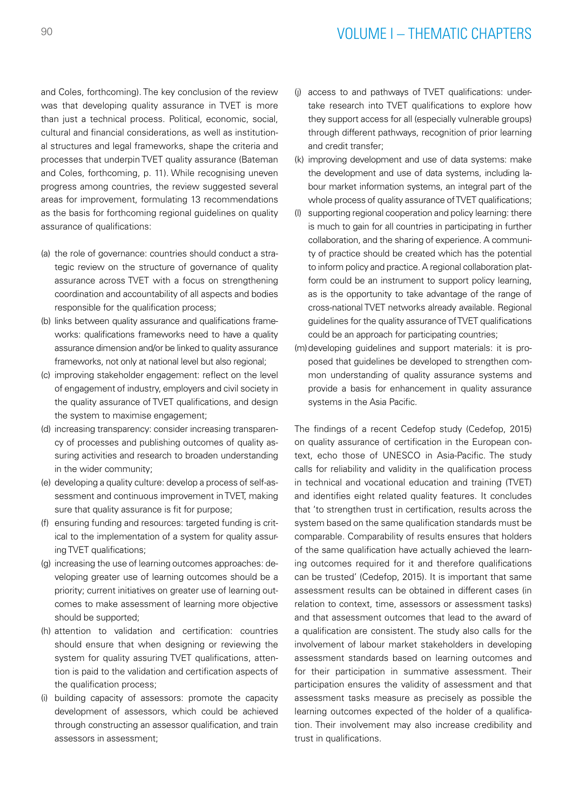# <sup>90</sup> VOLUME I – THEMATIC CHAPTERS

and Coles, forthcoming). The key conclusion of the review was that developing quality assurance in TVET is more than just a technical process. Political, economic, social, cultural and financial considerations, as well as institutional structures and legal frameworks, shape the criteria and processes that underpin TVET quality assurance (Bateman and Coles, forthcoming, p. 11). While recognising uneven progress among countries, the review suggested several areas for improvement, formulating 13 recommendations as the basis for forthcoming regional guidelines on quality assurance of qualifications:

- (a) the role of governance: countries should conduct a strategic review on the structure of governance of quality assurance across TVET with a focus on strengthening coordination and accountability of all aspects and bodies responsible for the qualification process;
- (b) links between quality assurance and qualifications frameworks: qualifications frameworks need to have a quality assurance dimension and/or be linked to quality assurance frameworks, not only at national level but also regional;
- (c) improving stakeholder engagement: reflect on the level of engagement of industry, employers and civil society in the quality assurance of TVET qualifications, and design the system to maximise engagement;
- (d) increasing transparency: consider increasing transparency of processes and publishing outcomes of quality assuring activities and research to broaden understanding in the wider community;
- (e) developing a quality culture: develop a process of self-assessment and continuous improvement in TVET, making sure that quality assurance is fit for purpose;
- (f) ensuring funding and resources: targeted funding is critical to the implementation of a system for quality assuring TVET qualifications;
- (g) increasing the use of learning outcomes approaches: developing greater use of learning outcomes should be a priority; current initiatives on greater use of learning outcomes to make assessment of learning more objective should be supported;
- (h) attention to validation and certification: countries should ensure that when designing or reviewing the system for quality assuring TVET qualifications, attention is paid to the validation and certification aspects of the qualification process;
- (i) building capacity of assessors: promote the capacity development of assessors, which could be achieved through constructing an assessor qualification, and train assessors in assessment;
- (j) access to and pathways of TVET qualifications: undertake research into TVET qualifications to explore how they support access for all (especially vulnerable groups) through different pathways, recognition of prior learning and credit transfer;
- (k) improving development and use of data systems: make the development and use of data systems, including labour market information systems, an integral part of the whole process of quality assurance of TVET qualifications;
- (l) supporting regional cooperation and policy learning: there is much to gain for all countries in participating in further collaboration, and the sharing of experience. A community of practice should be created which has the potential to inform policy and practice. A regional collaboration platform could be an instrument to support policy learning, as is the opportunity to take advantage of the range of cross-national TVET networks already available. Regional guidelines for the quality assurance of TVET qualifications could be an approach for participating countries;
- (m)developing guidelines and support materials: it is proposed that guidelines be developed to strengthen common understanding of quality assurance systems and provide a basis for enhancement in quality assurance systems in the Asia Pacific.

The findings of a recent Cedefop study (Cedefop, 2015) on quality assurance of certification in the European context, echo those of UNESCO in Asia-Pacific. The study calls for reliability and validity in the qualification process in technical and vocational education and training (TVET) and identifies eight related quality features. It concludes that 'to strengthen trust in certification, results across the system based on the same qualification standards must be comparable. Comparability of results ensures that holders of the same qualification have actually achieved the learning outcomes required for it and therefore qualifications can be trusted' (Cedefop, 2015). It is important that same assessment results can be obtained in different cases (in relation to context, time, assessors or assessment tasks) and that assessment outcomes that lead to the award of a qualification are consistent. The study also calls for the involvement of labour market stakeholders in developing assessment standards based on learning outcomes and for their participation in summative assessment. Their participation ensures the validity of assessment and that assessment tasks measure as precisely as possible the learning outcomes expected of the holder of a qualification. Their involvement may also increase credibility and trust in qualifications.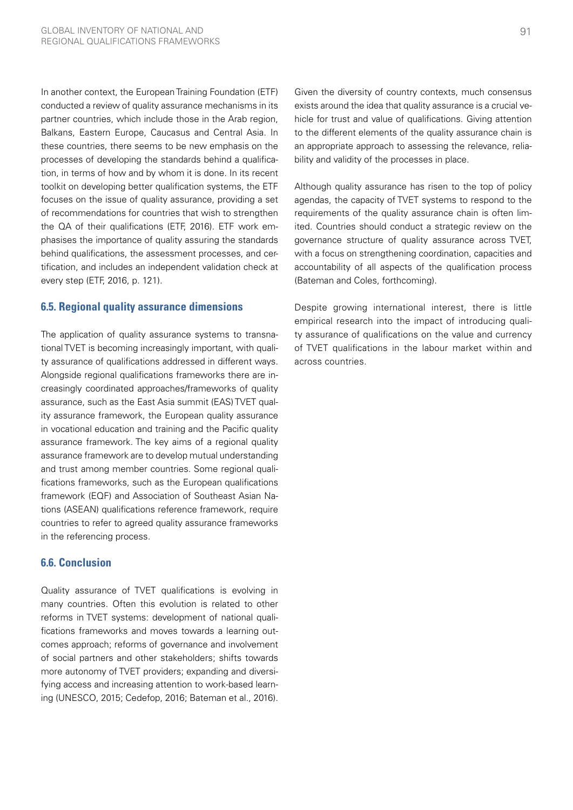In another context, the European Training Foundation (ETF) conducted a review of quality assurance mechanisms in its partner countries, which include those in the Arab region, Balkans, Eastern Europe, Caucasus and Central Asia. In these countries, there seems to be new emphasis on the processes of developing the standards behind a qualification, in terms of how and by whom it is done. In its recent toolkit on developing better qualification systems, the ETF focuses on the issue of quality assurance, providing a set of recommendations for countries that wish to strengthen the QA of their qualifications (ETF, 2016). ETF work emphasises the importance of quality assuring the standards behind qualifications, the assessment processes, and certification, and includes an independent validation check at every step (ETF, 2016, p. 121).

## **6.5. Regional quality assurance dimensions**

The application of quality assurance systems to transnational TVET is becoming increasingly important, with quality assurance of qualifications addressed in different ways. Alongside regional qualifications frameworks there are increasingly coordinated approaches/frameworks of quality assurance, such as the East Asia summit (EAS) TVET quality assurance framework, the European quality assurance in vocational education and training and the Pacific quality assurance framework. The key aims of a regional quality assurance framework are to develop mutual understanding and trust among member countries. Some regional qualifications frameworks, such as the European qualifications framework (EQF) and Association of Southeast Asian Nations (ASEAN) qualifications reference framework, require countries to refer to agreed quality assurance frameworks in the referencing process.

## **6.6. Conclusion**

Quality assurance of TVET qualifications is evolving in many countries. Often this evolution is related to other reforms in TVET systems: development of national qualifications frameworks and moves towards a learning outcomes approach; reforms of governance and involvement of social partners and other stakeholders; shifts towards more autonomy of TVET providers; expanding and diversifying access and increasing attention to work-based learning (UNESCO, 2015; Cedefop, 2016; Bateman et al., 2016).

Given the diversity of country contexts, much consensus exists around the idea that quality assurance is a crucial vehicle for trust and value of qualifications. Giving attention to the different elements of the quality assurance chain is an appropriate approach to assessing the relevance, reliability and validity of the processes in place.

Although quality assurance has risen to the top of policy agendas, the capacity of TVET systems to respond to the requirements of the quality assurance chain is often limited. Countries should conduct a strategic review on the governance structure of quality assurance across TVET, with a focus on strengthening coordination, capacities and accountability of all aspects of the qualification process (Bateman and Coles, forthcoming).

Despite growing international interest, there is little empirical research into the impact of introducing quality assurance of qualifications on the value and currency of TVET qualifications in the labour market within and across countries.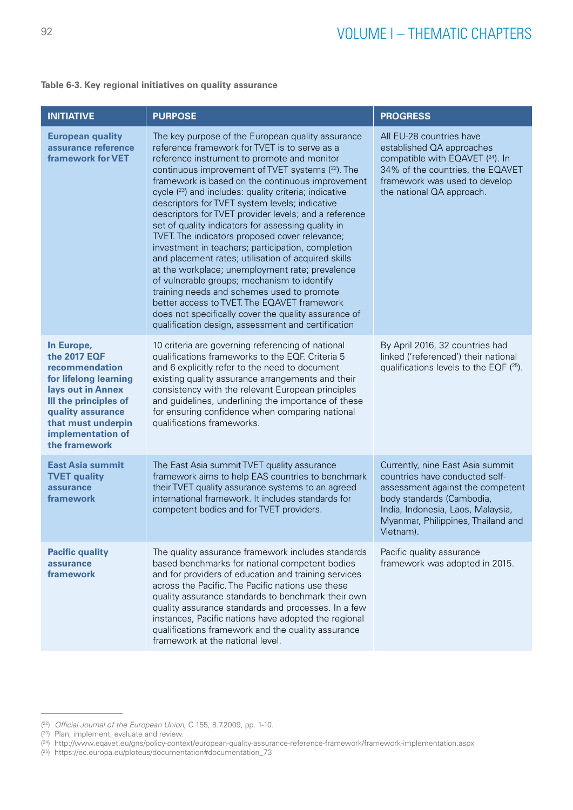#### **Table 6-3. Key regional initiatives on quality assurance**

| <b>INITIATIVE</b>                                                                                                                                                                                    | <b>PURPOSE</b>                                                                                                                                                                                                                                                                                                                                                                                                                                                                                                                                                                                                                                                                                                                                                                                                                                                                                                                                                 | <b>PROGRESS</b>                                                                                                                                                                                                             |
|------------------------------------------------------------------------------------------------------------------------------------------------------------------------------------------------------|----------------------------------------------------------------------------------------------------------------------------------------------------------------------------------------------------------------------------------------------------------------------------------------------------------------------------------------------------------------------------------------------------------------------------------------------------------------------------------------------------------------------------------------------------------------------------------------------------------------------------------------------------------------------------------------------------------------------------------------------------------------------------------------------------------------------------------------------------------------------------------------------------------------------------------------------------------------|-----------------------------------------------------------------------------------------------------------------------------------------------------------------------------------------------------------------------------|
| <b>European quality</b><br>assurance reference<br><b>framework for VET</b>                                                                                                                           | The key purpose of the European quality assurance<br>reference framework for TVET is to serve as a<br>reference instrument to promote and monitor<br>continuous improvement of TVET systems (22). The<br>framework is based on the continuous improvement<br>cycle (23) and includes: quality criteria; indicative<br>descriptors for TVET system levels; indicative<br>descriptors for TVET provider levels; and a reference<br>set of quality indicators for assessing quality in<br>TVET. The indicators proposed cover relevance;<br>investment in teachers; participation, completion<br>and placement rates; utilisation of acquired skills<br>at the workplace; unemployment rate; prevalence<br>of vulnerable groups; mechanism to identify<br>training needs and schemes used to promote<br>better access to TVET. The EQAVET framework<br>does not specifically cover the quality assurance of<br>qualification design, assessment and certification | All EU-28 countries have<br>established QA approaches<br>compatible with EQAVET (24). In<br>34% of the countries, the EQAVET<br>framework was used to develop<br>the national QA approach.                                  |
| In Europe,<br>the 2017 EQF<br>recommendation<br>for lifelong learning<br>lays out in Annex<br>III the principles of<br>quality assurance<br>that must underpin<br>implementation of<br>the framework | 10 criteria are governing referencing of national<br>qualifications frameworks to the EQF. Criteria 5<br>and 6 explicitly refer to the need to document<br>existing quality assurance arrangements and their<br>consistency with the relevant European principles<br>and guidelines, underlining the importance of these<br>for ensuring confidence when comparing national<br>qualifications frameworks.                                                                                                                                                                                                                                                                                                                                                                                                                                                                                                                                                      | By April 2016, 32 countries had<br>linked ('referenced') their national<br>qualifications levels to the EQF $(^{25})$ .                                                                                                     |
| <b>East Asia summit</b><br><b>TVET quality</b><br>assurance<br>framework                                                                                                                             | The East Asia summit TVET quality assurance<br>framework aims to help EAS countries to benchmark<br>their TVET quality assurance systems to an agreed<br>international framework. It includes standards for<br>competent bodies and for TVET providers.                                                                                                                                                                                                                                                                                                                                                                                                                                                                                                                                                                                                                                                                                                        | Currently, nine East Asia summit<br>countries have conducted self-<br>assessment against the competent<br>body standards (Cambodia,<br>India, Indonesia, Laos, Malaysia,<br>Myanmar, Philippines, Thailand and<br>Vietnam). |
| <b>Pacific quality</b><br>assurance<br>framework                                                                                                                                                     | The quality assurance framework includes standards<br>based benchmarks for national competent bodies<br>and for providers of education and training services<br>across the Pacific. The Pacific nations use these<br>quality assurance standards to benchmark their own<br>quality assurance standards and processes. In a few<br>instances, Pacific nations have adopted the regional<br>qualifications framework and the quality assurance<br>framework at the national level.                                                                                                                                                                                                                                                                                                                                                                                                                                                                               | Pacific quality assurance<br>framework was adopted in 2015.                                                                                                                                                                 |

<sup>(</sup> 22) *Official Journal of the European Union*, C 155, 8.7.2009, pp. 1-10.

<sup>(</sup> 23) Plan, implement, evaluate and review.

<sup>(</sup> 24) <http://www.eqavet.eu/gns/policy-context/european-quality-assurance-reference-framework/framework-implementation.aspx>

<sup>(</sup> 25) [https://ec.europa.eu/ploteus/documentation#documentation\\_73](https://ec.europa.eu/ploteus/documentation#documentation_73)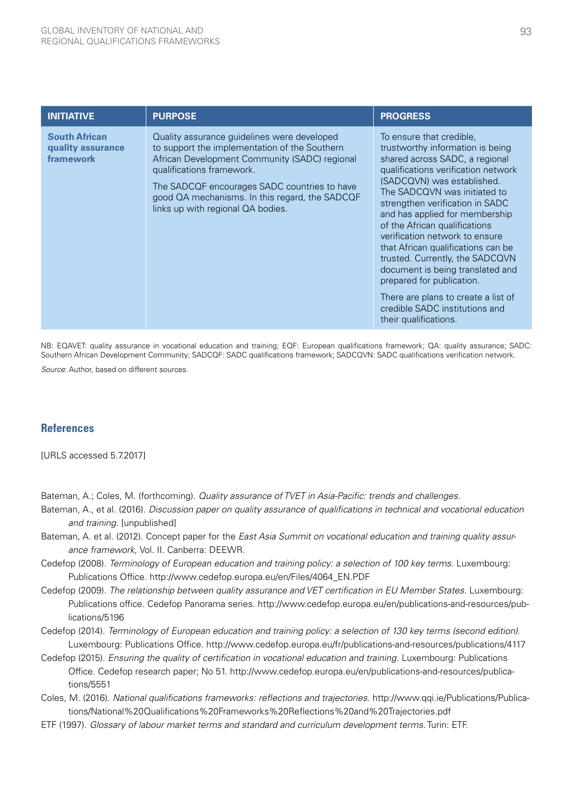| <b>INITIATIVE</b>                                      | <b>PURPOSE</b>                                                                                                                                                                                                                                                                                                    | <b>PROGRESS</b>                                                                                                                                                                                                                                                                                                                                                                                                                                                                                                                                                                         |
|--------------------------------------------------------|-------------------------------------------------------------------------------------------------------------------------------------------------------------------------------------------------------------------------------------------------------------------------------------------------------------------|-----------------------------------------------------------------------------------------------------------------------------------------------------------------------------------------------------------------------------------------------------------------------------------------------------------------------------------------------------------------------------------------------------------------------------------------------------------------------------------------------------------------------------------------------------------------------------------------|
| <b>South African</b><br>quality assurance<br>framework | Quality assurance guidelines were developed<br>to support the implementation of the Southern<br>African Development Community (SADC) regional<br>qualifications framework.<br>The SADCQF encourages SADC countries to have<br>good QA mechanisms. In this regard, the SADCQF<br>links up with regional QA bodies. | To ensure that credible.<br>trustworthy information is being<br>shared across SADC, a regional<br>qualifications verification network<br>(SADCQVN) was established.<br>The SADCQVN was initiated to<br>strengthen verification in SADC<br>and has applied for membership<br>of the African qualifications<br>verification network to ensure<br>that African qualifications can be<br>trusted. Currently, the SADCQVN<br>document is being translated and<br>prepared for publication.<br>There are plans to create a list of<br>credible SADC institutions and<br>their qualifications. |

NB: EQAVET: quality assurance in vocational education and training; EQF: European qualifications framework; QA: quality assurance; SADC: Southern African Development Community; SADCQF: SADC qualifications framework; SADCQVN: SADC qualifications verification network.

*Source*: Author, based on different sources.

## **References**

[URLS accessed 5.7.2017]

Bateman, A.; Coles, M. (forthcoming). *Quality assurance of TVET in Asia-Pacific: trends and challenges.*

- Bateman, A., et al. (2016). *Discussion paper on quality assurance of qualifications in technical and vocational education and training.* [unpublished]
- Bateman, A. et al. (2012). Concept paper for the *East Asia Summit on vocational education and training quality assurance framework,* Vol. II. Canberra: DEEWR.
- Cedefop (2008). *Terminology of European education and training policy: a selection of 100 key terms.* Luxembourg: Publications Office. http://www.cedefop.europa.eu/en/Files/4064\_EN.PDF
- Cedefop (2009). *The relationship between quality assurance and VET certification in EU Member States*. Luxembourg: Publications office. Cedefop Panorama series. http://www.cedefop.europa.eu/en/publications-and-resources/publications/5196
- Cedefop (2014). *Terminology of European education and training policy: a selection of 130 key terms (second edition)*. Luxembourg: Publications Office. http://www.cedefop.europa.eu/fr/publications-and-resources/publications/4117
- Cedefop (2015). *Ensuring the quality of certification in vocational education and training.* Luxembourg: Publications Office. Cedefop research paper; No 51. http://www.cedefop.europa.eu/en/publications-and-resources/publications/5551
- Coles, M. (2016). *National qualifications frameworks: reflections and trajectories.* http://www.qqi.ie/Publications/Publications/National%20Qualifications%20Frameworks%20Reflections%20and%20Trajectories.pdf
- ETF (1997). *Glossary of labour market terms and standard and curriculum development terms.* Turin: ETF.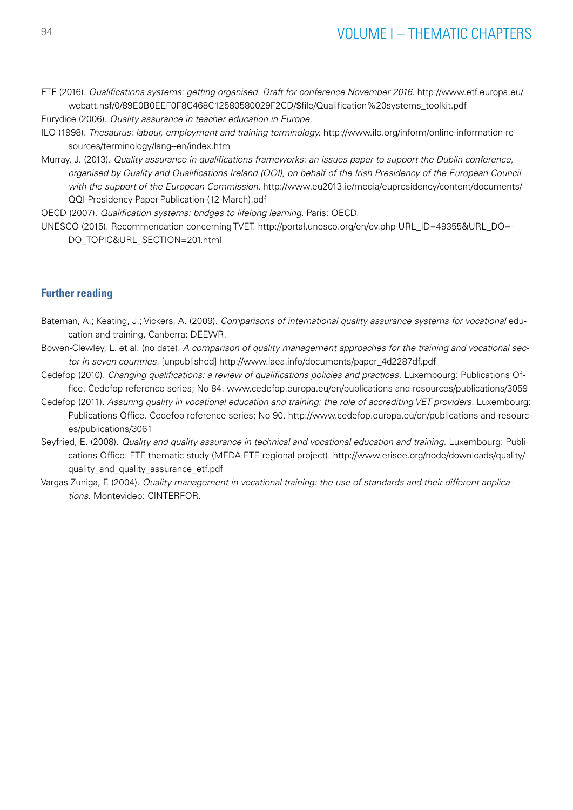ETF (2016). *Qualifications systems: getting organised. Draft for conference November 2016.* [http://www.etf.europa.eu/](http://www.etf.europa.eu/webatt.nsf/0/89E0B0EEF0F8C468C12580580029F2CD/$file/Qualification%20systems_toolkit.pdf) [webatt.nsf/0/89E0B0EEF0F8C468C12580580029F2CD/\\$file/Qualification%20systems\\_toolkit.pdf](http://www.etf.europa.eu/webatt.nsf/0/89E0B0EEF0F8C468C12580580029F2CD/$file/Qualification%20systems_toolkit.pdf)

Eurydice (2006). *Quality assurance in teacher education in Europe*.

- ILO (1998). *Thesaurus: labour, employment and training terminology.* http://www.ilo.org/inform/online-information-resources/terminology/lang--en/index.htm
- Murray, J. (2013). *Quality assurance in qualifications frameworks: an issues paper to support the Dublin conference, organised by Quality and Qualifications Ireland (QQI), on behalf of the Irish Presidency of the European Council with the support of the European Commission.* [http://www.eu2013.ie/media/eupresidency/content/documents/](http://www.eu2013.ie/media/eupresidency/content/documents/QQI-Presidency-Paper-Publication-(12-March).pdf) [QQI-Presidency-Paper-Publication-\(12-March\).pdf](http://www.eu2013.ie/media/eupresidency/content/documents/QQI-Presidency-Paper-Publication-(12-March).pdf)

OECD (2007). *Qualification systems: bridges to lifelong learning*. Paris: OECD.

UNESCO (2015). Recommendation concerning TVET. [http://portal.unesco.org/en/ev.php-URL\\_ID=49355&URL\\_DO=-](http://portal.unesco.org/en/ev.php-URL_ID=49355&URL_DO=DO_TOPIC&URL_SECTION=201.html) [DO\\_TOPIC&URL\\_SECTION=201.html](http://portal.unesco.org/en/ev.php-URL_ID=49355&URL_DO=DO_TOPIC&URL_SECTION=201.html)

## **Further reading**

- Bateman, A.; Keating, J.; Vickers, A. (2009). *Comparisons of international quality assurance systems for vocational* education and training. Canberra: DEEWR.
- Bowen-Clewley, L. et al. (no date). *A comparison of quality management approaches for the training and vocational sector in seven countries.* [unpublished] http://www.iaea.info/documents/paper\_4d2287df.pdf
- Cedefop (2010). *Changing qualifications: a review of qualifications policies and practices.* Luxembourg: Publications Office. Cedefop reference series; No 84. www.cedefop.europa.eu/en/publications-and-resources/publications/3059
- Cedefop (2011). *Assuring quality in vocational education and training: the role of accrediting VET providers.* Luxembourg: Publications Office. Cedefop reference series; No 90. http://www.cedefop.europa.eu/en/publications-and-resources/publications/3061
- Seyfried, E. (2008). *Quality and quality assurance in technical and vocational education and training.* Luxembourg: Publications Office. ETF thematic study (MEDA-ETE regional project). [http://www.erisee.org/node/downloads/quality/](http://www.erisee.org/node/downloads/quality/quality_and_quality_assurance_etf.pdf ) quality and quality assurance etf.pdf
- Vargas Zuniga, F. (2004). *Quality management in vocational training: the use of standards and their different applications*. Montevideo: CINTERFOR.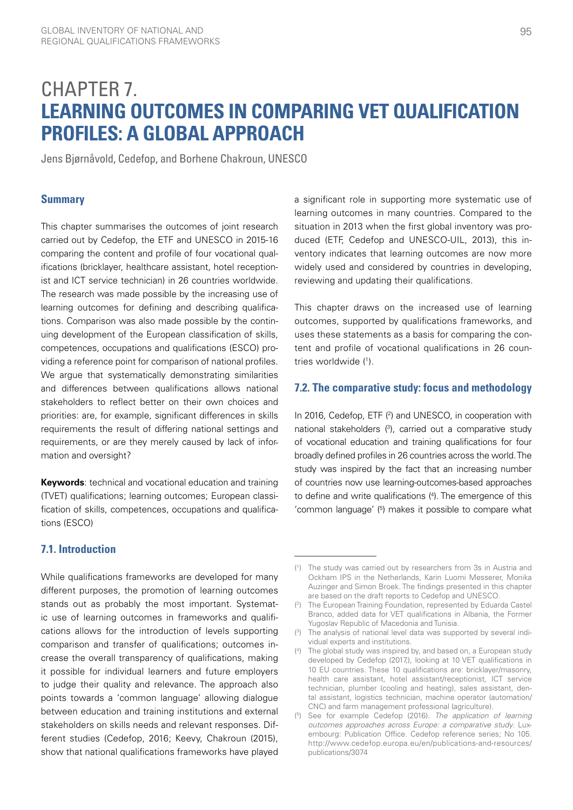# CHAPTER 7. **LEARNING OUTCOMES IN COMPARING VET QUALIFICATION PROFILES: A GLOBAL APPROACH**

Jens Bjørnåvold, Cedefop, and Borhene Chakroun, UNESCO

## **Summary**

This chapter summarises the outcomes of joint research carried out by Cedefop, the ETF and UNESCO in 2015-16 comparing the content and profile of four vocational qualifications (bricklayer, healthcare assistant, hotel receptionist and ICT service technician) in 26 countries worldwide. The research was made possible by the increasing use of learning outcomes for defining and describing qualifications. Comparison was also made possible by the continuing development of the European classification of skills, competences, occupations and qualifications (ESCO) providing a reference point for comparison of national profiles. We argue that systematically demonstrating similarities and differences between qualifications allows national stakeholders to reflect better on their own choices and priorities: are, for example, significant differences in skills requirements the result of differing national settings and requirements, or are they merely caused by lack of information and oversight?

**Keywords**: technical and vocational education and training (TVET) qualifications; learning outcomes; European classification of skills, competences, occupations and qualifications (ESCO)

## **7.1. Introduction**

While qualifications frameworks are developed for many different purposes, the promotion of learning outcomes stands out as probably the most important. Systematic use of learning outcomes in frameworks and qualifications allows for the introduction of levels supporting comparison and transfer of qualifications; outcomes increase the overall transparency of qualifications, making it possible for individual learners and future employers to judge their quality and relevance. The approach also points towards a 'common language' allowing dialogue between education and training institutions and external stakeholders on skills needs and relevant responses. Different studies (Cedefop, 2016; Keevy, Chakroun (2015), show that national qualifications frameworks have played

a significant role in supporting more systematic use of learning outcomes in many countries. Compared to the situation in 2013 when the first global inventory was produced (ETF, Cedefop and UNESCO-UIL, 2013), this inventory indicates that learning outcomes are now more widely used and considered by countries in developing, reviewing and updating their qualifications.

This chapter draws on the increased use of learning outcomes, supported by qualifications frameworks, and uses these statements as a basis for comparing the content and profile of vocational qualifications in 26 countries worldwide (1).

## **7.2. The comparative study: focus and methodology**

In 2016, Cedefop, ETF  $(2)$  and UNESCO, in cooperation with national stakeholders (3), carried out a comparative study of vocational education and training qualifications for four broadly defined profiles in 26 countries across the world. The study was inspired by the fact that an increasing number of countries now use learning-outcomes-based approaches to define and write qualifications (4). The emergence of this 'common language' (5) makes it possible to compare what

<sup>(</sup> 1 ) The study was carried out by researchers from 3s in Austria and Ockham IPS in the Netherlands, Karin Luomi Messerer, Monika Auzinger and Simon Broek. The findings presented in this chapter are based on the draft reports to Cedefop and UNESCO.

 $(2)$ ) The European Training Foundation, represented by Eduarda Castel Branco, added data for VET qualifications in Albania, the Former Yugoslav Republic of Macedonia and Tunisia.

<sup>(</sup> 3 ) The analysis of national level data was supported by several individual experts and institutions.

<sup>(</sup> 4 ) The global study was inspired by, and based on, a European study developed by Cedefop (2017,), looking at 10 VET qualifications in 10 EU countries. These 10 qualifications are: bricklayer/masonry, health care assistant, hotel assistant/receptionist, ICT service technician, plumber (cooling and heating), sales assistant, dental assistant, logistics technician, machine operator (automation/ CNC) and farm management professional (agriculture).

<sup>(</sup> 5 ) See for example Cedefop (2016). *The application of learning outcomes approaches across Europe: a comparative study*. Luxembourg: Publication Office. Cedefop reference series; No 105. [http://www.cedefop.europa.eu/en/publications-and-resources/](http://www.cedefop.europa.eu/en/publications-and-resources/publications/3074) [publications/3074](http://www.cedefop.europa.eu/en/publications-and-resources/publications/3074)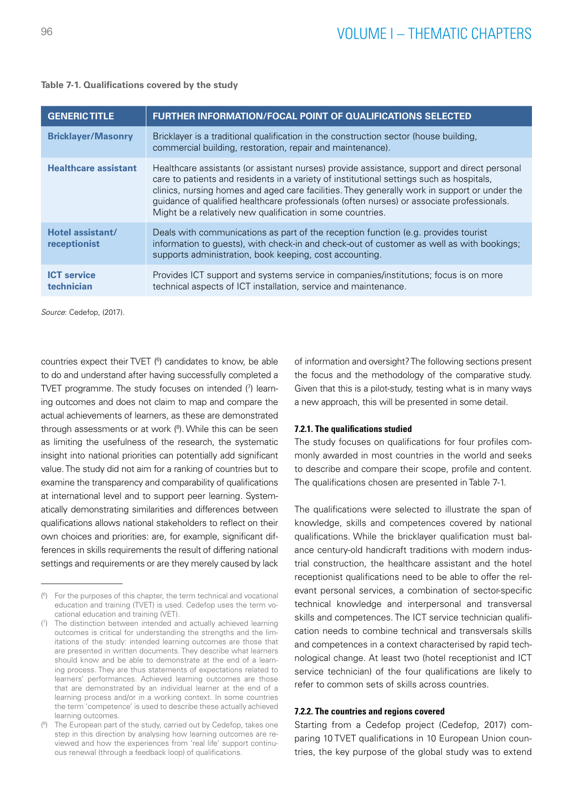| Table 7-1. Qualifications covered by the study |  |  |  |
|------------------------------------------------|--|--|--|
|------------------------------------------------|--|--|--|

| <b>GENERIC TITLE</b>             | <b>FURTHER INFORMATION/FOCAL POINT OF QUALIFICATIONS SELECTED</b>                                                                                                                                                                                                                                                                                                                                                                                  |
|----------------------------------|----------------------------------------------------------------------------------------------------------------------------------------------------------------------------------------------------------------------------------------------------------------------------------------------------------------------------------------------------------------------------------------------------------------------------------------------------|
| <b>Bricklayer/Masonry</b>        | Bricklayer is a traditional qualification in the construction sector (house building,<br>commercial building, restoration, repair and maintenance).                                                                                                                                                                                                                                                                                                |
| <b>Healthcare assistant</b>      | Healthcare assistants (or assistant nurses) provide assistance, support and direct personal<br>care to patients and residents in a variety of institutional settings such as hospitals,<br>clinics, nursing homes and aged care facilities. They generally work in support or under the<br>guidance of qualified healthcare professionals (often nurses) or associate professionals.<br>Might be a relatively new qualification in some countries. |
| Hotel assistant/<br>receptionist | Deals with communications as part of the reception function (e.g. provides tourist<br>information to guests), with check-in and check-out of customer as well as with bookings;<br>supports administration, book keeping, cost accounting.                                                                                                                                                                                                         |
| <b>ICT</b> service<br>technician | Provides ICT support and systems service in companies/institutions; focus is on more<br>technical aspects of ICT installation, service and maintenance.                                                                                                                                                                                                                                                                                            |

*Source*: Cedefop, (2017).

countries expect their TVET (<sup>6</sup>) candidates to know, be able to do and understand after having successfully completed a TVET programme. The study focuses on intended (7 ) learning outcomes and does not claim to map and compare the actual achievements of learners, as these are demonstrated through assessments or at work (<sup>8</sup>). While this can be seen as limiting the usefulness of the research, the systematic insight into national priorities can potentially add significant value. The study did not aim for a ranking of countries but to examine the transparency and comparability of qualifications at international level and to support peer learning. Systematically demonstrating similarities and differences between qualifications allows national stakeholders to reflect on their own choices and priorities: are, for example, significant differences in skills requirements the result of differing national settings and requirements or are they merely caused by lack of information and oversight? The following sections present the focus and the methodology of the comparative study. Given that this is a pilot-study, testing what is in many ways a new approach, this will be presented in some detail.

#### **7.2.1. The qualifications studied**

The study focuses on qualifications for four profiles commonly awarded in most countries in the world and seeks to describe and compare their scope, profile and content. The qualifications chosen are presented in Table 7-1.

The qualifications were selected to illustrate the span of knowledge, skills and competences covered by national qualifications. While the bricklayer qualification must balance century-old handicraft traditions with modern industrial construction, the healthcare assistant and the hotel receptionist qualifications need to be able to offer the relevant personal services, a combination of sector-specific technical knowledge and interpersonal and transversal skills and competences. The ICT service technician qualification needs to combine technical and transversals skills and competences in a context characterised by rapid technological change. At least two (hotel receptionist and ICT service technician) of the four qualifications are likely to refer to common sets of skills across countries.

## **7.2.2. The countries and regions covered**

Starting from a Cedefop project (Cedefop, 2017) comparing 10 TVET qualifications in 10 European Union countries, the key purpose of the global study was to extend

<sup>(</sup> 6 ) For the purposes of this chapter, the term technical and vocational education and training (TVET) is used. Cedefop uses the term vocational education and training (VET).

<sup>(</sup> 7 ) The distinction between intended and actually achieved learning outcomes is critical for understanding the strengths and the limitations of the study: intended learning outcomes are those that are presented in written documents. They describe what learners should know and be able to demonstrate at the end of a learning process. They are thus statements of expectations related to learners' performances. Achieved learning outcomes are those that are demonstrated by an individual learner at the end of a learning process and/or in a working context. In some countries the term 'competence' is used to describe these actually achieved learning outcomes.

<sup>(</sup> 8 ) The European part of the study, carried out by Cedefop, takes one step in this direction by analysing how learning outcomes are reviewed and how the experiences from 'real life' support continuous renewal (through a feedback loop) of qualifications.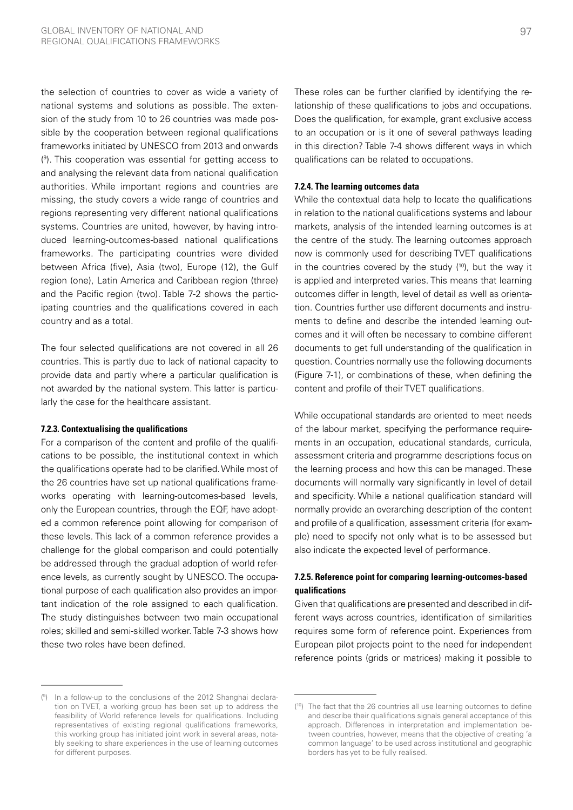the selection of countries to cover as wide a variety of national systems and solutions as possible. The extension of the study from 10 to 26 countries was made possible by the cooperation between regional qualifications frameworks initiated by UNESCO from 2013 and onwards ( 9 ). This cooperation was essential for getting access to and analysing the relevant data from national qualification authorities. While important regions and countries are missing, the study covers a wide range of countries and regions representing very different national qualifications systems. Countries are united, however, by having introduced learning-outcomes-based national qualifications frameworks. The participating countries were divided between Africa (five), Asia (two), Europe (12), the Gulf region (one), Latin America and Caribbean region (three) and the Pacific region (two). Table 7-2 shows the participating countries and the qualifications covered in each country and as a total.

The four selected qualifications are not covered in all 26 countries. This is partly due to lack of national capacity to provide data and partly where a particular qualification is not awarded by the national system. This latter is particularly the case for the healthcare assistant.

#### **7.2.3. Contextualising the qualifications**

For a comparison of the content and profile of the qualifications to be possible, the institutional context in which the qualifications operate had to be clarified. While most of the 26 countries have set up national qualifications frameworks operating with learning-outcomes-based levels, only the European countries, through the EQF, have adopted a common reference point allowing for comparison of these levels. This lack of a common reference provides a challenge for the global comparison and could potentially be addressed through the gradual adoption of world reference levels, as currently sought by UNESCO. The occupational purpose of each qualification also provides an important indication of the role assigned to each qualification. The study distinguishes between two main occupational roles; skilled and semi-skilled worker. Table 7-3 shows how these two roles have been defined.

These roles can be further clarified by identifying the relationship of these qualifications to jobs and occupations. Does the qualification, for example, grant exclusive access to an occupation or is it one of several pathways leading in this direction? Table 7-4 shows different ways in which qualifications can be related to occupations.

#### **7.2.4. The learning outcomes data**

While the contextual data help to locate the qualifications in relation to the national qualifications systems and labour markets, analysis of the intended learning outcomes is at the centre of the study. The learning outcomes approach now is commonly used for describing TVET qualifications in the countries covered by the study  $(10)$ , but the way it is applied and interpreted varies. This means that learning outcomes differ in length, level of detail as well as orientation. Countries further use different documents and instruments to define and describe the intended learning outcomes and it will often be necessary to combine different documents to get full understanding of the qualification in question. Countries normally use the following documents (Figure 7-1), or combinations of these, when defining the content and profile of their TVET qualifications.

While occupational standards are oriented to meet needs of the labour market, specifying the performance requirements in an occupation, educational standards, curricula, assessment criteria and programme descriptions focus on the learning process and how this can be managed. These documents will normally vary significantly in level of detail and specificity. While a national qualification standard will normally provide an overarching description of the content and profile of a qualification, assessment criteria (for example) need to specify not only what is to be assessed but also indicate the expected level of performance.

## **7.2.5. Reference point for comparing learning-outcomes-based qualifications**

Given that qualifications are presented and described in different ways across countries, identification of similarities requires some form of reference point. Experiences from European pilot projects point to the need for independent reference points (grids or matrices) making it possible to

<sup>(</sup> 9 ) In a follow-up to the conclusions of the 2012 Shanghai declaration on TVET, a working group has been set up to address the feasibility of World reference levels for qualifications. Including representatives of existing regional qualifications frameworks, this working group has initiated joint work in several areas, notably seeking to share experiences in the use of learning outcomes for different purposes.

<sup>(</sup> 10) The fact that the 26 countries all use learning outcomes to define and describe their qualifications signals general acceptance of this approach. Differences in interpretation and implementation between countries, however, means that the objective of creating 'a common language' to be used across institutional and geographic borders has yet to be fully realised.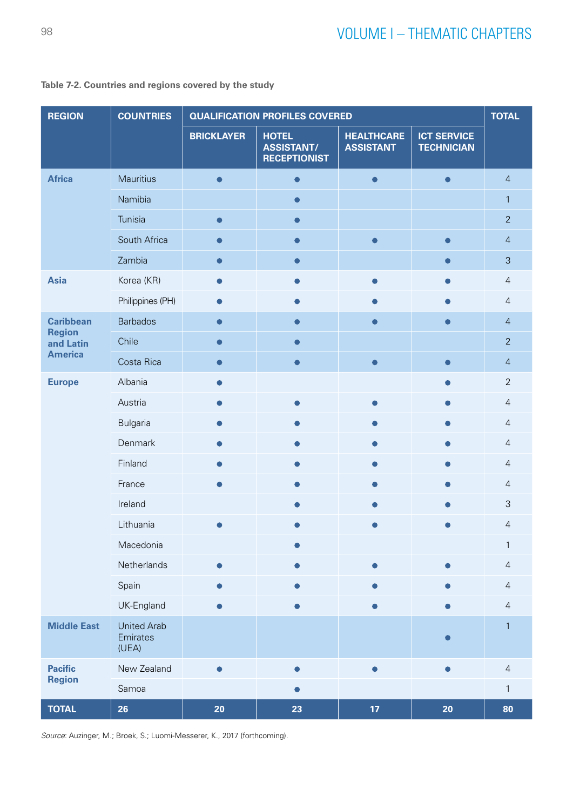| <b>REGION</b>              | <b>COUNTRIES</b>                        | <b>QUALIFICATION PROFILES COVERED</b> |                                                          |                                       | <b>TOTAL</b>                            |                |
|----------------------------|-----------------------------------------|---------------------------------------|----------------------------------------------------------|---------------------------------------|-----------------------------------------|----------------|
|                            |                                         | <b>BRICKLAYER</b>                     | <b>HOTEL</b><br><b>ASSISTANT/</b><br><b>RECEPTIONIST</b> | <b>HEALTHCARE</b><br><b>ASSISTANT</b> | <b>ICT SERVICE</b><br><b>TECHNICIAN</b> |                |
| <b>Africa</b>              | Mauritius                               | $\bullet$                             | $\bullet$                                                | $\bullet$                             | $\bullet$                               | $\overline{4}$ |
|                            | Namibia                                 |                                       | $\bullet$                                                |                                       |                                         | $\mathbf{1}$   |
|                            | Tunisia                                 | $\bullet$                             | $\bullet$                                                |                                       |                                         | $\overline{2}$ |
|                            | South Africa                            | $\bullet$                             | $\bullet$                                                |                                       | $\bullet$                               | $\overline{4}$ |
|                            | Zambia                                  | $\bullet$                             | $\bullet$                                                |                                       | $\bullet$                               | $\mathfrak{S}$ |
| <b>Asia</b>                | Korea (KR)                              | $\bullet$                             | $\bullet$                                                | ●                                     | $\bullet$                               | $\overline{4}$ |
|                            | Philippines (PH)                        |                                       |                                                          |                                       |                                         | $\overline{4}$ |
| <b>Caribbean</b>           | <b>Barbados</b>                         | $\bullet$                             | $\bullet$                                                |                                       | $\bullet$                               | $\overline{4}$ |
| <b>Region</b><br>and Latin | Chile                                   | $\Box$                                |                                                          |                                       |                                         | $\overline{2}$ |
| <b>America</b>             | Costa Rica                              | $\bullet$                             | $\bullet$                                                |                                       | $\bullet$                               | $\overline{4}$ |
| <b>Europe</b>              | Albania                                 |                                       |                                                          |                                       |                                         | $\overline{2}$ |
|                            | Austria                                 |                                       |                                                          |                                       |                                         | $\overline{4}$ |
|                            | <b>Bulgaria</b>                         |                                       |                                                          |                                       |                                         | $\overline{4}$ |
|                            | Denmark                                 |                                       |                                                          |                                       | ●                                       | $\overline{4}$ |
|                            | Finland                                 |                                       |                                                          |                                       |                                         | $\overline{4}$ |
|                            | France                                  |                                       |                                                          |                                       |                                         | $\overline{4}$ |
|                            | Ireland                                 |                                       |                                                          |                                       |                                         | $\mathsf 3$    |
|                            | Lithuania                               |                                       |                                                          |                                       |                                         | $\overline{4}$ |
|                            | Macedonia                               |                                       |                                                          |                                       |                                         | $\mathbf{1}$   |
|                            | Netherlands                             | $\bullet$                             |                                                          |                                       |                                         | $\overline{4}$ |
|                            | Spain                                   | $\bullet$                             |                                                          |                                       |                                         | $\overline{4}$ |
|                            | UK-England                              | $\bullet$                             | $\bullet$                                                |                                       | $\bullet$                               | $\overline{4}$ |
| <b>Middle East</b>         | <b>United Arab</b><br>Emirates<br>(UEA) |                                       |                                                          |                                       |                                         | $\mathbf{1}$   |
| <b>Pacific</b>             | New Zealand                             | $\bullet$                             | $\bullet$                                                | $\bullet$                             | $\bullet$                               | $\overline{4}$ |
| <b>Region</b>              | Samoa                                   |                                       | O                                                        |                                       |                                         | $\mathbf{1}$   |
| <b>TOTAL</b>               | 26                                      | 20                                    | 23                                                       | 17                                    | 20                                      | 80             |

## **Table 7-2. Countries and regions covered by the study**

*Source*: Auzinger, M.; Broek, S.; Luomi-Messerer, K., 2017 (forthcoming).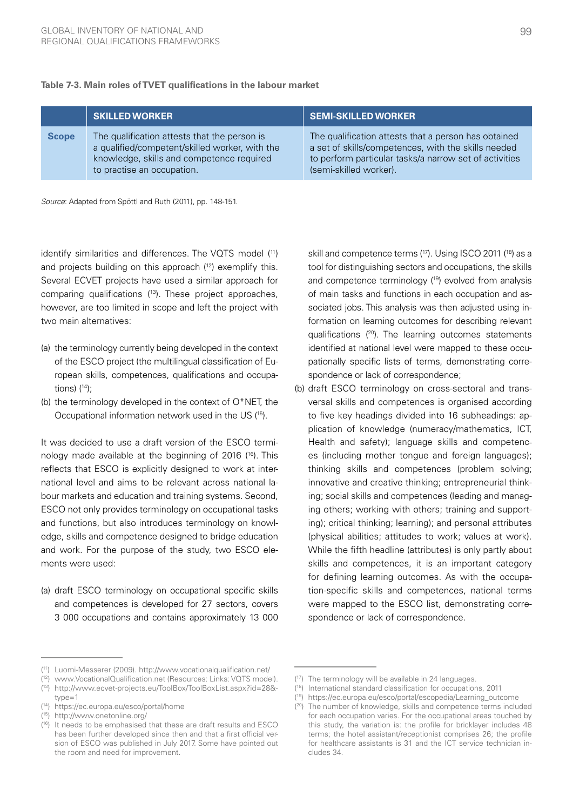|              | <b>SKILLED WORKER</b>                                                                                                                                                     | <b>SEMI-SKILLED WORKER</b>                                                                                                                                                                      |
|--------------|---------------------------------------------------------------------------------------------------------------------------------------------------------------------------|-------------------------------------------------------------------------------------------------------------------------------------------------------------------------------------------------|
| <b>Scope</b> | The qualification attests that the person is<br>a qualified/competent/skilled worker, with the<br>knowledge, skills and competence required<br>to practise an occupation. | The qualification attests that a person has obtained<br>a set of skills/competences, with the skills needed<br>to perform particular tasks/a narrow set of activities<br>(semi-skilled worker). |

#### **Table 7-3. Main roles of TVET qualifications in the labour market**

*Source*: Adapted from Spöttl and Ruth (2011), pp. 148-151.

identify similarities and differences. The VQTS model (11) and projects building on this approach (12) exemplify this. Several ECVET projects have used a similar approach for comparing qualifications (13). These project approaches, however, are too limited in scope and left the project with two main alternatives:

- (a) the terminology currently being developed in the context of the ESCO project (the multilingual classification of European skills, competences, qualifications and occupations)  $(14)$ :
- (b) the terminology developed in the context of O\*NET, the Occupational information network used in the US (15).

It was decided to use a draft version of the ESCO terminology made available at the beginning of 2016  $(16)$ . This reflects that ESCO is explicitly designed to work at international level and aims to be relevant across national labour markets and education and training systems. Second, ESCO not only provides terminology on occupational tasks and functions, but also introduces terminology on knowledge, skills and competence designed to bridge education and work. For the purpose of the study, two ESCO elements were used:

(a) draft ESCO terminology on occupational specific skills and competences is developed for 27 sectors, covers 3 000 occupations and contains approximately 13 000 skill and competence terms (17). Using ISCO 2011 (18) as a tool for distinguishing sectors and occupations, the skills and competence terminology (19) evolved from analysis of main tasks and functions in each occupation and associated jobs. This analysis was then adjusted using information on learning outcomes for describing relevant qualifications (20). The learning outcomes statements identified at national level were mapped to these occupationally specific lists of terms, demonstrating correspondence or lack of correspondence;

(b) draft ESCO terminology on cross-sectoral and transversal skills and competences is organised according to five key headings divided into 16 subheadings: application of knowledge (numeracy/mathematics, ICT, Health and safety); language skills and competences (including mother tongue and foreign languages); thinking skills and competences (problem solving; innovative and creative thinking; entrepreneurial thinking; social skills and competences (leading and managing others; working with others; training and supporting); critical thinking; learning); and personal attributes (physical abilities; attitudes to work; values at work). While the fifth headline (attributes) is only partly about skills and competences, it is an important category for defining learning outcomes. As with the occupation-specific skills and competences, national terms were mapped to the ESCO list, demonstrating correspondence or lack of correspondence.

( 12) [www.VocationalQualification.net](http://www.VocationalQualification.net) (Resources: Links: VQTS model).

<sup>(</sup> 11) Luomi-Messerer (2009).<http://www.vocationalqualification.net/>

<sup>(</sup> 13) [http://www.ecvet-projects.eu/ToolBox/ToolBoxList.aspx?id=28&](http://www.ecvet-projects.eu/ToolBox/ToolBoxList.aspx?id=28&type=1) [type=1](http://www.ecvet-projects.eu/ToolBox/ToolBoxList.aspx?id=28&type=1)

<sup>(</sup> 14) <https://ec.europa.eu/esco/portal/home>

<sup>(</sup> 15) <http://www.onetonline.org/>

<sup>(</sup> 16) It needs to be emphasised that these are draft results and ESCO has been further developed since then and that a first official version of ESCO was published in July 2017. Some have pointed out the room and need for improvement.

<sup>(</sup> 17) The terminology will be available in 24 languages.

<sup>(</sup> 18) International standard classification for occupations, 2011

<sup>(</sup> 19) [https://ec.europa.eu/esco/portal/escopedia/Learning\\_outcome](https://ec.europa.eu/esco/portal/escopedia/Learning_outcome)

<sup>(</sup> 20) The number of knowledge, skills and competence terms included for each occupation varies. For the occupational areas touched by this study, the variation is: the profile for bricklayer includes 48 terms; the hotel assistant/receptionist comprises 26; the profile for healthcare assistants is 31 and the ICT service technician includes 34.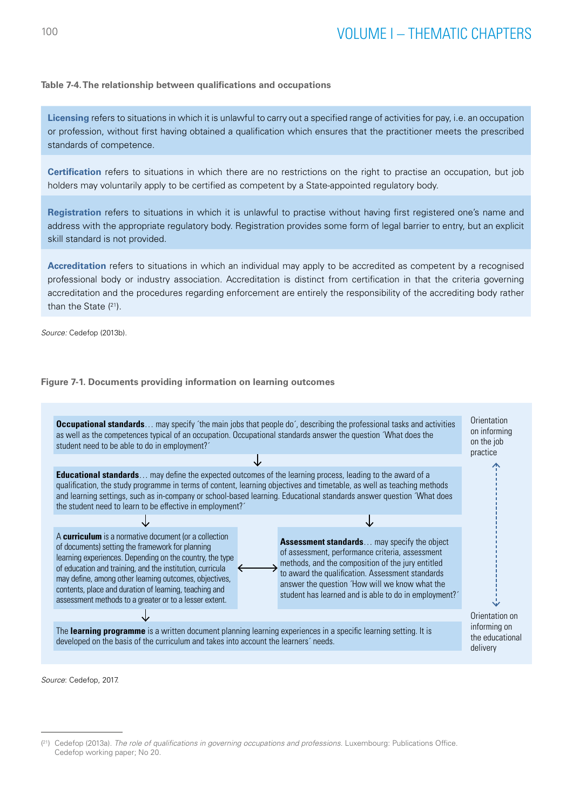## **Table 7-4. The relationship between qualifications and occupations**

**Licensing** refers to situations in which it is unlawful to carry out a specified range of activities for pay, i.e. an occupation or profession, without first having obtained a qualification which ensures that the practitioner meets the prescribed standards of competence.

**Certification** refers to situations in which there are no restrictions on the right to practise an occupation, but job holders may voluntarily apply to be certified as competent by a State-appointed regulatory body.

**Registration** refers to situations in which it is unlawful to practise without having first registered one's name and address with the appropriate regulatory body. Registration provides some form of legal barrier to entry, but an explicit skill standard is not provided.

**Accreditation** refers to situations in which an individual may apply to be accredited as competent by a recognised professional body or industry association. Accreditation is distinct from certification in that the criteria governing accreditation and the procedures regarding enforcement are entirely the responsibility of the accrediting body rather  $\frac{1}{2}$  than the State  $(21)$ . than the Sta e procedures regarding enforcement are entirely the responsibility of the ac<br> ndy rathe loay rathol

*Source:* Cedefop (2013b).

### **Figure 7-1. Documents providing information on learning outcomes**



*Source*: Cedefop, 2017.

35

<sup>&</sup>lt;sup>(21</sup>) Cedefop (2013a). *The role of qualifications in governing occupations and professions.* Luxembourg: Publications Office. **Number of 21** Cedefop working paper; No 20.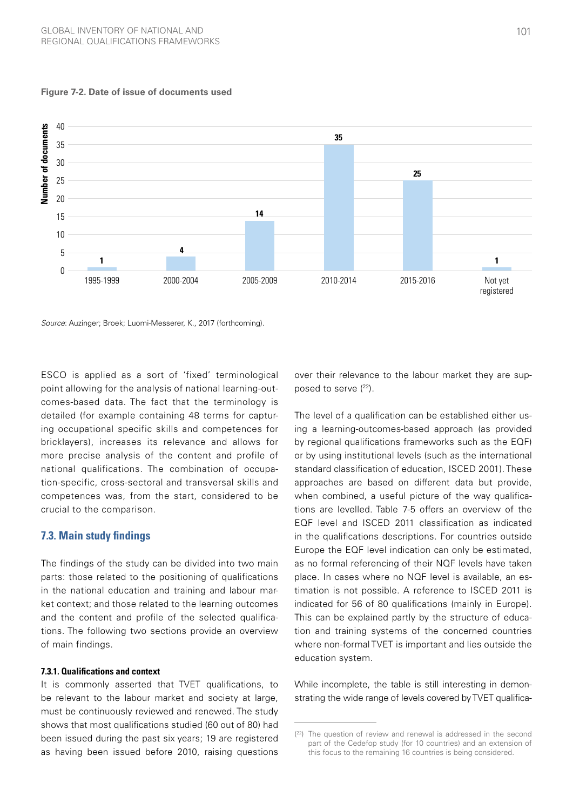

#### **Figure 7-2. Date of issue of documents used**

*Source*: Auzinger; Broek; Luomi-Messerer, K., 2017 (forthcoming).

ESCO is applied as a sort of 'fixed' terminological point allowing for the analysis of national learning-outcomes-based data. The fact that the terminology is detailed (for example containing 48 terms for capturing occupational specific skills and competences for bricklayers), increases its relevance and allows for more precise analysis of the content and profile of national qualifications. The combination of occupation-specific, cross-sectoral and transversal skills and competences was, from the start, considered to be crucial to the comparison.

## **7.3. Main study findings**

The findings of the study can be divided into two main parts: those related to the positioning of qualifications in the national education and training and labour market context; and those related to the learning outcomes and the content and profile of the selected qualifications. The following two sections provide an overview of main findings.

#### **7.3.1. Qualifications and context**

It is commonly asserted that TVET qualifications, to be relevant to the labour market and society at large, must be continuously reviewed and renewed. The study shows that most qualifications studied (60 out of 80) had been issued during the past six years; 19 are registered as having been issued before 2010, raising questions

over their relevance to the labour market they are supposed to serve  $(^{22})$ .

The level of a qualification can be established either using a learning-outcomes-based approach (as provided by regional qualifications frameworks such as the EQF) or by using institutional levels (such as the international standard classification of education, ISCED 2001). These approaches are based on different data but provide, when combined, a useful picture of the way qualifications are levelled. Table 7-5 offers an overview of the EQF level and ISCED 2011 classification as indicated in the qualifications descriptions. For countries outside Europe the EQF level indication can only be estimated, as no formal referencing of their NQF levels have taken place. In cases where no NQF level is available, an estimation is not possible. A reference to ISCED 2011 is indicated for 56 of 80 qualifications (mainly in Europe). This can be explained partly by the structure of education and training systems of the concerned countries where non-formal TVET is important and lies outside the education system.

While incomplete, the table is still interesting in demonstrating the wide range of levels covered by TVET qualifica-

 $(22)$  The question of review and renewal is addressed in the second part of the Cedefop study (for 10 countries) and an extension of this focus to the remaining 16 countries is being considered.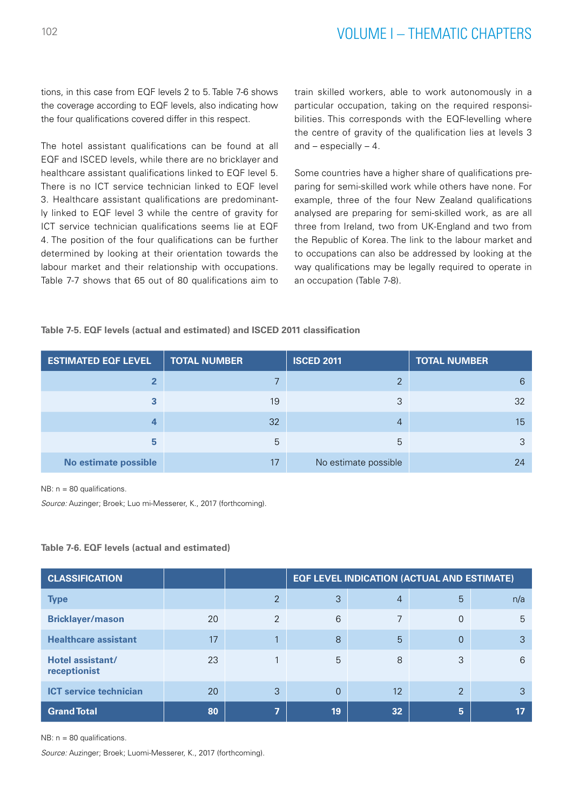tions, in this case from EQF levels 2 to 5. Table 7-6 shows the coverage according to EQF levels, also indicating how the four qualifications covered differ in this respect.

The hotel assistant qualifications can be found at all EQF and ISCED levels, while there are no bricklayer and healthcare assistant qualifications linked to EQF level 5. There is no ICT service technician linked to EQF level 3. Healthcare assistant qualifications are predominantly linked to EQF level 3 while the centre of gravity for ICT service technician qualifications seems lie at EQF 4. The position of the four qualifications can be further determined by looking at their orientation towards the labour market and their relationship with occupations. Table 7-7 shows that 65 out of 80 qualifications aim to train skilled workers, able to work autonomously in a particular occupation, taking on the required responsibilities. This corresponds with the EQF-levelling where the centre of gravity of the qualification lies at levels 3 and  $-$  especially  $-4$ .

Some countries have a higher share of qualifications preparing for semi-skilled work while others have none. For example, three of the four New Zealand qualifications analysed are preparing for semi-skilled work, as are all three from Ireland, two from UK-England and two from the Republic of Korea. The link to the labour market and to occupations can also be addressed by looking at the way qualifications may be legally required to operate in an occupation (Table 7-8).

#### **Table 7-5. EQF levels (actual and estimated) and ISCED 2011 classification**

| <b>ESTIMATED EQF LEVEL</b> | <b>TOTAL NUMBER</b> | <b>ISCED 2011</b>    | <b>TOTAL NUMBER</b> |  |
|----------------------------|---------------------|----------------------|---------------------|--|
| ึ                          |                     | っ                    | 6                   |  |
| っ                          | 19                  | 3                    | 32                  |  |
| 4                          | 32                  | $\overline{4}$       | 15                  |  |
| 5                          | 5                   | 5                    | 3                   |  |
| No estimate possible       | 17                  | No estimate possible | 24                  |  |

NB:  $n = 80$  qualifications.

*Source:* Auzinger; Broek; Luo mi-Messerer, K., 2017 (forthcoming).

#### **Table 7-6. EQF levels (actual and estimated)**

| <b>CLASSIFICATION</b>            |    |                | <b>EQF LEVEL INDICATION (ACTUAL AND ESTIMATE)</b> |                |                |     |
|----------------------------------|----|----------------|---------------------------------------------------|----------------|----------------|-----|
| <b>Type</b>                      |    | 2              | 3                                                 | $\overline{4}$ | 5              | n/a |
| <b>Bricklayer/mason</b>          | 20 | 2              | 6                                                 | 7              | 0              | 5   |
| <b>Healthcare assistant</b>      | 17 | $\overline{1}$ | 8                                                 | 5              | $\Omega$       | 3   |
| Hotel assistant/<br>receptionist | 23 |                | 5                                                 | 8              | 3              | 6   |
| <b>ICT service technician</b>    | 20 | 3              | $\Omega$                                          | 12             | $\overline{2}$ | 3   |
| <b>Grand Total</b>               | 80 | 7              | 19                                                | 32             | 5              | 17  |

NB: n = 80 qualifications.

*Source:* Auzinger; Broek; Luomi-Messerer, K., 2017 (forthcoming).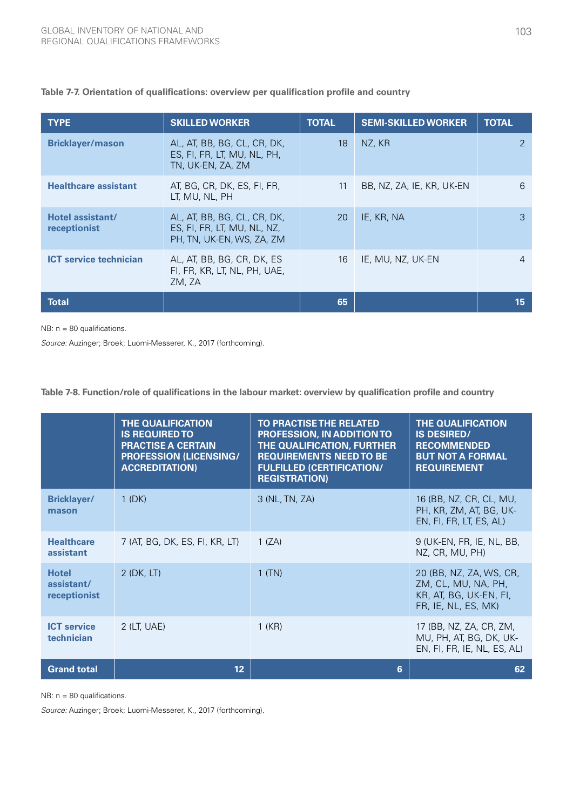| <b>TYPE</b>                      | <b>SKILLED WORKER</b>                                                                   | <b>TOTAL</b> | <b>SEMI-SKILLED WORKER</b> | <b>TOTAL</b> |
|----------------------------------|-----------------------------------------------------------------------------------------|--------------|----------------------------|--------------|
| <b>Bricklayer/mason</b>          | AL, AT, BB, BG, CL, CR, DK,<br>ES, FI, FR, LT, MU, NL, PH,<br>TN, UK-EN, ZA, ZM         | 18           | NZ, KR                     | 2            |
| <b>Healthcare assistant</b>      | AT, BG, CR, DK, ES, FI, FR,<br>LT, MU, NL, PH                                           | 11           | BB, NZ, ZA, IE, KR, UK-EN  | 6            |
| Hotel assistant/<br>receptionist | AL, AT, BB, BG, CL, CR, DK,<br>ES, FI, FR, LT, MU, NL, NZ,<br>PH, TN, UK-EN, WS, ZA, ZM | 20           | IE, KR, NA                 | 3            |
| <b>ICT</b> service technician    | AL, AT, BB, BG, CR, DK, ES<br>FI, FR, KR, LT, NL, PH, UAE,<br>ZM, ZA                    | 16           | IE, MU, NZ, UK-EN          | 4            |
| <b>Total</b>                     |                                                                                         | 65           |                            | 15           |

## **Table 7-7. Orientation of qualifications: overview per qualification profile and country**

NB: n = 80 qualifications.

*Source:* Auzinger; Broek; Luomi-Messerer, K., 2017 (forthcoming).

## **Table 7-8. Function/role of qualifications in the labour market: overview by qualification profile and country**

|                                            | <b>THE QUALIFICATION</b><br><b>IS REQUIRED TO</b><br><b>PRACTISE A CERTAIN</b><br><b>PROFESSION (LICENSING/</b><br><b>ACCREDITATION)</b> | <b>TO PRACTISE THE RELATED</b><br><b>PROFESSION, IN ADDITION TO</b><br>THE QUALIFICATION, FURTHER<br><b>REQUIREMENTS NEED TO BE</b><br><b>FULFILLED (CERTIFICATION/</b><br><b>REGISTRATION)</b> | <b>THE QUALIFICATION</b><br><b>IS DESIRED/</b><br><b>RECOMMENDED</b><br><b>BUT NOT A FORMAL</b><br><b>REQUIREMENT</b> |
|--------------------------------------------|------------------------------------------------------------------------------------------------------------------------------------------|-------------------------------------------------------------------------------------------------------------------------------------------------------------------------------------------------|-----------------------------------------------------------------------------------------------------------------------|
| <b>Bricklayer/</b><br>mason                | $1$ (DK)                                                                                                                                 | 3 (NL, TN, ZA)                                                                                                                                                                                  | 16 (BB, NZ, CR, CL, MU,<br>PH, KR, ZM, AT, BG, UK-<br>EN, FI, FR, LT, ES, AL)                                         |
| <b>Healthcare</b><br>assistant             | 7 (AT, BG, DK, ES, FI, KR, LT)                                                                                                           | 1 (ZA)                                                                                                                                                                                          | 9 (UK-EN, FR, IE, NL, BB,<br>NZ, CR, MU, PH)                                                                          |
| <b>Hotel</b><br>assistant/<br>receptionist | 2 (DK, LT)                                                                                                                               | $1$ (TN)                                                                                                                                                                                        | 20 (BB, NZ, ZA, WS, CR,<br>ZM, CL, MU, NA, PH,<br>KR, AT, BG, UK-EN, FI,<br>FR, IE, NL, ES, MK)                       |
| <b>ICT</b> service<br>technician           | $2$ (LT, UAE)                                                                                                                            | 1 (KR)                                                                                                                                                                                          | 17 (BB, NZ, ZA, CR, ZM,<br>MU, PH, AT, BG, DK, UK-<br>EN, FI, FR, IE, NL, ES, AL)                                     |
| <b>Grand total</b>                         | 12                                                                                                                                       | 6                                                                                                                                                                                               | 62                                                                                                                    |

NB: n = 80 qualifications.

*Source:* Auzinger; Broek; Luomi-Messerer, K., 2017 (forthcoming).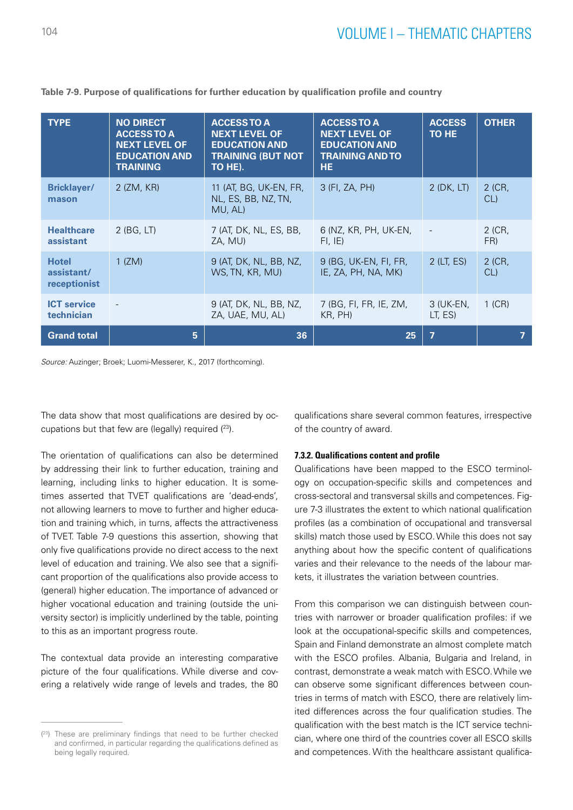| <b>TYPE</b>                                | <b>NO DIRECT</b><br><b>ACCESSTO A</b><br><b>NEXT LEVEL OF</b><br><b>EDUCATION AND</b><br><b>TRAINING</b> | <b>ACCESSTO A</b><br><b>NEXT LEVEL OF</b><br><b>EDUCATION AND</b><br><b>TRAINING (BUT NOT</b><br>TO HE). | <b>ACCESS TO A</b><br><b>NEXT LEVEL OF</b><br><b>EDUCATION AND</b><br><b>TRAINING AND TO</b><br>HE. | <b>ACCESS</b><br>TO HE | <b>OTHER</b>  |
|--------------------------------------------|----------------------------------------------------------------------------------------------------------|----------------------------------------------------------------------------------------------------------|-----------------------------------------------------------------------------------------------------|------------------------|---------------|
| <b>Bricklayer/</b><br>mason                | 2 (ZM, KR)                                                                                               | 11 (AT, BG, UK-EN, FR,<br>NL, ES, BB, NZ, TN,<br>MU, AL)                                                 | 3 (FI, ZA, PH)                                                                                      | $2$ (DK, LT)           | 2 (CR,<br>CL  |
| <b>Healthcare</b><br>assistant             | $2$ (BG, LT)                                                                                             | 7 (AT, DK, NL, ES, BB,<br>ZA, MU)                                                                        | 6 (NZ, KR, PH, UK-EN,<br>FI, IE)                                                                    |                        | 2 (CR,<br>FR) |
| <b>Hotel</b><br>assistant/<br>receptionist | $1$ (ZM)                                                                                                 | 9 (AT, DK, NL, BB, NZ,<br>WS, TN, KR, MU)                                                                | 9 (BG, UK-EN, FI, FR,<br>IE, ZA, PH, NA, MK)                                                        | $2$ (LT, ES)           | 2 (CR,<br>CL  |
| <b>ICT service</b><br>technician           |                                                                                                          | 9 (AT, DK, NL, BB, NZ,<br>ZA, UAE, MU, AL)                                                               | 7 (BG, FI, FR, IE, ZM,<br>KR, PH)                                                                   | 3 (UK-EN,<br>LT, ES)   | $1$ (CR)      |
| <b>Grand total</b>                         | 5                                                                                                        | 36                                                                                                       | 25                                                                                                  | $\overline{7}$         |               |

**Table 7-9. Purpose of qualifications for further education by qualification profile and country**

*Source:* Auzinger; Broek; Luomi-Messerer, K., 2017 (forthcoming).

The data show that most qualifications are desired by occupations but that few are (legally) required  $(^{23})$ .

The orientation of qualifications can also be determined by addressing their link to further education, training and learning, including links to higher education. It is sometimes asserted that TVET qualifications are 'dead-ends', not allowing learners to move to further and higher education and training which, in turns, affects the attractiveness of TVET. Table 7-9 questions this assertion, showing that only five qualifications provide no direct access to the next level of education and training. We also see that a significant proportion of the qualifications also provide access to (general) higher education. The importance of advanced or higher vocational education and training (outside the university sector) is implicitly underlined by the table, pointing to this as an important progress route.

The contextual data provide an interesting comparative picture of the four qualifications. While diverse and covering a relatively wide range of levels and trades, the 80

qualifications share several common features, irrespective of the country of award.

#### **7.3.2. Qualifications content and profile**

Qualifications have been mapped to the ESCO terminology on occupation-specific skills and competences and cross-sectoral and transversal skills and competences. Figure 7-3 illustrates the extent to which national qualification profiles (as a combination of occupational and transversal skills) match those used by ESCO. While this does not say anything about how the specific content of qualifications varies and their relevance to the needs of the labour markets, it illustrates the variation between countries.

From this comparison we can distinguish between countries with narrower or broader qualification profiles: if we look at the occupational-specific skills and competences, Spain and Finland demonstrate an almost complete match with the ESCO profiles. Albania, Bulgaria and Ireland, in contrast, demonstrate a weak match with ESCO. While we can observe some significant differences between countries in terms of match with ESCO, there are relatively limited differences across the four qualification studies. The qualification with the best match is the ICT service technician, where one third of the countries cover all ESCO skills and competences. With the healthcare assistant qualifica-

 $(23)$  These are preliminary findings that need to be further checked and confirmed, in particular regarding the qualifications defined as being legally required.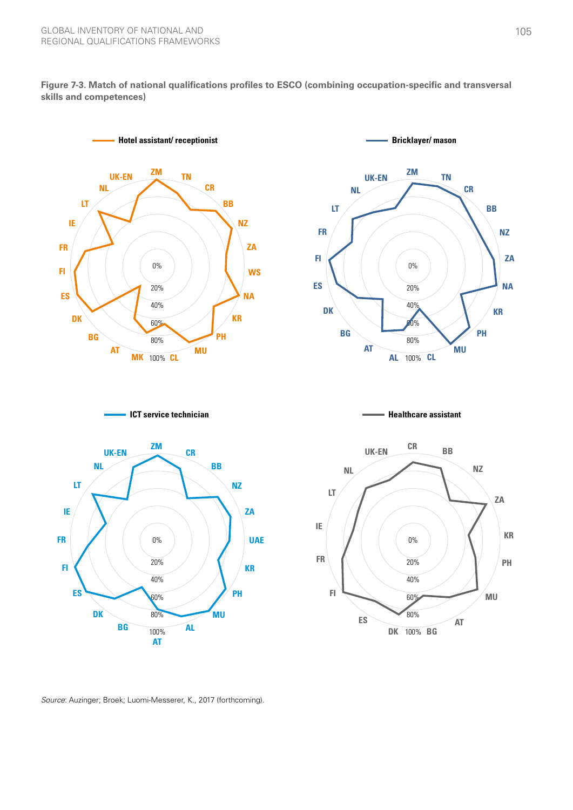**Figure 7-3. Match of national qualifications profiles to ESCO (combining occupation-specific and transversal skills and competences)**





**ICT service technician**



**Healthcare assistant**



*Source*: Auzinger; Broek; Luomi-Messerer, K., 2017 (forthcoming).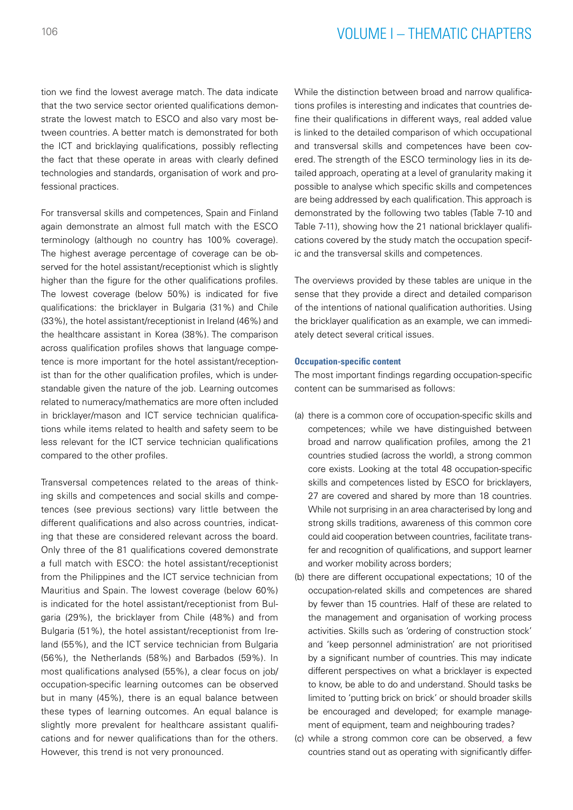# <sup>106</sup> VOLUME I – THEMATIC CHAPTERS

tion we find the lowest average match. The data indicate that the two service sector oriented qualifications demonstrate the lowest match to ESCO and also vary most between countries. A better match is demonstrated for both the ICT and bricklaying qualifications, possibly reflecting the fact that these operate in areas with clearly defined technologies and standards, organisation of work and professional practices.

For transversal skills and competences, Spain and Finland again demonstrate an almost full match with the ESCO terminology (although no country has 100% coverage). The highest average percentage of coverage can be observed for the hotel assistant/receptionist which is slightly higher than the figure for the other qualifications profiles. The lowest coverage (below 50%) is indicated for five qualifications: the bricklayer in Bulgaria (31%) and Chile (33%), the hotel assistant/receptionist in Ireland (46%) and the healthcare assistant in Korea (38%). The comparison across qualification profiles shows that language competence is more important for the hotel assistant/receptionist than for the other qualification profiles, which is understandable given the nature of the job. Learning outcomes related to numeracy/mathematics are more often included in bricklayer/mason and ICT service technician qualifications while items related to health and safety seem to be less relevant for the ICT service technician qualifications compared to the other profiles.

Transversal competences related to the areas of thinking skills and competences and social skills and competences (see previous sections) vary little between the different qualifications and also across countries, indicating that these are considered relevant across the board. Only three of the 81 qualifications covered demonstrate a full match with ESCO: the hotel assistant/receptionist from the Philippines and the ICT service technician from Mauritius and Spain. The lowest coverage (below 60%) is indicated for the hotel assistant/receptionist from Bulgaria (29%), the bricklayer from Chile (48%) and from Bulgaria (51%), the hotel assistant/receptionist from Ireland (55%), and the ICT service technician from Bulgaria (56%), the Netherlands (58%) and Barbados (59%). In most qualifications analysed (55%), a clear focus on job/ occupation-specific learning outcomes can be observed but in many (45%), there is an equal balance between these types of learning outcomes. An equal balance is slightly more prevalent for healthcare assistant qualifications and for newer qualifications than for the others. However, this trend is not very pronounced.

While the distinction between broad and narrow qualifications profiles is interesting and indicates that countries define their qualifications in different ways, real added value is linked to the detailed comparison of which occupational and transversal skills and competences have been covered. The strength of the ESCO terminology lies in its detailed approach, operating at a level of granularity making it possible to analyse which specific skills and competences are being addressed by each qualification. This approach is demonstrated by the following two tables (Table 7-10 and Table 7-11), showing how the 21 national bricklayer qualifications covered by the study match the occupation specific and the transversal skills and competences.

The overviews provided by these tables are unique in the sense that they provide a direct and detailed comparison of the intentions of national qualification authorities. Using the bricklayer qualification as an example, we can immediately detect several critical issues.

#### **Occupation-specific content**

The most important findings regarding occupation-specific content can be summarised as follows:

- (a) there is a common core of occupation-specific skills and competences; while we have distinguished between broad and narrow qualification profiles, among the 21 countries studied (across the world), a strong common core exists. Looking at the total 48 occupation-specific skills and competences listed by ESCO for bricklayers, 27 are covered and shared by more than 18 countries. While not surprising in an area characterised by long and strong skills traditions, awareness of this common core could aid cooperation between countries, facilitate transfer and recognition of qualifications, and support learner and worker mobility across borders;
- (b) there are different occupational expectations; 10 of the occupation-related skills and competences are shared by fewer than 15 countries. Half of these are related to the management and organisation of working process activities. Skills such as 'ordering of construction stock' and 'keep personnel administration' are not prioritised by a significant number of countries. This may indicate different perspectives on what a bricklayer is expected to know, be able to do and understand. Should tasks be limited to 'putting brick on brick' or should broader skills be encouraged and developed; for example management of equipment, team and neighbouring trades?
- (c) while a strong common core can be observed, a few countries stand out as operating with significantly differ-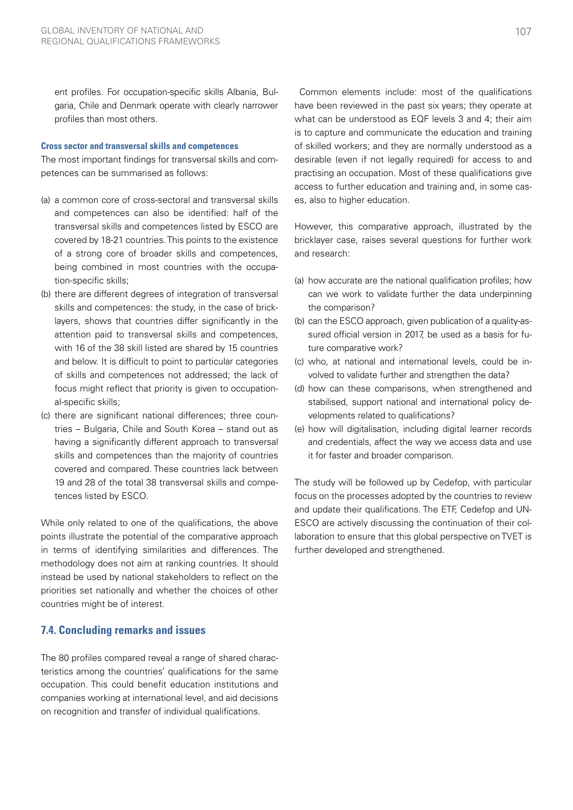ent profiles. For occupation-specific skills Albania, Bulgaria, Chile and Denmark operate with clearly narrower profiles than most others.

#### **Cross sector and transversal skills and competences**

The most important findings for transversal skills and competences can be summarised as follows:

- (a) a common core of cross-sectoral and transversal skills and competences can also be identified: half of the transversal skills and competences listed by ESCO are covered by 18-21 countries. This points to the existence of a strong core of broader skills and competences, being combined in most countries with the occupation-specific skills;
- (b) there are different degrees of integration of transversal skills and competences: the study, in the case of bricklayers, shows that countries differ significantly in the attention paid to transversal skills and competences, with 16 of the 38 skill listed are shared by 15 countries and below. It is difficult to point to particular categories of skills and competences not addressed; the lack of focus might reflect that priority is given to occupational-specific skills;
- (c) there are significant national differences; three countries – Bulgaria, Chile and South Korea – stand out as having a significantly different approach to transversal skills and competences than the majority of countries covered and compared. These countries lack between 19 and 28 of the total 38 transversal skills and competences listed by ESCO.

While only related to one of the qualifications, the above points illustrate the potential of the comparative approach in terms of identifying similarities and differences. The methodology does not aim at ranking countries. It should instead be used by national stakeholders to reflect on the priorities set nationally and whether the choices of other countries might be of interest.

### **7.4. Concluding remarks and issues**

The 80 profiles compared reveal a range of shared characteristics among the countries' qualifications for the same occupation. This could benefit education institutions and companies working at international level, and aid decisions on recognition and transfer of individual qualifications.

 Common elements include: most of the qualifications have been reviewed in the past six years; they operate at what can be understood as EQF levels 3 and 4; their aim is to capture and communicate the education and training of skilled workers; and they are normally understood as a desirable (even if not legally required) for access to and practising an occupation. Most of these qualifications give access to further education and training and, in some cases, also to higher education.

However, this comparative approach, illustrated by the bricklayer case, raises several questions for further work and research:

- (a) how accurate are the national qualification profiles; how can we work to validate further the data underpinning the comparison?
- (b) can the ESCO approach, given publication of a quality-assured official version in 2017, be used as a basis for future comparative work?
- (c) who, at national and international levels, could be involved to validate further and strengthen the data?
- (d) how can these comparisons, when strengthened and stabilised, support national and international policy developments related to qualifications?
- (e) how will digitalisation, including digital learner records and credentials, affect the way we access data and use it for faster and broader comparison.

The study will be followed up by Cedefop, with particular focus on the processes adopted by the countries to review and update their qualifications. The ETF, Cedefop and UN-ESCO are actively discussing the continuation of their collaboration to ensure that this global perspective on TVET is further developed and strengthened.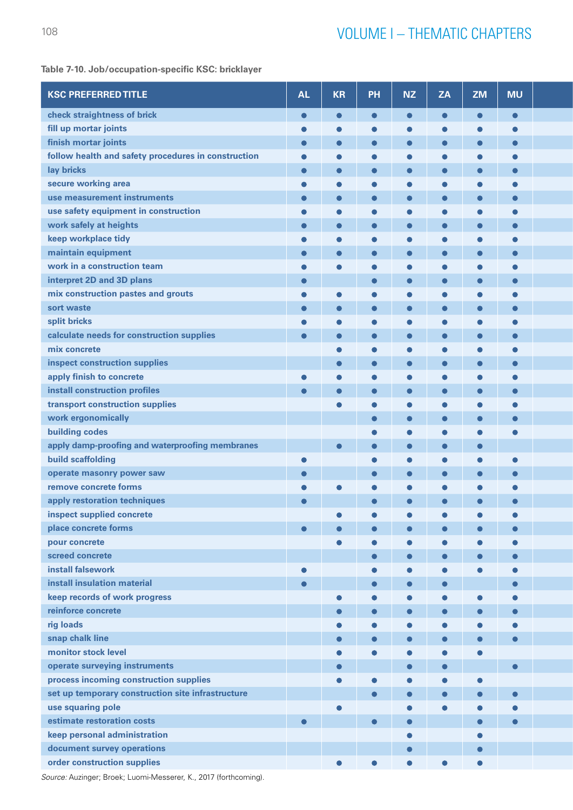# **Table 7-10. Job/occupation-specific KSC: bricklayer**

| <b>KSC PREFERRED TITLE</b>                          | <b>AL</b> | <b>KR</b> | PH         | <b>NZ</b> | <b>ZA</b> | ZM        | <b>MU</b>  |  |
|-----------------------------------------------------|-----------|-----------|------------|-----------|-----------|-----------|------------|--|
| check straightness of brick                         | $\bullet$ | $\bullet$ | $\bullet$  | $\bullet$ | $\bullet$ | $\bullet$ | $\bullet$  |  |
| fill up mortar joints                               |           |           |            |           |           |           |            |  |
| finish mortar joints                                | $\bullet$ |           |            |           |           |           | $\bullet$  |  |
| follow health and safety procedures in construction | $\bullet$ |           |            |           |           |           | $\epsilon$ |  |
| lay bricks                                          | $\bullet$ |           |            |           |           |           |            |  |
| secure working area                                 | c         |           |            |           |           |           |            |  |
| use measurement instruments                         |           |           |            |           |           |           |            |  |
| use safety equipment in construction                | c         |           |            |           |           |           | c          |  |
| work safely at heights                              |           |           |            |           |           |           | O          |  |
| keep workplace tidy                                 |           |           |            |           |           |           |            |  |
| maintain equipment                                  |           |           |            |           |           |           | O          |  |
| work in a construction team                         |           |           |            |           |           |           |            |  |
| interpret 2D and 3D plans                           | $\bullet$ |           | $\epsilon$ |           |           |           | O          |  |
| mix construction pastes and grouts                  |           |           |            |           |           |           | $\epsilon$ |  |
| sort waste                                          |           |           |            |           |           |           |            |  |
| split bricks                                        |           |           |            |           |           |           |            |  |
|                                                     |           |           |            |           |           |           |            |  |
| calculate needs for construction supplies           | $\bullet$ |           |            |           |           |           | $\epsilon$ |  |
| mix concrete                                        |           |           |            |           |           |           |            |  |
| inspect construction supplies                       |           |           |            |           |           |           | $\bullet$  |  |
| apply finish to concrete                            |           |           |            |           |           |           |            |  |
| install construction profiles                       | $\bullet$ |           |            |           |           | $\bullet$ | $\bullet$  |  |
| transport construction supplies                     |           |           |            |           |           |           |            |  |
| work ergonomically                                  |           |           |            |           |           |           |            |  |
| <b>building codes</b>                               |           |           |            |           |           |           |            |  |
| apply damp-proofing and waterproofing membranes     |           | $\bullet$ |            |           |           |           |            |  |
| build scaffolding                                   | $\bullet$ |           | C          |           |           |           | $\epsilon$ |  |
| operate masonry power saw                           |           |           |            |           |           |           | $\bullet$  |  |
| remove concrete forms                               |           |           |            |           |           |           |            |  |
| apply restoration techniques                        | $\bullet$ |           |            |           |           |           |            |  |
| inspect supplied concrete                           |           |           |            |           |           |           |            |  |
| place concrete forms                                |           |           |            |           |           |           |            |  |
| pour concrete                                       |           |           |            |           |           |           | $\bullet$  |  |
| screed concrete                                     |           |           |            |           |           |           |            |  |
| install falsework                                   | $\bullet$ |           |            |           |           |           |            |  |
| install insulation material                         | $\bullet$ |           | $\bullet$  |           |           |           | $\bullet$  |  |
| keep records of work progress                       |           |           |            |           |           |           | $\epsilon$ |  |
| reinforce concrete                                  |           | $\bullet$ |            |           |           | $\bullet$ | $\bullet$  |  |
| rig loads                                           |           |           |            |           |           |           |            |  |
| snap chalk line                                     |           | $\bullet$ |            |           |           | $\bullet$ | $\bullet$  |  |
| monitor stock level                                 |           |           |            |           |           | $\bullet$ |            |  |
| operate surveying instruments                       |           |           |            |           |           |           | $\bullet$  |  |
| process incoming construction supplies              |           |           |            |           |           | $\bullet$ |            |  |
|                                                     |           |           |            |           |           |           |            |  |
| set up temporary construction site infrastructure   |           |           |            |           |           |           | $\bullet$  |  |
| use squaring pole                                   |           |           |            |           |           |           |            |  |
| estimate restoration costs                          | $\bullet$ |           | $\bullet$  |           |           | $\bullet$ | $\bullet$  |  |
| keep personal administration                        |           |           |            |           |           |           |            |  |
| document survey operations                          |           |           |            |           |           | $\bullet$ |            |  |
| order construction supplies                         |           |           |            |           |           | $\bullet$ |            |  |

*Source:* Auzinger; Broek; Luomi-Messerer, K., 2017 (forthcoming).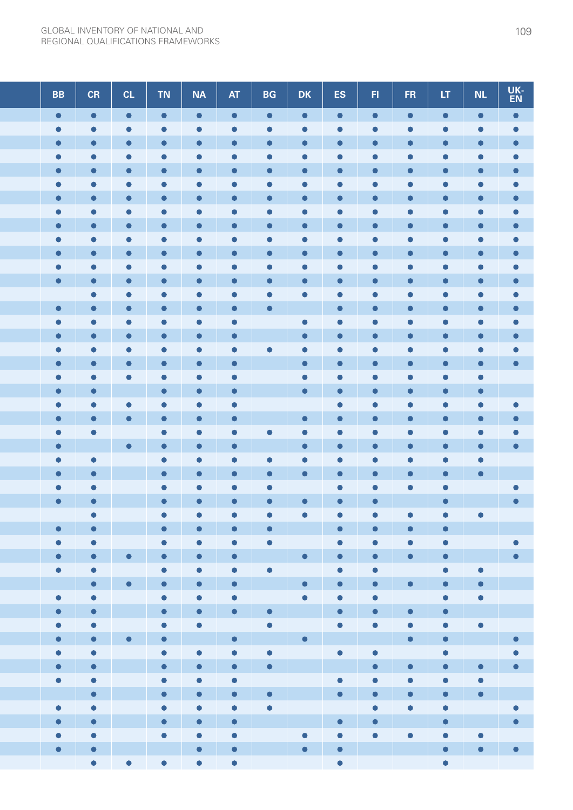| <b>BB</b>                                        | CR                     | CL                                                                                                                    | TN<br><b>NA</b>                                                 | <b>AT</b>        | <b>BG</b>                                  | <b>DK</b>              | ES                                                                                                                    | F1        | FR.                      | LT                     | NL                       | UK-<br>EN              |
|--------------------------------------------------|------------------------|-----------------------------------------------------------------------------------------------------------------------|-----------------------------------------------------------------|------------------|--------------------------------------------|------------------------|-----------------------------------------------------------------------------------------------------------------------|-----------|--------------------------|------------------------|--------------------------|------------------------|
| $\bullet$<br>$\bullet$                           |                        | $\bullet$                                                                                                             | $\bullet$<br>$\bullet$                                          | $\bullet$        | $\bullet$                                  | $\bullet$              | $\bullet$                                                                                                             | $\bullet$ | $\bullet$                | $\bullet$              | $\bullet$                | $\bullet$              |
| $\bullet$                                        |                        | $\bullet$                                                                                                             | $\bullet$<br>$\bullet$                                          | $\bullet$        | $\bullet$                                  | 0                      | $\bullet$                                                                                                             | $\bullet$ | $\bullet$                | $\bullet$              | $\bullet$                | $\bullet$              |
| $\bullet$                                        |                        |                                                                                                                       |                                                                 |                  |                                            |                        |                                                                                                                       |           |                          |                        |                          | $\bullet$              |
| $\bullet$<br>$\bullet$<br>O                      |                        | $\bullet$<br>$\bullet$                                                                                                | $\bullet$<br>$\bullet$                                          | $\bullet$        | $\bullet$                                  | O                      | $\bullet$                                                                                                             | С         | $\bullet$                | С<br>$\bullet$         | $\bullet$                | $\bullet$<br>$\bullet$ |
| $\bullet$                                        |                        | $\bullet$                                                                                                             | $\bullet$                                                       |                  | O                                          |                        | O                                                                                                                     |           | C.                       | O                      | $\bullet$                | $\bullet$              |
| $\bullet$<br>$\bullet$                           |                        | $\bullet$                                                                                                             | $\bullet$<br>O                                                  | O                | $\bullet$                                  |                        |                                                                                                                       |           |                          | $\bullet$              | $\bullet$                | $\bullet$              |
| $\bullet$                                        |                        | $\bullet$                                                                                                             | $\epsilon$<br>$\bullet$                                         | C                | C                                          | C                      | О                                                                                                                     | О         | С                        | О                      | $\bullet$                | $\bullet$              |
| $\bullet$                                        |                        |                                                                                                                       |                                                                 |                  |                                            |                        |                                                                                                                       |           |                          |                        |                          |                        |
| $\bullet$<br>O                                   |                        | $\bullet$                                                                                                             | $\bullet$<br>$\bullet$                                          | O                | $\bullet$                                  | O                      | 0                                                                                                                     | C.        | $\bullet$                | $\bullet$              | $\bullet$                | $\bullet$              |
| $\bullet$                                        |                        |                                                                                                                       |                                                                 |                  |                                            |                        |                                                                                                                       |           |                          |                        |                          | $\bullet$              |
| $\bullet$<br>G                                   |                        | $\bullet$                                                                                                             | $\bullet$<br>$\bullet$                                          | $\bullet$        | $\bullet$                                  | $\bullet$              | ●                                                                                                                     | О         | 0                        | $\bullet$              | $\bullet$                | $\bullet$              |
| $\bullet$                                        |                        |                                                                                                                       |                                                                 |                  |                                            |                        |                                                                                                                       |           |                          |                        |                          | $\bullet$              |
| $\bullet$                                        |                        | $\bullet$                                                                                                             | $\bullet$                                                       |                  |                                            |                        |                                                                                                                       |           |                          |                        |                          | 0                      |
| $\bullet$<br>$\bullet$                           |                        | $\bullet$                                                                                                             | O<br>$\bullet$                                                  | O                | $\bullet$                                  |                        | $\bullet$                                                                                                             | O         | $\bullet$                | $\bullet$              | $\bullet$                | $\bullet$              |
| $\bullet$<br>$\bullet$                           |                        | $\bullet$<br>$\blacksquare$                                                                                           | $\bullet$<br>$\bullet$<br>C<br>$\bullet$                        | $\bullet$<br>O   |                                            | $\bullet$<br>$\bullet$ | 0                                                                                                                     |           |                          | O                      | $\bullet$                | 0<br>$\bullet$         |
| $\bullet$                                        |                        |                                                                                                                       | C<br>$\bullet$                                                  | $\bullet$        | $\bullet$                                  | О                      | 0                                                                                                                     |           |                          |                        |                          |                        |
| $\bullet$                                        |                        |                                                                                                                       |                                                                 | $\bullet$        |                                            | O                      |                                                                                                                       |           |                          |                        |                          | $\bullet$              |
| $\bullet$                                        |                        |                                                                                                                       | $\blacksquare$<br>$\bullet$                                     | $\bullet$        |                                            | $\bullet$              | 0                                                                                                                     |           | $\bullet$                | $\bullet$              | $\bullet$                |                        |
| $\bullet$<br>$\bullet$                           |                        |                                                                                                                       | $\bullet$<br>$\bullet$                                          | $\bullet$        |                                            | $\bullet$              |                                                                                                                       |           |                          | C                      | $\bullet$                |                        |
| $\bullet$                                        |                        | $\bullet$                                                                                                             | $\bullet$<br>$\bullet$                                          | $\bullet$        |                                            |                        | $\bullet$                                                                                                             | О         |                          | $\bullet$              | $\bullet$                |                        |
| $\bullet$                                        |                        | $\bullet$                                                                                                             | $\bullet$<br>$\epsilon$                                         | O                |                                            | $\bullet$              | $\bullet$                                                                                                             |           |                          |                        |                          |                        |
| $\bullet$                                        |                        |                                                                                                                       | $\bullet$                                                       |                  |                                            |                        |                                                                                                                       |           |                          |                        |                          |                        |
| $\bullet$                                        |                        | $\bullet$                                                                                                             | $\bullet$<br>$\bullet$                                          | $\bullet$        |                                            | $\bullet$              | $\bullet$                                                                                                             |           | $\bullet$                | $\bullet$              | $\bullet$                |                        |
| $\bullet$                                        |                        |                                                                                                                       | $\bullet$<br>$\bullet$                                          | C                | c                                          | О                      | r.                                                                                                                    | c         | 0                        | 0                      | $\bullet$                |                        |
| $\bullet$                                        |                        |                                                                                                                       | $\bullet$                                                       |                  |                                            |                        |                                                                                                                       |           |                          |                        | $\bullet$                |                        |
| $\bullet$<br>$\bullet$<br>$\bullet$<br>$\bullet$ |                        |                                                                                                                       | $\bullet$<br>$\bullet$                                          |                  |                                            | $\bullet$              |                                                                                                                       | $\bullet$ |                          | $\bullet$<br>$\bullet$ |                          |                        |
| $\bullet$                                        |                        |                                                                                                                       | $\bullet$<br>$\bullet$                                          |                  |                                            |                        | $\bullet$                                                                                                             |           |                          | $\bullet$              | $\bullet$                |                        |
| $\bullet$<br>$\bullet$                           |                        |                                                                                                                       | $\bullet$<br>$\bullet$                                          | $\bullet$        | $\bullet$                                  |                        | $\bullet$                                                                                                             | $\bullet$ | $\bullet$                | $\bullet$              |                          |                        |
| $\bullet$                                        | $\bullet$              |                                                                                                                       | $\bullet$<br>$\bullet$                                          | $\bullet$        | $\bullet$                                  |                        | $\bullet$                                                                                                             | $\bullet$ | $\bullet$                | $\bullet$              |                          | $\bullet$              |
| $\bullet$                                        | $\bullet$              | $\bullet$                                                                                                             | $\bullet$<br>$\bullet$                                          | $\bullet$        |                                            | $\bullet$              | $\bullet$                                                                                                             | $\bullet$ | $\bullet$                | $\bullet$              |                          | $\bullet$              |
| $\bullet$                                        | $\bullet$              |                                                                                                                       | $\bullet$<br>$\bullet$                                          | $\bullet$        | $\bullet$                                  |                        | $\bullet$                                                                                                             | $\bullet$ |                          | $\bullet$              | $\bullet$                |                        |
| <b>Service Service</b>                           | $\bullet$              | $\bullet$                                                                                                             | $\bullet$<br>$\bullet$                                          | $\bullet$        |                                            | $\bullet$              | $\bullet$ .                                                                                                           | $\bullet$ | $\bullet$                | $\bullet$              | $\bullet$                |                        |
| $\bullet$                                        | $\bullet$              |                                                                                                                       | $\bullet$<br>$\bullet$                                          | $\bullet$        |                                            | $\bullet$              | $\bullet$                                                                                                             | $\bullet$ |                          | $\bullet$              | $\bullet$                |                        |
| $\bullet$                                        | $\bullet$              | <b>Contract Contract Contract Contract Contract Contract Contract Contract Contract Contract Contract Contract Co</b> | $\bullet$<br>$\bullet$                                          | $\bullet$        | $\bullet$                                  |                        | $\bullet$                                                                                                             | $\bullet$ | $\bullet$                | $\bullet$              |                          |                        |
| $\bullet$<br>$\bullet$                           | $\bullet$<br>$\bullet$ | $\bullet$                                                                                                             | $\bullet$<br>$\bullet$<br>$\bullet$<br><b>Contract Contract</b> | <b>Septiment</b> | $\bullet$<br><b>The Company of Service</b> |                        | $\bullet$<br><u> Alban a Tarihin A</u>                                                                                | $\bullet$ | $\bullet$<br>$\bullet$ . | $\bullet$<br>$\bullet$ | $\bullet$                |                        |
| $\bullet$                                        | $\bullet$              |                                                                                                                       | $\bullet$<br>$\bullet$                                          | $\bullet$        | $\bullet$                                  |                        | $\bullet$                                                                                                             | $\bullet$ |                          | $\bullet$              |                          | $\bullet$<br>$\bullet$ |
| $\bullet$                                        | $\bullet$              |                                                                                                                       | $\bullet$<br>$\bullet$                                          | $\bullet$        | $\bullet$                                  |                        | <b>Contract Contract Contract Contract Contract Contract Contract Contract Contract Contract Contract Contract Co</b> | $\bullet$ | $\bullet$                | $\bullet$              | $\bullet$                |                        |
| $\bullet$                                        | $\bullet$              |                                                                                                                       | $\bullet$<br>$\bullet$                                          | $\bullet$        |                                            |                        | $\bullet$                                                                                                             | $\bullet$ | $\bullet$                | $\bullet$              | $\bullet$                |                        |
|                                                  | $\bullet$              |                                                                                                                       | $\bullet$<br>$\bullet$                                          | $\bullet$        | $\bullet$                                  |                        | $\bullet$ .                                                                                                           | $\bullet$ | $\bullet$                | $\bullet$              | $\bullet$                |                        |
| $\bullet$                                        | $\bullet$              |                                                                                                                       | $\bullet$<br>$\bullet$                                          | $\bullet$        | $\bullet$                                  |                        |                                                                                                                       | $\bullet$ | $\bullet$                | $\bullet$              |                          | $\bullet$              |
| $\bullet$<br>$\bullet$                           |                        |                                                                                                                       | $\bullet$<br>$\bullet$                                          | $\bullet$        |                                            |                        | $\bullet$                                                                                                             | $\bullet$ |                          | $\bullet$              | <b>Contract Contract</b> | $\bullet$              |
| $\bullet$                                        | $\bullet$              |                                                                                                                       | $\bullet$<br>$\bullet$                                          | $\bullet$        |                                            | $\bullet$              | $\bullet$                                                                                                             | $\bullet$ | $\bullet$                | $\bullet$              | $\bullet$                |                        |
| $\bullet$                                        | $\bullet$              |                                                                                                                       | $\bullet$                                                       | $\bullet$        |                                            | $\bullet$              | $\bullet$                                                                                                             |           |                          | $\bullet$              | $\bullet$                |                        |
|                                                  | $\bullet$              | $\bullet$                                                                                                             | $\bullet$<br>$\bullet$                                          | $\bullet$        |                                            |                        | $\bullet$                                                                                                             |           |                          | $\bullet$              |                          |                        |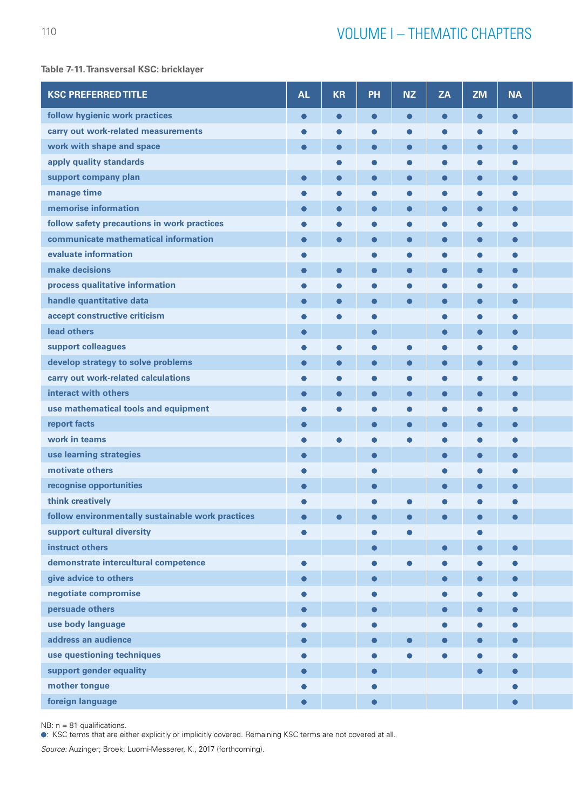# **Table 7-11. Transversal KSC: bricklayer**

| <b>KSC PREFERRED TITLE</b>                        | <b>AL</b> | <b>KR</b> | PH        | <b>NZ</b> | <b>ZA</b>  | ZM        | <b>NA</b>  |  |
|---------------------------------------------------|-----------|-----------|-----------|-----------|------------|-----------|------------|--|
| follow hygienic work practices                    | $\bullet$ |           |           |           |            |           | $\bullet$  |  |
| carry out work-related measurements               |           |           |           |           |            |           |            |  |
| work with shape and space                         | $\bullet$ |           |           |           |            |           | C          |  |
| apply quality standards                           |           |           |           |           |            |           |            |  |
| support company plan                              | $\bullet$ |           |           |           |            |           | $\bullet$  |  |
| manage time                                       |           |           |           |           |            |           |            |  |
| memorise information                              | $\bullet$ |           |           |           |            |           | C          |  |
| follow safety precautions in work practices       |           |           |           |           |            |           | C          |  |
| communicate mathematical information              | $\bullet$ |           |           |           |            |           |            |  |
| evaluate information                              |           |           |           |           |            |           |            |  |
| make decisions                                    | $\bullet$ |           |           |           |            |           | $\bullet$  |  |
| process qualitative information                   |           |           |           |           |            |           |            |  |
| handle quantitative data                          | $\bullet$ |           |           |           |            |           | $\bullet$  |  |
| accept constructive criticism                     |           |           | c         |           | $\epsilon$ |           | c          |  |
| lead others                                       | $\bullet$ |           | $\bullet$ |           | $\bullet$  |           |            |  |
| support colleagues                                | O         |           |           |           |            |           |            |  |
| develop strategy to solve problems                | $\bullet$ |           |           |           |            |           | $\bullet$  |  |
| carry out work-related calculations               |           |           |           |           |            |           |            |  |
| interact with others                              |           |           |           |           |            |           | O          |  |
|                                                   |           |           |           |           |            |           |            |  |
| use mathematical tools and equipment              |           |           |           |           |            |           | C          |  |
| report facts                                      | $\bullet$ |           | $\bullet$ |           |            |           |            |  |
| work in teams                                     |           |           |           |           |            |           |            |  |
| use learning strategies                           | $\bullet$ |           | $\bullet$ |           | $\bullet$  | $\bullet$ | $\bullet$  |  |
| motivate others                                   | C         |           | $\bullet$ |           | $\bullet$  |           |            |  |
| recognise opportunities                           | $\bullet$ |           | $\bullet$ |           |            |           |            |  |
| think creatively                                  |           |           |           |           |            |           |            |  |
| follow environmentally sustainable work practices | $\bullet$ |           |           |           | $\bullet$  | $\bullet$ | $\bullet$  |  |
| support cultural diversity                        | $\bullet$ |           |           |           |            |           |            |  |
| instruct others                                   |           |           | $\bullet$ |           | $\bullet$  | $\bullet$ | $\bullet$  |  |
| demonstrate intercultural competence              | $\bullet$ |           | $\bullet$ |           |            |           | $\epsilon$ |  |
| give advice to others                             | $\bullet$ |           | $\bullet$ |           | $\bullet$  | $\bullet$ | $\bullet$  |  |
| negotiate compromise                              |           |           | $\bullet$ |           | $\bullet$  |           |            |  |
| persuade others                                   | $\bullet$ |           | $\bullet$ |           | $\bullet$  | $\bullet$ | $\bullet$  |  |
| use body language                                 |           |           | $\bullet$ |           | $\bullet$  |           |            |  |
| address an audience                               | $\bullet$ |           | $\bullet$ |           |            | $\bullet$ | $\bullet$  |  |
| use questioning techniques                        | ●         |           |           |           |            |           |            |  |
| support gender equality                           | $\bullet$ |           | $\bullet$ |           |            | $\bullet$ | $\bullet$  |  |
| mother tongue                                     |           |           |           |           |            |           |            |  |
| foreign language                                  | $\bullet$ |           | $\bullet$ |           |            |           | $\bullet$  |  |
|                                                   |           |           |           |           |            |           |            |  |

 $NB: n = 81$  qualifications.

: KSC terms that are either explicitly or implicitly covered. Remaining KSC terms are not covered at all.

*Source:* Auzinger; Broek; Luomi-Messerer, K., 2017 (forthcoming).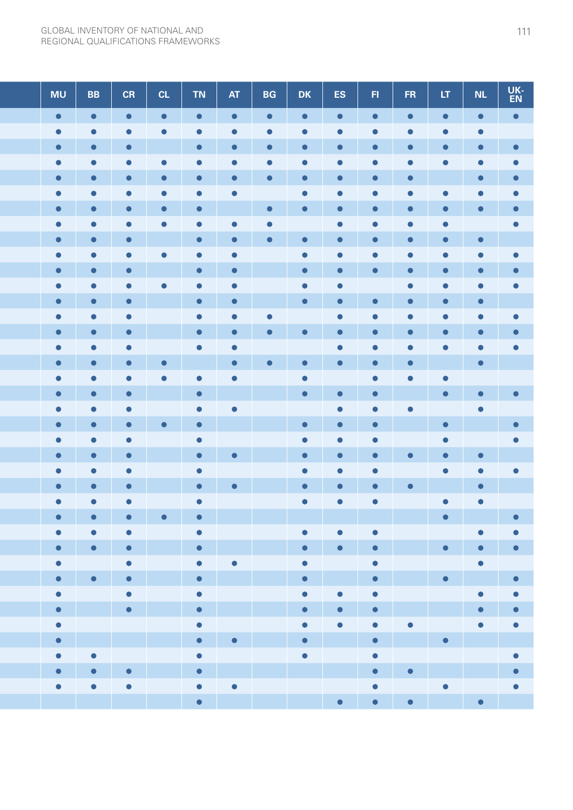| <b>MU</b>              | <b>BB</b>              | CR          | CL        | <b>TN</b>                        | <b>AT</b>                                       | <b>BG</b>              | DK                         | ES.                      | H         | FR.                      | LT                       | <b>NL</b>                         | UK-<br>EN         |
|------------------------|------------------------|-------------|-----------|----------------------------------|-------------------------------------------------|------------------------|----------------------------|--------------------------|-----------|--------------------------|--------------------------|-----------------------------------|-------------------|
| $\bullet$              | $\bullet$              | $\bullet$   | $\bullet$ | $\bullet$                        | $\bullet$                                       | $\bullet$              | $\bullet$                  | $\bullet$                | $\bullet$ | $\bullet$                | $\bullet$                |                                   | $\bullet$         |
| $\bullet$              |                        |             |           |                                  |                                                 | 0                      |                            |                          |           |                          |                          | 0                                 |                   |
| $\bullet$              |                        |             |           | $\bullet$                        |                                                 | $\bullet$              | О                          |                          |           |                          |                          |                                   | $\bullet$         |
| $\bullet$              | C                      |             | $\bullet$ |                                  |                                                 |                        |                            |                          |           |                          |                          |                                   |                   |
| $\bullet$              |                        |             |           |                                  |                                                 | $\bullet$              | $\bullet$                  | $\bullet$                |           |                          |                          |                                   | $\bullet$         |
| $\bullet$              | O                      | O           | О         | О                                | O                                               |                        | $\bullet$                  | $\bullet$                | O         |                          |                          |                                   |                   |
| $\bullet$              |                        |             |           | $\bullet$                        |                                                 | $\bullet$              | $\bullet$                  |                          |           |                          |                          |                                   |                   |
| $\bullet$<br>$\bullet$ |                        |             |           | $\bullet$                        | O                                               | $\bullet$<br>$\bullet$ | $\bullet$                  | $\bullet$<br>$\bullet$   |           |                          |                          | $\bullet$                         |                   |
| $\bullet$              | $\bullet$              |             | $\bullet$ | $\bullet$                        | $\bullet$                                       |                        | $\bullet$                  |                          |           |                          |                          |                                   |                   |
| $\bullet$              |                        | $\bullet$   |           | $\bullet$                        | $\bullet$                                       |                        | $\bullet$                  |                          |           |                          |                          |                                   |                   |
| $\bullet$              | О                      |             | $\bullet$ | $\bullet$                        | $\bullet$                                       |                        | $\bullet$                  | $\bullet$                |           |                          |                          |                                   |                   |
| $\bullet$              | $\bullet$              | $\bullet$   |           | $\bullet$                        | $\bullet$                                       |                        | $\bullet$                  | $\bullet$                | 0         |                          |                          |                                   |                   |
| $\bullet$              | $\bullet$              | $\bullet$   |           | $\bullet$                        | 0                                               |                        |                            | $\bullet$                |           |                          |                          |                                   |                   |
| $\bullet$              | $\bullet$              |             |           | $\bullet$                        | $\bullet$                                       |                        | $\bullet$                  | $\bullet$                |           |                          |                          |                                   |                   |
| $\bullet$              | $\bullet$              | $\bullet$   |           | $\bullet$                        | $\bullet$                                       |                        |                            | $\bullet$                |           |                          |                          |                                   |                   |
| $\bullet$              |                        |             | $\bullet$ |                                  | $\bullet$                                       | $\bullet$              | $\bullet$                  | $\bullet$                |           |                          |                          | $\bullet$                         |                   |
| $\bullet$              | $\bullet$              | O           | $\bullet$ | O                                | $\bullet$                                       |                        | $\bullet$                  |                          | $\bullet$ | 0                        | $\bullet$                |                                   |                   |
| $\bullet$              | $\bullet$              | $\bullet$   |           | $\bullet$                        |                                                 |                        | $\bullet$                  | $\bullet$                | $\bullet$ |                          | $\bullet$                |                                   | $\bullet$         |
| $\bullet$              | $\bullet$              | $\bullet$   |           | $\bullet$                        | $\bullet$                                       |                        |                            | $\bullet$                |           |                          |                          |                                   |                   |
| $\bullet$              |                        |             | $\bullet$ | $\bullet$                        |                                                 |                        | $\bullet$                  |                          | $\bullet$ |                          | $\bullet$                |                                   | $\bullet$         |
| $\bullet$              | $\bullet$              | $\bullet$   |           | $\bullet$                        |                                                 |                        | $\bullet$                  | $\bullet$                | $\bullet$ |                          | $\bullet$                |                                   |                   |
| $\bullet$              |                        |             |           | $\bullet$                        | $\bullet$                                       |                        | $\bullet$                  |                          |           |                          |                          |                                   |                   |
| $\bullet$              |                        | $\bullet$   |           | $\bullet$                        |                                                 |                        | $\bullet$                  |                          | 0         |                          |                          |                                   |                   |
| $\bullet$              |                        | $\bullet$   |           | $\bullet$                        | $\bullet$                                       |                        | $\bullet$                  |                          |           |                          |                          |                                   |                   |
| $\bullet$              | $\bullet$<br>$\bullet$ | $\bullet$   | $\bullet$ | $\bullet$                        |                                                 |                        | $\bullet$                  |                          |           |                          |                          |                                   |                   |
| $\bullet$              | $\bullet$              | $\bullet$   |           | $\bullet$<br>$\bullet$           |                                                 |                        | $\bullet$                  | $\bullet$                | $\bullet$ |                          | $\bullet$                | $\bullet$                         | $\bullet$         |
| $\bullet$              | $\bullet$              | $\bullet$   |           | $\bullet$ .                      |                                                 |                        | $\bullet$ $\blacksquare$   | $\bullet$                | $\bullet$ |                          | $\bullet$ $\blacksquare$ | $\bullet$                         | $\bullet$         |
| $\bullet$              |                        | $\bullet$   |           | $\bullet$                        | $\bullet$                                       |                        | $\bullet$                  |                          | $\bullet$ |                          |                          | $\bullet$ .                       |                   |
| $\bullet$ .            | $\bullet$              | $\bullet$   |           |                                  | $\bullet \quad \blacksquare \quad \blacksquare$ |                        | $\bullet$                  | <b>Contract Contract</b> | $\bullet$ |                          | $\bullet$                | <b>The Company of the Company</b> |                   |
| $\bullet$              |                        | $\bullet$   |           | $\bullet$ . The set of $\bullet$ |                                                 |                        | $\bullet$                  | $\bullet$                | $\bullet$ |                          |                          | $\bullet$                         | $\bullet$         |
| $\bullet$ .            |                        | $\bullet$ . |           | $\bullet$ .                      |                                                 |                        | $\bullet$                  | $\bullet$                | $\bullet$ |                          |                          | $\bullet$                         | $\bullet$         |
| $\bullet$              |                        |             |           | $\bullet$                        |                                                 |                        | $\bullet$                  | $\bullet$                | $\bullet$ | $\bullet$                |                          | $\bullet$                         | $\bullet$         |
| $\bullet$              | <u>the state</u>       |             |           | $\bullet$ .                      | $\bullet$                                       |                        | $\bullet$                  |                          | $\bullet$ | <b>Contract Contract</b> | $\bullet$                |                                   | <b>CONTRACTOR</b> |
| $\bullet$              | $\bullet$              |             |           | $\bullet$                        |                                                 |                        | $\bullet$                  |                          | $\bullet$ |                          |                          |                                   | $\bullet$         |
| $\bullet$              | $\bullet$              | $\bullet$   |           | $\bullet$ .                      | <u>Tana a</u>                                   |                        | and the state of the state |                          | $\bullet$ | $\bullet$                | <b>Contract Contract</b> |                                   | $\bullet$         |
| $\bullet$              | $\bullet$              | $\bullet$   |           | $\bullet$                        | $\bullet$                                       |                        |                            |                          | $\bullet$ |                          | $\bullet$                |                                   |                   |
|                        |                        |             |           | $\bullet \qquad \blacksquare$    |                                                 |                        |                            | $\bullet$ .              | $\bullet$ | $\blacksquare$           |                          | $\bullet$                         |                   |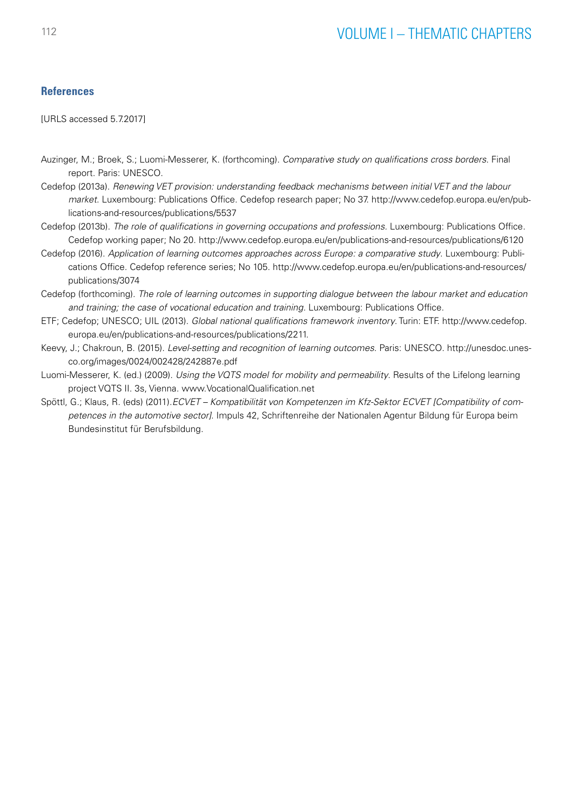# **References**

[URLS accessed 5.7.2017]

- Auzinger, M.; Broek, S.; Luomi-Messerer, K. (forthcoming). *Comparative study on qualifications cross borders*. Final report. Paris: UNESCO.
- Cedefop (2013a). *Renewing VET provision: understanding feedback mechanisms between initial VET and the labour market*. Luxembourg: Publications Office. Cedefop research paper; No 37. http://www.cedefop.europa.eu/en/publications-and-resources/publications/5537
- Cedefop (2013b). *The role of qualifications in governing occupations and professions.* Luxembourg: Publications Office. Cedefop working paper; No 20. http://www.cedefop.europa.eu/en/publications-and-resources/publications/6120
- Cedefop (2016). *Application of learning outcomes approaches across Europe: a comparative study*. Luxembourg: Publications Office. Cedefop reference series; No 105. [http://www.cedefop.europa.eu/en/publications-and-resources/](http://www.cedefop.europa.eu/en/publications-and-resources/publications/3074) [publications/3074](http://www.cedefop.europa.eu/en/publications-and-resources/publications/3074)
- Cedefop (forthcoming). *The role of learning outcomes in supporting dialogue between the labour market and education and training; the case of vocational education and training.* Luxembourg: Publications Office.
- ETF; Cedefop; UNESCO; UIL (2013). *Global national qualifications framework inventory*. Turin: ETF. [http://www.cedefop.](http://www.cedefop.europa.eu/en/publications-and-resources/publications/2211) [europa.eu/en/publications-and-resources/publications/2211](http://www.cedefop.europa.eu/en/publications-and-resources/publications/2211).
- Keevy, J.; Chakroun, B. (2015). *Level-setting and recognition of learning outcomes*. Paris: UNESCO. http://unesdoc.unesco.org/images/0024/002428/242887e.pdf
- Luomi-Messerer, K. (ed.) (2009). *Using the VQTS model for mobility and permeability*. Results of the Lifelong learning project VQTS II. 3s, Vienna. www.VocationalQualification.net
- Spöttl, G.; Klaus, R. (eds) (2011).*ECVET Kompatibilität von Kompetenzen im Kfz-Sektor ECVET [Compatibility of competences in the automotive sector]*. Impuls 42, Schriftenreihe der Nationalen Agentur Bildung für Europa beim Bundesinstitut für Berufsbildung.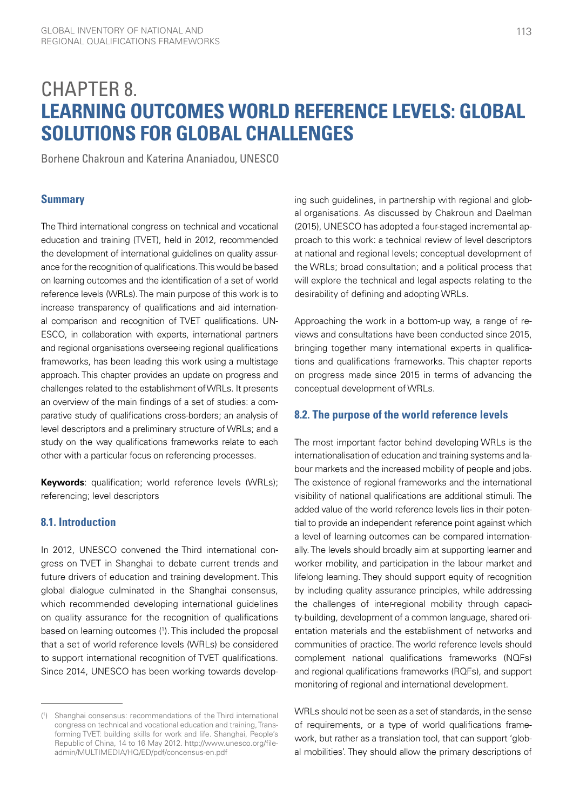# CHAPTER 8. **LEARNING OUTCOMES WORLD REFERENCE LEVELS: GLOBAL SOLUTIONS FOR GLOBAL CHALLENGES**

Borhene Chakroun and Katerina Ananiadou, UNESCO

# **Summary**

The Third international congress on technical and vocational education and training (TVET), held in 2012, recommended the development of international guidelines on quality assurance for the recognition of qualifications. This would be based on learning outcomes and the identification of a set of world reference levels (WRLs). The main purpose of this work is to increase transparency of qualifications and aid international comparison and recognition of TVET qualifications. UN-ESCO, in collaboration with experts, international partners and regional organisations overseeing regional qualifications frameworks, has been leading this work using a multistage approach. This chapter provides an update on progress and challenges related to the establishment of WRLs. It presents an overview of the main findings of a set of studies: a comparative study of qualifications cross-borders; an analysis of level descriptors and a preliminary structure of WRLs; and a study on the way qualifications frameworks relate to each other with a particular focus on referencing processes.

**Keywords**: qualification; world reference levels (WRLs); referencing; level descriptors

# **8.1. Introduction**

In 2012, UNESCO convened the Third international congress on TVET in Shanghai to debate current trends and future drivers of education and training development. This global dialogue culminated in the Shanghai consensus, which recommended developing international guidelines on quality assurance for the recognition of qualifications based on learning outcomes (1 ). This included the proposal that a set of world reference levels (WRLs) be considered to support international recognition of TVET qualifications. Since 2014, UNESCO has been working towards developing such guidelines, in partnership with regional and global organisations. As discussed by Chakroun and Daelman (2015), UNESCO has adopted a four-staged incremental approach to this work: a technical review of level descriptors at national and regional levels; conceptual development of the WRLs; broad consultation; and a political process that will explore the technical and legal aspects relating to the desirability of defining and adopting WRLs.

Approaching the work in a bottom-up way, a range of reviews and consultations have been conducted since 2015, bringing together many international experts in qualifications and qualifications frameworks. This chapter reports on progress made since 2015 in terms of advancing the conceptual development of WRLs.

# **8.2. The purpose of the world reference levels**

The most important factor behind developing WRLs is the internationalisation of education and training systems and labour markets and the increased mobility of people and jobs. The existence of regional frameworks and the international visibility of national qualifications are additional stimuli. The added value of the world reference levels lies in their potential to provide an independent reference point against which a level of learning outcomes can be compared internationally. The levels should broadly aim at supporting learner and worker mobility, and participation in the labour market and lifelong learning. They should support equity of recognition by including quality assurance principles, while addressing the challenges of inter-regional mobility through capacity-building, development of a common language, shared orientation materials and the establishment of networks and communities of practice. The world reference levels should complement national qualifications frameworks (NQFs) and regional qualifications frameworks (RQFs), and support monitoring of regional and international development.

WRLs should not be seen as a set of standards, in the sense of requirements, or a type of world qualifications framework, but rather as a translation tool, that can support 'global mobilities'. They should allow the primary descriptions of

<sup>(</sup> 1 ) Shanghai consensus: recommendations of the Third international congress on technical and vocational education and training, Transforming TVET: building skills for work and life. Shanghai, People's Republic of China, 14 to 16 May 2012. [http://www.unesco.org/file](http://www.unesco.org/fileadmin/MULTIMEDIA/HQ/ED/pdf/concensus-en.pdf)[admin/MULTIMEDIA/HQ/ED/pdf/concensus-en.pdf](http://www.unesco.org/fileadmin/MULTIMEDIA/HQ/ED/pdf/concensus-en.pdf)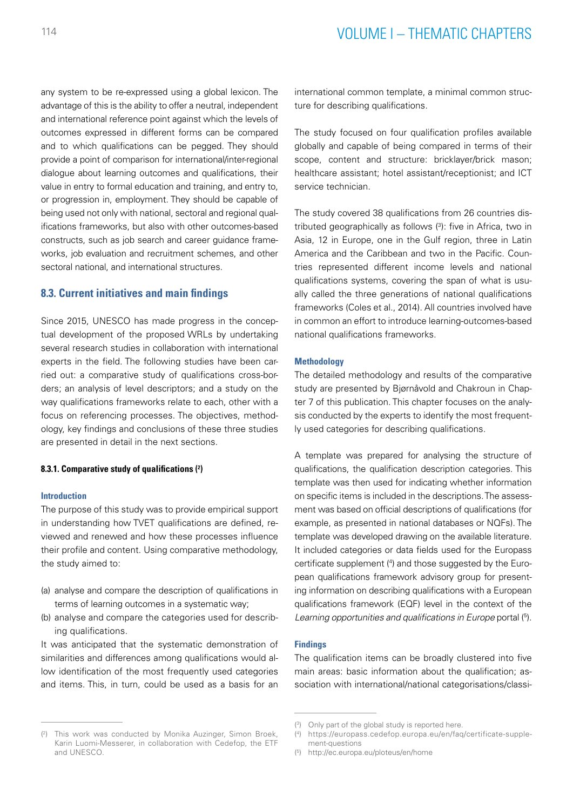any system to be re-expressed using a global lexicon. The advantage of this is the ability to offer a neutral, independent and international reference point against which the levels of outcomes expressed in different forms can be compared and to which qualifications can be pegged. They should provide a point of comparison for international/inter-regional dialogue about learning outcomes and qualifications, their value in entry to formal education and training, and entry to, or progression in, employment. They should be capable of being used not only with national, sectoral and regional qualifications frameworks, but also with other outcomes-based constructs, such as job search and career guidance frameworks, job evaluation and recruitment schemes, and other sectoral national, and international structures.

# **8.3. Current initiatives and main findings**

Since 2015, UNESCO has made progress in the conceptual development of the proposed WRLs by undertaking several research studies in collaboration with international experts in the field. The following studies have been carried out: a comparative study of qualifications cross-borders; an analysis of level descriptors; and a study on the way qualifications frameworks relate to each, other with a focus on referencing processes. The objectives, methodology, key findings and conclusions of these three studies are presented in detail in the next sections.

#### **8.3.1. Comparative study of qualifications (2 )**

#### **Introduction**

The purpose of this study was to provide empirical support in understanding how TVET qualifications are defined, reviewed and renewed and how these processes influence their profile and content. Using comparative methodology, the study aimed to:

- (a) analyse and compare the description of qualifications in terms of learning outcomes in a systematic way;
- (b) analyse and compare the categories used for describing qualifications.

It was anticipated that the systematic demonstration of similarities and differences among qualifications would allow identification of the most frequently used categories and items. This, in turn, could be used as a basis for an international common template, a minimal common structure for describing qualifications.

The study focused on four qualification profiles available globally and capable of being compared in terms of their scope, content and structure: bricklayer/brick mason; healthcare assistant; hotel assistant/receptionist; and ICT service technician.

The study covered 38 qualifications from 26 countries distributed geographically as follows (3): five in Africa, two in Asia, 12 in Europe, one in the Gulf region, three in Latin America and the Caribbean and two in the Pacific. Countries represented different income levels and national qualifications systems, covering the span of what is usually called the three generations of national qualifications frameworks (Coles et al., 2014). All countries involved have in common an effort to introduce learning-outcomes-based national qualifications frameworks.

#### **Methodology**

The detailed methodology and results of the comparative study are presented by Bjørnåvold and Chakroun in Chapter 7 of this publication. This chapter focuses on the analysis conducted by the experts to identify the most frequently used categories for describing qualifications.

A template was prepared for analysing the structure of qualifications, the qualification description categories. This template was then used for indicating whether information on specific items is included in the descriptions. The assessment was based on official descriptions of qualifications (for example, as presented in national databases or NQFs). The template was developed drawing on the available literature. It included categories or data fields used for the Europass certificate supplement (4 ) and those suggested by the European qualifications framework advisory group for presenting information on describing qualifications with a European qualifications framework (EQF) level in the context of the Learning opportunities and qualifications in Europe portal (5).

#### **Findings**

The qualification items can be broadly clustered into five main areas: basic information about the qualification; association with international/national categorisations/classi-

<sup>(</sup> 2 ) This work was conducted by Monika Auzinger, Simon Broek, Karin Luomi-Messerer, in collaboration with Cedefop, the ETF and UNESCO.

<sup>(</sup> 3 ) Only part of the global study is reported here.

<sup>(</sup> 4 ) [https://europass.cedefop.europa.eu/en/faq/certificate-supple](https://europass.cedefop.europa.eu/en/faq/certificate-supplement-questions)[ment-questions](https://europass.cedefop.europa.eu/en/faq/certificate-supplement-questions)

<sup>(</sup> 5 ) <http://ec.europa.eu/ploteus/en/home>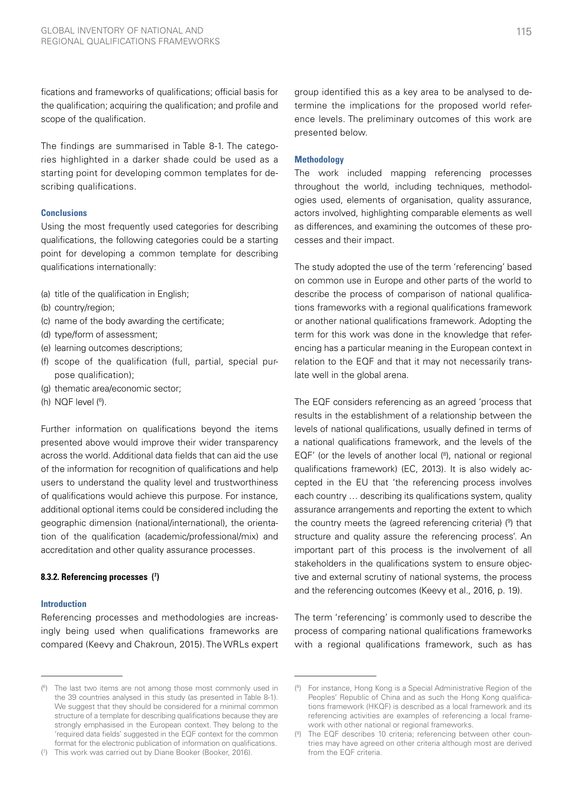fications and frameworks of qualifications; official basis for the qualification; acquiring the qualification; and profile and scope of the qualification.

The findings are summarised in Table 8-1. The categories highlighted in a darker shade could be used as a starting point for developing common templates for describing qualifications.

#### **Conclusions**

Using the most frequently used categories for describing qualifications, the following categories could be a starting point for developing a common template for describing qualifications internationally:

- (a) title of the qualification in English;
- (b) country/region;
- (c) name of the body awarding the certificate;
- (d) type/form of assessment;
- (e) learning outcomes descriptions;
- (f) scope of the qualification (full, partial, special purpose qualification);
- (g) thematic area/economic sector;
- (h) NQF level (6).

Further information on qualifications beyond the items presented above would improve their wider transparency across the world. Additional data fields that can aid the use of the information for recognition of qualifications and help users to understand the quality level and trustworthiness of qualifications would achieve this purpose. For instance, additional optional items could be considered including the geographic dimension (national/international), the orientation of the qualification (academic/professional/mix) and accreditation and other quality assurance processes.

#### **8.3.2. Referencing processes (7 )**

#### **Introduction**

Referencing processes and methodologies are increasingly being used when qualifications frameworks are compared (Keevy and Chakroun, 2015). The WRLs expert group identified this as a key area to be analysed to determine the implications for the proposed world reference levels. The preliminary outcomes of this work are presented below.

#### **Methodology**

The work included mapping referencing processes throughout the world, including techniques, methodologies used, elements of organisation, quality assurance, actors involved, highlighting comparable elements as well as differences, and examining the outcomes of these processes and their impact.

The study adopted the use of the term 'referencing' based on common use in Europe and other parts of the world to describe the process of comparison of national qualifications frameworks with a regional qualifications framework or another national qualifications framework. Adopting the term for this work was done in the knowledge that referencing has a particular meaning in the European context in relation to the EQF and that it may not necessarily translate well in the global arena.

The EQF considers referencing as an agreed 'process that results in the establishment of a relationship between the levels of national qualifications, usually defined in terms of a national qualifications framework, and the levels of the EQF' (or the levels of another local  $(8)$ , national or regional qualifications framework) (EC, 2013). It is also widely accepted in the EU that 'the referencing process involves each country … describing its qualifications system, quality assurance arrangements and reporting the extent to which the country meets the (agreed referencing criteria) (9) that structure and quality assure the referencing process'. An important part of this process is the involvement of all stakeholders in the qualifications system to ensure objective and external scrutiny of national systems, the process and the referencing outcomes (Keevy et al., 2016, p. 19).

The term 'referencing' is commonly used to describe the process of comparing national qualifications frameworks with a regional qualifications framework, such as has

<sup>(</sup> 6 ) The last two items are not among those most commonly used in the 39 countries analysed in this study (as presented in Table 8-1). We suggest that they should be considered for a minimal common structure of a template for describing qualifications because they are strongly emphasised in the European context. They belong to the 'required data fields' suggested in the EQF context for the common format for the electronic publication of information on qualifications.

<sup>(</sup> 7 ) This work was carried out by Diane Booker (Booker, 2016).

<sup>(</sup> 8 ) For instance, Hong Kong is a Special Administrative Region of the Peoples' Republic of China and as such the Hong Kong qualifications framework (HKQF) is described as a local framework and its referencing activities are examples of referencing a local framework with other national or regional frameworks.

<sup>(</sup> 9 ) The EQF describes 10 criteria; referencing between other countries may have agreed on other criteria although most are derived from the EQF criteria.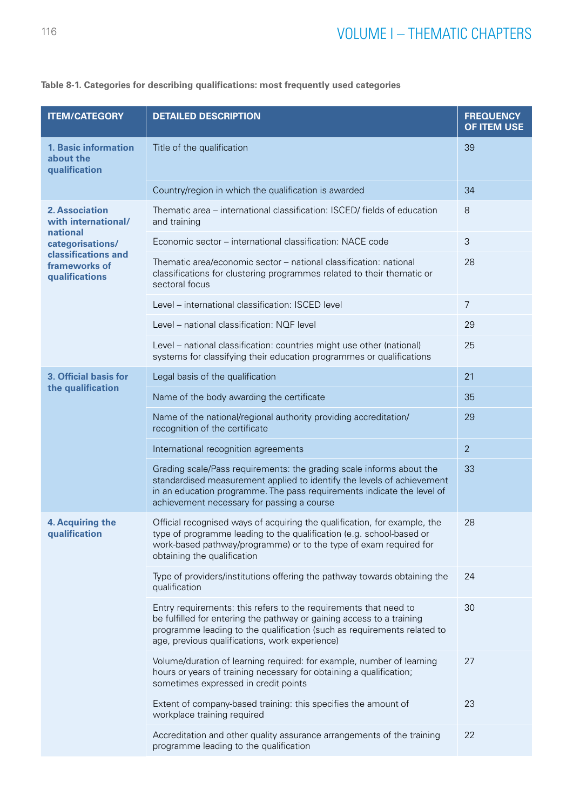| <b>ITEM/CATEGORY</b>                                      | <b>DETAILED DESCRIPTION</b>                                                                                                                                                                                                                                            | <b>FREQUENCY</b><br><b>OF ITEM USE</b> |  |  |  |  |  |  |
|-----------------------------------------------------------|------------------------------------------------------------------------------------------------------------------------------------------------------------------------------------------------------------------------------------------------------------------------|----------------------------------------|--|--|--|--|--|--|
| <b>1. Basic information</b><br>about the<br>qualification | Title of the qualification                                                                                                                                                                                                                                             | 39                                     |  |  |  |  |  |  |
|                                                           | Country/region in which the qualification is awarded                                                                                                                                                                                                                   | 34                                     |  |  |  |  |  |  |
| <b>2. Association</b><br>with international/              | Thematic area - international classification: ISCED/ fields of education<br>8<br>and training                                                                                                                                                                          |                                        |  |  |  |  |  |  |
| national<br>categorisations/                              | Economic sector – international classification: NACE code                                                                                                                                                                                                              | 3                                      |  |  |  |  |  |  |
| classifications and<br>frameworks of<br>qualifications    | Thematic area/economic sector – national classification: national<br>classifications for clustering programmes related to their thematic or<br>sectoral focus                                                                                                          | 28                                     |  |  |  |  |  |  |
|                                                           | Level - international classification: ISCED level                                                                                                                                                                                                                      | 7                                      |  |  |  |  |  |  |
|                                                           | Level - national classification: NQF level                                                                                                                                                                                                                             | 29                                     |  |  |  |  |  |  |
|                                                           | Level - national classification: countries might use other (national)<br>systems for classifying their education programmes or qualifications                                                                                                                          | 25                                     |  |  |  |  |  |  |
| 3. Official basis for                                     | Legal basis of the qualification                                                                                                                                                                                                                                       | 21                                     |  |  |  |  |  |  |
| the qualification                                         | Name of the body awarding the certificate                                                                                                                                                                                                                              | 35                                     |  |  |  |  |  |  |
|                                                           | Name of the national/regional authority providing accreditation/<br>recognition of the certificate                                                                                                                                                                     | 29                                     |  |  |  |  |  |  |
|                                                           | International recognition agreements                                                                                                                                                                                                                                   | $\overline{2}$                         |  |  |  |  |  |  |
|                                                           | Grading scale/Pass requirements: the grading scale informs about the<br>standardised measurement applied to identify the levels of achievement<br>in an education programme. The pass requirements indicate the level of<br>achievement necessary for passing a course | 33                                     |  |  |  |  |  |  |
| 4. Acquiring the<br>qualification                         | Official recognised ways of acquiring the qualification, for example, the<br>type of programme leading to the qualification (e.g. school-based or<br>work-based pathway/programme) or to the type of exam required for<br>obtaining the qualification                  | 28                                     |  |  |  |  |  |  |
|                                                           | Type of providers/institutions offering the pathway towards obtaining the<br>qualification                                                                                                                                                                             | 24                                     |  |  |  |  |  |  |
|                                                           | Entry requirements: this refers to the requirements that need to<br>be fulfilled for entering the pathway or gaining access to a training<br>programme leading to the qualification (such as requirements related to<br>age, previous qualifications, work experience) | 30                                     |  |  |  |  |  |  |
|                                                           | Volume/duration of learning required: for example, number of learning<br>hours or years of training necessary for obtaining a qualification;<br>sometimes expressed in credit points                                                                                   | 27                                     |  |  |  |  |  |  |
|                                                           | Extent of company-based training: this specifies the amount of<br>workplace training required                                                                                                                                                                          | 23                                     |  |  |  |  |  |  |
|                                                           | Accreditation and other quality assurance arrangements of the training<br>programme leading to the qualification                                                                                                                                                       | 22                                     |  |  |  |  |  |  |

# **Table 8-1. Categories for describing qualifications: most frequently used categories**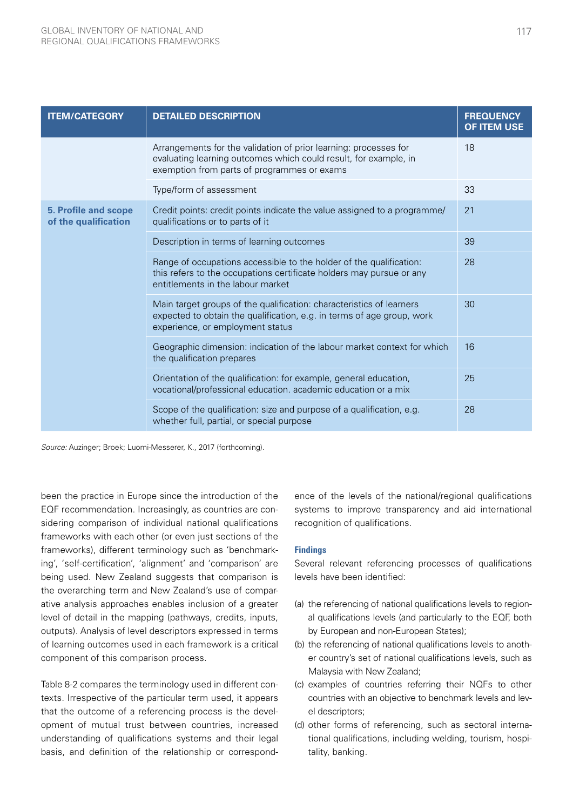| <b>ITEM/CATEGORY</b>                                | <b>DETAILED DESCRIPTION</b>                                                                                                                                                         | <b>FREQUENCY</b><br><b>OF ITEM USE</b> |
|-----------------------------------------------------|-------------------------------------------------------------------------------------------------------------------------------------------------------------------------------------|----------------------------------------|
|                                                     | Arrangements for the validation of prior learning: processes for<br>evaluating learning outcomes which could result, for example, in<br>exemption from parts of programmes or exams | 18                                     |
|                                                     | Type/form of assessment                                                                                                                                                             | 33                                     |
| <b>5. Profile and scope</b><br>of the qualification | Credit points: credit points indicate the value assigned to a programme/<br>qualifications or to parts of it                                                                        | 21                                     |
|                                                     | Description in terms of learning outcomes                                                                                                                                           | 39                                     |
|                                                     | Range of occupations accessible to the holder of the qualification:<br>this refers to the occupations certificate holders may pursue or any<br>entitlements in the labour market    | 28                                     |
|                                                     | Main target groups of the qualification: characteristics of learners<br>expected to obtain the qualification, e.g. in terms of age group, work<br>experience, or employment status  | 30                                     |
|                                                     | Geographic dimension: indication of the labour market context for which<br>the qualification prepares                                                                               | 16                                     |
|                                                     | Orientation of the qualification: for example, general education,<br>vocational/professional education. academic education or a mix                                                 | 25                                     |
|                                                     | Scope of the qualification: size and purpose of a qualification, e.g.<br>whether full, partial, or special purpose                                                                  | 28                                     |

*Source:* Auzinger; Broek; Luomi-Messerer, K., 2017 (forthcoming).

been the practice in Europe since the introduction of the EQF recommendation. Increasingly, as countries are considering comparison of individual national qualifications frameworks with each other (or even just sections of the frameworks), different terminology such as 'benchmarking', 'self-certification', 'alignment' and 'comparison' are being used. New Zealand suggests that comparison is the overarching term and New Zealand's use of comparative analysis approaches enables inclusion of a greater level of detail in the mapping (pathways, credits, inputs, outputs). Analysis of level descriptors expressed in terms of learning outcomes used in each framework is a critical component of this comparison process.

Table 8-2 compares the terminology used in different contexts. Irrespective of the particular term used, it appears that the outcome of a referencing process is the development of mutual trust between countries, increased understanding of qualifications systems and their legal basis, and definition of the relationship or correspondence of the levels of the national/regional qualifications systems to improve transparency and aid international recognition of qualifications.

#### **Findings**

Several relevant referencing processes of qualifications levels have been identified:

- (a) the referencing of national qualifications levels to regional qualifications levels (and particularly to the EQF, both by European and non-European States);
- (b) the referencing of national qualifications levels to another country's set of national qualifications levels, such as Malaysia with New Zealand;
- (c) examples of countries referring their NQFs to other countries with an objective to benchmark levels and level descriptors;
- (d) other forms of referencing, such as sectoral international qualifications, including welding, tourism, hospitality, banking.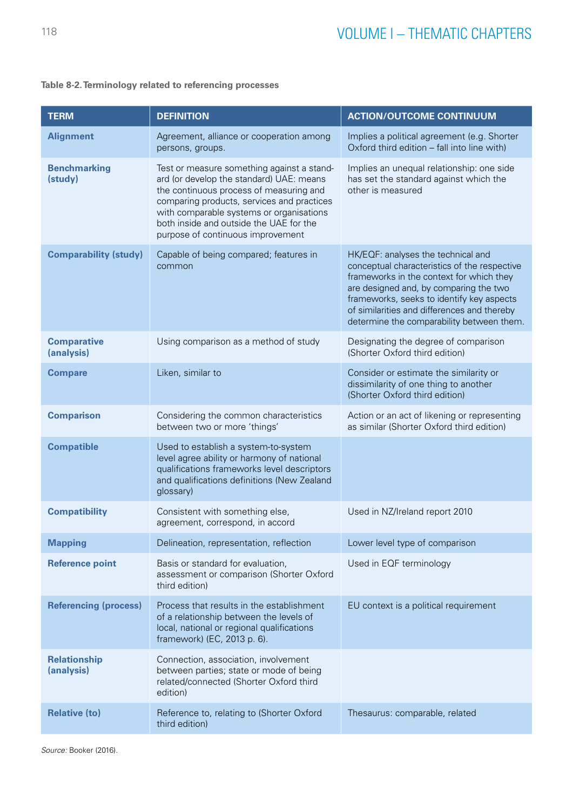# **Table 8-2. Terminology related to referencing processes**

| <b>TERM</b>                       | <b>DEFINITION</b>                                                                                                                                                                                                                                                                                           | <b>ACTION/OUTCOME CONTINUUM</b>                                                                                                                                                                                                                                                                                   |
|-----------------------------------|-------------------------------------------------------------------------------------------------------------------------------------------------------------------------------------------------------------------------------------------------------------------------------------------------------------|-------------------------------------------------------------------------------------------------------------------------------------------------------------------------------------------------------------------------------------------------------------------------------------------------------------------|
| <b>Alignment</b>                  | Agreement, alliance or cooperation among<br>persons, groups.                                                                                                                                                                                                                                                | Implies a political agreement (e.g. Shorter<br>Oxford third edition - fall into line with)                                                                                                                                                                                                                        |
| <b>Benchmarking</b><br>(study)    | Test or measure something against a stand-<br>ard (or develop the standard) UAE: means<br>the continuous process of measuring and<br>comparing products, services and practices<br>with comparable systems or organisations<br>both inside and outside the UAE for the<br>purpose of continuous improvement | Implies an unequal relationship: one side<br>has set the standard against which the<br>other is measured                                                                                                                                                                                                          |
| <b>Comparability (study)</b>      | Capable of being compared; features in<br>common                                                                                                                                                                                                                                                            | HK/EQF: analyses the technical and<br>conceptual characteristics of the respective<br>frameworks in the context for which they<br>are designed and, by comparing the two<br>frameworks, seeks to identify key aspects<br>of similarities and differences and thereby<br>determine the comparability between them. |
| <b>Comparative</b><br>(analysis)  | Using comparison as a method of study                                                                                                                                                                                                                                                                       | Designating the degree of comparison<br>(Shorter Oxford third edition)                                                                                                                                                                                                                                            |
| <b>Compare</b>                    | Liken, similar to                                                                                                                                                                                                                                                                                           | Consider or estimate the similarity or<br>dissimilarity of one thing to another<br>(Shorter Oxford third edition)                                                                                                                                                                                                 |
| <b>Comparison</b>                 | Considering the common characteristics<br>between two or more 'things'                                                                                                                                                                                                                                      | Action or an act of likening or representing<br>as similar (Shorter Oxford third edition)                                                                                                                                                                                                                         |
| <b>Compatible</b>                 | Used to establish a system-to-system<br>level agree ability or harmony of national<br>qualifications frameworks level descriptors<br>and qualifications definitions (New Zealand<br>glossary)                                                                                                               |                                                                                                                                                                                                                                                                                                                   |
| <b>Compatibility</b>              | Consistent with something else,<br>agreement, correspond, in accord                                                                                                                                                                                                                                         | Used in NZ/Ireland report 2010                                                                                                                                                                                                                                                                                    |
| <b>Mapping</b>                    | Delineation, representation, reflection                                                                                                                                                                                                                                                                     | Lower level type of comparison                                                                                                                                                                                                                                                                                    |
| <b>Reference point</b>            | Basis or standard for evaluation,<br>assessment or comparison (Shorter Oxford<br>third edition)                                                                                                                                                                                                             | Used in EQF terminology                                                                                                                                                                                                                                                                                           |
| <b>Referencing (process)</b>      | Process that results in the establishment<br>of a relationship between the levels of<br>local, national or regional qualifications<br>framework) (EC, 2013 p. 6).                                                                                                                                           | EU context is a political requirement                                                                                                                                                                                                                                                                             |
| <b>Relationship</b><br>(analysis) | Connection, association, involvement<br>between parties; state or mode of being<br>related/connected (Shorter Oxford third<br>edition)                                                                                                                                                                      |                                                                                                                                                                                                                                                                                                                   |
| <b>Relative (to)</b>              | Reference to, relating to (Shorter Oxford<br>third edition)                                                                                                                                                                                                                                                 | Thesaurus: comparable, related                                                                                                                                                                                                                                                                                    |

*Source:* Booker (2016).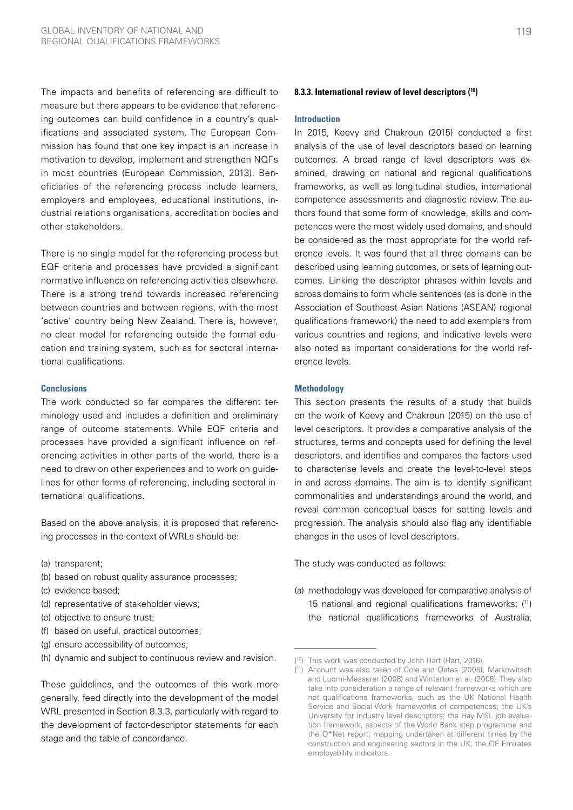The impacts and benefits of referencing are difficult to measure but there appears to be evidence that referencing outcomes can build confidence in a country's qualifications and associated system. The European Commission has found that one key impact is an increase in motivation to develop, implement and strengthen NQFs in most countries (European Commission, 2013). Beneficiaries of the referencing process include learners, employers and employees, educational institutions, industrial relations organisations, accreditation bodies and other stakeholders.

There is no single model for the referencing process but EQF criteria and processes have provided a significant normative influence on referencing activities elsewhere. There is a strong trend towards increased referencing between countries and between regions, with the most 'active' country being New Zealand. There is, however, no clear model for referencing outside the formal education and training system, such as for sectoral international qualifications.

#### **Conclusions**

The work conducted so far compares the different terminology used and includes a definition and preliminary range of outcome statements. While EQF criteria and processes have provided a significant influence on referencing activities in other parts of the world, there is a need to draw on other experiences and to work on guidelines for other forms of referencing, including sectoral international qualifications.

Based on the above analysis, it is proposed that referencing processes in the context of WRLs should be:

- (a) transparent;
- (b) based on robust quality assurance processes;
- (c) evidence-based;
- (d) representative of stakeholder views;
- (e) objective to ensure trust;
- (f) based on useful, practical outcomes;
- (g) ensure accessibility of outcomes;
- (h) dynamic and subject to continuous review and revision.

These guidelines, and the outcomes of this work more generally, feed directly into the development of the model WRL presented in Section 8.3.3, particularly with regard to the development of factor-descriptor statements for each stage and the table of concordance.

#### **8.3.3. International review of level descriptors (10)**

#### **Introduction**

In 2015, Keevy and Chakroun (2015) conducted a first analysis of the use of level descriptors based on learning outcomes. A broad range of level descriptors was examined, drawing on national and regional qualifications frameworks, as well as longitudinal studies, international competence assessments and diagnostic review. The authors found that some form of knowledge, skills and competences were the most widely used domains, and should be considered as the most appropriate for the world reference levels. It was found that all three domains can be described using learning outcomes, or sets of learning outcomes. Linking the descriptor phrases within levels and across domains to form whole sentences (as is done in the Association of Southeast Asian Nations (ASEAN) regional qualifications framework) the need to add exemplars from various countries and regions, and indicative levels were also noted as important considerations for the world reference levels.

#### **Methodology**

This section presents the results of a study that builds on the work of Keevy and Chakroun (2015) on the use of level descriptors. It provides a comparative analysis of the structures, terms and concepts used for defining the level descriptors, and identifies and compares the factors used to characterise levels and create the level-to-level steps in and across domains. The aim is to identify significant commonalities and understandings around the world, and reveal common conceptual bases for setting levels and progression. The analysis should also flag any identifiable changes in the uses of level descriptors.

The study was conducted as follows:

(a) methodology was developed for comparative analysis of 15 national and regional qualifications frameworks: (11) the national qualifications frameworks of Australia,

<sup>(</sup> 10) This work was conducted by John Hart (Hart, 2016).

<sup>(</sup> 11) Account was also taken of Cole and Oates (2005), Markowitsch and Luomi-Messerer (2008) and Winterton et al. (2006). They also take into consideration a range of relevant frameworks which are not qualifications frameworks, such as the UK National Health Service and Social Work frameworks of competences; the UK's University for Industry level descriptors; the Hay MSL job evaluation framework, aspects of the World Bank step programme and the O\*Net report; mapping undertaken at different times by the construction and engineering sectors in the UK; the QF Emirates employability indicators.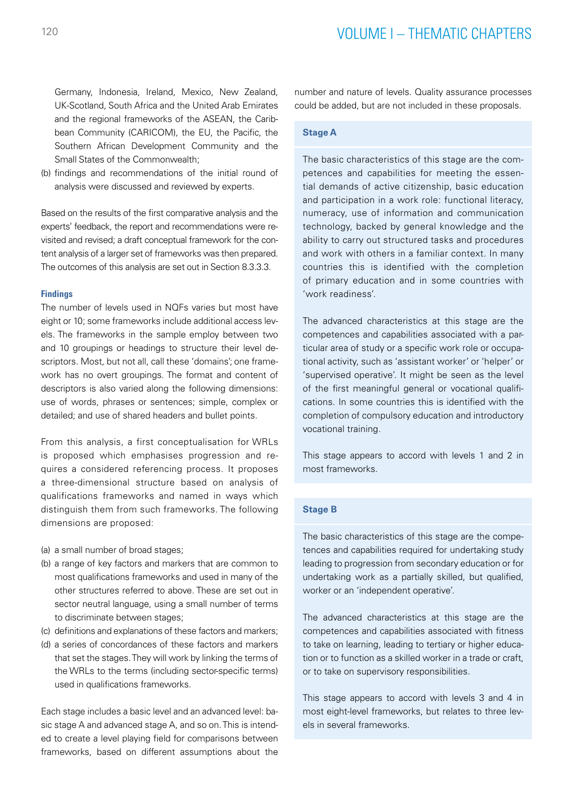Germany, Indonesia, Ireland, Mexico, New Zealand, UK-Scotland, South Africa and the United Arab Emirates and the regional frameworks of the ASEAN, the Caribbean Community (CARICOM), the EU, the Pacific, the Southern African Development Community and the Small States of the Commonwealth;

(b) findings and recommendations of the initial round of analysis were discussed and reviewed by experts.

Based on the results of the first comparative analysis and the experts' feedback, the report and recommendations were revisited and revised; a draft conceptual framework for the content analysis of a larger set of frameworks was then prepared. The outcomes of this analysis are set out in Section 8.3.3.3.

#### **Findings**

The number of levels used in NQFs varies but most have eight or 10; some frameworks include additional access levels. The frameworks in the sample employ between two and 10 groupings or headings to structure their level descriptors. Most, but not all, call these 'domains'; one framework has no overt groupings. The format and content of descriptors is also varied along the following dimensions: use of words, phrases or sentences; simple, complex or detailed; and use of shared headers and bullet points.

From this analysis, a first conceptualisation for WRLs is proposed which emphasises progression and requires a considered referencing process. It proposes a three-dimensional structure based on analysis of qualifications frameworks and named in ways which distinguish them from such frameworks. The following dimensions are proposed:

(a) a small number of broad stages;

- (b) a range of key factors and markers that are common to most qualifications frameworks and used in many of the other structures referred to above. These are set out in sector neutral language, using a small number of terms to discriminate between stages;
- (c) definitions and explanations of these factors and markers;
- (d) a series of concordances of these factors and markers that set the stages. They will work by linking the terms of the WRLs to the terms (including sector-specific terms) used in qualifications frameworks.

Each stage includes a basic level and an advanced level: basic stage A and advanced stage A, and so on. This is intended to create a level playing field for comparisons between frameworks, based on different assumptions about the number and nature of levels. Quality assurance processes could be added, but are not included in these proposals.

#### **Stage A**

The basic characteristics of this stage are the competences and capabilities for meeting the essential demands of active citizenship, basic education and participation in a work role: functional literacy, numeracy, use of information and communication technology, backed by general knowledge and the ability to carry out structured tasks and procedures and work with others in a familiar context. In many countries this is identified with the completion of primary education and in some countries with 'work readiness'.

The advanced characteristics at this stage are the competences and capabilities associated with a particular area of study or a specific work role or occupational activity, such as 'assistant worker' or 'helper' or 'supervised operative'. It might be seen as the level of the first meaningful general or vocational qualifications. In some countries this is identified with the completion of compulsory education and introductory vocational training.

This stage appears to accord with levels 1 and 2 in most frameworks.

## **Stage B**

The basic characteristics of this stage are the competences and capabilities required for undertaking study leading to progression from secondary education or for undertaking work as a partially skilled, but qualified, worker or an 'independent operative'.

The advanced characteristics at this stage are the competences and capabilities associated with fitness to take on learning, leading to tertiary or higher education or to function as a skilled worker in a trade or craft, or to take on supervisory responsibilities.

This stage appears to accord with levels 3 and 4 in most eight-level frameworks, but relates to three levels in several frameworks.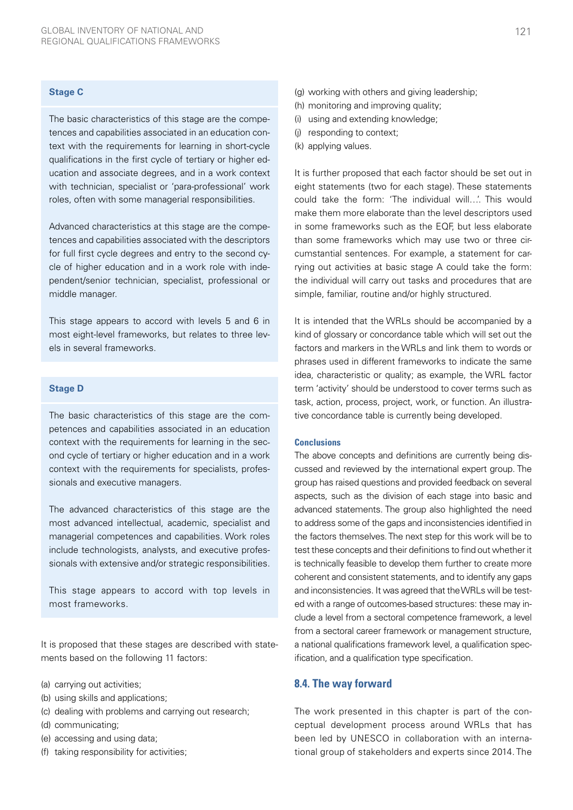#### **Stage C**

The basic characteristics of this stage are the competences and capabilities associated in an education context with the requirements for learning in short-cycle qualifications in the first cycle of tertiary or higher education and associate degrees, and in a work context with technician, specialist or 'para-professional' work roles, often with some managerial responsibilities.

Advanced characteristics at this stage are the competences and capabilities associated with the descriptors for full first cycle degrees and entry to the second cycle of higher education and in a work role with independent/senior technician, specialist, professional or middle manager.

This stage appears to accord with levels 5 and 6 in most eight-level frameworks, but relates to three levels in several frameworks.

#### **Stage D**

The basic characteristics of this stage are the competences and capabilities associated in an education context with the requirements for learning in the second cycle of tertiary or higher education and in a work context with the requirements for specialists, professionals and executive managers.

The advanced characteristics of this stage are the most advanced intellectual, academic, specialist and managerial competences and capabilities. Work roles include technologists, analysts, and executive professionals with extensive and/or strategic responsibilities.

This stage appears to accord with top levels in most frameworks.

It is proposed that these stages are described with statements based on the following 11 factors:

- (a) carrying out activities;
- (b) using skills and applications;
- (c) dealing with problems and carrying out research;
- (d) communicating;
- (e) accessing and using data;
- (f) taking responsibility for activities;
- (g) working with others and giving leadership;
- (h) monitoring and improving quality;
- (i) using and extending knowledge;
- (j) responding to context;
- (k) applying values.

It is further proposed that each factor should be set out in eight statements (two for each stage). These statements could take the form: 'The individual will…'. This would make them more elaborate than the level descriptors used in some frameworks such as the EQF, but less elaborate than some frameworks which may use two or three circumstantial sentences. For example, a statement for carrying out activities at basic stage A could take the form: the individual will carry out tasks and procedures that are simple, familiar, routine and/or highly structured.

It is intended that the WRLs should be accompanied by a kind of glossary or concordance table which will set out the factors and markers in the WRLs and link them to words or phrases used in different frameworks to indicate the same idea, characteristic or quality; as example, the WRL factor term 'activity' should be understood to cover terms such as task, action, process, project, work, or function. An illustrative concordance table is currently being developed.

#### **Conclusions**

The above concepts and definitions are currently being discussed and reviewed by the international expert group. The group has raised questions and provided feedback on several aspects, such as the division of each stage into basic and advanced statements. The group also highlighted the need to address some of the gaps and inconsistencies identified in the factors themselves. The next step for this work will be to test these concepts and their definitions to find out whether it is technically feasible to develop them further to create more coherent and consistent statements, and to identify any gaps and inconsistencies. It was agreed that the WRLs will be tested with a range of outcomes-based structures: these may include a level from a sectoral competence framework, a level from a sectoral career framework or management structure, a national qualifications framework level, a qualification specification, and a qualification type specification.

### **8.4. The way forward**

The work presented in this chapter is part of the conceptual development process around WRLs that has been led by UNESCO in collaboration with an international group of stakeholders and experts since 2014. The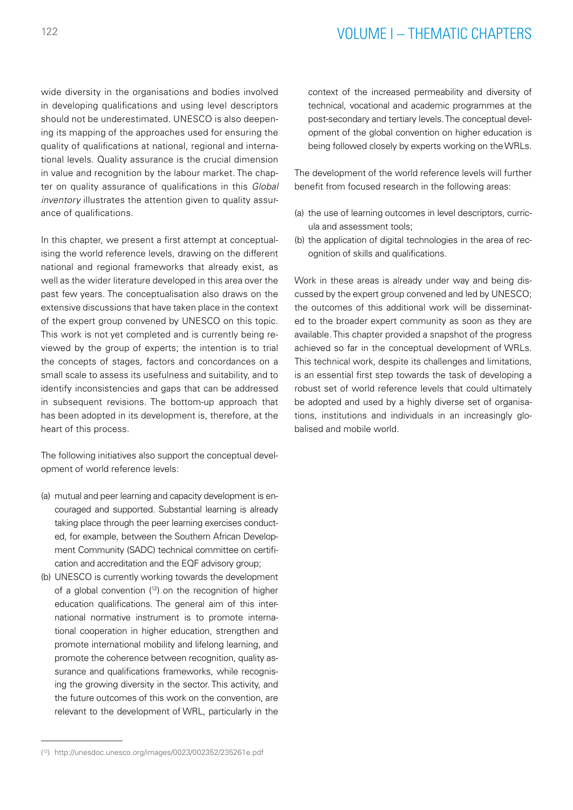# <sup>122</sup> VOLUME I – THEMATIC CHAPTERS

wide diversity in the organisations and bodies involved in developing qualifications and using level descriptors should not be underestimated. UNESCO is also deepening its mapping of the approaches used for ensuring the quality of qualifications at national, regional and international levels. Quality assurance is the crucial dimension in value and recognition by the labour market. The chapter on quality assurance of qualifications in this *Global inventory* illustrates the attention given to quality assurance of qualifications.

In this chapter, we present a first attempt at conceptualising the world reference levels, drawing on the different national and regional frameworks that already exist, as well as the wider literature developed in this area over the past few years. The conceptualisation also draws on the extensive discussions that have taken place in the context of the expert group convened by UNESCO on this topic. This work is not yet completed and is currently being reviewed by the group of experts; the intention is to trial the concepts of stages, factors and concordances on a small scale to assess its usefulness and suitability, and to identify inconsistencies and gaps that can be addressed in subsequent revisions. The bottom-up approach that has been adopted in its development is, therefore, at the heart of this process.

The following initiatives also support the conceptual development of world reference levels:

- (a) mutual and peer learning and capacity development is encouraged and supported. Substantial learning is already taking place through the peer learning exercises conducted, for example, between the Southern African Development Community (SADC) technical committee on certification and accreditation and the EQF advisory group;
- (b) UNESCO is currently working towards the development of a global convention (12) on the recognition of higher education qualifications. The general aim of this international normative instrument is to promote international cooperation in higher education, strengthen and promote international mobility and lifelong learning, and promote the coherence between recognition, quality assurance and qualifications frameworks, while recognising the growing diversity in the sector. This activity, and the future outcomes of this work on the convention, are relevant to the development of WRL, particularly in the

context of the increased permeability and diversity of technical, vocational and academic programmes at the post-secondary and tertiary levels. The conceptual development of the global convention on higher education is being followed closely by experts working on the WRLs.

The development of the world reference levels will further benefit from focused research in the following areas:

- (a) the use of learning outcomes in level descriptors, curricula and assessment tools;
- (b) the application of digital technologies in the area of recognition of skills and qualifications.

Work in these areas is already under way and being discussed by the expert group convened and led by UNESCO; the outcomes of this additional work will be disseminated to the broader expert community as soon as they are available. This chapter provided a snapshot of the progress achieved so far in the conceptual development of WRLs. This technical work, despite its challenges and limitations, is an essential first step towards the task of developing a robust set of world reference levels that could ultimately be adopted and used by a highly diverse set of organisations, institutions and individuals in an increasingly globalised and mobile world.

<sup>(</sup> 12) <http://unesdoc.unesco.org/images/0023/002352/235261e.pdf>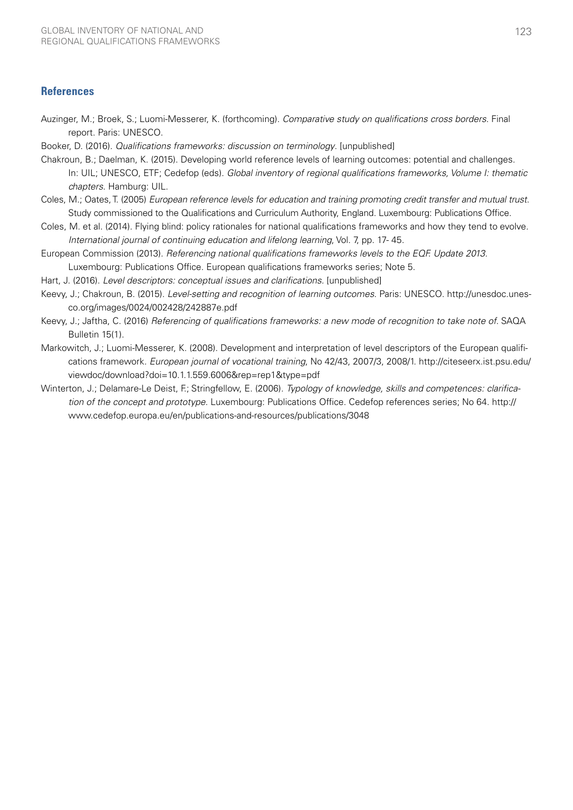# **References**

- Auzinger, M.; Broek, S.; Luomi-Messerer, K. (forthcoming). *Comparative study on qualifications cross borders*. Final report. Paris: UNESCO.
- Booker, D. (2016). *Qualifications frameworks: discussion on terminology*. [unpublished]
- Chakroun, B.; Daelman, K. (2015). Developing world reference levels of learning outcomes: potential and challenges. In: UIL; UNESCO, ETF; Cedefop (eds). *Global inventory of regional qualifications frameworks, Volume I: thematic chapters*. Hamburg: UIL.
- Coles, M.; Oates, T. (2005) *European reference levels for education and training promoting credit transfer and mutual trust*. Study commissioned to the Qualifications and Curriculum Authority, England. Luxembourg: Publications Office.
- Coles, M. et al. (2014). Flying blind: policy rationales for national qualifications frameworks and how they tend to evolve. *International journal of continuing education and lifelong learning*, Vol. 7, pp. 17- 45.
- European Commission (2013). *Referencing national qualifications frameworks levels to the EQF. Update 2013.*  Luxembourg: Publications Office. European qualifications frameworks series; Note 5.
- Hart, J. (2016). *Level descriptors: conceptual issues and clarifications.* [unpublished]
- Keevy, J.; Chakroun, B. (2015). *Level-setting and recognition of learning outcomes*. Paris: UNESCO. [http://unesdoc.unes](http://unesdoc.unesco.org/images/0024/002428/242887e.pdf)[co.org/images/0024/002428/242887e.pdf](http://unesdoc.unesco.org/images/0024/002428/242887e.pdf)
- Keevy, J.; Jaftha, C. (2016) *Referencing of qualifications frameworks: a new mode of recognition to take note of*. SAQA Bulletin 15(1).
- Markowitch, J.; Luomi-Messerer, K. (2008). Development and interpretation of level descriptors of the European qualifications framework*. European journal of vocational training*, No 42/43, 2007/3, 2008/1. [http://citeseerx.ist.psu.edu/](http://citeseerx.ist.psu.edu/viewdoc/download?doi=10.1.1.559.6006&rep=rep1&type=pdf) [viewdoc/download?doi=10.1.1.559.6006&rep=rep1&type=pdf](http://citeseerx.ist.psu.edu/viewdoc/download?doi=10.1.1.559.6006&rep=rep1&type=pdf)
- Winterton, J.; Delamare-Le Deist, F.; Stringfellow, E. (2006). *Typology of knowledge, skills and competences: clarification of the concept and prototype*. Luxembourg: Publications Office. Cedefop references series; No 64. [http://](http://www.cedefop.europa.eu/en/publications-and-resources/publications/3048) [www.cedefop.europa.eu/en/publications-and-resources/publications/3048](http://www.cedefop.europa.eu/en/publications-and-resources/publications/3048)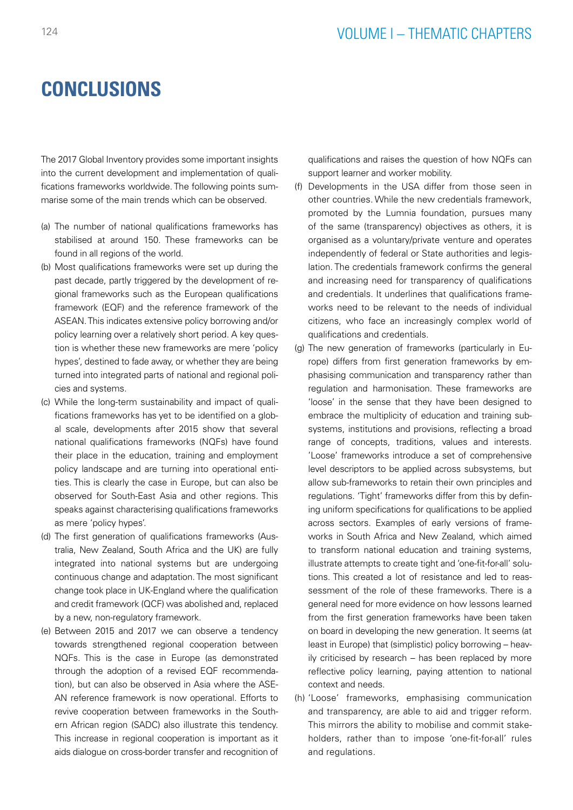# **CONCLUSIONS**

The 2017 Global Inventory provides some important insights into the current development and implementation of qualifications frameworks worldwide. The following points summarise some of the main trends which can be observed.

- (a) The number of national qualifications frameworks has stabilised at around 150. These frameworks can be found in all regions of the world.
- (b) Most qualifications frameworks were set up during the past decade, partly triggered by the development of regional frameworks such as the European qualifications framework (EQF) and the reference framework of the ASEAN. This indicates extensive policy borrowing and/or policy learning over a relatively short period. A key question is whether these new frameworks are mere 'policy hypes', destined to fade away, or whether they are being turned into integrated parts of national and regional policies and systems.
- (c) While the long-term sustainability and impact of qualifications frameworks has yet to be identified on a global scale, developments after 2015 show that several national qualifications frameworks (NQFs) have found their place in the education, training and employment policy landscape and are turning into operational entities. This is clearly the case in Europe, but can also be observed for South-East Asia and other regions. This speaks against characterising qualifications frameworks as mere 'policy hypes'.
- (d) The first generation of qualifications frameworks (Australia, New Zealand, South Africa and the UK) are fully integrated into national systems but are undergoing continuous change and adaptation. The most significant change took place in UK-England where the qualification and credit framework (QCF) was abolished and, replaced by a new, non-regulatory framework.
- (e) Between 2015 and 2017 we can observe a tendency towards strengthened regional cooperation between NQFs. This is the case in Europe (as demonstrated through the adoption of a revised EQF recommendation), but can also be observed in Asia where the ASE-AN reference framework is now operational. Efforts to revive cooperation between frameworks in the Southern African region (SADC) also illustrate this tendency. This increase in regional cooperation is important as it aids dialogue on cross-border transfer and recognition of

qualifications and raises the question of how NQFs can support learner and worker mobility.

- (f) Developments in the USA differ from those seen in other countries. While the new credentials framework, promoted by the Lumnia foundation, pursues many of the same (transparency) objectives as others, it is organised as a voluntary/private venture and operates independently of federal or State authorities and legislation. The credentials framework confirms the general and increasing need for transparency of qualifications and credentials. It underlines that qualifications frameworks need to be relevant to the needs of individual citizens, who face an increasingly complex world of qualifications and credentials.
- (g) The new generation of frameworks (particularly in Europe) differs from first generation frameworks by emphasising communication and transparency rather than regulation and harmonisation. These frameworks are 'loose' in the sense that they have been designed to embrace the multiplicity of education and training subsystems, institutions and provisions, reflecting a broad range of concepts, traditions, values and interests. 'Loose' frameworks introduce a set of comprehensive level descriptors to be applied across subsystems, but allow sub-frameworks to retain their own principles and regulations. 'Tight' frameworks differ from this by defining uniform specifications for qualifications to be applied across sectors. Examples of early versions of frameworks in South Africa and New Zealand, which aimed to transform national education and training systems, illustrate attempts to create tight and 'one-fit-for-all' solutions. This created a lot of resistance and led to reassessment of the role of these frameworks. There is a general need for more evidence on how lessons learned from the first generation frameworks have been taken on board in developing the new generation. It seems (at least in Europe) that (simplistic) policy borrowing – heavily criticised by research – has been replaced by more reflective policy learning, paying attention to national context and needs.
- (h) 'Loose' frameworks, emphasising communication and transparency, are able to aid and trigger reform. This mirrors the ability to mobilise and commit stakeholders, rather than to impose 'one-fit-for-all' rules and regulations.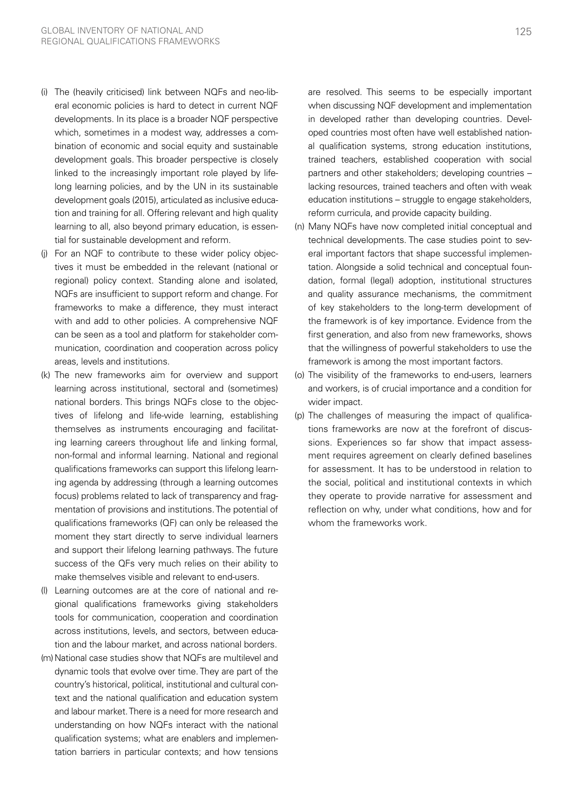- (i) The (heavily criticised) link between NQFs and neo-liberal economic policies is hard to detect in current NQF developments. In its place is a broader NQF perspective which, sometimes in a modest way, addresses a combination of economic and social equity and sustainable development goals. This broader perspective is closely linked to the increasingly important role played by lifelong learning policies, and by the UN in its sustainable development goals (2015), articulated as inclusive education and training for all. Offering relevant and high quality learning to all, also beyond primary education, is essential for sustainable development and reform.
- (j) For an NQF to contribute to these wider policy objectives it must be embedded in the relevant (national or regional) policy context. Standing alone and isolated, NQFs are insufficient to support reform and change. For frameworks to make a difference, they must interact with and add to other policies. A comprehensive NQF can be seen as a tool and platform for stakeholder communication, coordination and cooperation across policy areas, levels and institutions.
- (k) The new frameworks aim for overview and support learning across institutional, sectoral and (sometimes) national borders. This brings NQFs close to the objectives of lifelong and life-wide learning, establishing themselves as instruments encouraging and facilitating learning careers throughout life and linking formal, non-formal and informal learning. National and regional qualifications frameworks can support this lifelong learning agenda by addressing (through a learning outcomes focus) problems related to lack of transparency and fragmentation of provisions and institutions. The potential of qualifications frameworks (QF) can only be released the moment they start directly to serve individual learners and support their lifelong learning pathways. The future success of the QFs very much relies on their ability to make themselves visible and relevant to end-users.
- (l) Learning outcomes are at the core of national and regional qualifications frameworks giving stakeholders tools for communication, cooperation and coordination across institutions, levels, and sectors, between education and the labour market, and across national borders.
- (m) National case studies show that NQFs are multilevel and dynamic tools that evolve over time. They are part of the country's historical, political, institutional and cultural context and the national qualification and education system and labour market. There is a need for more research and understanding on how NQFs interact with the national qualification systems; what are enablers and implementation barriers in particular contexts; and how tensions

are resolved. This seems to be especially important when discussing NQF development and implementation in developed rather than developing countries. Developed countries most often have well established national qualification systems, strong education institutions, trained teachers, established cooperation with social partners and other stakeholders; developing countries – lacking resources, trained teachers and often with weak education institutions – struggle to engage stakeholders, reform curricula, and provide capacity building.

- (n) Many NQFs have now completed initial conceptual and technical developments. The case studies point to several important factors that shape successful implementation. Alongside a solid technical and conceptual foundation, formal (legal) adoption, institutional structures and quality assurance mechanisms, the commitment of key stakeholders to the long-term development of the framework is of key importance. Evidence from the first generation, and also from new frameworks, shows that the willingness of powerful stakeholders to use the framework is among the most important factors.
- (o) The visibility of the frameworks to end-users, learners and workers, is of crucial importance and a condition for wider impact.
- (p) The challenges of measuring the impact of qualifications frameworks are now at the forefront of discussions. Experiences so far show that impact assessment requires agreement on clearly defined baselines for assessment. It has to be understood in relation to the social, political and institutional contexts in which they operate to provide narrative for assessment and reflection on why, under what conditions, how and for whom the frameworks work.